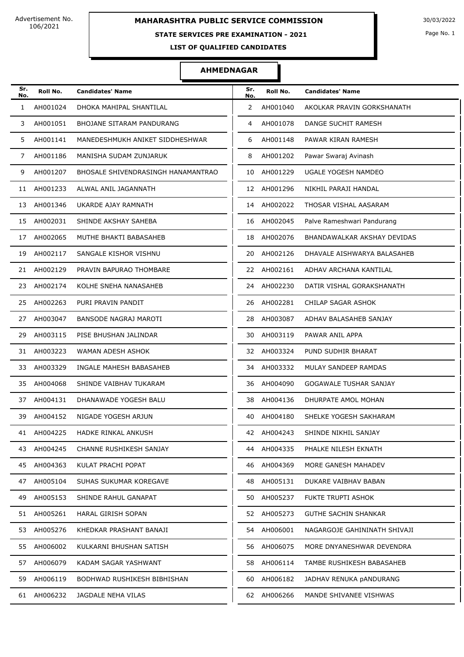### **STATE SERVICES PRE EXAMINATION - 2021**

Page No. 1

**LIST OF QUALIFIED CANDIDATES** 

| Sr.<br>No.   | Roll No.    | <b>Candidates' Name</b>            | Sr.<br>No. | Roll No.    | <b>Candidates' Name</b>      |
|--------------|-------------|------------------------------------|------------|-------------|------------------------------|
| $\mathbf{1}$ | AH001024    | DHOKA MAHIPAL SHANTILAL            | 2          | AH001040    | AKOLKAR PRAVIN GORKSHANATH   |
| 3            | AH001051    | BHOJANE SITARAM PANDURANG          | 4          | AH001078    | DANGE SUCHIT RAMESH          |
| 5            | AH001141    | MANEDESHMUKH ANIKET SIDDHESHWAR    | 6          | AH001148    | PAWAR KIRAN RAMESH           |
| 7            | AH001186    | MANISHA SUDAM ZUNJARUK             | 8          | AH001202    | Pawar Swaraj Avinash         |
| 9            | AH001207    | BHOSALE SHIVENDRASINGH HANAMANTRAO | 10         | AH001229    | UGALE YOGESH NAMDEO          |
| 11           | AH001233    | ALWAL ANIL JAGANNATH               | 12         | AH001296    | NIKHIL PARAJI HANDAL         |
| 13           | AH001346    | UKARDE AJAY RAMNATH                | 14         | AH002022    | THOSAR VISHAL AASARAM        |
| 15           | AH002031    | SHINDE AKSHAY SAHEBA               |            | 16 AH002045 | Palve Rameshwari Pandurang   |
| 17           | AH002065    | MUTHE BHAKTI BABASAHEB             | 18         | AH002076    | BHANDAWALKAR AKSHAY DEVIDAS  |
| 19           | AH002117    | SANGALE KISHOR VISHNU              | 20         | AH002126    | DHAVALE AISHWARYA BALASAHEB  |
| 21           | AH002129    | PRAVIN BAPURAO THOMBARE            | 22         | AH002161    | ADHAV ARCHANA KANTILAL       |
| 23           | AH002174    | KOLHE SNEHA NANASAHEB              | 24         | AH002230    | DATIR VISHAL GORAKSHANATH    |
| 25           | AH002263    | PURI PRAVIN PANDIT                 | 26         | AH002281    | CHILAP SAGAR ASHOK           |
| 27           | AH003047    | BANSODE NAGRAJ MAROTI              | 28         | AH003087    | ADHAV BALASAHEB SANJAY       |
| 29           | AH003115    | PISE BHUSHAN JALINDAR              | 30         | AH003119    | PAWAR ANIL APPA              |
| 31           | AH003223    | WAMAN ADESH ASHOK                  |            | 32 AH003324 | PUND SUDHIR BHARAT           |
| 33           | AH003329    | INGALE MAHESH BABASAHEB            | 34         | AH003332    | MULAY SANDEEP RAMDAS         |
| 35           | AH004068    | SHINDE VAIBHAV TUKARAM             | 36         | AH004090    | GOGAWALE TUSHAR SANJAY       |
| 37           | AH004131    | DHANAWADE YOGESH BALU              | 38         | AH004136    | DHURPATE AMOL MOHAN          |
| 39           | AH004152    | NIGADE YOGESH ARJUN                |            | 40 AH004180 | SHELKE YOGESH SAKHARAM       |
| 41           | AH004225    | HADKE RINKAL ANKUSH                | 42         | AH004243    | SHINDE NIKHIL SANJAY         |
|              | 43 AH004245 | CHANNE RUSHIKESH SANJAY            |            | 44 AH004335 | PHALKE NILESH EKNATH         |
| 45           | AH004363    | KULAT PRACHI POPAT                 | 46         | AH004369    | MORE GANESH MAHADEV          |
|              | 47 AH005104 | SUHAS SUKUMAR KOREGAVE             | 48         | AH005131    | DUKARE VAIBHAV BABAN         |
| 49           | AH005153    | SHINDE RAHUL GANAPAT               | 50         | AH005237    | FUKTE TRUPTI ASHOK           |
|              | 51 AH005261 | HARAL GIRISH SOPAN                 | 52         | AH005273    | <b>GUTHE SACHIN SHANKAR</b>  |
| 53           | AH005276    | KHEDKAR PRASHANT BANAJI            | 54         | AH006001    | NAGARGOJE GAHININATH SHIVAJI |
|              | 55 AH006002 | KULKARNI BHUSHAN SATISH            | 56         | AH006075    | MORE DNYANESHWAR DEVENDRA    |
| 57           | AH006079    | KADAM SAGAR YASHWANT               | 58         | AH006114    | TAMBE RUSHIKESH BABASAHEB    |
| 59           | AH006119    | BODHWAD RUSHIKESH BIBHISHAN        | 60         | AH006182    | JADHAV RENUKA pANDURANG      |
| 61           | AH006232    | JAGDALE NEHA VILAS                 | 62         | AH006266    | MANDE SHIVANEE VISHWAS       |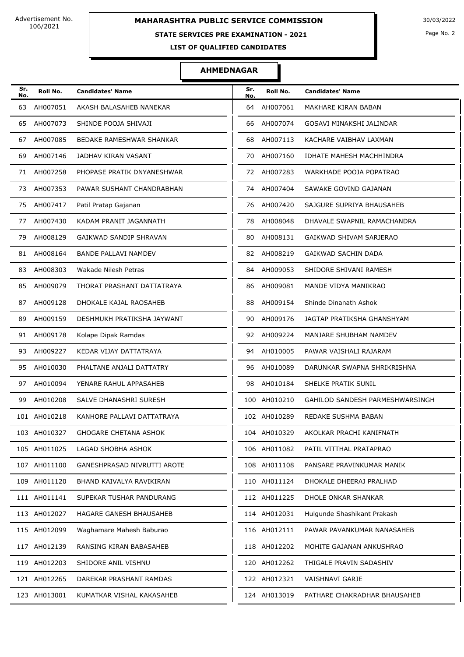### **STATE SERVICES PRE EXAMINATION - 2021**

Page No. 2

**LIST OF QUALIFIED CANDIDATES** 

| Sr.<br>No. | Roll No.     | <b>Candidates' Name</b>      | Sr.<br>No. | Roll No.     | <b>Candidates' Name</b>         |
|------------|--------------|------------------------------|------------|--------------|---------------------------------|
| 63         | AH007051     | AKASH BALASAHEB NANEKAR      | 64         | AH007061     | MAKHARE KIRAN BABAN             |
| 65         | AH007073     | SHINDE POOJA SHIVAJI         | 66         | AH007074     | GOSAVI MINAKSHI JALINDAR        |
| 67         | AH007085     | BEDAKE RAMESHWAR SHANKAR     | 68         | AH007113     | KACHARE VAIBHAV LAXMAN          |
| 69         | AH007146     | JADHAV KIRAN VASANT          | 70         | AH007160     | IDHATE MAHESH MACHHINDRA        |
| 71         | AH007258     | PHOPASE PRATIK DNYANESHWAR   |            | 72 AH007283  | WARKHADE POOJA POPATRAO         |
| 73         | AH007353     | PAWAR SUSHANT CHANDRABHAN    | 74         | AH007404     | SAWAKE GOVIND GAJANAN           |
| 75         | AH007417     | Patil Pratap Gajanan         | 76         | AH007420     | SAJGURE SUPRIYA BHAUSAHEB       |
| 77         | AH007430     | KADAM PRANIT JAGANNATH       | 78         | AH008048     | DHAVALE SWAPNIL RAMACHANDRA     |
| 79         | AH008129     | GAIKWAD SANDIP SHRAVAN       | 80         | AH008131     | GAIKWAD SHIVAM SARJERAO         |
| 81         | AH008164     | <b>BANDE PALLAVI NAMDEV</b>  | 82         | AH008219     | <b>GAIKWAD SACHIN DADA</b>      |
| 83         | AH008303     | Wakade Nilesh Petras         | 84         | AH009053     | SHIDORE SHIVANI RAMESH          |
| 85         | AH009079     | THORAT PRASHANT DATTATRAYA   | 86         | AH009081     | MANDE VIDYA MANIKRAO            |
| 87         | AH009128     | DHOKALE KAJAL RAOSAHEB       | 88         | AH009154     | Shinde Dinanath Ashok           |
| 89         | AH009159     | DESHMUKH PRATIKSHA JAYWANT   | 90         | AH009176     | JAGTAP PRATIKSHA GHANSHYAM      |
| 91         | AH009178     | Kolape Dipak Ramdas          | 92         | AH009224     | MANJARE SHUBHAM NAMDEV          |
| 93         | AH009227     | KEDAR VIJAY DATTATRAYA       | 94         | AH010005     | PAWAR VAISHALI RAJARAM          |
| 95         | AH010030     | PHALTANE ANJALI DATTATRY     | 96         | AH010089     | DARUNKAR SWAPNA SHRIKRISHNA     |
| 97         | AH010094     | YENARE RAHUL APPASAHEB       | 98         | AH010184     | SHELKE PRATIK SUNIL             |
| 99         | AH010208     | SALVE DHANASHRI SURESH       |            | 100 AH010210 | GAHILOD SANDESH PARMESHWARSINGH |
|            | 101 AH010218 | KANHORE PALLAVI DATTATRAYA   |            | 102 AH010289 | REDAKE SUSHMA BABAN             |
|            | 103 AH010327 | <b>GHOGARE CHETANA ASHOK</b> |            | 104 AH010329 | AKOLKAR PRACHI KANIFNATH        |
|            | 105 AH011025 | LAGAD SHOBHA ASHOK           |            | 106 AH011082 | PATIL VITTHAL PRATAPRAO         |
|            | 107 AH011100 | GANESHPRASAD NIVRUTTI AROTE  |            | 108 AH011108 | PANSARE PRAVINKUMAR MANIK       |
|            | 109 AH011120 | BHAND KAIVALYA RAVIKIRAN     |            | 110 AH011124 | DHOKALE DHEERAJ PRALHAD         |
|            | 111 AH011141 | SUPEKAR TUSHAR PANDURANG     |            | 112 AH011225 | DHOLE ONKAR SHANKAR             |
|            | 113 AH012027 | HAGARE GANESH BHAUSAHEB      |            | 114 AH012031 | Hulgunde Shashikant Prakash     |
|            | 115 AH012099 | Waghamare Mahesh Baburao     |            | 116 AH012111 | PAWAR PAVANKUMAR NANASAHEB      |
|            | 117 AH012139 | RANSING KIRAN BABASAHEB      |            | 118 AH012202 | MOHITE GAJANAN ANKUSHRAO        |
|            | 119 AH012203 | SHIDORE ANIL VISHNU          |            | 120 AH012262 | THIGALE PRAVIN SADASHIV         |
|            | 121 AH012265 | DAREKAR PRASHANT RAMDAS      |            | 122 AH012321 | VAISHNAVI GARJE                 |
|            | 123 AH013001 | KUMATKAR VISHAL KAKASAHEB    |            | 124 AH013019 | PATHARE CHAKRADHAR BHAUSAHEB    |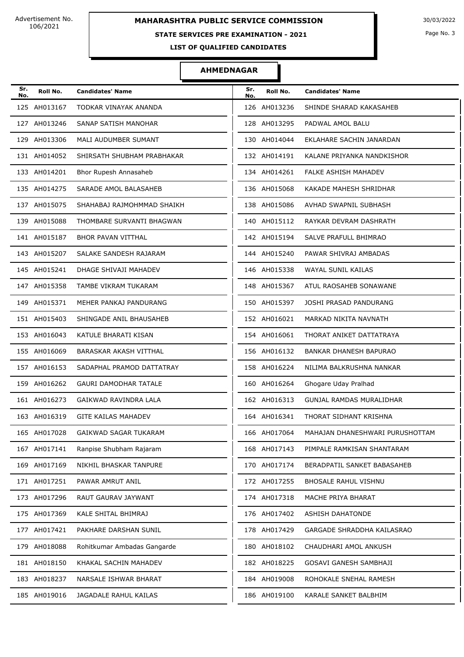### **STATE SERVICES PRE EXAMINATION - 2021**

Page No. 3

**LIST OF QUALIFIED CANDIDATES** 

| Sr.<br>No. | Roll No.     | <b>Candidates' Name</b>      | Sr.<br>No. | Roll No.     | <b>Candidates' Name</b>         |
|------------|--------------|------------------------------|------------|--------------|---------------------------------|
|            | 125 AH013167 | TODKAR VINAYAK ANANDA        |            | 126 AH013236 | SHINDE SHARAD KAKASAHEB         |
|            | 127 AH013246 | SANAP SATISH MANOHAR         |            | 128 AH013295 | PADWAL AMOL BALU                |
|            | 129 AH013306 | MALI AUDUMBER SUMANT         |            | 130 AH014044 | EKLAHARE SACHIN JANARDAN        |
|            | 131 AH014052 | SHIRSATH SHUBHAM PRABHAKAR   |            | 132 AH014191 | KALANE PRIYANKA NANDKISHOR      |
|            | 133 AH014201 | Bhor Rupesh Annasaheb        |            | 134 AH014261 | FALKE ASHISH MAHADEV            |
|            | 135 AH014275 | SARADE AMOL BALASAHEB        |            | 136 AH015068 | KAKADE MAHESH SHRIDHAR          |
|            | 137 AH015075 | SHAHABAJ RAJMOHMMAD SHAIKH   |            | 138 AH015086 | AVHAD SWAPNIL SUBHASH           |
|            | 139 AH015088 | THOMBARE SURVANTI BHAGWAN    |            | 140 AH015112 | RAYKAR DEVRAM DASHRATH          |
|            | 141 AH015187 | <b>BHOR PAVAN VITTHAL</b>    |            | 142 AH015194 | SALVE PRAFULL BHIMRAO           |
|            | 143 AH015207 | SALAKE SANDESH RAJARAM       |            | 144 AH015240 | PAWAR SHIVRAJ AMBADAS           |
|            | 145 AH015241 | DHAGE SHIVAJI MAHADEV        |            | 146 AH015338 | WAYAL SUNIL KAILAS              |
|            | 147 AH015358 | TAMBE VIKRAM TUKARAM         |            | 148 AH015367 | ATUL RAOSAHEB SONAWANE          |
|            | 149 AH015371 | MEHER PANKAJ PANDURANG       |            | 150 AH015397 | JOSHI PRASAD PANDURANG          |
|            | 151 AH015403 | SHINGADE ANIL BHAUSAHEB      |            | 152 AH016021 | MARKAD NIKITA NAVNATH           |
|            | 153 AH016043 | KATULE BHARATI KISAN         |            | 154 AH016061 | THORAT ANIKET DATTATRAYA        |
|            | 155 AH016069 | BARASKAR AKASH VITTHAL       |            | 156 AH016132 | BANKAR DHANESH BAPURAO          |
|            | 157 AH016153 | SADAPHAL PRAMOD DATTATRAY    |            | 158 AH016224 | NILIMA BALKRUSHNA NANKAR        |
|            | 159 AH016262 | <b>GAURI DAMODHAR TATALE</b> |            | 160 AH016264 | Ghogare Uday Pralhad            |
|            | 161 AH016273 | GAIKWAD RAVINDRA LALA        |            | 162 AH016313 | <b>GUNJAL RAMDAS MURALIDHAR</b> |
|            | 163 AH016319 | <b>GITE KAILAS MAHADEV</b>   |            | 164 AH016341 | THORAT SIDHANT KRISHNA          |
|            | 165 AH017028 | GAIKWAD SAGAR TUKARAM        |            | 166 AH017064 | MAHAJAN DHANESHWARI PURUSHOTTAM |
|            | 167 AH017141 | Ranpise Shubham Rajaram      |            | 168 AH017143 | PIMPALE RAMKISAN SHANTARAM      |
|            | 169 AH017169 | NIKHIL BHASKAR TANPURE       |            | 170 AH017174 | BERADPATIL SANKET BABASAHEB     |
|            | 171 AH017251 | PAWAR AMRUT ANIL             |            | 172 AH017255 | BHOSALE RAHUL VISHNU            |
|            | 173 AH017296 | RAUT GAURAV JAYWANT          |            | 174 AH017318 | MACHE PRIYA BHARAT              |
|            | 175 AH017369 | KALE SHITAL BHIMRAJ          |            | 176 AH017402 | <b>ASHISH DAHATONDE</b>         |
|            | 177 AH017421 | PAKHARE DARSHAN SUNIL        |            | 178 AH017429 | GARGADE SHRADDHA KAILASRAO      |
|            | 179 AH018088 | Rohitkumar Ambadas Gangarde  |            | 180 AH018102 | CHAUDHARI AMOL ANKUSH           |
|            | 181 AH018150 | KHAKAL SACHIN MAHADEV        |            | 182 AH018225 | GOSAVI GANESH SAMBHAJI          |
|            | 183 AH018237 | NARSALE ISHWAR BHARAT        |            | 184 AH019008 | ROHOKALE SNEHAL RAMESH          |
|            | 185 AH019016 | JAGADALE RAHUL KAILAS        |            | 186 AH019100 | KARALE SANKET BALBHIM           |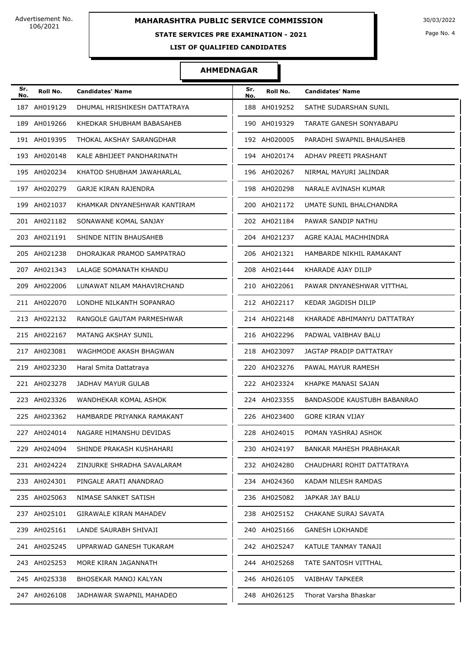### **STATE SERVICES PRE EXAMINATION - 2021**

Page No. 4

**LIST OF QUALIFIED CANDIDATES** 

| Sr.<br>No. | Roll No.     | <b>Candidates' Name</b>       | Sr.<br>No. | Roll No.     | <b>Candidates' Name</b>     |
|------------|--------------|-------------------------------|------------|--------------|-----------------------------|
|            | 187 AH019129 | DHUMAL HRISHIKESH DATTATRAYA  |            | 188 AH019252 | SATHE SUDARSHAN SUNIL       |
|            | 189 AH019266 | KHEDKAR SHUBHAM BABASAHEB     |            | 190 AH019329 | TARATE GANESH SONYABAPU     |
|            | 191 AH019395 | THOKAL AKSHAY SARANGDHAR      |            | 192 AH020005 | PARADHI SWAPNIL BHAUSAHEB   |
|            | 193 AH020148 | KALE ABHIJEET PANDHARINATH    |            | 194 AH020174 | ADHAV PREETI PRASHANT       |
|            | 195 AH020234 | KHATOD SHUBHAM JAWAHARLAL     |            | 196 AH020267 | NIRMAL MAYURI JALINDAR      |
|            | 197 AH020279 | GARJE KIRAN RAJENDRA          |            | 198 AH020298 | NARALE AVINASH KUMAR        |
|            | 199 AH021037 | KHAMKAR DNYANESHWAR KANTIRAM  |            | 200 AH021172 | UMATE SUNIL BHALCHANDRA     |
|            | 201 AH021182 | SONAWANE KOMAL SANJAY         |            | 202 AH021184 | PAWAR SANDIP NATHU          |
|            | 203 AH021191 | SHINDE NITIN BHAUSAHEB        |            | 204 AH021237 | AGRE KAJAL MACHHINDRA       |
|            | 205 AH021238 | DHORAJKAR PRAMOD SAMPATRAO    |            | 206 AH021321 | HAMBARDE NIKHIL RAMAKANT    |
|            | 207 AH021343 | LALAGE SOMANATH KHANDU        |            | 208 AH021444 | KHARADE AJAY DILIP          |
|            | 209 AH022006 | LUNAWAT NILAM MAHAVIRCHAND    |            | 210 AH022061 | PAWAR DNYANESHWAR VITTHAL   |
|            | 211 AH022070 | LONDHE NILKANTH SOPANRAO      |            | 212 AH022117 | KEDAR JAGDISH DILIP         |
|            | 213 AH022132 | RANGOLE GAUTAM PARMESHWAR     |            | 214 AH022148 | KHARADE ABHIMANYU DATTATRAY |
|            | 215 AH022167 | MATANG AKSHAY SUNIL           |            | 216 AH022296 | PADWAL VAIBHAV BALU         |
|            | 217 AH023081 | WAGHMODE AKASH BHAGWAN        |            | 218 AH023097 | JAGTAP PRADIP DATTATRAY     |
|            | 219 AH023230 | Haral Smita Dattatraya        |            | 220 AH023276 | PAWAL MAYUR RAMESH          |
|            | 221 AH023278 | JADHAV MAYUR GULAB            |            | 222 AH023324 | KHAPKE MANASI SAJAN         |
|            | 223 AH023326 | WANDHEKAR KOMAL ASHOK         |            | 224 AH023355 | BANDASODE KAUSTUBH BABANRAO |
|            | 225 AH023362 | HAMBARDE PRIYANKA RAMAKANT    |            | 226 AH023400 | <b>GORE KIRAN VIJAY</b>     |
|            | 227 AH024014 | NAGARE HIMANSHU DEVIDAS       |            | 228 AH024015 | POMAN YASHRAJ ASHOK         |
|            | 229 AH024094 | SHINDE PRAKASH KUSHAHARI      |            | 230 AH024197 | BANKAR MAHESH PRABHAKAR     |
|            | 231 AH024224 | ZINJURKE SHRADHA SAVALARAM    |            | 232 AH024280 | CHAUDHARI ROHIT DATTATRAYA  |
|            | 233 AH024301 | PINGALE ARATI ANANDRAO        |            | 234 AH024360 | KADAM NILESH RAMDAS         |
|            | 235 AH025063 | NIMASE SANKET SATISH          |            | 236 AH025082 | JAPKAR JAY BALU             |
|            | 237 AH025101 | <b>GIRAWALE KIRAN MAHADEV</b> |            | 238 AH025152 | CHAKANE SURAJ SAVATA        |
|            | 239 AH025161 | LANDE SAURABH SHIVAJI         |            | 240 AH025166 | <b>GANESH LOKHANDE</b>      |
|            | 241 AH025245 | UPPARWAD GANESH TUKARAM       |            | 242 AH025247 | KATULE TANMAY TANAJI        |
|            | 243 AH025253 | MORE KIRAN JAGANNATH          |            | 244 AH025268 | TATE SANTOSH VITTHAL        |
|            | 245 AH025338 | BHOSEKAR MANOJ KALYAN         |            | 246 AH026105 | VAIBHAV TAPKEER             |
|            | 247 AH026108 | JADHAWAR SWAPNIL MAHADEO      |            | 248 AH026125 | Thorat Varsha Bhaskar       |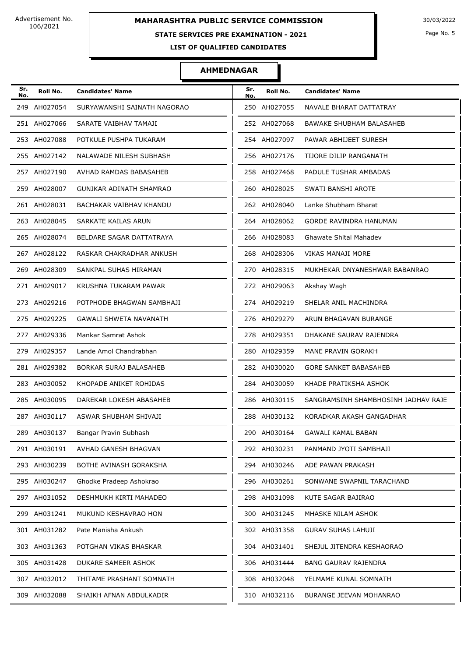### **STATE SERVICES PRE EXAMINATION - 2021**

Page No. 5

**LIST OF QUALIFIED CANDIDATES** 

| Sr.<br>No. | Roll No.     | <b>Candidates' Name</b>       | Sr.<br>No. | Roll No.     | <b>Candidates' Name</b>             |
|------------|--------------|-------------------------------|------------|--------------|-------------------------------------|
|            | 249 AH027054 | SURYAWANSHI SAINATH NAGORAO   |            | 250 AH027055 | NAVALE BHARAT DATTATRAY             |
|            | 251 AH027066 | SARATE VAIBHAV TAMAJI         |            | 252 AH027068 | BAWAKE SHUBHAM BALASAHEB            |
|            | 253 AH027088 | POTKULE PUSHPA TUKARAM        |            | 254 AH027097 | PAWAR ABHIJEET SURESH               |
|            | 255 AH027142 | NALAWADE NILESH SUBHASH       |            | 256 AH027176 | TIJORE DILIP RANGANATH              |
|            | 257 AH027190 | AVHAD RAMDAS BABASAHEB        |            | 258 AH027468 | PADULE TUSHAR AMBADAS               |
|            | 259 AH028007 | GUNJKAR ADINATH SHAMRAO       |            | 260 AH028025 | SWATI BANSHI AROTE                  |
|            | 261 AH028031 | BACHAKAR VAIBHAV KHANDU       |            | 262 AH028040 | Lanke Shubham Bharat                |
|            | 263 AH028045 | SARKATE KAILAS ARUN           |            | 264 AH028062 | <b>GORDE RAVINDRA HANUMAN</b>       |
|            | 265 AH028074 | BELDARE SAGAR DATTATRAYA      |            | 266 AH028083 | Ghawate Shital Mahadev              |
|            | 267 AH028122 | RASKAR CHAKRADHAR ANKUSH      |            | 268 AH028306 | <b>VIKAS MANAJI MORE</b>            |
|            | 269 AH028309 | SANKPAL SUHAS HIRAMAN         |            | 270 AH028315 | MUKHEKAR DNYANESHWAR BABANRAO       |
|            | 271 AH029017 | KRUSHNA TUKARAM PAWAR         |            | 272 AH029063 | Akshay Wagh                         |
|            | 273 AH029216 | POTPHODE BHAGWAN SAMBHAJI     |            | 274 AH029219 | SHELAR ANIL MACHINDRA               |
|            | 275 AH029225 | <b>GAWALI SHWETA NAVANATH</b> |            | 276 AH029279 | ARUN BHAGAVAN BURANGE               |
|            | 277 AH029336 | Mankar Samrat Ashok           |            | 278 AH029351 | DHAKANE SAURAV RAJENDRA             |
|            | 279 AH029357 | Lande Amol Chandrabhan        |            | 280 AH029359 | MANE PRAVIN GORAKH                  |
|            | 281 AH029382 | BORKAR SURAJ BALASAHEB        |            | 282 AH030020 | <b>GORE SANKET BABASAHEB</b>        |
|            | 283 AH030052 | KHOPADE ANIKET ROHIDAS        |            | 284 AH030059 | KHADE PRATIKSHA ASHOK               |
|            | 285 AH030095 | DAREKAR LOKESH ABASAHEB       |            | 286 AH030115 | SANGRAMSINH SHAMBHOSINH JADHAV RAJE |
|            | 287 AH030117 | ASWAR SHUBHAM SHIVAJI         |            | 288 AH030132 | KORADKAR AKASH GANGADHAR            |
|            | 289 AH030137 | Bangar Pravin Subhash         |            | 290 AH030164 | GAWALI KAMAL BABAN                  |
|            | 291 AH030191 | AVHAD GANESH BHAGVAN          |            | 292 AH030231 | PANMAND JYOTI SAMBHAJI              |
|            | 293 AH030239 | BOTHE AVINASH GORAKSHA        |            | 294 AH030246 | ADE PAWAN PRAKASH                   |
|            | 295 AH030247 | Ghodke Pradeep Ashokrao       |            | 296 AH030261 | SONWANE SWAPNIL TARACHAND           |
|            | 297 AH031052 | DESHMUKH KIRTI MAHADEO        |            | 298 AH031098 | KUTE SAGAR BAJIRAO                  |
|            | 299 AH031241 | MUKUND KESHAVRAO HON          |            | 300 AH031245 | MHASKE NILAM ASHOK                  |
|            | 301 AH031282 | Pate Manisha Ankush           |            | 302 AH031358 | <b>GURAV SUHAS LAHUJI</b>           |
|            | 303 AH031363 | POTGHAN VIKAS BHASKAR         |            | 304 AH031401 | SHEJUL JITENDRA KESHAORAO           |
|            | 305 AH031428 | DUKARE SAMEER ASHOK           |            | 306 AH031444 | <b>BANG GAURAV RAJENDRA</b>         |
|            | 307 AH032012 | THITAME PRASHANT SOMNATH      |            | 308 AH032048 | YELMAME KUNAL SOMNATH               |
|            | 309 AH032088 | SHAIKH AFNAN ABDULKADIR       |            | 310 AH032116 | BURANGE JEEVAN MOHANRAO             |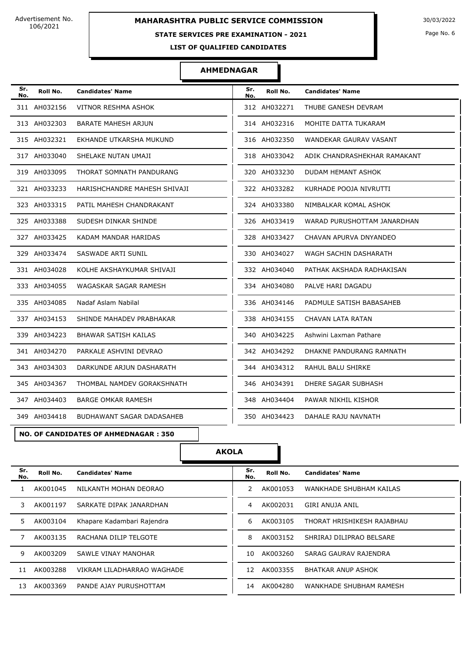# **MAHARASHTRA PUBLIC SERVICE COMMISSION** 30/03/2022

### **STATE SERVICES PRE EXAMINATION - 2021**

Page No. 6

**LIST OF QUALIFIED CANDIDATES** 

### **AHMEDNAGAR**

| Sr.<br>No. | Roll No.     | <b>Candidates' Name</b>      | Sr.<br>No. | Roll No.     | <b>Candidates' Name</b>      |
|------------|--------------|------------------------------|------------|--------------|------------------------------|
|            | 311 AH032156 | VITNOR RESHMA ASHOK          |            | 312 AH032271 | THUBE GANESH DEVRAM          |
|            | 313 AH032303 | BARATE MAHESH ARJUN          |            | 314 AH032316 | MOHITE DATTA TUKARAM         |
|            | 315 AH032321 | EKHANDE UTKARSHA MUKUND      |            | 316 AH032350 | WANDEKAR GAURAV VASANT       |
|            | 317 AH033040 | SHELAKE NUTAN UMAJI          |            | 318 AH033042 | ADIK CHANDRASHEKHAR RAMAKANT |
|            | 319 AH033095 | THORAT SOMNATH PANDURANG     |            | 320 AH033230 | DUDAM HEMANT ASHOK           |
|            | 321 AH033233 | HARISHCHANDRE MAHESH SHIVAJI |            | 322 AH033282 | KURHADE POOJA NIVRUTTI       |
|            | 323 AH033315 | PATIL MAHESH CHANDRAKANT     |            | 324 AH033380 | NIMBALKAR KOMAL ASHOK        |
|            | 325 AH033388 | SUDESH DINKAR SHINDE         |            | 326 AH033419 | WARAD PURUSHOTTAM JANARDHAN  |
|            | 327 AH033425 | KADAM MANDAR HARIDAS         |            | 328 AH033427 | CHAVAN APURVA DNYANDEO       |
|            | 329 AH033474 | SASWADE ARTI SUNIL           |            | 330 AH034027 | WAGH SACHIN DASHARATH        |
|            | 331 AH034028 | KOLHE AKSHAYKUMAR SHIVAJI    |            | 332 AH034040 | PATHAK AKSHADA RADHAKISAN    |
|            | 333 AH034055 | WAGASKAR SAGAR RAMESH        |            | 334 AH034080 | PALVE HARI DAGADU            |
|            | 335 AH034085 | Nadaf Aslam Nabilal          |            | 336 AH034146 | PADMULE SATISH BABASAHEB     |
|            | 337 AH034153 | SHINDE MAHADEV PRABHAKAR     |            | 338 AH034155 | CHAVAN LATA RATAN            |
|            | 339 AH034223 | BHAWAR SATISH KAILAS         |            | 340 AH034225 | Ashwini Laxman Pathare       |
|            | 341 AH034270 | PARKALE ASHVINI DEVRAO       |            | 342 AH034292 | DHAKNE PANDURANG RAMNATH     |
|            | 343 AH034303 | DARKUNDE ARJUN DASHARATH     |            | 344 AH034312 | RAHUL BALU SHIRKE            |
|            | 345 AH034367 | THOMBAL NAMDEV GORAKSHNATH   |            | 346 AH034391 | DHERE SAGAR SUBHASH          |
|            | 347 AH034403 | <b>BARGE OMKAR RAMESH</b>    |            | 348 AH034404 | PAWAR NIKHIL KISHOR          |
|            | 349 AH034418 | BUDHAWANT SAGAR DADASAHEB    |            | 350 AH034423 | DAHALE RAJU NAVNATH          |

### **NO. OF CANDIDATES OF AHMEDNAGAR : 350**

# **AKOLA**

| Sr.<br>No. | Roll No. | <b>Candidates' Name</b>    | Sr.<br>No. | Roll No. | <b>Candidates' Name</b>    |
|------------|----------|----------------------------|------------|----------|----------------------------|
|            | AK001045 | NILKANTH MOHAN DEORAO      |            | AK001053 | WANKHADE SHUBHAM KAILAS    |
| 3          | AK001197 | SARKATE DIPAK JANARDHAN    | 4          | AK002031 | GIRI ANUJA ANIL            |
| 5.         | AK003104 | Khapare Kadambari Rajendra | 6          | AK003105 | THORAT HRISHIKESH RAJABHAU |
|            | AK003135 | RACHANA DILIP TELGOTE      | 8          | AK003152 | SHRIRAJ DILIPRAO BELSARE   |
| 9          | AK003209 | SAWLE VINAY MANOHAR        | 10         | AK003260 | SARAG GAURAV RAJENDRA      |
| 11         | AK003288 | VIKRAM LILADHARRAO WAGHADE | 12         | AK003355 | BHATKAR ANUP ASHOK         |
| 13         | AK003369 | PANDE AJAY PURUSHOTTAM     | 14         | AK004280 | WANKHADE SHUBHAM RAMESH    |
|            |          |                            |            |          |                            |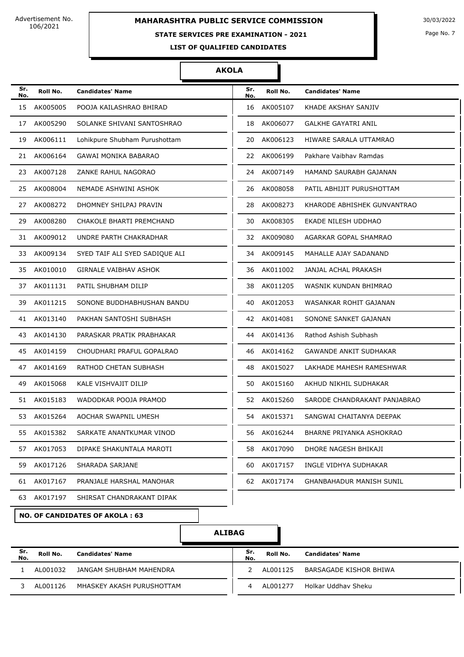### **STATE SERVICES PRE EXAMINATION - 2021**

#### **AKOLA**

| Sr.<br>No. | Roll No.    | <b>Candidates' Name</b>        | Sr.<br>No. | Roll No.    | <b>Candidates' Name</b>         |
|------------|-------------|--------------------------------|------------|-------------|---------------------------------|
| 15         | AK005005    | POOJA KAILASHRAO BHIRAD        | 16         | AK005107    | KHADE AKSHAY SANJIV             |
| 17         | AK005290    | SOLANKE SHIVANI SANTOSHRAO     | 18         | AK006077    | <b>GALKHE GAYATRI ANIL</b>      |
| 19         | AK006111    | Lohikpure Shubham Purushottam  | 20         | AK006123    | HIWARE SARALA UTTAMRAO          |
| 21         | AK006164    | <b>GAWAI MONIKA BABARAO</b>    | 22         | AK006199    | Pakhare Vaibhay Ramdas          |
| 23         | AK007128    | ZANKE RAHUL NAGORAO            | 24         | AK007149    | HAMAND SAURABH GAJANAN          |
| 25         | AK008004    | NEMADE ASHWINI ASHOK           | 26         | AK008058    | PATIL ABHIJIT PURUSHOTTAM       |
| 27         | AK008272    | DHOMNEY SHILPAJ PRAVIN         | 28         | AK008273    | KHARODE ABHISHEK GUNVANTRAO     |
| 29         | AK008280    | CHAKOLE BHARTI PREMCHAND       | 30         | AK008305    | EKADE NILESH UDDHAO             |
| 31         | AK009012    | UNDRE PARTH CHAKRADHAR         |            | 32 AK009080 | AGARKAR GOPAL SHAMRAO           |
| 33         | AK009134    | SYED TAIF ALI SYED SADIQUE ALI | 34         | AK009145    | MAHALLE AJAY SADANAND           |
| 35         | AK010010    | <b>GIRNALE VAIBHAV ASHOK</b>   | 36         | AK011002    | JANJAL ACHAL PRAKASH            |
| 37         | AK011131    | PATIL SHUBHAM DILIP            | 38         | AK011205    | WASNIK KUNDAN BHIMRAO           |
| 39         | AK011215    | SONONE BUDDHABHUSHAN BANDU     | 40         | AK012053    | WASANKAR ROHIT GAJANAN          |
| 41         | AK013140    | PAKHAN SANTOSHI SUBHASH        |            | 42 AK014081 | SONONE SANKET GAJANAN           |
| 43         | AK014130    | PARASKAR PRATIK PRABHAKAR      | 44         | AK014136    | Rathod Ashish Subhash           |
| 45         | AK014159    | CHOUDHARI PRAFUL GOPALRAO      | 46         | AK014162    | <b>GAWANDE ANKIT SUDHAKAR</b>   |
| 47         | AK014169    | RATHOD CHETAN SUBHASH          | 48         | AK015027    | LAKHADE MAHESH RAMESHWAR        |
| 49         | AK015068    | KALE VISHVAJIT DILIP           | 50         | AK015160    | AKHUD NIKHIL SUDHAKAR           |
| 51         | AK015183    | WADODKAR POOJA PRAMOD          |            | 52 AK015260 | SARODE CHANDRAKANT PANJABRAO    |
| 53         | AK015264    | AOCHAR SWAPNIL UMESH           | 54         | AK015371    | SANGWAI CHAITANYA DEEPAK        |
|            | 55 AK015382 | SARKATE ANANTKUMAR VINOD       | 56         | AK016244    | BHARNE PRIYANKA ASHOKRAO        |
| 57         | AK017053    | DIPAKE SHAKUNTALA MAROTI       | 58         | AK017090    | DHORE NAGESH BHIKAJI            |
| 59         | AK017126    | SHARADA SARJANE                | 60         | AK017157    | INGLE VIDHYA SUDHAKAR           |
| 61         | AK017167    | PRANJALE HARSHAL MANOHAR       | 62         | AK017174    | <b>GHANBAHADUR MANISH SUNIL</b> |
| 63         | AK017197    | SHIRSAT CHANDRAKANT DIPAK      |            |             |                                 |
|            |             |                                |            |             |                                 |

**NO. OF CANDIDATES OF AKOLA : 63**

### **ALIBAG**

| .Sr<br>No. | Roll No.  | <b>Candidates' Name</b>   | Sr.<br>No. | Roll No.  | <b>Candidates' Name</b> |
|------------|-----------|---------------------------|------------|-----------|-------------------------|
|            | AI 001032 | JANGAM SHUBHAM MAHENDRA   |            | AI 001125 | BARSAGADE KISHOR BHIWA  |
|            | AI 001126 | MHASKEY AKASH PURUSHOTTAM |            | AI 001277 | Holkar Uddhav Sheku     |

Page No. 7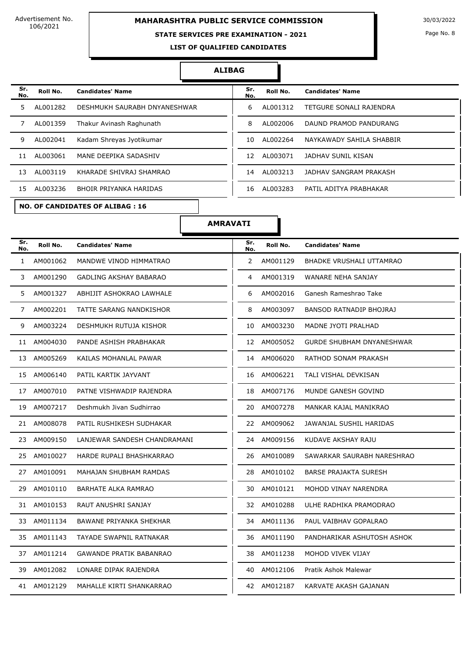# **MAHARASHTRA PUBLIC SERVICE COMMISSION** 30/03/2022

### **STATE SERVICES PRE EXAMINATION - 2021**

Page No. 8

**LIST OF QUALIFIED CANDIDATES** 

#### **ALIBAG**

| Sr.<br>No. | Roll No. | <b>Candidates' Name</b>      | Sr.<br>No. | Roll No.  | <b>Candidates' Name</b>  |
|------------|----------|------------------------------|------------|-----------|--------------------------|
| 5          | AL001282 | DESHMUKH SAURABH DNYANESHWAR | 6          | AL001312  | TETGURE SONALI RAJENDRA  |
|            | AL001359 | Thakur Avinash Raghunath     | 8          | AL002006  | DAUND PRAMOD PANDURANG   |
| 9          | AL002041 | Kadam Shreyas Jyotikumar     | 10         | AL002264  | NAYKAWADY SAHILA SHABBIR |
| 11         | AL003061 | MANE DEEPIKA SADASHIV        | 12         | AI 003071 | JADHAV SUNIL KISAN       |
| 13         | AL003119 | KHARADE SHIVRAJ SHAMRAO      | 14         | AL003213  | JADHAV SANGRAM PRAKASH   |
| 15         | AL003236 | BHOIR PRIYANKA HARIDAS       | 16         | AL003283  | PATIL ADITYA PRABHAKAR   |

| Sr.<br>No. | Roll No.  | <b>Candidates' Name</b>   |
|------------|-----------|---------------------------|
| 6          | AL001312  | TETGURE SONALI RAJENDRA   |
| 8          | AL002006  | DAUND PRAMOD PANDURANG    |
| 10         | AI 002264 | NAYKAWADY SAHII A SHABBIR |
| 12         | AL003071  | JADHAV SUNIL KISAN        |
| 14         | AI 003213 | JADHAV SANGRAM PRAKASH    |
| 16         | AI 003283 | PATIL ADITYA PRABHAKAR    |

**NO. OF CANDIDATES OF ALIBAG : 16**

**AMRAVATI**

| Sr.<br>No.   | Roll No.    | <b>Candidates' Name</b>        | Sr.<br>No.            | Roll No.    | <b>Candidates' Name</b>          |
|--------------|-------------|--------------------------------|-----------------------|-------------|----------------------------------|
| $\mathbf{1}$ | AM001062    | MANDWE VINOD HIMMATRAO         | $\mathbf{2}^{\prime}$ | AM001129    | BHADKE VRUSHALI UTTAMRAO         |
| 3            | AM001290    | GADLING AKSHAY BABARAO         | 4                     | AM001319    | <b>WANARE NEHA SANJAY</b>        |
| 5.           | AM001327    | ABHIJIT ASHOKRAO LAWHALE       | 6                     | AM002016    | Ganesh Rameshrao Take            |
| 7            | AM002201    | TATTE SARANG NANDKISHOR        | 8                     | AM003097    | BANSOD RATNADIP BHOJRAJ          |
| 9            | AM003224    | DESHMUKH RUTUJA KISHOR         | 10                    | AM003230    | MADNE JYOTI PRALHAD              |
|              | 11 AM004030 | PANDE ASHISH PRABHAKAR         |                       | 12 AM005052 | <b>GURDE SHUBHAM DNYANESHWAR</b> |
| 13           | AM005269    | KAILAS MOHANLAL PAWAR          |                       | 14 AM006020 | RATHOD SONAM PRAKASH             |
| 15           | AM006140    | PATIL KARTIK JAYVANT           | 16                    | AM006221    | TALI VISHAL DEVKISAN             |
|              | 17 AM007010 | PATNE VISHWADIP RAJENDRA       |                       | 18 AM007176 | MUNDE GANESH GOVIND              |
| 19           | AM007217    | Deshmukh Jivan Sudhirrao       |                       | 20 AM007278 | MANKAR KAJAL MANIKRAO            |
| 21           | AM008078    | PATIL RUSHIKESH SUDHAKAR       |                       | 22 AM009062 | JAWANJAL SUSHIL HARIDAS          |
| 23           | AM009150    | LANJEWAR SANDESH CHANDRAMANI   |                       | 24 AM009156 | KUDAVE AKSHAY RAJU               |
| 25           | AM010027    | HARDE RUPALI BHASHKARRAO       | 26                    | AM010089    | SAWARKAR SAURABH NARESHRAO       |
| 27           | AM010091    | MAHAJAN SHUBHAM RAMDAS         |                       | 28 AM010102 | <b>BARSE PRAJAKTA SURESH</b>     |
| 29           | AM010110    | <b>BARHATE ALKA RAMRAO</b>     | 30                    | AM010121    | MOHOD VINAY NARENDRA             |
|              | 31 AM010153 | RAUT ANUSHRI SANJAY            |                       | 32 AM010288 | ULHE RADHIKA PRAMODRAO           |
|              | 33 AM011134 | BAWANE PRIYANKA SHEKHAR        |                       | 34 AM011136 | PAUL VAIBHAV GOPALRAO            |
| 35           | AM011143    | <b>TAYADE SWAPNIL RATNAKAR</b> |                       | 36 AM011190 | PANDHARIKAR ASHUTOSH ASHOK       |
|              | 37 AM011214 | <b>GAWANDE PRATIK BABANRAO</b> | 38                    | AM011238    | MOHOD VIVEK VIJAY                |
| 39           | AM012082    | LONARE DIPAK RAJENDRA          | 40                    | AM012106    | Pratik Ashok Malewar             |
|              | 41 AM012129 | MAHALLE KIRTI SHANKARRAO       |                       | 42 AM012187 | KARVATE AKASH GAJANAN            |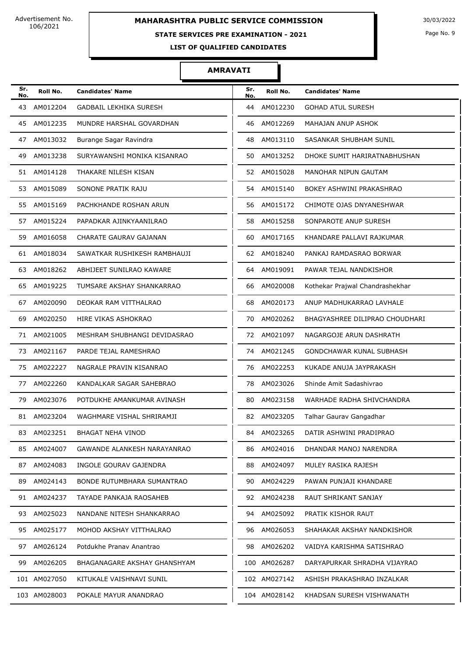### **STATE SERVICES PRE EXAMINATION - 2021**

Page No. 9

**LIST OF QUALIFIED CANDIDATES** 

### **AMRAVATI**

| Sr.<br>No. | Roll No.     | <b>Candidates' Name</b>       | Sr.<br>No. | Roll No.     | <b>Candidates' Name</b>         |
|------------|--------------|-------------------------------|------------|--------------|---------------------------------|
| 43         | AM012204     | <b>GADBAIL LEKHIKA SURESH</b> | 44         | AM012230     | <b>GOHAD ATUL SURESH</b>        |
| 45         | AM012235     | MUNDRE HARSHAL GOVARDHAN      | 46         | AM012269     | MAHAJAN ANUP ASHOK              |
| 47         | AM013032     | Burange Sagar Ravindra        | 48         | AM013110     | SASANKAR SHUBHAM SUNIL          |
| 49         | AM013238     | SURYAWANSHI MONIKA KISANRAO   | 50         | AM013252     | DHOKE SUMIT HARIRATNABHUSHAN    |
|            | 51 AM014128  | THAKARE NILESH KISAN          |            | 52 AM015028  | MANOHAR NIPUN GAUTAM            |
|            | 53 AM015089  | SONONE PRATIK RAJU            |            | 54 AM015140  | BOKEY ASHWINI PRAKASHRAO        |
| 55         | AM015169     | PACHKHANDE ROSHAN ARUN        | 56         | AM015172     | CHIMOTE OJAS DNYANESHWAR        |
| 57         | AM015224     | PAPADKAR AJINKYAANILRAO       | 58         | AM015258     | SONPAROTE ANUP SURESH           |
| 59         | AM016058     | CHARATE GAURAV GAJANAN        | 60         | AM017165     | KHANDARE PALLAVI RAJKUMAR       |
|            | 61 AM018034  | SAWATKAR RUSHIKESH RAMBHAUJI  |            | 62 AM018240  | PANKAJ RAMDASRAO BORWAR         |
| 63         | AM018262     | ABHIJEET SUNILRAO KAWARE      | 64         | AM019091     | PAWAR TEJAL NANDKISHOR          |
| 65         | AM019225     | TUMSARE AKSHAY SHANKARRAO     | 66         | AM020008     | Kothekar Prajwal Chandrashekhar |
| 67         | AM020090     | DEOKAR RAM VITTHALRAO         | 68         | AM020173     | ANUP MADHUKARRAO LAVHALE        |
| 69         | AM020250     | HIRE VIKAS ASHOKRAO           | 70         | AM020262     | BHAGYASHREE DILIPRAO CHOUDHARI  |
| 71         | AM021005     | MESHRAM SHUBHANGI DEVIDASRAO  | 72         | AM021097     | NAGARGOJE ARUN DASHRATH         |
| 73         | AM021167     | PARDE TEJAL RAMESHRAO         | 74         | AM021245     | GONDCHAWAR KUNAL SUBHASH        |
| 75         | AM022227     | NAGRALE PRAVIN KISANRAO       | 76         | AM022253     | KUKADE ANUJA JAYPRAKASH         |
| 77         | AM022260     | KANDALKAR SAGAR SAHEBRAO      | 78         | AM023026     | Shinde Amit Sadashivrao         |
| 79         | AM023076     | POTDUKHE AMANKUMAR AVINASH    | 80         | AM023158     | WARHADE RADHA SHIVCHANDRA       |
|            | 81 AM023204  | WAGHMARE VISHAL SHRIRAMJI     |            | 82 AM023205  | Talhar Gaurav Gangadhar         |
|            | 83 AM023251  | BHAGAT NEHA VINOD             |            | 84 AM023265  | DATIR ASHWINI PRADIPRAO         |
|            | 85 AM024007  | GAWANDE ALANKESH NARAYANRAO   |            | 86 AM024016  | DHANDAR MANOJ NARENDRA          |
|            | 87 AM024083  | INGOLE GOURAV GAJENDRA        |            | 88 AM024097  | MULEY RASIKA RAJESH             |
| 89         | AM024143     | BONDE RUTUMBHARA SUMANTRAO    | 90 -       | AM024229     | PAWAN PUNJAJI KHANDARE          |
|            | 91 AM024237  | TAYADE PANKAJA RAOSAHEB       |            | 92 AM024238  | RAUT SHRIKANT SANJAY            |
|            | 93 AM025023  | NANDANE NITESH SHANKARRAO     |            | 94 AM025092  | PRATIK KISHOR RAUT              |
|            | 95 AM025177  | MOHOD AKSHAY VITTHALRAO       |            | 96 AM026053  | SHAHAKAR AKSHAY NANDKISHOR      |
|            | 97 AM026124  | Potdukhe Pranav Anantrao      |            | 98 AM026202  | VAIDYA KARISHMA SATISHRAO       |
|            | 99 AM026205  | BHAGANAGARE AKSHAY GHANSHYAM  |            | 100 AM026287 | DARYAPURKAR SHRADHA VIJAYRAO    |
|            | 101 AM027050 | KITUKALE VAISHNAVI SUNIL      |            | 102 AM027142 | ASHISH PRAKASHRAO INZALKAR      |
|            | 103 AM028003 | POKALE MAYUR ANANDRAO         |            | 104 AM028142 | KHADSAN SURESH VISHWANATH       |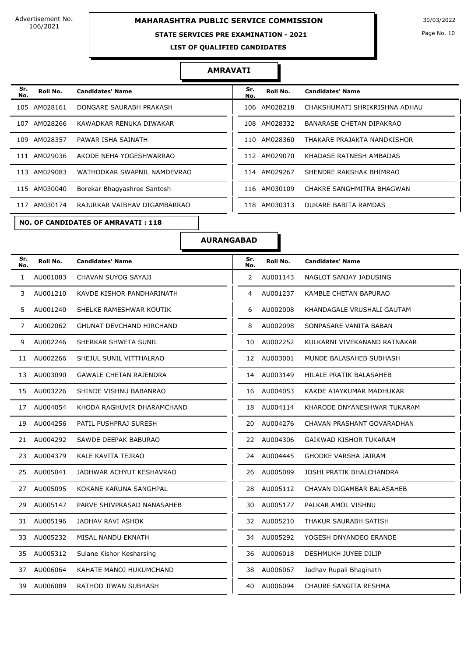# **MAHARASHTRA PUBLIC SERVICE COMMISSION** 30/03/2022

### **STATE SERVICES PRE EXAMINATION - 2021**

Page No. 10

**LIST OF QUALIFIED CANDIDATES** 

#### **AMRAVATI**

| Sr.<br>No. | Roll No.     | <b>Candidates' Name</b>      | Sr.<br>No. | Roll No.     | <b>Candidates' Name</b>         |
|------------|--------------|------------------------------|------------|--------------|---------------------------------|
| 105        | AM028161     | DONGARE SAURABH PRAKASH      | 106        | AM028218     | CHAKSHUMATI SHRIKRISHNA ADHAU   |
| 107        | AM028266     | KAWADKAR RENUKA DIWAKAR      | 108        | AM028332     | <b>BANARASE CHETAN DIPAKRAO</b> |
| 109        | AM028357     | PAWAR ISHA SAINATH           | 110        | AM028360     | THAKARE PRAJAKTA NANDKISHOR     |
| 111        | AM029036     | AKODE NEHA YOGESHWARRAO      |            | 112 AM029070 | KHADASE RATNESH AMBADAS         |
| 113        | AM029083     | WATHODKAR SWAPNIL NAMDEVRAO  |            | 114 AM029267 | SHENDRE RAKSHAK BHIMRAO         |
|            | 115 AM030040 | Borekar Bhagyashree Santosh  |            | 116 AM030109 | CHAKRE SANGHMITRA BHAGWAN       |
| 117        | AM030174     | RAJURKAR VAIBHAV DIGAMBARRAO | 118        | AM030313     | DUKARE BABITA RAMDAS            |

**NO. OF CANDIDATES OF AMRAVATI : 118**

| Sr.<br>No. | Roll No.     | <b>Candidates' Name</b>       |
|------------|--------------|-------------------------------|
|            | 106 AM028218 | CHAKSHUMATI SHRIKRISHNA ADHAU |
|            | 108 AM028332 | BANARASE CHETAN DIPAKRAO      |
|            | 110 AM028360 | THAKARE PRAJAKTA NANDKISHOR   |
|            | 112 AM029070 | KHADASE RATNESH AMBADAS       |
|            | 114 AM029267 | SHENDRE RAKSHAK BHIMRAO       |
|            | 116 AM030109 | CHAKRE SANGHMITRA BHAGWAN     |
|            | 118 AM030313 | DUKARE BABITA RAMDAS          |

| Sr.<br>No.   | Roll No. | <b>Candidates' Name</b>         | Sr.<br>No.     | Roll No.    | <b>Candidates' Name</b>      |
|--------------|----------|---------------------------------|----------------|-------------|------------------------------|
| $\mathbf{1}$ | AU001083 | CHAVAN SUYOG SAYAJI             | $\overline{2}$ | AU001143    | NAGLOT SANJAY JADUSING       |
| 3            | AU001210 | KAVDE KISHOR PANDHARINATH       | 4              | AU001237    | KAMBLE CHETAN BAPURAO        |
| 5            | AU001240 | SHELKE RAMESHWAR KOUTIK         | 6              | AU002008    | KHANDAGALE VRUSHALI GAUTAM   |
| 7            | AU002062 | <b>GHUNAT DEVCHAND HIRCHAND</b> | 8              | AU002098    | SONPASARE VANITA BABAN       |
| 9            | AU002246 | SHERKAR SHWETA SUNIL            | 10             | AU002252    | KULKARNI VIVEKANAND RATNAKAR |
| 11           | AU002266 | SHEJUL SUNIL VITTHALRAO         |                | 12 AU003001 | MUNDE BALASAHEB SUBHASH      |
| 13           | AU003090 | <b>GAWALE CHETAN RAJENDRA</b>   | 14             | AU003149    | HILALE PRATIK BALASAHEB      |
| 15           | AU003226 | SHINDE VISHNU BABANRAO          | 16             | AU004053    | KAKDE AJAYKUMAR MADHUKAR     |
| 17           | AU004054 | KHODA RAGHUVIR DHARAMCHAND      | 18             | AU004114    | KHARODE DNYANESHWAR TUKARAM  |
| 19           | AU004256 | PATIL PUSHPRAJ SURESH           | 20             | AU004276    | CHAVAN PRASHANT GOVARADHAN   |
| 21           | AU004292 | SAWDE DEEPAK BABURAO            | 22             | AU004306    | GAIKWAD KISHOR TUKARAM       |
| 23           | AU004379 | KALE KAVITA TEJRAO              | 24             | AU004445    | <b>GHODKE VARSHA JAIRAM</b>  |
| 25           | AU005041 | JADHWAR ACHYUT KESHAVRAO        | 26             | AU005089    | JOSHI PRATIK BHALCHANDRA     |
| 27           | AU005095 | KOKANE KARUNA SANGHPAL          | 28             | AU005112    | CHAVAN DIGAMBAR BALASAHEB    |
| 29           | AU005147 | PARVE SHIVPRASAD NANASAHEB      | 30             | AU005177    | PALKAR AMOL VISHNU           |
| 31           | AU005196 | JADHAV RAVI ASHOK               | 32             | AU005210    | THAKUR SAURABH SATISH        |
| 33           | AU005232 | MISAL NANDU EKNATH              | 34             | AU005292    | YOGESH DNYANDEO ERANDE       |
| 35           | AU005312 | Sulane Kishor Kesharsing        | 36             | AU006018    | DESHMUKH JUYEE DILIP         |
| 37           | AU006064 | KAHATE MANOJ HUKUMCHAND         | 38             | AU006067    | Jadhav Rupali Bhaginath      |
| 39.          | AU006089 | RATHOD JIWAN SUBHASH            | 40             | AU006094    | CHAURE SANGITA RESHMA        |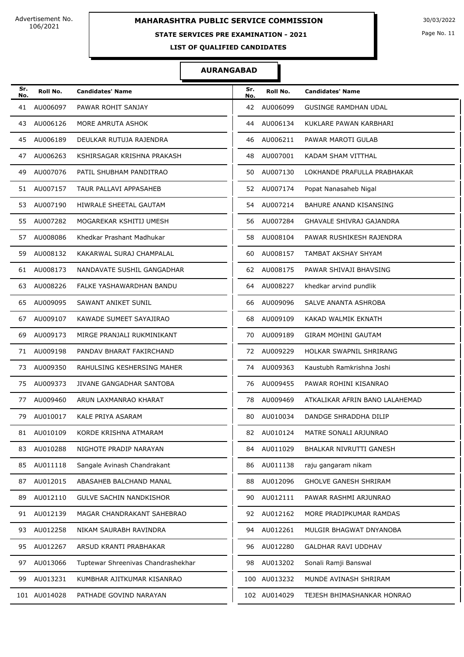# **MAHARASHTRA PUBLIC SERVICE COMMISSION** 30/03/2022

# **STATE SERVICES PRE EXAMINATION - 2021**

Page No. 11

**LIST OF QUALIFIED CANDIDATES** 

| Sr.<br>No. | Roll No.     | <b>Candidates' Name</b>            | Sr.<br>No. | Roll No.     | <b>Candidates' Name</b>         |
|------------|--------------|------------------------------------|------------|--------------|---------------------------------|
| 41         | AU006097     | PAWAR ROHIT SANJAY                 | 42         | AU006099     | <b>GUSINGE RAMDHAN UDAL</b>     |
| 43         | AU006126     | MORE AMRUTA ASHOK                  | 44         | AU006134     | KUKLARE PAWAN KARBHARI          |
| 45         | AU006189     | DEULKAR RUTUJA RAJENDRA            | 46         | AU006211     | PAWAR MAROTI GULAB              |
| 47         | AU006263     | KSHIRSAGAR KRISHNA PRAKASH         | 48         | AU007001     | KADAM SHAM VITTHAL              |
| 49         | AU007076     | PATIL SHUBHAM PANDITRAO            | 50         | AU007130     | LOKHANDE PRAFULLA PRABHAKAR     |
| 51         | AU007157     | TAUR PALLAVI APPASAHEB             | 52         | AU007174     | Popat Nanasaheb Nigal           |
| 53         | AU007190     | HIWRALE SHEETAL GAUTAM             | 54         | AU007214     | BAHURE ANAND KISANSING          |
| 55         | AU007282     | MOGAREKAR KSHITIJ UMESH            | 56         | AU007284     | <b>GHAVALE SHIVRAJ GAJANDRA</b> |
| 57         | AU008086     | Khedkar Prashant Madhukar          | 58         | AU008104     | PAWAR RUSHIKESH RAJENDRA        |
| 59         | AU008132     | KAKARWAL SURAJ CHAMPALAL           | 60         | AU008157     | TAMBAT AKSHAY SHYAM             |
| 61         | AU008173     | NANDAVATE SUSHIL GANGADHAR         | 62         | AU008175     | PAWAR SHIVAJI BHAVSING          |
| 63         | AU008226     | FALKE YASHAWARDHAN BANDU           | 64         | AU008227     | khedkar arvind pundlik          |
| 65         | AU009095     | SAWANT ANIKET SUNIL                | 66         | AU009096     | SALVE ANANTA ASHROBA            |
| 67         | AU009107     | KAWADE SUMEET SAYAJIRAO            | 68         | AU009109     | KAKAD WALMIK EKNATH             |
| 69         | AU009173     | MIRGE PRANJALI RUKMINIKANT         | 70         | AU009189     | <b>GIRAM MOHINI GAUTAM</b>      |
| 71         | AU009198     | PANDAV BHARAT FAKIRCHAND           | 72         | AU009229     | HOLKAR SWAPNIL SHRIRANG         |
| 73         | AU009350     | RAHULSING KESHERSING MAHER         | 74.        | AU009363     | Kaustubh Ramkrishna Joshi       |
| 75         | AU009373     | JIVANE GANGADHAR SANTOBA           | 76         | AU009455     | PAWAR ROHINI KISANRAO           |
| 77         | AU009460     | ARUN LAXMANRAO KHARAT              | 78         | AU009469     | ATKALIKAR AFRIN BANO LALAHEMAD  |
| 79         | AU010017     | KALE PRIYA ASARAM                  | 80         | AU010034     | DANDGE SHRADDHA DILIP           |
|            | 81 AU010109  | KORDE KRISHNA ATMARAM              | 82         | AU010124     | MATRE SONALI ARJUNRAO           |
| 83         | AU010288     | NIGHOTE PRADIP NARAYAN             | 84         | AU011029     | BHALKAR NIVRUTTI GANESH         |
| 85         | AU011118     | Sangale Avinash Chandrakant        | 86         | AU011138     | raju gangaram nikam             |
| 87         | AU012015     | ABASAHEB BALCHAND MANAL            | 88         | AU012096     | <b>GHOLVE GANESH SHRIRAM</b>    |
| 89         | AU012110     | <b>GULVE SACHIN NANDKISHOR</b>     | 90         | AU012111     | PAWAR RASHMI ARJUNRAO           |
| 91         | AU012139     | MAGAR CHANDRAKANT SAHEBRAO         | 92         | AU012162     | MORE PRADIPKUMAR RAMDAS         |
| 93         | AU012258     | NIKAM SAURABH RAVINDRA             | 94         | AU012261     | MULGIR BHAGWAT DNYANOBA         |
| 95         | AU012267     | ARSUD KRANTI PRABHAKAR             | 96         | AU012280     | <b>GALDHAR RAVI UDDHAV</b>      |
| 97         | AU013066     | Tuptewar Shreenivas Chandrashekhar | 98         | AU013202     | Sonali Ramji Banswal            |
| 99         | AU013231     | KUMBHAR AJITKUMAR KISANRAO         |            | 100 AU013232 | MUNDE AVINASH SHRIRAM           |
|            | 101 AU014028 | PATHADE GOVIND NARAYAN             |            | 102 AU014029 | TEJESH BHIMASHANKAR HONRAO      |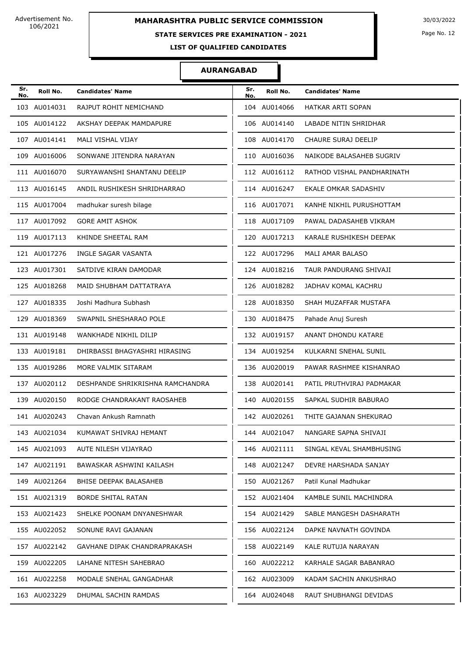# **STATE SERVICES PRE EXAMINATION - 2021**

Page No. 12

**LIST OF QUALIFIED CANDIDATES** 

| Sr.<br>No. | Roll No.     | <b>Candidates' Name</b>          | Sr.<br>No. | Roll No.     | <b>Candidates' Name</b>    |
|------------|--------------|----------------------------------|------------|--------------|----------------------------|
|            | 103 AU014031 | RAJPUT ROHIT NEMICHAND           |            | 104 AU014066 | <b>HATKAR ARTI SOPAN</b>   |
|            | 105 AU014122 | AKSHAY DEEPAK MAMDAPURE          |            | 106 AU014140 | LABADE NITIN SHRIDHAR      |
|            | 107 AU014141 | MALI VISHAL VIJAY                |            | 108 AU014170 | <b>CHAURE SURAJ DEELIP</b> |
|            | 109 AU016006 | SONWANE JITENDRA NARAYAN         |            | 110 AU016036 | NAIKODE BALASAHEB SUGRIV   |
|            | 111 AU016070 | SURYAWANSHI SHANTANU DEELIP      |            | 112 AU016112 | RATHOD VISHAL PANDHARINATH |
|            | 113 AU016145 | ANDIL RUSHIKESH SHRIDHARRAO      |            | 114 AU016247 | EKALE OMKAR SADASHIV       |
|            | 115 AU017004 | madhukar suresh bilage           |            | 116 AU017071 | KANHE NIKHIL PURUSHOTTAM   |
|            | 117 AU017092 | <b>GORE AMIT ASHOK</b>           |            | 118 AU017109 | PAWAL DADASAHEB VIKRAM     |
|            | 119 AU017113 | KHINDE SHEETAL RAM               |            | 120 AU017213 | KARALE RUSHIKESH DEEPAK    |
|            | 121 AU017276 | <b>INGLE SAGAR VASANTA</b>       |            | 122 AU017296 | MALI AMAR BALASO           |
|            | 123 AU017301 | SATDIVE KIRAN DAMODAR            |            | 124 AU018216 | TAUR PANDURANG SHIVAJI     |
|            | 125 AU018268 | MAID SHUBHAM DATTATRAYA          |            | 126 AU018282 | JADHAV KOMAL KACHRU        |
|            | 127 AU018335 | Joshi Madhura Subhash            |            | 128 AU018350 | SHAH MUZAFFAR MUSTAFA      |
|            | 129 AU018369 | SWAPNIL SHESHARAO POLE           |            | 130 AU018475 | Pahade Anuj Suresh         |
|            | 131 AU019148 | WANKHADE NIKHIL DILIP            |            | 132 AU019157 | ANANT DHONDU KATARE        |
|            | 133 AU019181 | DHIRBASSI BHAGYASHRI HIRASING    |            | 134 AU019254 | KULKARNI SNEHAL SUNIL      |
|            | 135 AU019286 | MORE VALMIK SITARAM              |            | 136 AU020019 | PAWAR RASHMEE KISHANRAO    |
|            | 137 AU020112 | DESHPANDE SHRIKRISHNA RAMCHANDRA |            | 138 AU020141 | PATIL PRUTHVIRAJ PADMAKAR  |
|            | 139 AU020150 | RODGE CHANDRAKANT RAOSAHEB       |            | 140 AU020155 | SAPKAL SUDHIR BABURAO      |
|            | 141 AU020243 | Chavan Ankush Ramnath            |            | 142 AU020261 | THITE GAJANAN SHEKURAO     |
|            | 143 AU021034 | KUMAWAT SHIVRAJ HEMANT           |            | 144 AU021047 | NANGARE SAPNA SHIVAJI      |
|            | 145 AU021093 | AUTE NILESH VIJAYRAO             |            | 146 AU021111 | SINGAL KEVAL SHAMBHUSING   |
|            | 147 AU021191 | BAWASKAR ASHWINI KAILASH         |            | 148 AU021247 | DEVRE HARSHADA SANJAY      |
|            | 149 AU021264 | BHISE DEEPAK BALASAHEB           |            | 150 AU021267 | Patil Kunal Madhukar       |
|            | 151 AU021319 | <b>BORDE SHITAL RATAN</b>        |            | 152 AU021404 | KAMBLE SUNIL MACHINDRA     |
|            | 153 AU021423 | SHELKE POONAM DNYANESHWAR        |            | 154 AU021429 | SABLE MANGESH DASHARATH    |
|            | 155 AU022052 | SONUNE RAVI GAJANAN              |            | 156 AU022124 | DAPKE NAVNATH GOVINDA      |
|            | 157 AU022142 | GAVHANE DIPAK CHANDRAPRAKASH     |            | 158 AU022149 | KALE RUTUJA NARAYAN        |
|            | 159 AU022205 | LAHANE NITESH SAHEBRAO           |            | 160 AU022212 | KARHALE SAGAR BABANRAO     |
|            | 161 AU022258 | MODALE SNEHAL GANGADHAR          |            | 162 AU023009 | KADAM SACHIN ANKUSHRAO     |
|            | 163 AU023229 | DHUMAL SACHIN RAMDAS             |            | 164 AU024048 | RAUT SHUBHANGI DEVIDAS     |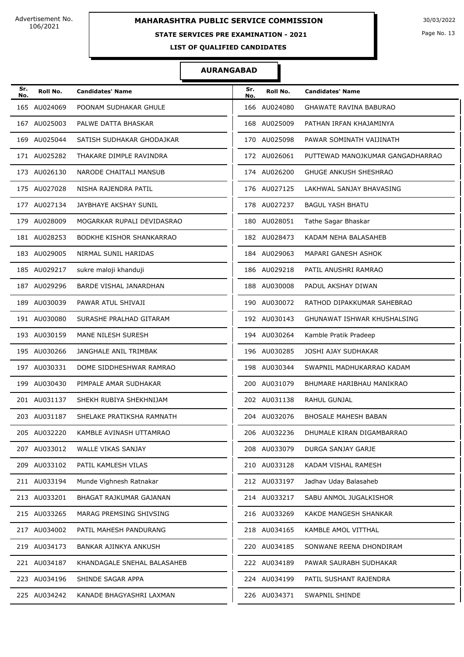### **STATE SERVICES PRE EXAMINATION - 2021**

Page No. 13

**LIST OF QUALIFIED CANDIDATES** 

| Sr.<br>No. | Roll No.     | <b>Candidates' Name</b>     | Sr.<br>No. | Roll No.     | <b>Candidates' Name</b>          |
|------------|--------------|-----------------------------|------------|--------------|----------------------------------|
|            | 165 AU024069 | POONAM SUDHAKAR GHULE       |            | 166 AU024080 | <b>GHAWATE RAVINA BABURAO</b>    |
|            | 167 AU025003 | PALWE DATTA BHASKAR         |            | 168 AU025009 | PATHAN IRFAN KHAJAMINYA          |
|            | 169 AU025044 | SATISH SUDHAKAR GHODAJKAR   |            | 170 AU025098 | PAWAR SOMINATH VAIJINATH         |
|            | 171 AU025282 | THAKARE DIMPLE RAVINDRA     |            | 172 AU026061 | PUTTEWAD MANOJKUMAR GANGADHARRAO |
|            | 173 AU026130 | NARODE CHAITALI MANSUB      |            | 174 AU026200 | <b>GHUGE ANKUSH SHESHRAO</b>     |
|            | 175 AU027028 | NISHA RAJENDRA PATIL        |            | 176 AU027125 | LAKHWAL SANJAY BHAVASING         |
|            | 177 AU027134 | JAYBHAYE AKSHAY SUNIL       |            | 178 AU027237 | <b>BAGUL YASH BHATU</b>          |
|            | 179 AU028009 | MOGARKAR RUPALI DEVIDASRAO  |            | 180 AU028051 | Tathe Sagar Bhaskar              |
|            | 181 AU028253 | BODKHE KISHOR SHANKARRAO    |            | 182 AU028473 | KADAM NEHA BALASAHEB             |
|            | 183 AU029005 | NIRMAL SUNIL HARIDAS        |            | 184 AU029063 | MAPARI GANESH ASHOK              |
|            | 185 AU029217 | sukre maloji khanduji       |            | 186 AU029218 | PATIL ANUSHRI RAMRAO             |
|            | 187 AU029296 | BARDE VISHAL JANARDHAN      |            | 188 AU030008 | PADUL AKSHAY DIWAN               |
|            | 189 AU030039 | PAWAR ATUL SHIVAJI          |            | 190 AU030072 | RATHOD DIPAKKUMAR SAHEBRAO       |
|            | 191 AU030080 | SURASHE PRALHAD GITARAM     |            | 192 AU030143 | GHUNAWAT ISHWAR KHUSHALSING      |
|            | 193 AU030159 | MANE NILESH SURESH          |            | 194 AU030264 | Kamble Pratik Pradeep            |
|            | 195 AU030266 | JANGHALE ANIL TRIMBAK       |            | 196 AU030285 | JOSHI AJAY SUDHAKAR              |
|            | 197 AU030331 | DOME SIDDHESHWAR RAMRAO     |            | 198 AU030344 | SWAPNIL MADHUKARRAO KADAM        |
|            | 199 AU030430 | PIMPALE AMAR SUDHAKAR       |            | 200 AU031079 | BHUMARE HARIBHAU MANIKRAO        |
|            | 201 AU031137 | SHEKH RUBIYA SHEKHNIJAM     |            | 202 AU031138 | <b>RAHUL GUNJAL</b>              |
|            | 203 AU031187 | SHELAKE PRATIKSHA RAMNATH   |            | 204 AU032076 | <b>BHOSALE MAHESH BABAN</b>      |
|            | 205 AU032220 | KAMBLE AVINASH UTTAMRAO     |            | 206 AU032236 | DHUMALE KIRAN DIGAMBARRAO        |
|            | 207 AU033012 | WALLE VIKAS SANJAY          |            | 208 AU033079 | DURGA SANJAY GARJE               |
|            | 209 AU033102 | PATIL KAMLESH VILAS         |            | 210 AU033128 | KADAM VISHAL RAMESH              |
|            | 211 AU033194 | Munde Vighnesh Ratnakar     |            | 212 AU033197 | Jadhav Uday Balasaheb            |
|            | 213 AU033201 | BHAGAT RAJKUMAR GAJANAN     |            | 214 AU033217 | SABU ANMOL JUGALKISHOR           |
|            | 215 AU033265 | MARAG PREMSING SHIVSING     |            | 216 AU033269 | KAKDE MANGESH SHANKAR            |
|            | 217 AU034002 | PATIL MAHESH PANDURANG      |            | 218 AU034165 | KAMBLE AMOL VITTHAL              |
|            | 219 AU034173 | BANKAR AJINKYA ANKUSH       |            | 220 AU034185 | SONWANE REENA DHONDIRAM          |
|            | 221 AU034187 | KHANDAGALE SNEHAL BALASAHEB |            | 222 AU034189 | PAWAR SAURABH SUDHAKAR           |
|            | 223 AU034196 | SHINDE SAGAR APPA           |            | 224 AU034199 | PATIL SUSHANT RAJENDRA           |
|            | 225 AU034242 | KANADE BHAGYASHRI LAXMAN    |            | 226 AU034371 | SWAPNIL SHINDE                   |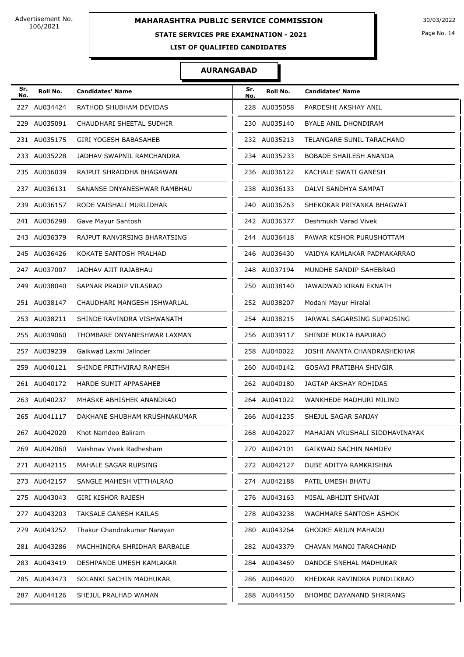# **STATE SERVICES PRE EXAMINATION - 2021**

Page No. 14

**LIST OF QUALIFIED CANDIDATES** 

| Sr.<br>No. | Roll No.     | <b>Candidates' Name</b>      | Sr.<br>No. | Roll No.     | <b>Candidates' Name</b>         |
|------------|--------------|------------------------------|------------|--------------|---------------------------------|
|            | 227 AU034424 | RATHOD SHUBHAM DEVIDAS       |            | 228 AU035058 | PARDESHI AKSHAY ANIL            |
|            | 229 AU035091 | CHAUDHARI SHEETAL SUDHIR     |            | 230 AU035140 | BYALE ANIL DHONDIRAM            |
|            | 231 AU035175 | <b>GIRI YOGESH BABASAHEB</b> |            | 232 AU035213 | TELANGARE SUNIL TARACHAND       |
|            | 233 AU035228 | JADHAV SWAPNIL RAMCHANDRA    |            | 234 AU035233 | BOBADE SHAILESH ANANDA          |
|            | 235 AU036039 | RAJPUT SHRADDHA BHAGAWAN     |            | 236 AU036122 | KACHALE SWATI GANESH            |
|            | 237 AU036131 | SANANSE DNYANESHWAR RAMBHAU  |            | 238 AU036133 | DALVI SANDHYA SAMPAT            |
|            | 239 AU036157 | RODE VAISHALI MURLIDHAR      |            | 240 AU036263 | SHEKOKAR PRIYANKA BHAGWAT       |
|            | 241 AU036298 | Gave Mayur Santosh           |            | 242 AU036377 | Deshmukh Varad Vivek            |
|            | 243 AU036379 | RAJPUT RANVIRSING BHARATSING |            | 244 AU036418 | PAWAR KISHOR PURUSHOTTAM        |
|            | 245 AU036426 | KOKATE SANTOSH PRALHAD       |            | 246 AU036430 | VAIDYA KAMLAKAR PADMAKARRAO     |
|            | 247 AU037007 | JADHAV AJIT RAJABHAU         |            | 248 AU037194 | MUNDHE SANDIP SAHEBRAO          |
|            | 249 AU038040 | SAPNAR PRADIP VILASRAO       |            | 250 AU038140 | JAWADWAD KIRAN EKNATH           |
|            | 251 AU038147 | CHAUDHARI MANGESH ISHWARLAL  |            | 252 AU038207 | Modani Mayur Hiralal            |
|            | 253 AU038211 | SHINDE RAVINDRA VISHWANATH   |            | 254 AU038215 | JARWAL SAGARSING SUPADSING      |
|            | 255 AU039060 | THOMBARE DNYANESHWAR LAXMAN  |            | 256 AU039117 | SHINDE MUKTA BAPURAO            |
|            | 257 AU039239 | Gaikwad Laxmi Jalinder       |            | 258 AU040022 | JOSHI ANANTA CHANDRASHEKHAR     |
|            | 259 AU040121 | SHINDE PRITHVIRAJ RAMESH     |            | 260 AU040142 | GOSAVI PRATIBHA SHIVGIR         |
|            | 261 AU040172 | HARDE SUMIT APPASAHEB        |            | 262 AU040180 | JAGTAP AKSHAY ROHIDAS           |
|            | 263 AU040237 | MHASKE ABHISHEK ANANDRAO     |            | 264 AU041022 | WANKHEDE MADHURI MILIND         |
|            | 265 AU041117 | DAKHANE SHUBHAM KRUSHNAKUMAR |            | 266 AU041235 | SHEJUL SAGAR SANJAY             |
|            | 267 AU042020 | Khot Namdeo Baliram          |            | 268 AU042027 | MAHAJAN VRUSHALI SIDDHAVINAYAK  |
|            | 269 AU042060 | Vaishnav Vivek Radhesham     |            | 270 AU042101 | GAIKWAD SACHIN NAMDEV           |
|            | 271 AU042115 | MAHALE SAGAR RUPSING         |            | 272 AU042127 | DUBE ADITYA RAMKRISHNA          |
|            | 273 AU042157 | SANGLE MAHESH VITTHALRAO     |            | 274 AU042188 | PATIL UMESH BHATU               |
|            | 275 AU043043 | <b>GIRI KISHOR RAJESH</b>    |            | 276 AU043163 | MISAL ABHIJIT SHIVAJI           |
|            | 277 AU043203 | TAKSALE GANESH KAILAS        |            | 278 AU043238 | WAGHMARE SANTOSH ASHOK          |
|            | 279 AU043252 | Thakur Chandrakumar Narayan  |            | 280 AU043264 | GHODKE ARJUN MAHADU             |
|            | 281 AU043286 | MACHHINDRA SHRIDHAR BARBAILE |            | 282 AU043379 | CHAVAN MANOJ TARACHAND          |
|            | 283 AU043419 | DESHPANDE UMESH KAMLAKAR     |            | 284 AU043469 | DANDGE SNEHAL MADHUKAR          |
|            | 285 AU043473 | SOLANKI SACHIN MADHUKAR      |            | 286 AU044020 | KHEDKAR RAVINDRA PUNDLIKRAO     |
|            | 287 AU044126 | SHEJUL PRALHAD WAMAN         |            | 288 AU044150 | <b>BHOMBE DAYANAND SHRIRANG</b> |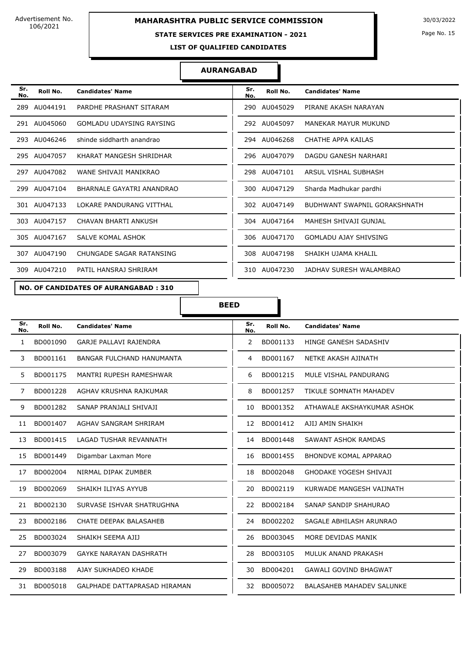### **STATE SERVICES PRE EXAMINATION - 2021**

Page No. 15

**LIST OF QUALIFIED CANDIDATES** 

#### **AURANGABAD**

| Sr.<br>No. | Roll No.     | <b>Candidates' Name</b>         | Sr.<br>No. | Roll No.     | <b>Candidates' Name</b>      |
|------------|--------------|---------------------------------|------------|--------------|------------------------------|
|            | 289 AU044191 | PARDHE PRASHANT SITARAM         | 290        | AU045029     | PIRANE AKASH NARAYAN         |
|            | 291 AU045060 | <b>GOMLADU UDAYSING RAYSING</b> |            | 292 AU045097 | MANEKAR MAYUR MUKUND         |
|            | 293 AU046246 | shinde siddharth anandrao       |            | 294 AU046268 | CHATHE APPA KAILAS           |
|            | 295 AU047057 | KHARAT MANGESH SHRIDHAR         |            | 296 AU047079 | DAGDU GANESH NARHARI         |
|            | 297 AU047082 | WANE SHIVAJI MANIKRAO           |            | 298 AU047101 | ARSUL VISHAL SUBHASH         |
|            | 299 AU047104 | BHARNALE GAYATRI ANANDRAO       |            | 300 AU047129 | Sharda Madhukar pardhi       |
|            | 301 AU047133 | LOKARE PANDURANG VITTHAL        |            | 302 AU047149 | BUDHWANT SWAPNIL GORAKSHNATH |
|            | 303 AU047157 | CHAVAN BHARTI ANKUSH            |            | 304 AU047164 | MAHESH SHIVAJI GUNJAL        |
|            | 305 AU047167 | SALVE KOMAL ASHOK               |            | 306 AU047170 | <b>GOMLADU AJAY SHIVSING</b> |
|            | 307 AU047190 | CHUNGADE SAGAR RATANSING        |            | 308 AU047198 | SHAIKH UJAMA KHALIL          |
|            | 309 AU047210 | PATIL HANSRAJ SHRIRAM           |            | 310 AU047230 | JADHAV SURESH WALAMBRAO      |

# **NO. OF CANDIDATES OF AURANGABAD : 310**

**BEED**

| Sr.<br>No.   | Roll No. | <b>Candidates' Name</b>          | Sr.<br>No. | Roll No. | <b>Candidates' Name</b>          |
|--------------|----------|----------------------------------|------------|----------|----------------------------------|
| $\mathbf{1}$ | BD001090 | <b>GARJE PALLAVI RAJENDRA</b>    | 2          | BD001133 | HINGE GANESH SADASHIV            |
| 3            | BD001161 | <b>BANGAR FULCHAND HANUMANTA</b> | 4          | BD001167 | NETKE AKASH AJINATH              |
| 5            | BD001175 | MANTRI RUPESH RAMESHWAR          | 6          | BD001215 | MULE VISHAL PANDURANG            |
| 7            | BD001228 | AGHAV KRUSHNA RAJKUMAR           | 8          | BD001257 | <b>TIKULE SOMNATH MAHADEV</b>    |
| 9            | BD001282 | SANAP PRANJALI SHIVAJI           | 10         | BD001352 | ATHAWALE AKSHAYKUMAR ASHOK       |
| 11           | BD001407 | AGHAV SANGRAM SHRIRAM            | 12         | BD001412 | AJIJ AMIN SHAIKH                 |
| 13           | BD001415 | LAGAD TUSHAR REVANNATH           | 14         | BD001448 | SAWANT ASHOK RAMDAS              |
| 15           | BD001449 | Digambar Laxman More             | 16         | BD001455 | <b>BHONDVE KOMAL APPARAO</b>     |
| 17           | BD002004 | NIRMAL DIPAK ZUMBER              | 18         | BD002048 | <b>GHODAKE YOGESH SHIVAJI</b>    |
| 19           | BD002069 | SHAIKH ILIYAS AYYUB              | 20         | BD002119 | KURWADE MANGESH VAIJNATH         |
| 21           | BD002130 | SURVASE ISHVAR SHATRUGHNA        | 22         | BD002184 | SANAP SANDIP SHAHURAO            |
| 23           | BD002186 | CHATE DEEPAK BALASAHEB           | 24         | BD002202 | SAGALE ABHILASH ARUNRAO          |
| 25           | BD003024 | SHAIKH SEEMA AJIJ                | 26         | BD003045 | MORE DEVIDAS MANIK               |
| 27           | BD003079 | <b>GAYKE NARAYAN DASHRATH</b>    | 28         | BD003105 | MULUK ANAND PRAKASH              |
| 29           | BD003188 | AJAY SUKHADEO KHADE              | 30         | BD004201 | <b>GAWALI GOVIND BHAGWAT</b>     |
| 31           | BD005018 | GALPHADE DATTAPRASAD HIRAMAN     | 32         | BD005072 | <b>BALASAHEB MAHADEV SALUNKE</b> |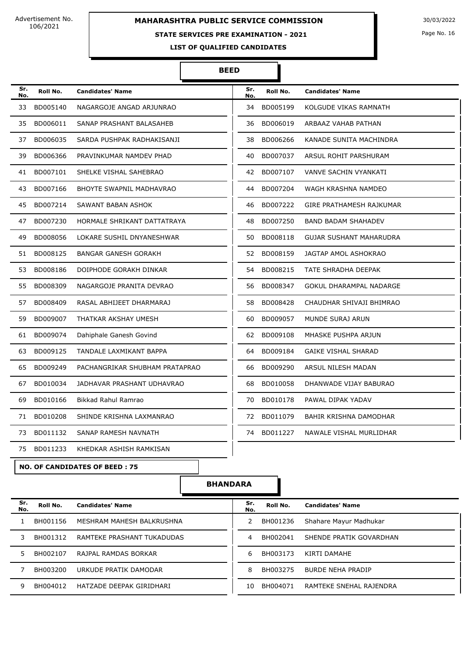# **MAHARASHTRA PUBLIC SERVICE COMMISSION** 30/03/2022

### **STATE SERVICES PRE EXAMINATION - 2021**

Page No. 16

**LIST OF QUALIFIED CANDIDATES** 

#### **BEED**

T

| Sr.<br>No. | Roll No.    | <b>Candidates' Name</b>              | Sr.<br>No. | Roll No.    | <b>Candidates' Name</b>         |
|------------|-------------|--------------------------------------|------------|-------------|---------------------------------|
| 33         | BD005140    | NAGARGOJE ANGAD ARJUNRAO             | 34         | BD005199    | KOLGUDE VIKAS RAMNATH           |
| 35         | BD006011    | SANAP PRASHANT BALASAHEB             | 36         | BD006019    | ARBAAZ VAHAB PATHAN             |
| 37         | BD006035    | SARDA PUSHPAK RADHAKISANJI           | 38         | BD006266    | KANADE SUNITA MACHINDRA         |
| 39         | BD006366    | PRAVINKUMAR NAMDEV PHAD              | 40         | BD007037    | ARSUL ROHIT PARSHURAM           |
| 41         | BD007101    | SHELKE VISHAL SAHEBRAO               | 42         | BD007107    | VANVE SACHIN VYANKATI           |
| 43         | BD007166    | <b>BHOYTE SWAPNIL MADHAVRAO</b>      | 44         | BD007204    | WAGH KRASHNA NAMDEO             |
| 45         | BD007214    | SAWANT BABAN ASHOK                   | 46         | BD007222    | <b>GIRE PRATHAMESH RAJKUMAR</b> |
| 47         | BD007230    | HORMALE SHRIKANT DATTATRAYA          | 48         | BD007250    | <b>BAND BADAM SHAHADEV</b>      |
| 49         | BD008056    | LOKARE SUSHIL DNYANESHWAR            | 50         | BD008118    | <b>GUJAR SUSHANT MAHARUDRA</b>  |
| 51         | BD008125    | <b>BANGAR GANESH GORAKH</b>          |            | 52 BD008159 | JAGTAP AMOL ASHOKRAO            |
| 53.        | BD008186    | DOIPHODE GORAKH DINKAR               | 54         | BD008215    | TATE SHRADHA DEEPAK             |
| 55         | BD008309    | NAGARGOJE PRANITA DEVRAO             | 56         | BD008347    | <b>GOKUL DHARAMPAL NADARGE</b>  |
| 57         | BD008409    | RASAL ABHIJEET DHARMARAJ             | 58         | BD008428    | CHAUDHAR SHIVAJI BHIMRAO        |
| 59         | BD009007    | THATKAR AKSHAY UMESH                 | 60         | BD009057    | MUNDE SURAJ ARUN                |
| 61         | BD009074    | Dahiphale Ganesh Govind              | 62         | BD009108    | MHASKE PUSHPA ARJUN             |
| 63         | BD009125    | TANDALE LAXMIKANT BAPPA              |            | 64 BD009184 | <b>GAIKE VISHAL SHARAD</b>      |
| 65         | BD009249    | PACHANGRIKAR SHUBHAM PRATAPRAO       | 66         | BD009290    | ARSUL NILESH MADAN              |
| 67         | BD010034    | JADHAVAR PRASHANT UDHAVRAO           | 68         | BD010058    | DHANWADE VIJAY BABURAO          |
| 69         | BD010166    | Bikkad Rahul Ramrao                  | 70         | BD010178    | PAWAL DIPAK YADAV               |
| 71         | BD010208    | SHINDE KRISHNA LAXMANRAO             |            | 72 BD011079 | BAHIR KRISHNA DAMODHAR          |
| 73         | BD011132    | SANAP RAMESH NAVNATH                 | 74         | BD011227    | NAWALE VISHAL MURLIDHAR         |
|            | 75 BD011233 | KHEDKAR ASHISH RAMKISAN              |            |             |                                 |
|            |             | <b>NO. OF CANDIDATES OF BEED: 75</b> |            |             |                                 |
|            |             |                                      |            |             |                                 |

**BHANDARA**

| Sr.<br>No. | Roll No. | <b>Candidates' Name</b>    | Sr.<br>No. | Roll No. | <b>Candidates' Name</b> |
|------------|----------|----------------------------|------------|----------|-------------------------|
|            | BH001156 | MESHRAM MAHESH BALKRUSHNA  | 2          | BH001236 | Shahare Mayur Madhukar  |
|            | BH001312 | RAMTEKE PRASHANT TUKADUDAS | 4          | BH002041 | SHENDE PRATIK GOVARDHAN |
|            | BH002107 | RAJPAL RAMDAS BORKAR       | 6          | BH003173 | KIRTI DAMAHF            |
|            | BH003200 | URKUDE PRATIK DAMODAR      | 8          | BH003275 | BURDE NEHA PRADIP       |
|            | BH004012 | HATZADE DEEPAK GIRIDHARI   | 10         | BH004071 | RAMTEKE SNEHAL RAJENDRA |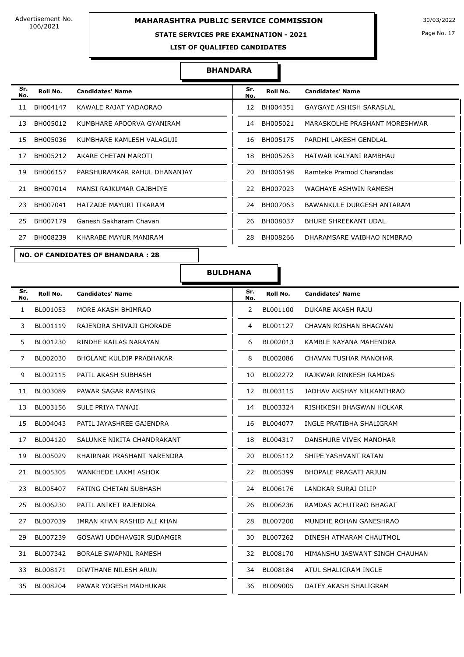# **MAHARASHTRA PUBLIC SERVICE COMMISSION** 30/03/2022

### **STATE SERVICES PRE EXAMINATION - 2021**

Page No. 17

**LIST OF QUALIFIED CANDIDATES** 

#### **BHANDARA**

| Sr.<br>No. | Roll No. | <b>Candidates' Name</b>                  | Sr.<br>No. | Roll No. | <b>Candidates' Name</b>        |
|------------|----------|------------------------------------------|------------|----------|--------------------------------|
| 11         | BH004147 | KAWALE RAJAT YADAORAO                    | 12         | BH004351 | <b>GAYGAYE ASHISH SARASLAL</b> |
| 13         | BH005012 | KUMBHARE APOORVA GYANIRAM                | 14         | BH005021 | MARASKOLHE PRASHANT MORESHWAR  |
| 15         | BH005036 | KUMBHARE KAMLESH VALAGUJI                | 16         | BH005175 | PARDHI LAKESH GENDLAL          |
| 17         | BH005212 | AKARE CHETAN MAROTI                      | 18         | BH005263 | HATWAR KALYANI RAMBHAU         |
| 19         | BH006157 | PARSHURAMKAR RAHUL DHANANJAY             | 20         | BH006198 | Ramteke Pramod Charandas       |
| 21         | BH007014 | MANSI RAJKUMAR GAJBHIYE                  | 22         | BH007023 | WAGHAYE ASHWIN RAMESH          |
| 23         | BH007041 | HATZADE MAYURI TIKARAM                   | 24         | BH007063 | BAWANKULE DURGESH ANTARAM      |
| 25         | BH007179 | Ganesh Sakharam Chavan                   | 26         | BH008037 | <b>BHURE SHREEKANT UDAL</b>    |
| 27         | BH008239 | KHARABE MAYUR MANIRAM                    | 28         | BH008266 | DHARAMSARE VAIBHAO NIMBRAO     |
|            |          | <b>NO. OF CANDIDATES OF BHANDARA: 28</b> |            |          |                                |

| Sr.<br>No. | Roll No. | <b>Candidates' Name</b>       |
|------------|----------|-------------------------------|
| 12         | BH004351 | GAYGAYE ASHISH SARASLAL       |
| 14         | BH005021 | MARASKOLHE PRASHANT MORESHWAR |
| 16         | BH005175 | PARDHI LAKESH GENDLAL         |
| 18         | BH005263 | HATWAR KAI YANI RAMBHAU       |
| 20         | BH006198 | Ramteke Pramod Charandas      |
| 22         | BH007023 | WAGHAYE ASHWIN RAMESH         |
| 24         | BH007063 | BAWANKULE DURGESH ANTARAM     |
| 26         | BH008037 | BHURE SHREEKANT UDAL          |
| 28         | BH008266 | DHARAMSARE VAIBHAO NIMBRAO    |
|            |          |                               |

**BULDHANA**

| Sr.<br>No. | Roll No. | <b>Candidates' Name</b>          | Sr.<br>No. | Roll No.    | <b>Candidates' Name</b>        |
|------------|----------|----------------------------------|------------|-------------|--------------------------------|
| 1          | BL001053 | MORE AKASH BHIMRAO               | 2          | BL001100    | DUKARE AKASH RAJU              |
| 3          | BL001119 | RAJENDRA SHIVAJI GHORADE         | 4          | BL001127    | CHAVAN ROSHAN BHAGVAN          |
| 5          | BL001230 | RINDHE KAILAS NARAYAN            | 6          | BL002013    | KAMBLE NAYANA MAHENDRA         |
| 7          | BL002030 | <b>BHOLANE KULDIP PRABHAKAR</b>  | 8          | BL002086    | CHAVAN TUSHAR MANOHAR          |
| 9          | BL002115 | PATIL AKASH SUBHASH              | 10         | BL002272    | RAJKWAR RINKESH RAMDAS         |
| 11         | BL003089 | PAWAR SAGAR RAMSING              | 12         | BL003115    | JADHAV AKSHAY NILKANTHRAO      |
| 13         | BL003156 | SULE PRIYA TANAJI                |            | 14 BL003324 | RISHIKESH BHAGWAN HOLKAR       |
| 15         | BL004043 | PATIL JAYASHREE GAJENDRA         | 16         | BL004077    | INGLE PRATIBHA SHALIGRAM       |
| 17         | BL004120 | SALUNKE NIKITA CHANDRAKANT       | 18         | BL004317    | DANSHURE VIVEK MANOHAR         |
| 19         | BL005029 | KHAIRNAR PRASHANT NARENDRA       | 20         | BL005112    | SHIPE YASHVANT RATAN           |
| 21         | BL005305 | WANKHEDE LAXMI ASHOK             | 22         | BL005399    | BHOPALE PRAGATI ARJUN          |
| 23         | BL005407 | FATING CHETAN SUBHASH            | 24         | BL006176    | LANDKAR SURAJ DILIP            |
| 25         | BL006230 | PATIL ANIKET RAJENDRA            | 26         | BL006236    | RAMDAS ACHUTRAO BHAGAT         |
| 27         | BL007039 | IMRAN KHAN RASHID ALI KHAN       | 28         | BL007200    | MUNDHE ROHAN GANESHRAO         |
| 29         | BL007239 | <b>GOSAWI UDDHAVGIR SUDAMGIR</b> | 30         | BL007262    | DINESH ATMARAM CHAUTMOL        |
| 31         | BL007342 | BORALE SWAPNIL RAMESH            |            | 32 BL008170 | HIMANSHU JASWANT SINGH CHAUHAN |
| 33         | BL008171 | DIWTHANE NILESH ARUN             | 34         | BL008184    | ATUL SHALIGRAM INGLE           |
| 35         | BL008204 | PAWAR YOGESH MADHUKAR            | 36         | BL009005    | DATEY AKASH SHALIGRAM          |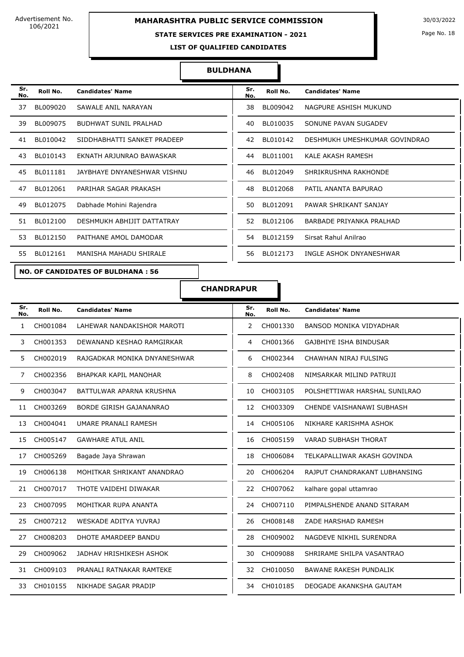# **MAHARASHTRA PUBLIC SERVICE COMMISSION** 30/03/2022

### **STATE SERVICES PRE EXAMINATION - 2021**

Page No. 18

**LIST OF QUALIFIED CANDIDATES** 

### **BULDHANA**

| Sr.<br>No. | Roll No. | <b>Candidates' Name</b>      | Sr.<br>No. | Roll No. | <b>Candidates' Name</b>       |
|------------|----------|------------------------------|------------|----------|-------------------------------|
| 37         | BL009020 | SAWALE ANIL NARAYAN          | 38         | BL009042 | NAGPURE ASHISH MUKUND         |
| 39         | BL009075 | <b>BUDHWAT SUNIL PRALHAD</b> | 40         | BL010035 | SONUNE PAVAN SUGADEV          |
| 41         | BL010042 | SIDDHABHATTI SANKET PRADEEP  | 42         | BL010142 | DESHMUKH UMESHKUMAR GOVINDRAO |
| 43         | BL010143 | EKNATH ARJUNRAO BAWASKAR     | 44         | BL011001 | KALE AKASH RAMESH             |
| 45         | BL011181 | JAYBHAYE DNYANESHWAR VISHNU  | 46         | BL012049 | SHRIKRUSHNA RAKHONDE          |
| 47         | BL012061 | PARIHAR SAGAR PRAKASH        | 48         | BL012068 | PATIL ANANTA BAPURAO          |
| 49         | BL012075 | Dabhade Mohini Rajendra      | 50         | BL012091 | PAWAR SHRIKANT SANJAY         |
| 51         | BL012100 | DESHMUKH ABHIJIT DATTATRAY   | 52         | BL012106 | BARBADE PRIYANKA PRALHAD      |
| 53         | BL012150 | PAITHANE AMOL DAMODAR        | 54         | BL012159 | Sirsat Rahul Anilrao          |
| 55         | BL012161 | MANISHA MAHADU SHIRALE       | 56         | BL012173 | INGLE ASHOK DNYANESHWAR       |

**NO. OF CANDIDATES OF BULDHANA : 56**

| Sr.<br>No. | Roll No. | <b>Candidates' Name</b>       |
|------------|----------|-------------------------------|
| 38         | BL009042 | NAGPURE ASHISH MUKUND         |
| 40         | BL010035 | SONUNE PAVAN SUGADEV          |
| 42         | BL010142 | DESHMUKH UMESHKUMAR GOVINDRAO |
| 44         | BL011001 | KALE AKASH RAMESH             |
| 46         | BL012049 | SHRIKRUSHNA RAKHONDE          |
| 48         | BL012068 | PATIL ANANTA BAPURAO          |
| 50         | BL012091 | PAWAR SHRIKANT SANJAY         |
| 52         | BL012106 | BARBADE PRIYANKA PRALHAD      |
| 54         | BL012159 | Sirsat Rahul Anilrao          |
| 56         | BI012173 | INGLE ASHOK DNYANESHWAR       |

**CHANDRAPUR**

| Sr.<br>No.   | Roll No. | <b>Candidates' Name</b>      | Sr.<br>No. | Roll No. | <b>Candidates' Name</b>        |
|--------------|----------|------------------------------|------------|----------|--------------------------------|
| $\mathbf{1}$ | CH001084 | LAHEWAR NANDAKISHOR MAROTI   | 2          | CH001330 | <b>BANSOD MONIKA VIDYADHAR</b> |
| 3            | CH001353 | DEWANAND KESHAO RAMGIRKAR    | 4          | CH001366 | <b>GAJBHIYE ISHA BINDUSAR</b>  |
| 5            | CH002019 | RAJGADKAR MONIKA DNYANESHWAR | 6          | CH002344 | CHAWHAN NIRAJ FULSING          |
| 7            | CH002356 | BHAPKAR KAPIL MANOHAR        | 8          | CH002408 | NIMSARKAR MILIND PATRUJI       |
| 9            | CH003047 | BATTULWAR APARNA KRUSHNA     | 10         | CH003105 | POLSHETTIWAR HARSHAL SUNILRAO  |
| 11           | CH003269 | BORDE GIRISH GAJANANRAO      | 12         | CH003309 | CHENDE VAISHANAWI SUBHASH      |
| 13           | CH004041 | UMARE PRANALI RAMESH         | 14         | CH005106 | NIKHARE KARISHMA ASHOK         |
| 15           | CH005147 | <b>GAWHARE ATUL ANIL</b>     | 16         | CH005159 | <b>VARAD SUBHASH THORAT</b>    |
| 17           | CH005269 | Bagade Jaya Shrawan          | 18         | CH006084 | TELKAPALLIWAR AKASH GOVINDA    |
| 19           | CH006138 | MOHITKAR SHRIKANT ANANDRAO   | 20         | CH006204 | RAJPUT CHANDRAKANT LUBHANSING  |
| 21           | CH007017 | THOTE VAIDEHI DIWAKAR        | 22         | CH007062 | kalhare gopal uttamrao         |
| 23           | CH007095 | MOHITKAR RUPA ANANTA         | 24         | CH007110 | PIMPALSHENDE ANAND SITARAM     |
| 25           | CH007212 | <b>WESKADE ADITYA YUVRAJ</b> | 26         | CH008148 | ZADE HARSHAD RAMESH            |
| 27           | CH008203 | DHOTE AMARDEEP BANDU         | 28         | CH009002 | NAGDEVE NIKHIL SURENDRA        |
| 29           | CH009062 | JADHAV HRISHIKESH ASHOK      | 30         | CH009088 | SHRIRAME SHILPA VASANTRAO      |
| 31           | CH009103 | PRANALI RATNAKAR RAMTEKE     | 32         | CH010050 | <b>BAWANE RAKESH PUNDALIK</b>  |
| 33           | CH010155 | NIKHADE SAGAR PRADIP         | 34         | CH010185 | DEOGADE AKANKSHA GAUTAM        |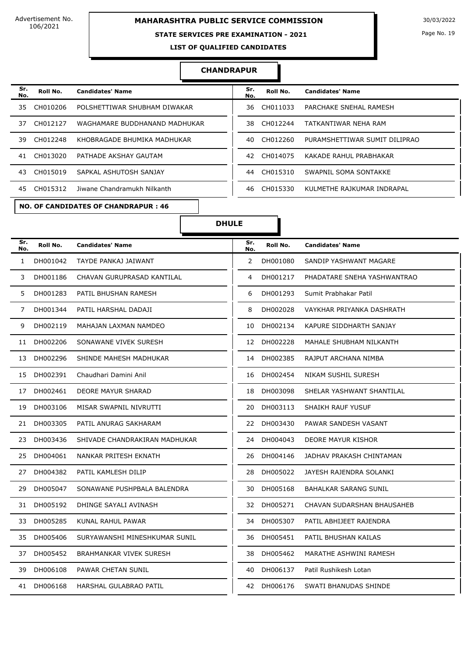# **MAHARASHTRA PUBLIC SERVICE COMMISSION** 30/03/2022

### **STATE SERVICES PRE EXAMINATION - 2021**

Page No. 19

**LIST OF QUALIFIED CANDIDATES** 

#### **CHANDRAPUR**

| Sr.<br>No. | Roll No. | <b>Candidates' Name</b>       | Sr.<br>No. | Roll No. | <b>Candidates' Name</b>       |
|------------|----------|-------------------------------|------------|----------|-------------------------------|
| 35         | CH010206 | POLSHETTIWAR SHUBHAM DIWAKAR  | 36         | CH011033 | PARCHAKE SNEHAL RAMESH        |
| 37         | CH012127 | WAGHAMARE BUDDHANAND MADHUKAR | 38.        | CH012244 | TATKANTIWAR NEHA RAM          |
| 39.        | CH012248 | KHOBRAGADE BHUMIKA MADHUKAR   | 40         | CH012260 | PURAMSHETTIWAR SUMIT DILIPRAO |
| 41         | CH013020 | PATHADE AKSHAY GAUTAM         | 42         | CH014075 | KAKADE RAHUL PRABHAKAR        |
| 43.        | CH015019 | SAPKAL ASHUTOSH SANJAY        | 44         | CH015310 | SWAPNIL SOMA SONTAKKE         |
| 45         | CH015312 | Jiwane Chandramukh Nilkanth   | 46         | CH015330 | KULMETHE RAJKUMAR INDRAPAL    |

| Sr.<br>No. | Roll No.    | <b>Candidates' Name</b>       | Sr.<br>No. | Roll No. | <b>Candidates' Name</b>       |
|------------|-------------|-------------------------------|------------|----------|-------------------------------|
|            | 35 CH010206 | POLSHETTIWAR SHUBHAM DIWAKAR  | 36         | CH011033 | PARCHAKE SNEHAL RAMESH        |
|            | 37 CH012127 | WAGHAMARE BUDDHANAND MADHUKAR | 38.        | CH012244 | TATKANTIWAR NEHA RAM          |
|            | 39 CH012248 | KHOBRAGADE BHUMIKA MADHUKAR   | 40         | CH012260 | PURAMSHETTIWAR SUMIT DILIPRAO |
|            | 41 CH013020 | PATHADE AKSHAY GAUTAM         | 42         | CH014075 | KAKADE RAHUL PRABHAKAR        |
|            | 43 CH015019 | SAPKAL ASHUTOSH SANJAY        | 44         | CH015310 | SWAPNIL SOMA SONTAKKE         |
|            | 45 CH015312 | Jiwane Chandramukh Nilkanth   | 46         | CH015330 | KULMETHE RAJKUMAR INDRAPAL    |

#### **NO. OF CANDIDATES OF CHANDRAPUR : 46**

### **DHULE**

| Sr.<br>No.   | Roll No. | <b>Candidates' Name</b>        | Sr.<br>No.     | Roll No.    | <b>Candidates' Name</b>      |
|--------------|----------|--------------------------------|----------------|-------------|------------------------------|
| $\mathbf{1}$ | DH001042 | TAYDE PANKAJ JAIWANT           | $\overline{2}$ | DH001080    | SANDIP YASHWANT MAGARE       |
| 3            | DH001186 | CHAVAN GURUPRASAD KANTILAL     | 4              | DH001217    | PHADATARE SNEHA YASHWANTRAO  |
| 5            | DH001283 | PATIL BHUSHAN RAMESH           | 6              | DH001293    | Sumit Prabhakar Patil        |
| 7            | DH001344 | PATIL HARSHAL DADAJI           | 8              | DH002028    | VAYKHAR PRIYANKA DASHRATH    |
| 9            | DH002119 | MAHAJAN LAXMAN NAMDEO          | 10             | DH002134    | KAPURE SIDDHARTH SANJAY      |
| 11           | DH002206 | SONAWANE VIVEK SURESH          | 12             | DH002228    | MAHALE SHUBHAM NILKANTH      |
| 13           | DH002296 | SHINDE MAHESH MADHUKAR         | 14             | DH002385    | RAJPUT ARCHANA NIMBA         |
| 15           | DH002391 | Chaudhari Damini Anil          | 16             | DH002454    | NIKAM SUSHIL SURESH          |
| 17           | DH002461 | <b>DEORE MAYUR SHARAD</b>      | 18             | DH003098    | SHELAR YASHWANT SHANTILAL    |
| 19           | DH003106 | MISAR SWAPNIL NIVRUTTI         | 20             | DH003113    | <b>SHAIKH RAUF YUSUF</b>     |
| 21           | DH003305 | PATIL ANURAG SAKHARAM          | 22             | DH003430    | PAWAR SANDESH VASANT         |
| 23           | DH003436 | SHIVADE CHANDRAKIRAN MADHUKAR  | 24             | DH004043    | DEORE MAYUR KISHOR           |
| 25           | DH004061 | NANKAR PRITESH EKNATH          | 26             | DH004146    | JADHAV PRAKASH CHINTAMAN     |
| 27           | DH004382 | PATIL KAMLESH DILIP            | 28             | DH005022    | JAYESH RAJENDRA SOLANKI      |
| 29           | DH005047 | SONAWANE PUSHPBALA BALENDRA    | 30             | DH005168    | <b>BAHALKAR SARANG SUNIL</b> |
| 31           | DH005192 | DHINGE SAYALI AVINASH          | 32             | DH005271    | CHAVAN SUDARSHAN BHAUSAHEB   |
| 33           | DH005285 | KUNAL RAHUL PAWAR              | 34             | DH005307    | PATIL ABHIJEET RAJENDRA      |
| 35           | DH005406 | SURYAWANSHI MINESHKUMAR SUNIL  | 36             | DH005451    | PATIL BHUSHAN KAILAS         |
| 37           | DH005452 | <b>BRAHMANKAR VIVEK SURESH</b> | 38             | DH005462    | MARATHE ASHWINI RAMESH       |
| 39           | DH006108 | PAWAR CHETAN SUNIL             | 40             | DH006137    | Patil Rushikesh Lotan        |
| 41           | DH006168 | HARSHAL GULABRAO PATIL         |                | 42 DH006176 | SWATI BHANUDAS SHINDE        |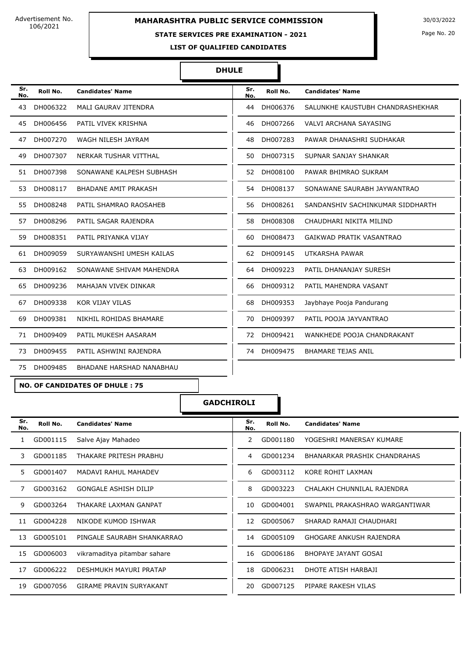# **MAHARASHTRA PUBLIC SERVICE COMMISSION** 30/03/2022

### **STATE SERVICES PRE EXAMINATION - 2021**

Page No. 20

**LIST OF QUALIFIED CANDIDATES** 

#### **DHULE**

| Sr.<br>No. | Roll No. | <b>Candidates' Name</b>     | Sr.<br>No. | Roll No. | <b>Candidates' Name</b>          |
|------------|----------|-----------------------------|------------|----------|----------------------------------|
| 43         | DH006322 | MALI GAURAV JITENDRA        | 44         | DH006376 | SALUNKHE KAUSTUBH CHANDRASHEKHAR |
| 45         | DH006456 | PATIL VIVEK KRISHNA         | 46         | DH007266 | <b>VALVI ARCHANA SAYASING</b>    |
| 47         | DH007270 | WAGH NILESH JAYRAM          | 48         | DH007283 | PAWAR DHANASHRI SUDHAKAR         |
| 49         | DH007307 | NERKAR TUSHAR VITTHAL       | 50         | DH007315 | SUPNAR SANJAY SHANKAR            |
| 51         | DH007398 | SONAWANE KALPESH SUBHASH    | 52         | DH008100 | PAWAR BHIMRAO SUKRAM             |
| 53         | DH008117 | <b>BHADANE AMIT PRAKASH</b> | 54         | DH008137 | SONAWANE SAURABH JAYWANTRAO      |
| 55         | DH008248 | PATIL SHAMRAO RAOSAHEB      | 56         | DH008261 | SANDANSHIV SACHINKUMAR SIDDHARTH |
| 57         | DH008296 | PATIL SAGAR RAJENDRA        | 58         | DH008308 | CHAUDHARI NIKITA MILIND          |
| 59         | DH008351 | PATIL PRIYANKA VIJAY        | 60         | DH008473 | GAIKWAD PRATIK VASANTRAO         |
| 61         | DH009059 | SURYAWANSHI UMESH KAILAS    | 62         | DH009145 | UTKARSHA PAWAR                   |
| 63         | DH009162 | SONAWANE SHIVAM MAHENDRA    | 64         | DH009223 | PATIL DHANANJAY SURESH           |
| 65         | DH009236 | MAHAJAN VIVEK DINKAR        | 66         | DH009312 | PATIL MAHENDRA VASANT            |
| 67         | DH009338 | KOR VIJAY VILAS             | 68         | DH009353 | Jaybhaye Pooja Pandurang         |
| 69         | DH009381 | NIKHIL ROHIDAS BHAMARE      | 70         | DH009397 | PATIL POOJA JAYVANTRAO           |
| 71         | DH009409 | PATIL MUKESH AASARAM        | 72         | DH009421 | WANKHEDE POOJA CHANDRAKANT       |
| 73         | DH009455 | PATIL ASHWINI RAJENDRA      | 74         | DH009475 | <b>BHAMARE TEJAS ANIL</b>        |
| 75         | DH009485 | BHADANE HARSHAD NANABHAU    |            |          |                                  |

**NO. OF CANDIDATES OF DHULE : 75**

**GADCHIROLI**

| Sr.<br>No. | Roll No. | <b>Candidates' Name</b>        | Sr.<br>No. | Roll No. | <b>Candidates' Name</b>        |
|------------|----------|--------------------------------|------------|----------|--------------------------------|
| 1          | GD001115 | Salve Ajay Mahadeo             | 2          | GD001180 | YOGESHRI MANERSAY KUMARE       |
| 3          | GD001185 | THAKARE PRITESH PRABHU         | 4          | GD001234 | BHANARKAR PRASHIK CHANDRAHAS   |
| 5.         | GD001407 | <b>MADAVI RAHUL MAHADEV</b>    | 6          | GD003112 | KORE ROHIT LAXMAN              |
| 7          | GD003162 | <b>GONGALE ASHISH DILIP</b>    | 8          | GD003223 | CHALAKH CHUNNILAL RAJENDRA     |
| 9          | GD003264 | THAKARE LAXMAN GANPAT          | 10         | GD004001 | SWAPNIL PRAKASHRAO WARGANTIWAR |
| 11         | GD004228 | NIKODE KUMOD ISHWAR            | 12         | GD005067 | SHARAD RAMAJI CHAUDHARI        |
| 13         | GD005101 | PINGALE SAURABH SHANKARRAO     | 14         | GD005109 | <b>GHOGARE ANKUSH RAJENDRA</b> |
| 15         | GD006003 | vikramaditya pitambar sahare   | 16         | GD006186 | <b>BHOPAYE JAYANT GOSAI</b>    |
| 17         | GD006222 | DESHMUKH MAYURI PRATAP         | 18         | GD006231 | DHOTE ATISH HARBAJI            |
| 19         | GD007056 | <b>GIRAME PRAVIN SURYAKANT</b> | 20         | GD007125 | PIPARE RAKESH VILAS            |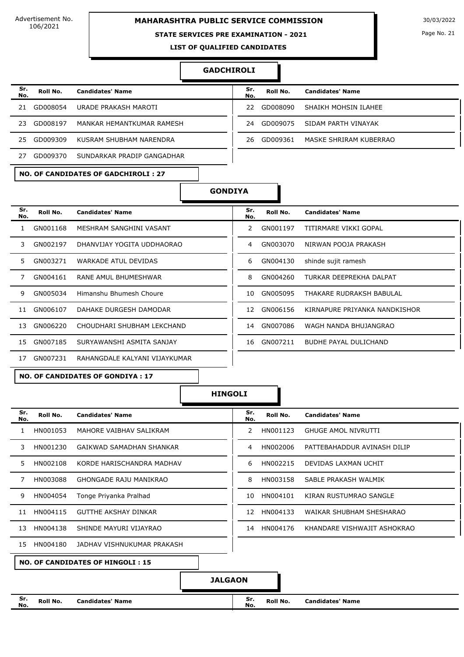# **MAHARASHTRA PUBLIC SERVICE COMMISSION** 30/03/2022

#### **STATE SERVICES PRE EXAMINATION - 2021**

#### **GADCHIROLI**

| Sr.<br>No. | Roll No. | <b>Candidates' Name</b>    | Sr.<br>No. | Roll No. | <b>Candidates' Name</b> |
|------------|----------|----------------------------|------------|----------|-------------------------|
| 21         | GD008054 | URADE PRAKASH MAROTI       | 22.        | GD008090 | SHAIKH MOHSIN ILAHEE    |
| 23.        | GD008197 | MANKAR HEMANTKUMAR RAMESH  | 24         | GD009075 | SIDAM PARTH VINAYAK     |
| 25.        | GD009309 | KUSRAM SHUBHAM NARENDRA    | 26         | GD009361 | MASKE SHRIRAM KUBERRAO  |
|            | GD009370 | SUNDARKAR PRADIP GANGADHAR |            |          |                         |

| Sr.<br>No. | Roll No. | <b>Candidates' Name</b>          |
|------------|----------|----------------------------------|
|            |          | 22 GD008090 SHAIKH MOHSIN ILAHEE |
| 24         |          | GD009075 SIDAM PARTH VINAYAK     |
| 26.        |          | GD009361 MASKE SHRIRAM KUBERRAO  |

### **NO. OF CANDIDATES OF GADCHIROLI : 27**



| Sr.<br>No. | Roll No. | <b>Candidates' Name</b>                 | Sr.<br>No. | Roll No. | <b>Candidates' Name</b>       |
|------------|----------|-----------------------------------------|------------|----------|-------------------------------|
|            | GN001168 | MESHRAM SANGHINI VASANT                 | 2          | GN001197 | TITIRMARE VIKKI GOPAL         |
| 3.         | GN002197 | DHANVIJAY YOGITA UDDHAORAO              | 4          | GN003070 | NIRWAN POOJA PRAKASH          |
| 5.         | GN003271 | WARKADE ATUL DEVIDAS                    | 6          | GN004130 | shinde sujit ramesh           |
|            | GN004161 | RANE AMUL BHUMESHWAR                    | 8          | GN004260 | TURKAR DEEPREKHA DALPAT       |
| 9          | GN005034 | Himanshu Bhumesh Choure                 | 10         | GN005095 | THAKARE RUDRAKSH BABULAL      |
| 11         | GN006107 | DAHAKE DURGESH DAMODAR                  | 12         | GN006156 | KIRNAPURE PRIYANKA NANDKISHOR |
| 13         | GN006220 | CHOUDHARI SHUBHAM LEKCHAND              | 14         | GN007086 | WAGH NANDA BHUJANGRAO         |
| 15         | GN007185 | SURYAWANSHI ASMITA SANJAY               | 16         | GN007211 | <b>BUDHE PAYAL DULICHAND</b>  |
| 17         | GN007231 | RAHANGDALE KALYANI VIJAYKUMAR           |            |          |                               |
|            |          | <b>NO. OF CANDIDATES OF GONDIYA: 17</b> |            |          |                               |

**HINGOLI**

| Sr.<br>No. | Roll No.                                | <b>Candidates' Name</b>       | Sr.<br>No.    | Roll No. | <b>Candidates' Name</b>     |  |  |
|------------|-----------------------------------------|-------------------------------|---------------|----------|-----------------------------|--|--|
|            | HN001053                                | MAHORE VAIBHAV SALIKRAM       | $\mathcal{P}$ | HN001123 | <b>GHUGE AMOL NIVRUTTI</b>  |  |  |
| 3          | HN001230                                | GAIKWAD SAMADHAN SHANKAR      | 4             | HN002006 | PATTEBAHADDUR AVINASH DILIP |  |  |
| 5.         | HN002108                                | KORDE HARISCHANDRA MADHAV     | 6             | HN002215 | DEVIDAS LAXMAN UCHIT        |  |  |
|            | HN003088                                | <b>GHONGADE RAJU MANIKRAO</b> | 8             | HN003158 | SABLE PRAKASH WALMIK        |  |  |
| 9          | HN004054                                | Tonge Priyanka Pralhad        | 10            | HN004101 | KIRAN RUSTUMRAO SANGLE      |  |  |
| 11         | HN004115                                | <b>GUTTHE AKSHAY DINKAR</b>   | 12            | HN004133 | WAIKAR SHUBHAM SHESHARAO    |  |  |
| 13         | HN004138                                | SHINDE MAYURI VIJAYRAO        | 14            | HN004176 | KHANDARE VISHWAJIT ASHOKRAO |  |  |
| 15         | HN004180                                | JADHAV VISHNUKUMAR PRAKASH    |               |          |                             |  |  |
|            | <b>NO. OF CANDIDATES OF HINGOLI: 15</b> |                               |               |          |                             |  |  |
|            |                                         |                               |               |          |                             |  |  |

| Sr.<br>No.    | Roll No. | <b>Candidates' Name</b>     |
|---------------|----------|-----------------------------|
| $\mathcal{P}$ | HN001123 | <b>GHUGE AMOL NIVRUTTI</b>  |
| 4             | HN002006 | PATTEBAHADDUR AVINASH DILIP |
| 6             | HN002215 | DEVIDAS LAXMAN UCHIT        |
| 8             | HN003158 | SABLE PRAKASH WALMIK        |
| 10            | HN004101 | KIRAN RUSTUMRAO SANGLE      |
| 12.           | HN004133 | WAIKAR SHUBHAM SHESHARAO    |
| 14            | HN004176 | KHANDARE VISHWAJIT ASHOKRAO |

**JALGAON**

**Roll No. Candidates' Name Roll No. <b>Candidates' Name Roll No. <b>Candidates'** Name **No.**

**Sr. No.** Page No. 21

 $\overline{a}$ 

÷, ...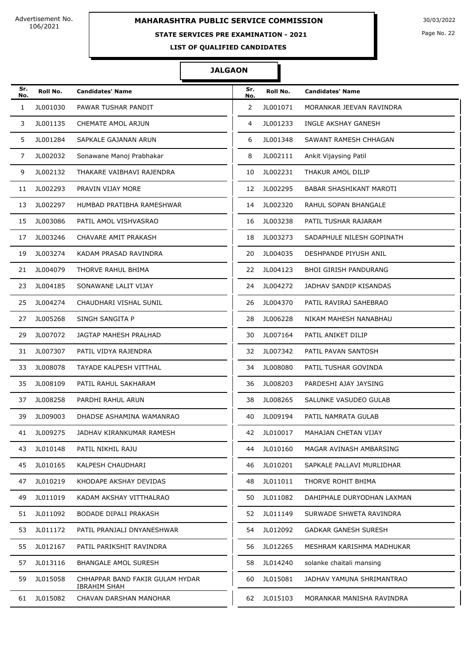# **MAHARASHTRA PUBLIC SERVICE COMMISSION** 30/03/2022

# **STATE SERVICES PRE EXAMINATION - 2021**

Page No. 22

**LIST OF QUALIFIED CANDIDATES** 

### **JALGAON**

| Sr.<br>No. | Roll No. | <b>Candidates' Name</b>                                | Sr.<br>No. | Roll No. | <b>Candidates' Name</b>        |
|------------|----------|--------------------------------------------------------|------------|----------|--------------------------------|
| 1          | JL001030 | PAWAR TUSHAR PANDIT                                    | 2          | JL001071 | MORANKAR JEEVAN RAVINDRA       |
| 3          | JL001135 | CHEMATE AMOL ARJUN                                     | 4          | JL001233 | INGLE AKSHAY GANESH            |
| 5          | JL001284 | SAPKALE GAJANAN ARUN                                   | 6          | JL001348 | SAWANT RAMESH CHHAGAN          |
| 7          | JL002032 | Sonawane Manoj Prabhakar                               | 8          | JL002111 | Ankit Vijaysing Patil          |
| 9          | JL002132 | THAKARE VAIBHAVI RAJENDRA                              | 10         | JL002231 | THAKUR AMOL DILIP              |
| 11         | JL002293 | PRAVIN VIJAY MORE                                      | 12         | JL002295 | <b>BABAR SHASHIKANT MAROTI</b> |
| 13         | JL002297 | HUMBAD PRATIBHA RAMESHWAR                              | 14         | JL002320 | RAHUL SOPAN BHANGALE           |
| 15         | JL003086 | PATIL AMOL VISHVASRAO                                  | 16         | JL003238 | PATIL TUSHAR RAJARAM           |
| 17         | JL003246 | CHAVARE AMIT PRAKASH                                   | 18         | JL003273 | SADAPHULE NILESH GOPINATH      |
| 19         | JL003274 | KADAM PRASAD RAVINDRA                                  | 20         | JL004035 | DESHPANDE PIYUSH ANIL          |
| 21         | JL004079 | THORVE RAHUL BHIMA                                     | 22         | JL004123 | <b>BHOI GIRISH PANDURANG</b>   |
| 23         | JL004185 | SONAWANE LALIT VIJAY                                   | 24         | JL004272 | JADHAV SANDIP KISANDAS         |
| 25         | JL004274 | CHAUDHARI VISHAL SUNIL                                 | 26         | JL004370 | PATIL RAVIRAJ SAHEBRAO         |
| 27         | JL005268 | SINGH SANGITA P                                        | 28         | JL006228 | NIKAM MAHESH NANABHAU          |
| 29         | JL007072 | JAGTAP MAHESH PRALHAD                                  | 30         | JL007164 | PATIL ANIKET DILIP             |
| 31         | JL007307 | PATIL VIDYA RAJENDRA                                   | 32         | JL007342 | PATIL PAVAN SANTOSH            |
| 33         | JL008078 | TAYADE KALPESH VITTHAL                                 | 34         | JL008080 | PATIL TUSHAR GOVINDA           |
| 35         | JL008109 | PATIL RAHUL SAKHARAM                                   | 36         | JL008203 | PARDESHI AJAY JAYSING          |
| 37         | JL008258 | PARDHI RAHUL ARUN                                      | 38         | JL008265 | SALUNKE VASUDEO GULAB          |
| 39         | JL009003 | DHADSE ASHAMINA WAMANRAO                               | 40         | JL009194 | PATIL NAMRATA GULAB            |
| 41         | JL009275 | JADHAV KIRANKUMAR RAMESH                               | 42         | JL010017 | MAHAJAN CHETAN VIJAY           |
| 43         | JL010148 | PATIL NIKHIL RAJU                                      | 44         | JL010160 | MAGAR AVINASH AMBARSING        |
| 45         | JL010165 | KALPESH CHAUDHARI                                      | 46         | JL010201 | SAPKALE PALLAVI MURLIDHAR      |
| 47         | JL010219 | KHODAPE AKSHAY DEVIDAS                                 | 48         | JL011011 | THORVE ROHIT BHIMA             |
| 49         | JL011019 | KADAM AKSHAY VITTHALRAO                                | 50         | JL011082 | DAHIPHALE DURYODHAN LAXMAN     |
| 51         | JL011092 | BODADE DIPALI PRAKASH                                  | 52         | JL011149 | SURWADE SHWETA RAVINDRA        |
| 53         | JL011172 | PATIL PRANJALI DNYANESHWAR                             | 54         | JL012092 | <b>GADKAR GANESH SURESH</b>    |
| 55         | JL012167 | PATIL PARIKSHIT RAVINDRA                               | 56         | JL012265 | MESHRAM KARISHMA MADHUKAR      |
| 57         | JL013116 | <b>BHANGALE AMOL SURESH</b>                            | 58         | JL014240 | solanke chaitali mansing       |
| 59         | JL015058 | CHHAPPAR BAND FAKIR GULAM HYDAR<br><b>IBRAHIM SHAH</b> | 60         | JL015081 | JADHAV YAMUNA SHRIMANTRAO      |
| 61         | JL015082 | CHAVAN DARSHAN MANOHAR                                 | 62         | JL015103 | MORANKAR MANISHA RAVINDRA      |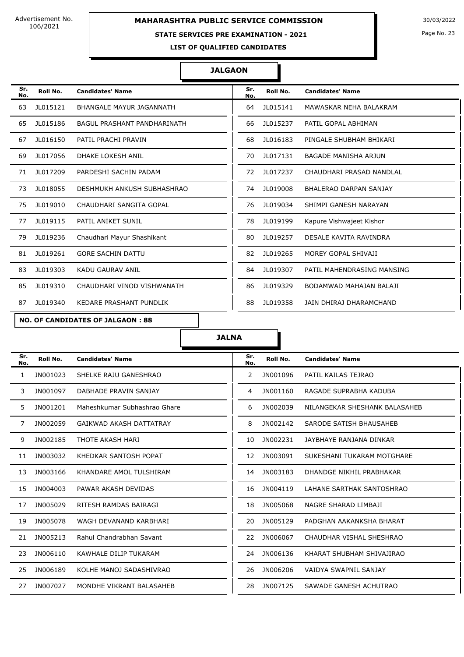### **STATE SERVICES PRE EXAMINATION - 2021**

Page No. 23

**LIST OF QUALIFIED CANDIDATES** 

### **JALGAON**

| Sr.<br>No. | Roll No. | <b>Candidates' Name</b>            | Sr.<br>No. | Roll No. | <b>Candidates' Name</b>    |
|------------|----------|------------------------------------|------------|----------|----------------------------|
| 63         | JL015121 | BHANGALE MAYUR JAGANNATH           | 64         | JL015141 | MAWASKAR NEHA BALAKRAM     |
| 65         | JL015186 | <b>BAGUL PRASHANT PANDHARINATH</b> | 66         | JL015237 | PATIL GOPAL ABHIMAN        |
| 67         | JL016150 | PATIL PRACHI PRAVIN                | 68         | JL016183 | PINGALE SHUBHAM BHIKARI    |
| 69         | JL017056 | <b>DHAKE LOKESH ANIL</b>           | 70         | JL017131 | BAGADE MANISHA ARJUN       |
| 71         | JL017209 | PARDESHI SACHIN PADAM              | 72         | JL017237 | CHAUDHARI PRASAD NANDLAL   |
| 73         | JL018055 | DESHMUKH ANKUSH SUBHASHRAO         | 74         | JL019008 | BHALERAO DARPAN SANJAY     |
| 75         | JL019010 | CHAUDHARI SANGITA GOPAL            | 76         | JL019034 | SHIMPI GANESH NARAYAN      |
| 77         | JL019115 | PATIL ANIKET SUNIL                 | 78         | JL019199 | Kapure Vishwajeet Kishor   |
| 79         | JL019236 | Chaudhari Mayur Shashikant         | 80         | JL019257 | DESALE KAVITA RAVINDRA     |
| 81         | JL019261 | <b>GORE SACHIN DATTU</b>           | 82         | JL019265 | MOREY GOPAL SHIVAJI        |
| 83         | JL019303 | <b>KADU GAURAV ANIL</b>            | 84         | JL019307 | PATIL MAHENDRASING MANSING |
| 85         | JL019310 | CHAUDHARI VINOD VISHWANATH         | 86         | JL019329 | BODAMWAD MAHAJAN BALAJI    |
| 87         | JL019340 | KEDARE PRASHANT PUNDLIK            | 88         | JL019358 | JAIN DHIRAJ DHARAMCHAND    |

### **NO. OF CANDIDATES OF JALGAON : 88**

### **JALNA**

| Sr.<br>No.     | Roll No. | <b>Candidates' Name</b>      | Sr.<br>No. | Roll No. | <b>Candidates' Name</b>       |
|----------------|----------|------------------------------|------------|----------|-------------------------------|
| 1              | JN001023 | SHELKE RAJU GANESHRAO        | 2          | JN001096 | PATIL KAILAS TEJRAO           |
| 3              | JN001097 | DABHADE PRAVIN SANJAY        | 4          | JN001160 | RAGADE SUPRABHA KADUBA        |
| 5              | JN001201 | Maheshkumar Subhashrao Ghare | 6          | JN002039 | NILANGEKAR SHESHANK BALASAHEB |
| $\overline{7}$ | JN002059 | GAIKWAD AKASH DATTATRAY      | 8          | JN002142 | SARODE SATISH BHAUSAHEB       |
| 9              | JN002185 | THOTE AKASH HARI             | 10         | JN002231 | JAYBHAYE RANJANA DINKAR       |
| 11             | JN003032 | KHEDKAR SANTOSH POPAT        | 12         | JN003091 | SUKESHANI TUKARAM MOTGHARE    |
| 13             | JN003166 | KHANDARE AMOL TULSHIRAM      | 14         | JN003183 | DHANDGE NIKHIL PRABHAKAR      |
| 15             | JN004003 | PAWAR AKASH DEVIDAS          | 16         | JN004119 | LAHANE SARTHAK SANTOSHRAO     |
| 17             | JN005029 | RITESH RAMDAS BAIRAGI        | 18         | JN005068 | NAGRE SHARAD LIMBAJI          |
| 19             | JN005078 | WAGH DEVANAND KARBHARI       | 20         | JN005129 | PADGHAN AAKANKSHA BHARAT      |
| 21             | JN005213 | Rahul Chandrabhan Savant     | 22         | JN006067 | CHAUDHAR VISHAL SHESHRAO      |
| 23             | JN006110 | KAWHALE DILIP TUKARAM        | 24         | JN006136 | KHARAT SHUBHAM SHIVAJIRAO     |
| 25             | JN006189 | KOLHE MANOJ SADASHIVRAO      | 26         | JN006206 | VAIDYA SWAPNIL SANJAY         |
| 27             | JN007027 | MONDHE VIKRANT BALASAHEB     | 28         | JN007125 | SAWADE GANESH ACHUTRAO        |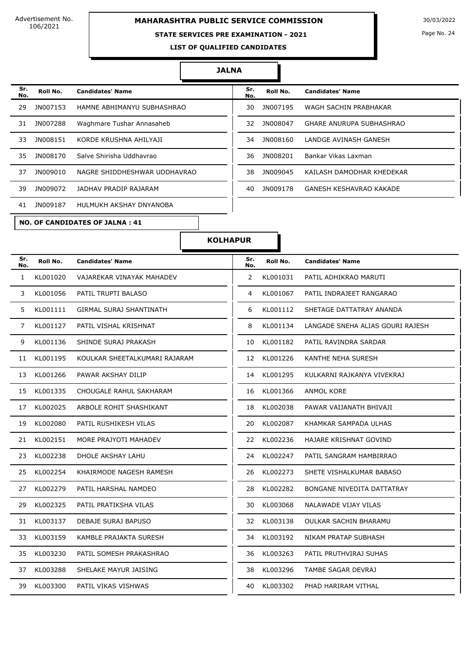# **MAHARASHTRA PUBLIC SERVICE COMMISSION** 30/03/2022

### **STATE SERVICES PRE EXAMINATION - 2021**

Page No. 24

**LIST OF QUALIFIED CANDIDATES** 

#### **JALNA**

| Sr.<br>No. | Roll No. | <b>Candidates' Name</b>      | Sr.<br>No. | Roll No. | <b>Candidates' Name</b>        |
|------------|----------|------------------------------|------------|----------|--------------------------------|
| 29         | JN007153 | HAMNE ABHIMANYU SUBHASHRAO   | 30         | JN007195 | WAGH SACHIN PRABHAKAR          |
| 31         | JN007288 | Waghmare Tushar Annasaheb    | 32         | JN008047 | GHARE ANURUPA SUBHASHRAO       |
| 33         | JN008151 | KORDE KRUSHNA AHILYAJI       | 34         | JN008160 | LANDGE AVINASH GANESH          |
| 35         | JN008170 | Salve Shirisha Uddhavrao     | 36         | JN008201 | Bankar Vikas Laxman            |
| 37         | JN009010 | NAGRE SHIDDHESHWAR UDDHAVRAO | 38         | JN009045 | KAILASH DAMODHAR KHEDEKAR      |
| 39         | JN009072 | JADHAV PRADIP RAJARAM        | 40         | JN009178 | <b>GANESH KESHAVRAO KAKADE</b> |
| 41         | JN009187 | HULMUKH AKSHAY DNYANOBA      |            |          |                                |

**NO. OF CANDIDATES OF JALNA : 41**

| Sr.<br>No. | Roll No.        | <b>Candidates' Name</b>   |
|------------|-----------------|---------------------------|
| 30         | JN007195        | WAGH SACHIN PRABHAKAR     |
| 32.        | JN008047        | GHARE ANURUPA SUBHASHRAO  |
| 34         | JN008160        | LANDGE AVINASH GANESH     |
| 36         | JN008201        | Bankar Vikas Laxman       |
| 38         | JN009045        | KAILASH DAMODHAR KHFDFKAR |
| 40         | <b>IN009178</b> | GANESH KESHAVRAO KAKADE   |

| Sr.<br>No. | Roll No. | <b>Candidates' Name</b>       | Sr.<br>No.            | Roll No.    | <b>Candidates' Name</b>          |
|------------|----------|-------------------------------|-----------------------|-------------|----------------------------------|
| 1          | KL001020 | VAJAREKAR VINAYAK MAHADEV     | $\mathbf{2}^{\prime}$ | KL001031    | PATIL ADHIKRAO MARUTI            |
| 3          | KL001056 | PATIL TRUPTI BALASO           | 4                     | KL001067    | PATIL INDRAJEET RANGARAO         |
| 5          | KL001111 | GIRMAL SURAJ SHANTINATH       | 6                     | KL001112    | SHETAGE DATTATRAY ANANDA         |
| 7          | KL001127 | PATIL VISHAL KRISHNAT         | 8                     | KL001134    | LANGADE SNEHA ALIAS GOURI RAJESH |
| 9          | KL001136 | SHINDE SURAJ PRAKASH          | 10                    | KL001182    | PATIL RAVINDRA SARDAR            |
| 11         | KL001195 | KOULKAR SHEETALKUMARI RAJARAM | 12                    | KL001226    | KANTHE NEHA SURESH               |
| 13         | KL001266 | PAWAR AKSHAY DILIP            | 14                    | KL001295    | KULKARNI RAJKANYA VIVEKRAJ       |
| 15         | KL001335 | CHOUGALE RAHUL SAKHARAM       | 16                    | KL001366    | ANMOL KORE                       |
| 17         | KL002025 | ARBOLE ROHIT SHASHIKANT       | 18                    | KL002038    | PAWAR VAIJANATH BHIVAJI          |
| 19         | KL002080 | PATIL RUSHIKESH VILAS         | 20                    | KL002087    | KHAMKAR SAMPADA ULHAS            |
| 21         | KL002151 | MORE PRAJYOTI MAHADEV         | 22                    | KL002236    | HAJARE KRISHNAT GOVIND           |
| 23         | KL002238 | DHOLE AKSHAY LAHU             | 24                    | KL002247    | PATIL SANGRAM HAMBIRRAO          |
| 25         | KL002254 | KHAIRMODE NAGESH RAMESH       | 26                    | KL002273    | SHETE VISHALKUMAR BABASO         |
| 27         | KL002279 | PATIL HARSHAL NAMDEO          | 28                    | KL002282    | BONGANE NIVEDITA DATTATRAY       |
| 29         | KL002325 | PATIL PRATIKSHA VILAS         | 30                    | KL003068    | NALAWADE VIJAY VILAS             |
| 31         | KL003137 | DEBAJE SURAJ BAPUSO           |                       | 32 KL003138 | OULKAR SACHIN BHARAMU            |
| 33         | KL003159 | KAMBLE PRAJAKTA SURESH        | 34                    | KL003192    | NIKAM PRATAP SUBHASH             |
| 35         | KL003230 | PATIL SOMESH PRAKASHRAO       | 36                    | KL003263    | PATIL PRUTHVIRAJ SUHAS           |
| 37         | KL003288 | SHELAKE MAYUR JAISING         | 38                    | KL003296    | TAMBE SAGAR DEVRAJ               |
| 39         | KL003300 | PATIL VIKAS VISHWAS           | 40                    | KL003302    | PHAD HARIRAM VITHAL              |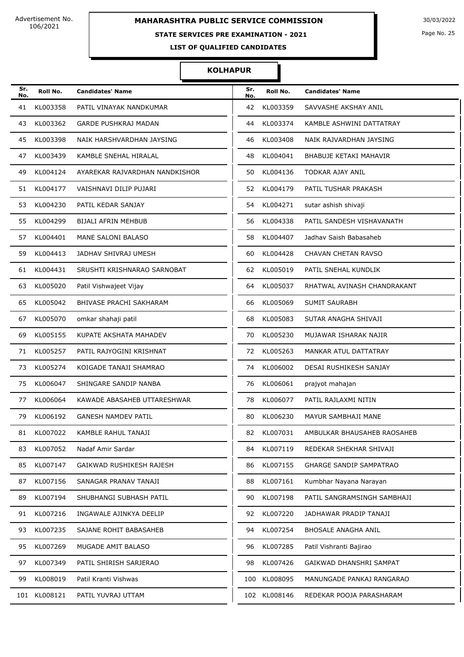### **STATE SERVICES PRE EXAMINATION - 2021**

Page No. 25

**LIST OF QUALIFIED CANDIDATES** 

| Sr.<br>No. | Roll No.     | <b>Candidates' Name</b>        | Sr.<br>No. | Roll No.     | <b>Candidates' Name</b>        |
|------------|--------------|--------------------------------|------------|--------------|--------------------------------|
| 41         | KL003358     | PATIL VINAYAK NANDKUMAR        | 42         | KL003359     | SAVVASHE AKSHAY ANIL           |
| 43         | KL003362     | <b>GARDE PUSHKRAJ MADAN</b>    | 44         | KL003374     | KAMBLE ASHWINI DATTATRAY       |
| 45         | KL003398     | NAIK HARSHVARDHAN JAYSING      | 46         | KL003408     | NAIK RAJVARDHAN JAYSING        |
| 47         | KL003439     | KAMBLE SNEHAL HIRALAL          | 48         | KL004041     | BHABUJE KETAKI MAHAVIR         |
| 49         | KL004124     | AYAREKAR RAJVARDHAN NANDKISHOR | 50         | KL004136     | TODKAR AJAY ANIL               |
| 51         | KL004177     | VAISHNAVI DILIP PUJARI         | 52         | KL004179     | PATIL TUSHAR PRAKASH           |
| 53         | KL004230     | PATIL KEDAR SANJAY             | 54         | KL004271     | sutar ashish shivaji           |
| 55         | KL004299     | <b>BIJALI AFRIN MEHBUB</b>     | 56         | KL004338     | PATIL SANDESH VISHAVANATH      |
| 57         | KL004401     | MANE SALONI BALASO             | 58         | KL004407     | Jadhav Saish Babasaheb         |
| 59         | KL004413     | JADHAV SHIVRAJ UMESH           | 60         | KL004428     | CHAVAN CHETAN RAVSO            |
| 61         | KL004431     | SRUSHTI KRISHNARAO SARNOBAT    | 62         | KL005019     | PATIL SNEHAL KUNDLIK           |
| 63         | KL005020     | Patil Vishwajeet Vijay         | 64         | KL005037     | RHATWAL AVINASH CHANDRAKANT    |
| 65         | KL005042     | BHIVASE PRACHI SAKHARAM        | 66         | KL005069     | <b>SUMIT SAURABH</b>           |
| 67         | KL005070     | omkar shahaji patil            | 68         | KL005083     | SUTAR ANAGHA SHIVAJI           |
| 69         | KL005155     | KUPATE AKSHATA MAHADEV         | 70         | KL005230     | MUJAWAR ISHARAK NAJIR          |
| 71         | KL005257     | PATIL RAJYOGINI KRISHNAT       | 72         | KL005263     | MANKAR ATUL DATTATRAY          |
| 73         | KL005274     | KOIGADE TANAJI SHAMRAO         | 74         | KL006002     | DESAI RUSHIKESH SANJAY         |
| 75         | KL006047     | SHINGARE SANDIP NANBA          | 76         | KL006061     | prajyot mahajan                |
| 77         | KL006064     | KAWADE ABASAHEB UTTARESHWAR    | 78         | KL006077     | PATIL RAJLAXMI NITIN           |
| 79         | KL006192     | <b>GANESH NAMDEV PATIL</b>     | 80         | KL006230     | MAYUR SAMBHAJI MANE            |
| 81         | KL007022     | KAMBLE RAHUL TANAJI            | 82         | KL007031     | AMBULKAR BHAUSAHEB RAOSAHEB    |
| 83         | KL007052     | Nadaf Amir Sardar              | 84         | KL007119     | REDEKAR SHEKHAR SHIVAJI        |
| 85         | KL007147     | GAIKWAD RUSHIKESH RAJESH       | 86         | KL007155     | <b>GHARGE SANDIP SAMPATRAO</b> |
| 87         | KL007156     | SANAGAR PRANAV TANAJI          | 88         | KL007161     | Kumbhar Nayana Narayan         |
| 89         | KL007194     | SHUBHANGI SUBHASH PATIL        | 90         | KL007198     | PATIL SANGRAMSINGH SAMBHAJI    |
| 91         | KL007216     | INGAWALE AJINKYA DEELIP        | 92         | KL007220     | JADHAWAR PRADIP TANAJI         |
| 93         | KL007235     | SAJANE ROHIT BABASAHEB         | 94         | KL007254     | <b>BHOSALE ANAGHA ANIL</b>     |
| 95         | KL007269     | MUGADE AMIT BALASO             | 96         | KL007285     | Patil Vishranti Bajirao        |
| 97         | KL007349     | PATIL SHIRISH SARJERAO         | 98         | KL007426     | GAIKWAD DHANSHRI SAMPAT        |
| 99.        | KL008019     | Patil Kranti Vishwas           | 100        | KL008095     | MANUNGADE PANKAJ RANGARAO      |
|            | 101 KL008121 | PATIL YUVRAJ UTTAM             |            | 102 KL008146 | REDEKAR POOJA PARASHARAM       |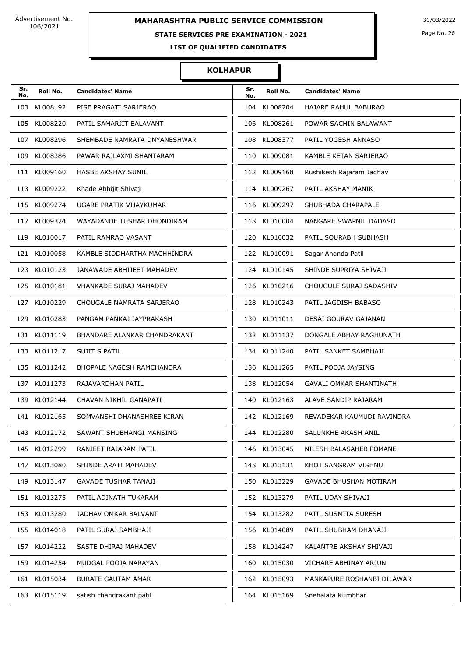# **STATE SERVICES PRE EXAMINATION - 2021**

Page No. 26

**LIST OF QUALIFIED CANDIDATES** 

| Sr.<br>No. | Roll No.     | <b>Candidates' Name</b>       | Sr.<br>No. | Roll No.     | <b>Candidates' Name</b>        |
|------------|--------------|-------------------------------|------------|--------------|--------------------------------|
| 103        | KL008192     | PISE PRAGATI SARJERAO         | 104        | KL008204     | <b>HAJARE RAHUL BABURAO</b>    |
|            | 105 KL008220 | PATIL SAMARJIT BALAVANT       | 106        | KL008261     | POWAR SACHIN BALAWANT          |
| 107        | KL008296     | SHEMBADE NAMRATA DNYANESHWAR  | 108        | KL008377     | PATIL YOGESH ANNASO            |
| 109        | KL008386     | PAWAR RAJLAXMI SHANTARAM      |            | 110 KL009081 | KAMBLE KETAN SARJERAO          |
|            | 111 KL009160 | HASBE AKSHAY SUNIL            |            | 112 KL009168 | Rushikesh Rajaram Jadhav       |
|            | 113 KL009222 | Khade Abhijit Shivaji         |            | 114 KL009267 | PATIL AKSHAY MANIK             |
|            | 115 KL009274 | UGARE PRATIK VIJAYKUMAR       |            | 116 KL009297 | SHUBHADA CHARAPALE             |
|            | 117 KL009324 | WAYADANDE TUSHAR DHONDIRAM    |            | 118 KL010004 | NANGARE SWAPNIL DADASO         |
|            | 119 KL010017 | PATIL RAMRAO VASANT           |            | 120 KL010032 | PATIL SOURABH SUBHASH          |
|            | 121 KL010058 | KAMBLE SIDDHARTHA MACHHINDRA  |            | 122 KL010091 | Sagar Ananda Patil             |
|            | 123 KL010123 | JANAWADE ABHIJEET MAHADEV     |            | 124 KL010145 | SHINDE SUPRIYA SHIVAJI         |
|            | 125 KL010181 | <b>VHANKADE SURAJ MAHADEV</b> |            | 126 KL010216 | CHOUGULE SURAJ SADASHIV        |
|            | 127 KL010229 | CHOUGALE NAMRATA SARJERAO     |            | 128 KL010243 | PATIL JAGDISH BABASO           |
| 129        | KL010283     | PANGAM PANKAJ JAYPRAKASH      | 130        | KL011011     | DESAI GOURAV GAJANAN           |
|            | 131 KL011119 | BHANDARE ALANKAR CHANDRAKANT  |            | 132 KL011137 | DONGALE ABHAY RAGHUNATH        |
|            | 133 KL011217 | SUJIT S PATIL                 |            | 134 KL011240 | PATIL SANKET SAMBHAJI          |
|            | 135 KL011242 | BHOPALE NAGESH RAMCHANDRA     |            | 136 KL011265 | PATIL POOJA JAYSING            |
|            | 137 KL011273 | RAJAVARDHAN PATIL             | 138        | KL012054     | <b>GAVALI OMKAR SHANTINATH</b> |
|            | 139 KL012144 | CHAVAN NIKHIL GANAPATI        | 140        | KL012163     | ALAVE SANDIP RAJARAM           |
|            | 141 KL012165 | SOMVANSHI DHANASHREE KIRAN    |            | 142 KL012169 | REVADEKAR KAUMUDI RAVINDRA     |
|            | 143 KL012172 | SAWANT SHUBHANGI MANSING      |            | 144 KL012280 | SALUNKHE AKASH ANIL            |
|            | 145 KL012299 | RANJEET RAJARAM PATIL         |            | 146 KL013045 | NILESH BALASAHEB POMANE        |
|            | 147 KL013080 | SHINDE ARATI MAHADEV          |            | 148 KL013131 | KHOT SANGRAM VISHNU            |
|            | 149 KL013147 | GAVADE TUSHAR TANAJI          |            | 150 KL013229 | GAVADE BHUSHAN MOTIRAM         |
|            | 151 KL013275 | PATIL ADINATH TUKARAM         |            | 152 KL013279 | PATIL UDAY SHIVAJI             |
|            | 153 KL013280 | JADHAV OMKAR BALVANT          |            | 154 KL013282 | PATIL SUSMITA SURESH           |
|            | 155 KL014018 | PATIL SURAJ SAMBHAJI          |            | 156 KL014089 | PATIL SHUBHAM DHANAJI          |
|            | 157 KL014222 | SASTE DHIRAJ MAHADEV          |            | 158 KL014247 | KALANTRE AKSHAY SHIVAJI        |
|            | 159 KL014254 | MUDGAL POOJA NARAYAN          |            | 160 KL015030 | VICHARE ABHINAY ARJUN          |
|            | 161 KL015034 | <b>BURATE GAUTAM AMAR</b>     |            | 162 KL015093 | MANKAPURE ROSHANBI DILAWAR     |
|            | 163 KL015119 | satish chandrakant patil      |            | 164 KL015169 | Snehalata Kumbhar              |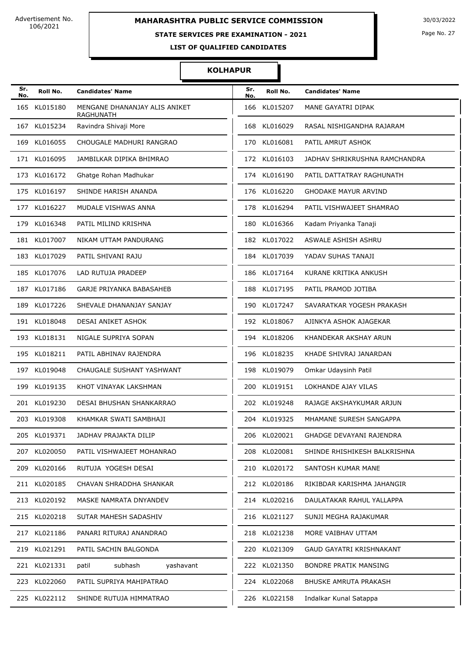## **STATE SERVICES PRE EXAMINATION - 2021**

Page No. 27

**LIST OF QUALIFIED CANDIDATES** 

| Sr.<br>No. | Roll No.     | <b>Candidates' Name</b>                           | Sr.<br>No. | Roll No.     | <b>Candidates' Name</b>       |
|------------|--------------|---------------------------------------------------|------------|--------------|-------------------------------|
| 165        | KL015180     | MENGANE DHANANJAY ALIS ANIKET<br><b>RAGHUNATH</b> | 166        | KL015207     | MANE GAYATRI DIPAK            |
|            | 167 KL015234 | Ravindra Shivaji More                             | 168        | KL016029     | RASAL NISHIGANDHA RAJARAM     |
|            | 169 KL016055 | CHOUGALE MADHURI RANGRAO                          |            | 170 KL016081 | PATIL AMRUT ASHOK             |
|            | 171 KL016095 | JAMBILKAR DIPIKA BHIMRAO                          |            | 172 KL016103 | JADHAV SHRIKRUSHNA RAMCHANDRA |
|            | 173 KL016172 | Ghatge Rohan Madhukar                             |            | 174 KL016190 | PATIL DATTATRAY RAGHUNATH     |
|            | 175 KL016197 | SHINDE HARISH ANANDA                              |            | 176 KL016220 | <b>GHODAKE MAYUR ARVIND</b>   |
|            | 177 KL016227 | MUDALE VISHWAS ANNA                               | 178        | KL016294     | PATIL VISHWAJEET SHAMRAO      |
|            | 179 KL016348 | PATIL MILIND KRISHNA                              | 180        | KL016366     | Kadam Priyanka Tanaji         |
|            | 181 KL017007 | NIKAM UTTAM PANDURANG                             |            | 182 KL017022 | ASWALE ASHISH ASHRU           |
|            | 183 KL017029 | PATIL SHIVANI RAJU                                | 184        | KL017039     | YADAV SUHAS TANAJI            |
|            | 185 KL017076 | LAD RUTUJA PRADEEP                                |            | 186 KL017164 | KURANE KRITIKA ANKUSH         |
|            | 187 KL017186 | GARJE PRIYANKA BABASAHEB                          | 188        | KL017195     | PATIL PRAMOD JOTIBA           |
|            | 189 KL017226 | SHEVALE DHANANJAY SANJAY                          |            | 190 KL017247 | SAVARATKAR YOGESH PRAKASH     |
|            | 191 KL018048 | DESAI ANIKET ASHOK                                |            | 192 KL018067 | AJINKYA ASHOK AJAGEKAR        |
|            | 193 KL018131 | NIGALE SUPRIYA SOPAN                              |            | 194 KL018206 | KHANDEKAR AKSHAY ARUN         |
|            | 195 KL018211 | PATIL ABHINAV RAJENDRA                            |            | 196 KL018235 | KHADE SHIVRAJ JANARDAN        |
|            | 197 KL019048 | CHAUGALE SUSHANT YASHWANT                         | 198        | KL019079     | Omkar Udaysinh Patil          |
|            | 199 KL019135 | KHOT VINAYAK LAKSHMAN                             | 200        | KL019151     | LOKHANDE AJAY VILAS           |
|            | 201 KL019230 | DESAI BHUSHAN SHANKARRAO                          |            | 202 KL019248 | RAJAGE AKSHAYKUMAR ARJUN      |
|            | 203 KL019308 | KHAMKAR SWATI SAMBHAJI                            |            | 204 KL019325 | MHAMANE SURESH SANGAPPA       |
|            | 205 KL019371 | JADHAV PRAJAKTA DILIP                             |            | 206 KL020021 | GHADGE DEVAYANI RAJENDRA      |
|            | 207 KL020050 | PATIL VISHWAJEET MOHANRAO                         | 208        | KL020081     | SHINDE RHISHIKESH BALKRISHNA  |
|            | 209 KL020166 | RUTUJA YOGESH DESAI                               | 210        | KL020172     | SANTOSH KUMAR MANE            |
|            | 211 KL020185 | CHAVAN SHRADDHA SHANKAR                           |            | 212 KL020186 | RIKIBDAR KARISHMA JAHANGIR    |
|            | 213 KL020192 | MASKE NAMRATA DNYANDEV                            |            | 214 KL020216 | DAULATAKAR RAHUL YALLAPPA     |
|            | 215 KL020218 | SUTAR MAHESH SADASHIV                             |            | 216 KL021127 | SUNJI MEGHA RAJAKUMAR         |
|            | 217 KL021186 | PANARI RITURAJ ANANDRAO                           | 218        | KL021238     | MORE VAIBHAV UTTAM            |
|            | 219 KL021291 | PATIL SACHIN BALGONDA                             | 220        | KL021309     | GAUD GAYATRI KRISHNAKANT      |
|            | 221 KL021331 | subhash<br>yashavant<br>patil                     | 222        | KL021350     | <b>BONDRE PRATIK MANSING</b>  |
|            | 223 KL022060 | PATIL SUPRIYA MAHIPATRAO                          | 224        | KL022068     | <b>BHUSKE AMRUTA PRAKASH</b>  |
|            | 225 KL022112 | SHINDE RUTUJA HIMMATRAO                           |            | 226 KL022158 | Indalkar Kunal Satappa        |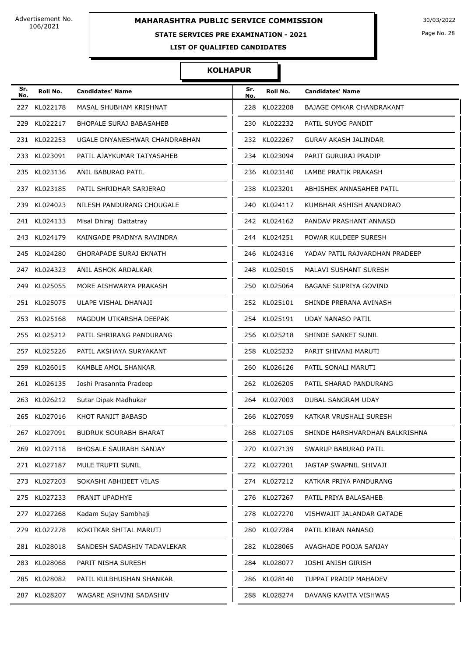### **STATE SERVICES PRE EXAMINATION - 2021**

Page No. 28

**LIST OF QUALIFIED CANDIDATES** 

| Sr.<br>No. | Roll No.     | <b>Candidates' Name</b>        | Sr.<br>No. | Roll No.     | <b>Candidates' Name</b>        |
|------------|--------------|--------------------------------|------------|--------------|--------------------------------|
|            | 227 KL022178 | MASAL SHUBHAM KRISHNAT         | 228        | KL022208     | BAJAGE OMKAR CHANDRAKANT       |
|            | 229 KL022217 | <b>BHOPALE SURAJ BABASAHEB</b> |            | 230 KL022232 | PATIL SUYOG PANDIT             |
|            | 231 KL022253 | UGALE DNYANESHWAR CHANDRABHAN  |            | 232 KL022267 | <b>GURAV AKASH JALINDAR</b>    |
|            | 233 KL023091 | PATIL AJAYKUMAR TATYASAHEB     |            | 234 KL023094 | PARIT GURURAJ PRADIP           |
|            | 235 KL023136 | ANIL BABURAO PATIL             |            | 236 KL023140 | LAMBE PRATIK PRAKASH           |
|            | 237 KL023185 | PATIL SHRIDHAR SARJERAO        | 238        | KL023201     | ABHISHEK ANNASAHEB PATIL       |
|            | 239 KL024023 | NILESH PANDURANG CHOUGALE      | 240        | KL024117     | KUMBHAR ASHISH ANANDRAO        |
|            | 241 KL024133 | Misal Dhiraj Dattatray         |            | 242 KL024162 | PANDAV PRASHANT ANNASO         |
|            | 243 KL024179 | KAINGADE PRADNYA RAVINDRA      |            | 244 KL024251 | POWAR KULDEEP SURESH           |
|            | 245 KL024280 | GHORAPADE SURAJ EKNATH         |            | 246 KL024316 | YADAV PATIL RAJVARDHAN PRADEEP |
|            | 247 KL024323 | ANIL ASHOK ARDALKAR            | 248        | KL025015     | <b>MALAVI SUSHANT SURESH</b>   |
|            | 249 KL025055 | MORE AISHWARYA PRAKASH         | 250        | KL025064     | <b>BAGANE SUPRIYA GOVIND</b>   |
|            | 251 KL025075 | ULAPE VISHAL DHANAJI           |            | 252 KL025101 | SHINDE PRERANA AVINASH         |
|            | 253 KL025168 | MAGDUM UTKARSHA DEEPAK         |            | 254 KL025191 | <b>UDAY NANASO PATIL</b>       |
|            | 255 KL025212 | PATIL SHRIRANG PANDURANG       |            | 256 KL025218 | SHINDE SANKET SUNIL            |
|            | 257 KL025226 | PATIL AKSHAYA SURYAKANT        | 258        | KL025232     | PARIT SHIVANI MARUTI           |
|            | 259 KL026015 | KAMBLE AMOL SHANKAR            |            | 260 KL026126 | PATIL SONALI MARUTI            |
|            | 261 KL026135 | Joshi Prasannta Pradeep        |            | 262 KL026205 | PATIL SHARAD PANDURANG         |
|            | 263 KL026212 | Sutar Dipak Madhukar           |            | 264 KL027003 | DUBAL SANGRAM UDAY             |
|            | 265 KL027016 | KHOT RANJIT BABASO             |            | 266 KL027059 | KATKAR VRUSHALI SURESH         |
|            | 267 KL027091 | <b>BUDRUK SOURABH BHARAT</b>   |            | 268 KL027105 | SHINDE HARSHVARDHAN BALKRISHNA |
|            | 269 KL027118 | <b>BHOSALE SAURABH SANJAY</b>  |            | 270 KL027139 | SWARUP BABURAO PATIL           |
|            | 271 KL027187 | MULE TRUPTI SUNIL              |            | 272 KL027201 | JAGTAP SWAPNIL SHIVAJI         |
|            | 273 KL027203 | SOKASHI ABHIJEET VILAS         |            | 274 KL027212 | KATKAR PRIYA PANDURANG         |
|            | 275 KL027233 | PRANIT UPADHYE                 |            | 276 KL027267 | PATIL PRIYA BALASAHEB          |
|            | 277 KL027268 | Kadam Sujay Sambhaji           |            | 278 KL027270 | VISHWAJIT JALANDAR GATADE      |
|            | 279 KL027278 | KOKITKAR SHITAL MARUTI         |            | 280 KL027284 | PATIL KIRAN NANASO             |
|            | 281 KL028018 | SANDESH SADASHIV TADAVLEKAR    |            | 282 KL028065 | AVAGHADE POOJA SANJAY          |
|            | 283 KL028068 | PARIT NISHA SURESH             |            | 284 KL028077 | JOSHI ANISH GIRISH             |
|            | 285 KL028082 | PATIL KULBHUSHAN SHANKAR       |            | 286 KL028140 | TUPPAT PRADIP MAHADEV          |
|            | 287 KL028207 | WAGARE ASHVINI SADASHIV        |            | 288 KL028274 | DAVANG KAVITA VISHWAS          |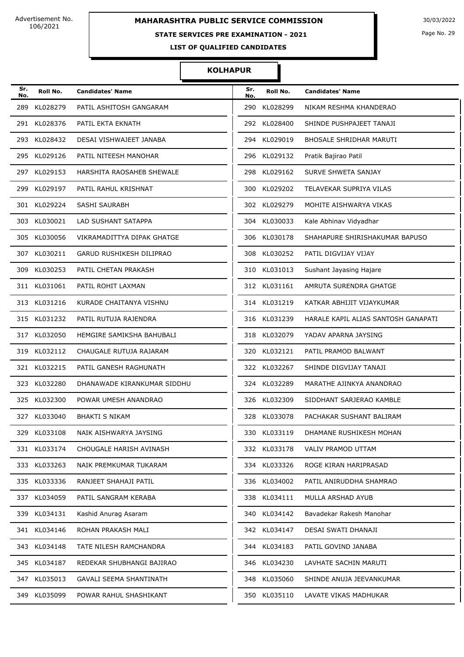# **STATE SERVICES PRE EXAMINATION - 2021**

Page No. 29

**LIST OF QUALIFIED CANDIDATES** 

| Sr.<br>No. | Roll No.     | <b>Candidates' Name</b>     | Sr.<br>No. | Roll No.     | <b>Candidates' Name</b>             |
|------------|--------------|-----------------------------|------------|--------------|-------------------------------------|
| 289        | KL028279     | PATIL ASHITOSH GANGARAM     | 290        | KL028299     | NIKAM RESHMA KHANDERAO              |
| 291        | KL028376     | PATIL EKTA EKNATH           | 292        | KL028400     | SHINDE PUSHPAJEET TANAJI            |
| 293        | KL028432     | DESAI VISHWAJEET JANABA     | 294        | KL029019     | <b>BHOSALE SHRIDHAR MARUTI</b>      |
|            | 295 KL029126 | PATIL NITEESH MANOHAR       | 296        | KL029132     | Pratik Bajirao Patil                |
|            | 297 KL029153 | HARSHITA RAOSAHEB SHEWALE   | 298        | KL029162     | SURVE SHWETA SANJAY                 |
| 299        | KL029197     | PATIL RAHUL KRISHNAT        | 300        | KL029202     | TELAVEKAR SUPRIYA VILAS             |
| 301        | KL029224     | SASHI SAURABH               | 302        | KL029279     | MOHITE AISHWARYA VIKAS              |
|            | 303 KL030021 | LAD SUSHANT SATAPPA         | 304        | KL030033     | Kale Abhinav Vidyadhar              |
|            | 305 KL030056 | VIKRAMADITTYA DIPAK GHATGE  | 306        | KL030178     | SHAHAPURE SHIRISHAKUMAR BAPUSO      |
| 307        | KL030211     | GARUD RUSHIKESH DILIPRAO    | 308        | KL030252     | PATIL DIGVIJAY VIJAY                |
| 309        | KL030253     | PATIL CHETAN PRAKASH        | 310        | KL031013     | Sushant Jayasing Hajare             |
|            | 311 KL031061 | PATIL ROHIT LAXMAN          |            | 312 KL031161 | AMRUTA SURENDRA GHATGE              |
|            | 313 KL031216 | KURADE CHAITANYA VISHNU     |            | 314 KL031219 | KATKAR ABHIJIT VIJAYKUMAR           |
|            | 315 KL031232 | PATIL RUTUJA RAJENDRA       |            | 316 KL031239 | HARALE KAPIL ALIAS SANTOSH GANAPATI |
| 317        | KL032050     | HEMGIRE SAMIKSHA BAHUBALI   |            | 318 KL032079 | YADAV APARNA JAYSING                |
|            | 319 KL032112 | CHAUGALE RUTUJA RAJARAM     | 320        | KL032121     | PATIL PRAMOD BALWANT                |
|            | 321 KL032215 | PATIL GANESH RAGHUNATH      |            | 322 KL032267 | SHINDE DIGVIJAY TANAJI              |
|            | 323 KL032280 | DHANAWADE KIRANKUMAR SIDDHU | 324        | KL032289     | MARATHE AJINKYA ANANDRAO            |
|            | 325 KL032300 | POWAR UMESH ANANDRAO        | 326        | KL032309     | SIDDHANT SARJERAO KAMBLE            |
|            | 327 KL033040 | <b>BHAKTI S NIKAM</b>       |            | 328 KL033078 | PACHAKAR SUSHANT BALIRAM            |
|            | 329 KL033108 | NAIK AISHWARYA JAYSING      |            | 330 KL033119 | DHAMANE RUSHIKESH MOHAN             |
|            | 331 KL033174 | CHOUGALE HARISH AVINASH     |            | 332 KL033178 | VALIV PRAMOD UTTAM                  |
|            | 333 KL033263 | NAIK PREMKUMAR TUKARAM      |            | 334 KL033326 | ROGE KIRAN HARIPRASAD               |
|            | 335 KL033336 | RANJEET SHAHAJI PATIL       |            | 336 KL034002 | PATIL ANIRUDDHA SHAMRAO             |
|            | 337 KL034059 | PATIL SANGRAM KERABA        |            | 338 KL034111 | MULLA ARSHAD AYUB                   |
|            | 339 KL034131 | Kashid Anurag Asaram        |            | 340 KL034142 | Bavadekar Rakesh Manohar            |
|            | 341 KL034146 | ROHAN PRAKASH MALI          |            | 342 KL034147 | DESAI SWATI DHANAJI                 |
|            | 343 KL034148 | TATE NILESH RAMCHANDRA      |            | 344 KL034183 | PATIL GOVIND JANABA                 |
|            | 345 KL034187 | REDEKAR SHUBHANGI BAJIRAO   |            | 346 KL034230 | LAVHATE SACHIN MARUTI               |
|            | 347 KL035013 | GAVALI SEEMA SHANTINATH     |            | 348 KL035060 | SHINDE ANUJA JEEVANKUMAR            |
|            | 349 KL035099 | POWAR RAHUL SHASHIKANT      | 350        | KL035110     | LAVATE VIKAS MADHUKAR               |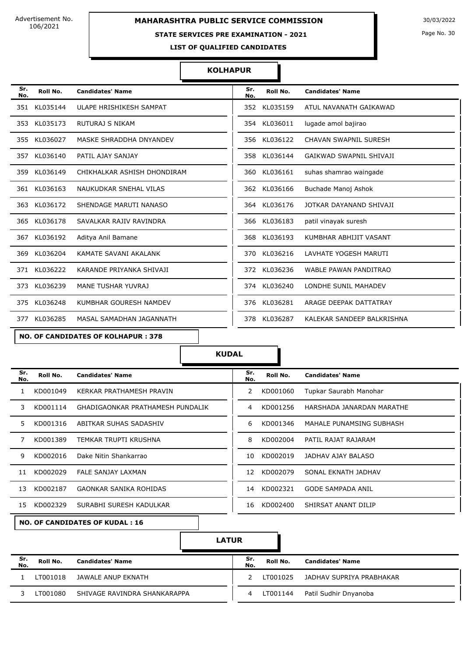### **STATE SERVICES PRE EXAMINATION - 2021**

Page No. 30

**LIST OF QUALIFIED CANDIDATES** 

### **KOLHAPUR**

| Sr.<br>No. | Roll No.     | <b>Candidates' Name</b>     | Sr.<br>No. | Roll No. | <b>Candidates' Name</b>        |
|------------|--------------|-----------------------------|------------|----------|--------------------------------|
| 351        | KL035144     | ULAPE HRISHIKESH SAMPAT     | 352        | KL035159 | ATUL NAVANATH GAIKAWAD         |
| 353        | KL035173     | RUTURAJ S NIKAM             | 354        | KL036011 | lugade amol bajirao            |
|            | 355 KL036027 | MASKE SHRADDHA DNYANDEV     | 356        | KL036122 | <b>CHAVAN SWAPNIL SURESH</b>   |
|            | 357 KL036140 | PATIL AJAY SANJAY           | 358        | KL036144 | <b>GAIKWAD SWAPNIL SHIVAJI</b> |
| 359        | KL036149     | CHIKHALKAR ASHISH DHONDIRAM | 360        | KL036161 | suhas shamrao waingade         |
|            | 361 KL036163 | NAUKUDKAR SNEHAL VILAS      | 362        | KL036166 | Buchade Manoj Ashok            |
| 363        | KL036172     | SHENDAGE MARUTI NANASO      | 364        | KL036176 | JOTKAR DAYANAND SHIVAJI        |
|            | 365 KL036178 | SAVALKAR RAJIV RAVINDRA     | 366        | KL036183 | patil vinayak suresh           |
|            | 367 KL036192 | Aditya Anil Bamane          | 368        | KL036193 | KUMBHAR ABHIJIT VASANT         |
| 369        | KL036204     | KAMATE SAVANI AKALANK       | 370        | KL036216 | LAVHATE YOGESH MARUTI          |
|            | 371 KL036222 | KARANDE PRIYANKA SHIVAJI    | 372        | KL036236 | <b>WABLE PAWAN PANDITRAO</b>   |
| 373        | KL036239     | <b>MANE TUSHAR YUVRAJ</b>   | 374        | KL036240 | LONDHE SUNIL MAHADEV           |
|            | 375 KL036248 | KUMBHAR GOURESH NAMDEV      | 376        | KL036281 | ARAGE DEEPAK DATTATRAY         |
| 377        | KL036285     | MASAL SAMADHAN JAGANNATH    | 378        | KL036287 | KALEKAR SANDEEP BALKRISHNA     |

**NO. OF CANDIDATES OF KOLHAPUR : 378**

**KUDAL**

| Sr.<br>No. | Roll No. | <b>Candidates' Name</b>          | Sr.<br>No. | Roll No. | <b>Candidates' Name</b>   |
|------------|----------|----------------------------------|------------|----------|---------------------------|
|            | KD001049 | KERKAR PRATHAMESH PRAVIN         | 2          | KD001060 | Tupkar Saurabh Manohar    |
| 3.         | KD001114 | GHADIGAONKAR PRATHAMESH PUNDALIK | 4          | KD001256 | HARSHADA JANARDAN MARATHE |
| 5.         | KD001316 | ABITKAR SUHAS SADASHIV           | 6          | KD001346 | MAHALE PUNAMSING SUBHASH  |
|            | KD001389 | TEMKAR TRUPTI KRUSHNA            | 8          | KD002004 | PATIL RAJAT RAJARAM       |
| 9          | KD002016 | Dake Nitin Shankarrao            | 10         | KD002019 | JADHAV AJAY BALASO        |
| 11         | KD002029 | <b>FALE SANJAY LAXMAN</b>        | 12         | KD002079 | SONAL EKNATH JADHAV       |
| 13         | KD002187 | <b>GAONKAR SANIKA ROHIDAS</b>    | 14         | KD002321 | <b>GODE SAMPADA ANIL</b>  |
| 15         | KD002329 | SURABHI SURESH KADULKAR          | 16         | KD002400 | SHIRSAT ANANT DILIP       |

| Sr.<br>No.    | Roll No. | <b>Candidates' Name</b>   |
|---------------|----------|---------------------------|
| $\mathcal{P}$ | KD001060 | Tupkar Saurabh Manohar    |
| 4             | KD001256 | HARSHADA JANARDAN MARATHE |
| 6             | KD001346 | MAHALE PUNAMSING SUBHASH  |
| 8             | KD002004 | PATIL RAJAT RAJARAM       |
| 10            | KD002019 | JADHAV AJAY BALASO        |
| 12.           | KD002079 | SONAL EKNATH JADHAV       |
| 14            | KD002321 | <b>GODE SAMPADA ANIL</b>  |
| 16            | KD002400 | SHIRSAT ANANT DILIP       |

**NO. OF CANDIDATES OF KUDAL : 16**

**LATUR**

| Sr.<br>No. | Roll No. | <b>Candidates' Name</b>      | Sr.<br>No. | Roll No. | <b>Candidates' Name</b>  |
|------------|----------|------------------------------|------------|----------|--------------------------|
|            | LT001018 | JAWALE ANUP EKNATH           |            | LT001025 | JADHAV SUPRIYA PRABHAKAR |
|            | LT001080 | SHIVAGE RAVINDRA SHANKARAPPA | 4          | LT001144 | Patil Sudhir Dnyanoba    |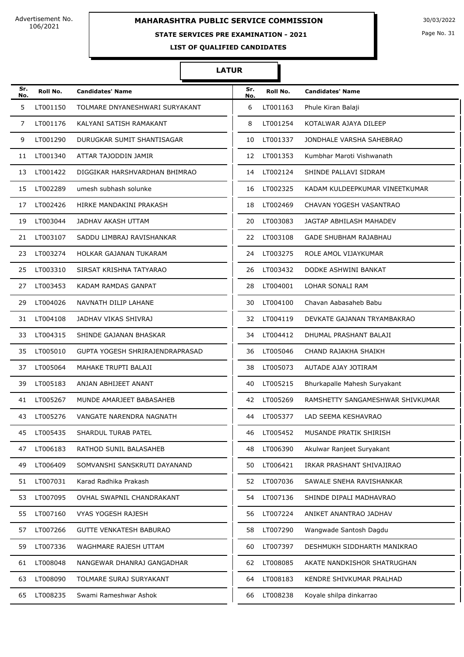### **STATE SERVICES PRE EXAMINATION - 2021**

Page No. 31

**LIST OF QUALIFIED CANDIDATES** 

### **LATUR**

| Sr.<br>No. | Roll No. | <b>Candidates' Name</b>         | Sr.<br>No. | Roll No. | <b>Candidates' Name</b>          |
|------------|----------|---------------------------------|------------|----------|----------------------------------|
| 5          | LT001150 | TOLMARE DNYANESHWARI SURYAKANT  | 6          | LT001163 | Phule Kiran Balaji               |
| 7          | LT001176 | KALYANI SATISH RAMAKANT         | 8          | LT001254 | KOTALWAR AJAYA DILEEP            |
| 9          | LT001290 | DURUGKAR SUMIT SHANTISAGAR      | 10         | LT001337 | JONDHALE VARSHA SAHEBRAO         |
| 11         | LT001340 | ATTAR TAJODDIN JAMIR            | 12         | LT001353 | Kumbhar Maroti Vishwanath        |
| 13         | LT001422 | DIGGIKAR HARSHVARDHAN BHIMRAO   | 14         | LT002124 | SHINDE PALLAVI SIDRAM            |
| 15         | LT002289 | umesh subhash solunke           | 16         | LT002325 | KADAM KULDEEPKUMAR VINEETKUMAR   |
| 17         | LT002426 | HIRKE MANDAKINI PRAKASH         | 18         | LT002469 | CHAVAN YOGESH VASANTRAO          |
| 19         | LT003044 | JADHAV AKASH UTTAM              | 20         | LT003083 | JAGTAP ABHILASH MAHADEV          |
| 21         | LT003107 | SADDU LIMBRAJ RAVISHANKAR       | 22         | LT003108 | <b>GADE SHUBHAM RAJABHAU</b>     |
| 23         | LT003274 | <b>HOLKAR GAJANAN TUKARAM</b>   | 24         | LT003275 | ROLE AMOL VIJAYKUMAR             |
| 25         | LT003310 | SIRSAT KRISHNA TATYARAO         | 26         | LT003432 | DODKE ASHWINI BANKAT             |
| 27         | LT003453 | KADAM RAMDAS GANPAT             | 28         | LT004001 | <b>LOHAR SONALI RAM</b>          |
| 29         | LT004026 | NAVNATH DILIP LAHANE            | 30         | LT004100 | Chavan Aabasaheb Babu            |
| 31         | LT004108 | JADHAV VIKAS SHIVRAJ            | 32         | LT004119 | DEVKATE GAJANAN TRYAMBAKRAO      |
| 33         | LT004315 | SHINDE GAJANAN BHASKAR          | 34         | LT004412 | DHUMAL PRASHANT BALAJI           |
| 35         | LT005010 | GUPTA YOGESH SHRIRAJENDRAPRASAD | 36         | LT005046 | CHAND RAJAKHA SHAIKH             |
| 37         | LT005064 | MAHAKE TRUPTI BALAJI            | 38         | LT005073 | AUTADE AJAY JOTIRAM              |
| 39         | LT005183 | ANJAN ABHIJEET ANANT            | 40         | LT005215 | Bhurkapalle Mahesh Suryakant     |
| 41         | LT005267 | MUNDE AMARJEET BABASAHEB        | 42         | LT005269 | RAMSHETTY SANGAMESHWAR SHIVKUMAR |
| 43         | LT005276 | VANGATE NARENDRA NAGNATH        | 44         | LT005377 | LAD SEEMA KESHAVRAO              |
| 45         | LT005435 | SHARDUL TURAB PATEL             | 46         | LT005452 | MUSANDE PRATIK SHIRISH           |
| 47         | LT006183 | RATHOD SUNIL BALASAHEB          | 48         | LT006390 | Akulwar Ranjeet Suryakant        |
| 49         | LT006409 | SOMVANSHI SANSKRUTI DAYANAND    | 50         | LT006421 | IRKAR PRASHANT SHIVAJIRAO        |
| 51         | LT007031 | Karad Radhika Prakash           | 52         | LT007036 | SAWALE SNEHA RAVISHANKAR         |
| 53         | LT007095 | OVHAL SWAPNIL CHANDRAKANT       | 54         | LT007136 | SHINDE DIPALI MADHAVRAO          |
| 55         | LT007160 | VYAS YOGESH RAJESH              | 56         | LT007224 | ANIKET ANANTRAO JADHAV           |
| 57         | LT007266 | GUTTE VENKATESH BABURAO         | 58         | LT007290 | Wangwade Santosh Dagdu           |
| 59         | LT007336 | WAGHMARE RAJESH UTTAM           | 60         | LT007397 | DESHMUKH SIDDHARTH MANIKRAO      |
| 61         | LT008048 | NANGEWAR DHANRAJ GANGADHAR      | 62         | LT008085 | AKATE NANDKISHOR SHATRUGHAN      |
| 63         | LT008090 | TOLMARE SURAJ SURYAKANT         | 64         | LT008183 | KENDRE SHIVKUMAR PRALHAD         |
| 65         | LT008235 | Swami Rameshwar Ashok           | 66         | LT008238 | Koyale shilpa dinkarrao          |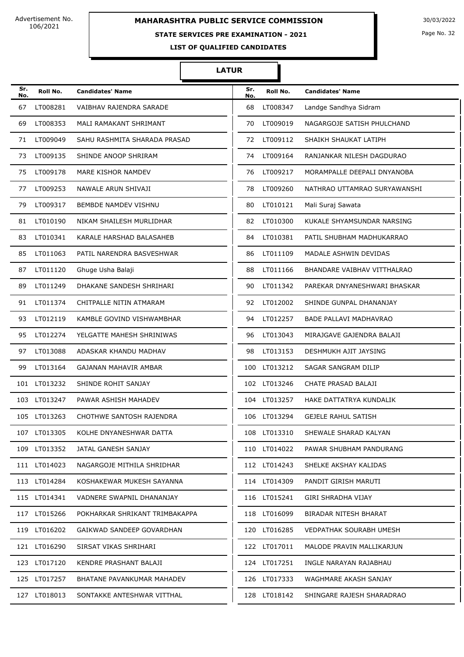### **STATE SERVICES PRE EXAMINATION - 2021**

Page No. 32

**LIST OF QUALIFIED CANDIDATES** 

### **LATUR**

| Sr.<br>No. | Roll No.     | <b>Candidates' Name</b>        | Sr.<br>No. | Roll No.     | <b>Candidates' Name</b>      |
|------------|--------------|--------------------------------|------------|--------------|------------------------------|
| 67         | LT008281     | VAIBHAV RAJENDRA SARADE        | 68         | LT008347     | Landge Sandhya Sidram        |
| 69         | LT008353     | MALI RAMAKANT SHRIMANT         | 70         | LT009019     | NAGARGOJE SATISH PHULCHAND   |
| 71         | LT009049     | SAHU RASHMITA SHARADA PRASAD   | 72         | LT009112     | SHAIKH SHAUKAT LATIPH        |
| 73         | LT009135     | SHINDE ANOOP SHRIRAM           | 74         | LT009164     | RANJANKAR NILESH DAGDURAO    |
| 75         | LT009178     | MARE KISHOR NAMDEV             | 76         | LT009217     | MORAMPALLE DEEPALI DNYANOBA  |
| 77         | LT009253     | NAWALE ARUN SHIVAJI            | 78         | LT009260     | NATHRAO UTTAMRAO SURYAWANSHI |
| 79         | LT009317     | BEMBDE NAMDEV VISHNU           | 80         | LT010121     | Mali Suraj Sawata            |
| 81         | LT010190     | NIKAM SHAILESH MURLIDHAR       | 82         | LT010300     | KUKALE SHYAMSUNDAR NARSING   |
| 83         | LT010341     | KARALE HARSHAD BALASAHEB       | 84         | LT010381     | PATIL SHUBHAM MADHUKARRAO    |
| 85         | LT011063     | PATIL NARENDRA BASVESHWAR      | 86         | LT011109     | MADALE ASHWIN DEVIDAS        |
| 87         | LT011120     | Ghuge Usha Balaji              | 88         | LT011166     | BHANDARE VAIBHAV VITTHALRAO  |
| 89         | LT011249     | DHAKANE SANDESH SHRIHARI       | 90         | LT011342     | PAREKAR DNYANESHWARI BHASKAR |
| 91         | LT011374     | CHITPALLE NITIN ATMARAM        | 92         | LT012002     | SHINDE GUNPAL DHANANJAY      |
| 93         | LT012119     | KAMBLE GOVIND VISHWAMBHAR      | 94         | LT012257     | BADE PALLAVI MADHAVRAO       |
| 95         | LT012274     | YELGATTE MAHESH SHRINIWAS      | 96         | LT013043     | MIRAJGAVE GAJENDRA BALAJI    |
| 97         | LT013088     | ADASKAR KHANDU MADHAV          | 98         | LT013153     | DESHMUKH AJIT JAYSING        |
| 99         | LT013164     | GAJANAN MAHAVIR AMBAR          |            | 100 LT013212 | SAGAR SANGRAM DILIP          |
|            | 101 LT013232 | SHINDE ROHIT SANJAY            |            | 102 LT013246 | CHATE PRASAD BALAJI          |
|            | 103 LT013247 | PAWAR ASHISH MAHADEV           |            | 104 LT013257 | HAKE DATTATRYA KUNDALIK      |
| 105        | LT013263     | CHOTHWE SANTOSH RAJENDRA       | 106        | LT013294     | <b>GEJELE RAHUL SATISH</b>   |
|            | 107 LT013305 | KOLHE DNYANESHWAR DATTA        |            | 108 LT013310 | SHEWALE SHARAD KALYAN        |
|            | 109 LT013352 | JATAL GANESH SANJAY            |            | 110 LT014022 | PAWAR SHUBHAM PANDURANG      |
|            | 111 LT014023 | NAGARGOJE MITHILA SHRIDHAR     |            | 112 LT014243 | SHELKE AKSHAY KALIDAS        |
|            | 113 LT014284 | KOSHAKEWAR MUKESH SAYANNA      |            | 114 LT014309 | PANDIT GIRISH MARUTI         |
|            | 115 LT014341 | VADNERE SWAPNIL DHANANJAY      |            | 116 LT015241 | GIRI SHRADHA VIJAY           |
|            | 117 LT015266 | POKHARKAR SHRIKANT TRIMBAKAPPA |            | 118 LT016099 | BIRADAR NITESH BHARAT        |
|            | 119 LT016202 | GAIKWAD SANDEEP GOVARDHAN      |            | 120 LT016285 | VEDPATHAK SOURABH UMESH      |
|            | 121 LT016290 | SIRSAT VIKAS SHRIHARI          |            | 122 LT017011 | MALODE PRAVIN MALLIKARJUN    |
|            | 123 LT017120 | KENDRE PRASHANT BALAJI         |            | 124 LT017251 | INGLE NARAYAN RAJABHAU       |
|            | 125 LT017257 | BHATANE PAVANKUMAR MAHADEV     |            | 126 LT017333 | WAGHMARE AKASH SANJAY        |
|            | 127 LT018013 | SONTAKKE ANTESHWAR VITTHAL     |            | 128 LT018142 | SHINGARE RAJESH SHARADRAO    |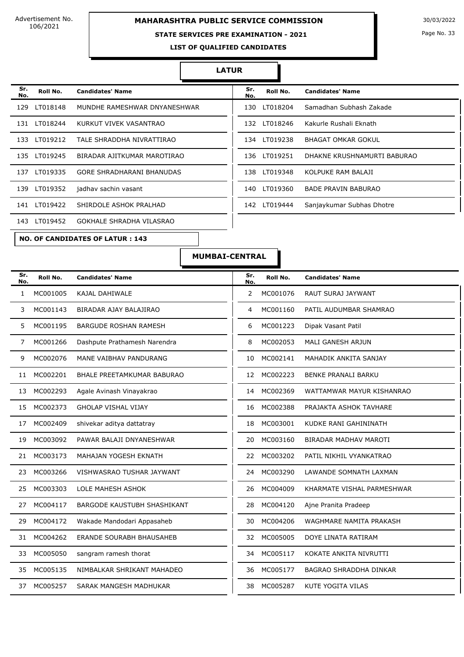# **MAHARASHTRA PUBLIC SERVICE COMMISSION** 30/03/2022

### **STATE SERVICES PRE EXAMINATION - 2021**

Page No. 33

**LIST OF QUALIFIED CANDIDATES** 

#### **LATUR**

| Sr.<br>No. | Roll No.     | <b>Candidates' Name</b>                | Sr.<br>No. | Roll No.     | <b>Candidates' Name</b>     |
|------------|--------------|----------------------------------------|------------|--------------|-----------------------------|
| 129        | LT018148     | MUNDHE RAMESHWAR DNYANESHWAR           |            | 130 LT018204 | Samadhan Subhash Zakade     |
| 131        | LT018244     | KURKUT VIVEK VASANTRAO                 | 132        | LT018246     | Kakurle Rushali Eknath      |
| 133        | LT019212     | TALE SHRADDHA NIVRATTIRAO              | 134        | LT019238     | <b>BHAGAT OMKAR GOKUL</b>   |
| 135        | LT019245     | BIRADAR AJITKUMAR MAROTIRAO            | 136        | LT019251     | DHAKNE KRUSHNAMURTI BABURAO |
| 137        | LT019335     | <b>GORE SHRADHARANI BHANUDAS</b>       | 138        | LT019348     | KOLPUKE RAM BALAJI          |
|            | 139 LT019352 | jadhav sachin vasant                   | 140        | LT019360     | <b>BADE PRAVIN BABURAO</b>  |
|            | 141 LT019422 | SHIRDOLE ASHOK PRALHAD                 | 142        | LT019444     | Sanjaykumar Subhas Dhotre   |
| 143        | LT019452     | GOKHALE SHRADHA VILASRAO               |            |              |                             |
|            |              | <b>NO. OF CANDIDATES OF LATUR: 143</b> |            |              |                             |

| Sr.<br>No. | Roll No.     | <b>Candidates' Name</b>     |
|------------|--------------|-----------------------------|
| 130        | LT018204     | Samadhan Subhash Zakade     |
|            | 132 LT018246 | Kakurle Rushali Eknath      |
| 134        | LT019238     | BHAGAT OMKAR GOKUL          |
| 136        | LT019251     | DHAKNE KRUSHNAMURTI BABURAO |
| 138        | LT019348     | KOLPUKE RAM BALAJI          |
| 140        | LT019360     | BADE PRAVIN BABURAO         |
|            | 142 LT019444 | Sanjaykumar Subhas Dhotre   |
|            |              |                             |

**MUMBAI-CENTRAL**

| Sr.<br>No. | Roll No. | <b>Candidates' Name</b>         | Sr.<br>No.      | Roll No. | <b>Candidates' Name</b>       |
|------------|----------|---------------------------------|-----------------|----------|-------------------------------|
| 1          | MC001005 | KAJAL DAHIWALE                  | $\overline{2}$  | MC001076 | RAUT SURAJ JAYWANT            |
| 3          | MC001143 | BIRADAR AJAY BALAJIRAO          | 4               | MC001160 | PATIL AUDUMBAR SHAMRAO        |
| 5.         | MC001195 | <b>BARGUDE ROSHAN RAMESH</b>    | 6               | MC001223 | Dipak Vasant Patil            |
| 7          | MC001266 | Dashpute Prathamesh Narendra    | 8               | MC002053 | MALI GANESH ARJUN             |
| 9          | MC002076 | MANE VAIBHAV PANDURANG          | 10              | MC002141 | MAHADIK ANKITA SANJAY         |
| 11         | MC002201 | BHALE PREETAMKUMAR BABURAO      | 12 <sup>2</sup> | MC002223 | <b>BENKE PRANALI BARKU</b>    |
| 13         | MC002293 | Agale Avinash Vinayakrao        | 14              | MC002369 | WATTAMWAR MAYUR KISHANRAO     |
| 15         | MC002373 | <b>GHOLAP VISHAL VIJAY</b>      | 16              | MC002388 | PRAJAKTA ASHOK TAVHARE        |
| 17         | MC002409 | shivekar aditya dattatray       | 18              | MC003001 | KUDKE RANI GAHININATH         |
| 19         | MC003092 | PAWAR BALAJI DNYANESHWAR        | 20              | MC003160 | <b>BIRADAR MADHAV MAROTI</b>  |
| 21         | MC003173 | MAHAJAN YOGESH EKNATH           | 22              | MC003202 | PATIL NIKHIL VYANKATRAO       |
| 23         | MC003266 | VISHWASRAO TUSHAR JAYWANT       | 24              | MC003290 | LAWANDE SOMNATH LAXMAN        |
| 25         | MC003303 | LOLE MAHESH ASHOK               | 26              | MC004009 | KHARMATE VISHAL PARMESHWAR    |
| 27         | MC004117 | BARGODE KAUSTUBH SHASHIKANT     | 28              | MC004120 | Ajne Pranita Pradeep          |
| 29         | MC004172 | Wakade Mandodari Appasaheb      | 30              | MC004206 | WAGHMARE NAMITA PRAKASH       |
| 31         | MC004262 | <b>ERANDE SOURABH BHAUSAHEB</b> | 32              | MC005005 | DOYE LINATA RATIRAM           |
| 33         | MC005050 | sangram ramesh thorat           | 34              | MC005117 | KOKATE ANKITA NIVRUTTI        |
| 35         | MC005135 | NIMBALKAR SHRIKANT MAHADEO      | 36              | MC005177 | <b>BAGRAO SHRADDHA DINKAR</b> |
| 37         | MC005257 | SARAK MANGESH MADHUKAR          | 38              | MC005287 | <b>KUTE YOGITA VILAS</b>      |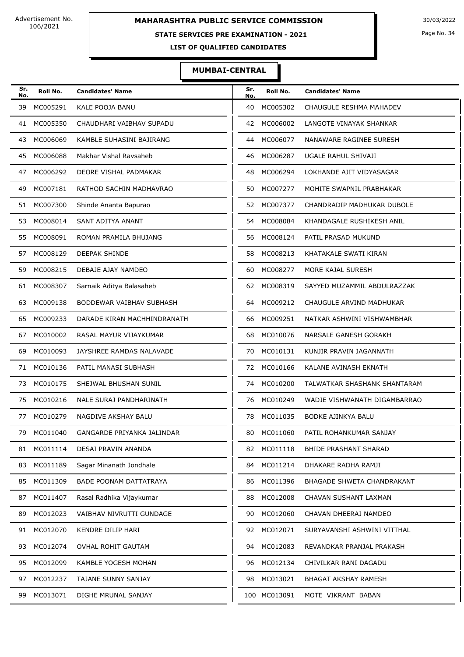### **STATE SERVICES PRE EXAMINATION - 2021**

Page No. 34

**LIST OF QUALIFIED CANDIDATES** 

### **MUMBAI-CENTRAL**

| Sr.<br>No. | Roll No.    | <b>Candidates' Name</b>     | Sr.<br>No. | Roll No.     | <b>Candidates' Name</b>      |
|------------|-------------|-----------------------------|------------|--------------|------------------------------|
| 39         | MC005291    | KALE POOJA BANU             | 40         | MC005302     | CHAUGULE RESHMA MAHADEV      |
| 41         | MC005350    | CHAUDHARI VAIBHAV SUPADU    | 42         | MC006002     | LANGOTE VINAYAK SHANKAR      |
| 43         | MC006069    | KAMBLE SUHASINI BAJIRANG    | 44         | MC006077     | NANAWARE RAGINEE SURESH      |
| 45         | MC006088    | Makhar Vishal Ravsaheb      | 46         | MC006287     | UGALE RAHUL SHIVAJI          |
| 47         | MC006292    | DEORE VISHAL PADMAKAR       | 48         | MC006294     | LOKHANDE AJIT VIDYASAGAR     |
| 49         | MC007181    | RATHOD SACHIN MADHAVRAO     | 50         | MC007277     | MOHITE SWAPNIL PRABHAKAR     |
| 51         | MC007300    | Shinde Ananta Bapurao       | 52         | MC007377     | CHANDRADIP MADHUKAR DUBOLE   |
| 53         | MC008014    | SANT ADITYA ANANT           | 54         | MC008084     | KHANDAGALE RUSHIKESH ANIL    |
| 55         | MC008091    | ROMAN PRAMILA BHUJANG       | 56         | MC008124     | PATIL PRASAD MUKUND          |
| 57         | MC008129    | DEEPAK SHINDE               | 58         | MC008213     | KHATAKALE SWATI KIRAN        |
| 59         | MC008215    | DEBAJE AJAY NAMDEO          | 60         | MC008277     | MORE KAJAL SURESH            |
| 61         | MC008307    | Sarnaik Aditya Balasaheb    | 62         | MC008319     | SAYYED MUZAMMIL ABDULRAZZAK  |
| 63         | MC009138    | BODDEWAR VAIBHAV SUBHASH    |            | 64 MC009212  | CHAUGULE ARVIND MADHUKAR     |
| 65         | MC009233    | DARADE KIRAN MACHHINDRANATH | 66         | MC009251     | NATKAR ASHWINI VISHWAMBHAR   |
| 67         | MC010002    | RASAL MAYUR VIJAYKUMAR      | 68         | MC010076     | NARSALE GANESH GORAKH        |
| 69         | MC010093    | JAYSHREE RAMDAS NALAVADE    | 70         | MC010131     | KUNJIR PRAVIN JAGANNATH      |
| 71         | MC010136    | PATIL MANASI SUBHASH        | 72         | MC010166     | KALANE AVINASH EKNATH        |
| 73         | MC010175    | SHEJWAL BHUSHAN SUNIL       | 74         | MC010200     | TALWATKAR SHASHANK SHANTARAM |
| 75         | MC010216    | NALE SURAJ PANDHARINATH     | 76         | MC010249     | WADJE VISHWANATH DIGAMBARRAO |
| 77         | MC010279    | NAGDIVE AKSHAY BALU         | 78         | MC011035     | <b>BODKE AJINKYA BALU</b>    |
|            | 79 MC011040 | GANGARDE PRIYANKA JALINDAR  |            | 80 MC011060  | PATIL ROHANKUMAR SANJAY      |
| 81         | MC011114    | DESAI PRAVIN ANANDA         | 82         | MC011118     | BHIDE PRASHANT SHARAD        |
| 83         | MC011189    | Sagar Minanath Jondhale     | 84         | MC011214     | DHAKARE RADHA RAMJI          |
| 85         | MC011309    | BADE POONAM DATTATRAYA      | 86         | MC011396     | BHAGADE SHWETA CHANDRAKANT   |
| 87         | MC011407    | Rasal Radhika Vijaykumar    | 88         | MC012008     | CHAVAN SUSHANT LAXMAN        |
| 89         | MC012023    | VAIBHAV NIVRUTTI GUNDAGE    | 90         | MC012060     | CHAVAN DHEERAJ NAMDEO        |
| 91         | MC012070    | KENDRE DILIP HARI           | 92         | MC012071     | SURYAVANSHI ASHWINI VITTHAL  |
| 93         | MC012074    | OVHAL ROHIT GAUTAM          | 94         | MC012083     | REVANDKAR PRANJAL PRAKASH    |
| 95         | MC012099    | KAMBLE YOGESH MOHAN         | 96         | MC012134     | CHIVILKAR RANI DAGADU        |
| 97         | MC012237    | TAJANE SUNNY SANJAY         | 98         | MC013021     | BHAGAT AKSHAY RAMESH         |
| 99         | MC013071    | DIGHE MRUNAL SANJAY         |            | 100 MC013091 | MOTE VIKRANT BABAN           |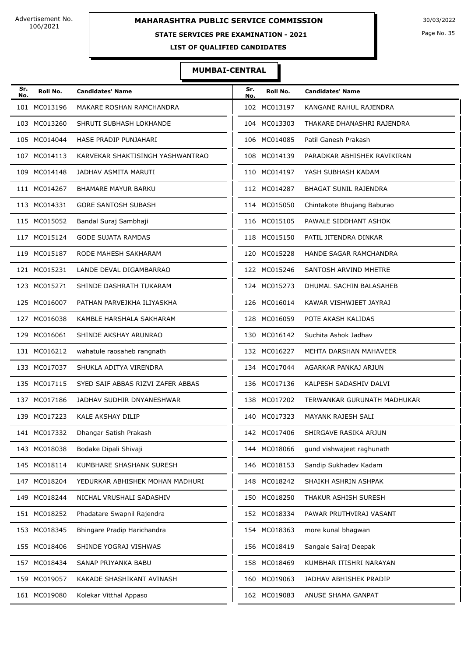### **STATE SERVICES PRE EXAMINATION - 2021**

Page No. 35

**LIST OF QUALIFIED CANDIDATES** 

### **MUMBAI-CENTRAL**

| Sr.<br>No. | Roll No.     | <b>Candidates' Name</b>           | Sr.<br>No. | Roll No.     | <b>Candidates' Name</b>     |
|------------|--------------|-----------------------------------|------------|--------------|-----------------------------|
|            | 101 MC013196 | MAKARE ROSHAN RAMCHANDRA          |            | 102 MC013197 | KANGANE RAHUL RAJENDRA      |
|            | 103 MC013260 | SHRUTI SUBHASH LOKHANDE           |            | 104 MC013303 | THAKARE DHANASHRI RAJENDRA  |
|            | 105 MC014044 | HASE PRADIP PUNJAHARI             |            | 106 MC014085 | Patil Ganesh Prakash        |
|            | 107 MC014113 | KARVEKAR SHAKTISINGH YASHWANTRAO  |            | 108 MC014139 | PARADKAR ABHISHEK RAVIKIRAN |
|            | 109 MC014148 | JADHAV ASMITA MARUTI              |            | 110 MC014197 | YASH SUBHASH KADAM          |
|            | 111 MC014267 | <b>BHAMARE MAYUR BARKU</b>        |            | 112 MC014287 | BHAGAT SUNIL RAJENDRA       |
|            | 113 MC014331 | <b>GORE SANTOSH SUBASH</b>        |            | 114 MC015050 | Chintakote Bhujang Baburao  |
|            | 115 MC015052 | Bandal Suraj Sambhaji             |            | 116 MC015105 | PAWALE SIDDHANT ASHOK       |
|            | 117 MC015124 | <b>GODE SUJATA RAMDAS</b>         |            | 118 MC015150 | PATIL JITENDRA DINKAR       |
|            | 119 MC015187 | RODE MAHESH SAKHARAM              |            | 120 MC015228 | HANDE SAGAR RAMCHANDRA      |
|            | 121 MC015231 | LANDE DEVAL DIGAMBARRAO           |            | 122 MC015246 | SANTOSH ARVIND MHETRE       |
|            | 123 MC015271 | SHINDE DASHRATH TUKARAM           |            | 124 MC015273 | DHUMAL SACHIN BALASAHEB     |
|            | 125 MC016007 | PATHAN PARVEJKHA ILIYASKHA        |            | 126 MC016014 | KAWAR VISHWJEET JAYRAJ      |
|            | 127 MC016038 | KAMBLE HARSHALA SAKHARAM          |            | 128 MC016059 | POTE AKASH KALIDAS          |
|            | 129 MC016061 | SHINDE AKSHAY ARUNRAO             |            | 130 MC016142 | Suchita Ashok Jadhav        |
|            | 131 MC016212 | wahatule raosaheb rangnath        |            | 132 MC016227 | MEHTA DARSHAN MAHAVEER      |
|            | 133 MC017037 | SHUKLA ADITYA VIRENDRA            |            | 134 MC017044 | AGARKAR PANKAJ ARJUN        |
|            | 135 MC017115 | SYED SAIF ABBAS RIZVI ZAFER ABBAS |            | 136 MC017136 | KALPESH SADASHIV DALVI      |
|            | 137 MC017186 | JADHAV SUDHIR DNYANESHWAR         | 138        | MC017202     | TERWANKAR GURUNATH MADHUKAR |
|            | 139 MC017223 | KALE AKSHAY DILIP                 |            | 140 MC017323 | <b>MAYANK RAJESH SALI</b>   |
|            | 141 MC017332 | Dhangar Satish Prakash            |            | 142 MC017406 | SHIRGAVE RASIKA ARJUN       |
|            | 143 MC018038 | Bodake Dipali Shivaji             |            | 144 MC018066 | gund vishwajeet raghunath   |
|            | 145 MC018114 | KUMBHARE SHASHANK SURESH          |            | 146 MC018153 | Sandip Sukhadev Kadam       |
|            | 147 MC018204 | YEDURKAR ABHISHEK MOHAN MADHURI   |            | 148 MC018242 | SHAIKH ASHRIN ASHPAK        |
|            | 149 MC018244 | NICHAL VRUSHALI SADASHIV          |            | 150 MC018250 | THAKUR ASHISH SURESH        |
|            | 151 MC018252 | Phadatare Swapnil Rajendra        |            | 152 MC018334 | PAWAR PRUTHVIRAJ VASANT     |
|            | 153 MC018345 | Bhingare Pradip Harichandra       |            | 154 MC018363 | more kunal bhagwan          |
|            | 155 MC018406 | SHINDE YOGRAJ VISHWAS             |            | 156 MC018419 | Sangale Sairaj Deepak       |
|            | 157 MC018434 | SANAP PRIYANKA BABU               |            | 158 MC018469 | KUMBHAR ITISHRI NARAYAN     |
|            | 159 MC019057 | KAKADE SHASHIKANT AVINASH         |            | 160 MC019063 | JADHAV ABHISHEK PRADIP      |
|            | 161 MC019080 | Kolekar Vitthal Appaso            |            | 162 MC019083 | ANUSE SHAMA GANPAT          |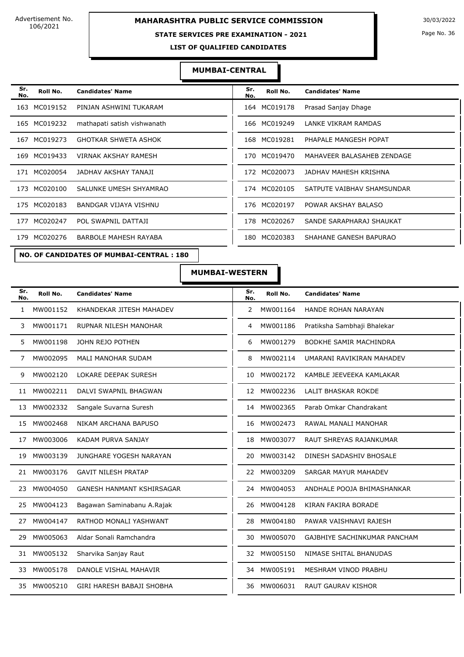### **MAHARASHTRA PUBLIC SERVICE COMMISSION** 30/03/2022

### **STATE SERVICES PRE EXAMINATION - 2021**

Page No. 36

**LIST OF QUALIFIED CANDIDATES** 

### **MUMBAI-CENTRAL**

| Sr.<br>No. | Roll No.     | <b>Candidates' Name</b>      | Sr.<br>No. | Roll No.     | <b>Candidates' Name</b>    |
|------------|--------------|------------------------------|------------|--------------|----------------------------|
| 163        | MC019152     | PINJAN ASHWINI TUKARAM       |            | 164 MC019178 | Prasad Sanjay Dhage        |
|            | 165 MC019232 | mathapati satish vishwanath  |            | 166 MC019249 | LANKE VIKRAM RAMDAS        |
|            | 167 MC019273 | <b>GHOTKAR SHWETA ASHOK</b>  | 168        | MC019281     | PHAPALE MANGESH POPAT      |
| 169        | MC019433     | VIRNAK AKSHAY RAMESH         | 170        | MC019470     | MAHAVEER BALASAHEB ZENDAGE |
|            | 171 MC020054 | JADHAV AKSHAY TANAJI         |            | 172 MC020073 | JADHAV MAHESH KRISHNA      |
|            | 173 MC020100 | SALUNKE UMESH SHYAMRAO       |            | 174 MC020105 | SATPUTE VAIBHAV SHAMSUNDAR |
| 175        | MC020183     | <b>BANDGAR VIJAYA VISHNU</b> | 176        | MC020197     | POWAR AKSHAY BALASO        |
| 177        | MC020247     | POL SWAPNIL DATTAJI          | 178        | MC020267     | SANDE SARAPHARAJ SHAUKAT   |
|            | 179 MC020276 | BARBOLE MAHESH RAYABA        | 180        | MC020383     | SHAHANE GANESH BAPURAO     |
|            |              |                              |            |              |                            |

| Sr.<br>No. | Roll No.     | <b>Candidates' Name</b>    |
|------------|--------------|----------------------------|
|            | 164 MC019178 | Prasad Sanjay Dhage        |
|            | 166 MC019249 | LANKE VIKRAM RAMDAS        |
|            | 168 MC019281 | PHAPALE MANGESH POPAT      |
| 170        | MC019470     | MAHAVEER BALASAHEB ZENDAGE |
|            | 172 MC020073 | JADHAV MAHESH KRISHNA      |
|            | 174 MC020105 | SATPUTE VAIBHAV SHAMSUNDAR |
|            | 176 MC020197 | POWAR AKSHAY BALASO        |
| 178        | MC020267     | SANDE SARAPHARAJ SHAUKAT   |
| 180        | MC020383     | SHAHANE GANESH BAPURAO     |
|            |              |                            |

**NO. OF CANDIDATES OF MUMBAI-CENTRAL : 180**

### **MUMBAI-WESTERN**

| Sr.<br>No.   | Roll No. | <b>Candidates' Name</b>          | Sr.<br>No.     | Roll No.    | <b>Candidates' Name</b>       |
|--------------|----------|----------------------------------|----------------|-------------|-------------------------------|
| $\mathbf{1}$ | MW001152 | KHANDEKAR JITESH MAHADEV         | $\overline{2}$ | MW001164    | HANDE ROHAN NARAYAN           |
| 3            | MW001171 | <b>RUPNAR NILESH MANOHAR</b>     | 4              | MW001186    | Pratiksha Sambhaji Bhalekar   |
| 5.           | MW001198 | JOHN REJO POTHEN                 | 6              | MW001279    | <b>BODKHE SAMIR MACHINDRA</b> |
| 7            | MW002095 | <b>MALI MANOHAR SUDAM</b>        | 8              | MW002114    | UMARANI RAVIKIRAN MAHADEV     |
| 9            | MW002120 | <b>LOKARE DEEPAK SURESH</b>      | 10             | MW002172    | KAMBLE JEEVEEKA KAMLAKAR      |
| 11           | MW002211 | DALVI SWAPNIL BHAGWAN            |                | 12 MW002236 | <b>LALIT BHASKAR ROKDE</b>    |
| 13           | MW002332 | Sangale Suvarna Suresh           |                | 14 MW002365 | Parab Omkar Chandrakant       |
| 15           | MW002468 | NIKAM ARCHANA BAPUSO             |                | 16 MW002473 | RAWAL MANALI MANOHAR          |
| 17           | MW003006 | KADAM PURVA SANJAY               | 18             | MW003077    | RAUT SHREYAS RAJANKUMAR       |
| 19           | MW003139 | JUNGHARE YOGESH NARAYAN          | 20             | MW003142    | DINESH SADASHIV BHOSALE       |
| 21           | MW003176 | <b>GAVIT NILESH PRATAP</b>       | 22             | MW003209    | SARGAR MAYUR MAHADEV          |
| 23           | MW004050 | GANESH HANMANT KSHIRSAGAR        | 24             | MW004053    | ANDHALE POOJA BHIMASHANKAR    |
| 25           | MW004123 | Bagawan Saminabanu A.Rajak       | 26             | MW004128    | KIRAN FAKIRA BORADE           |
| 27           | MW004147 | RATHOD MONALI YASHWANT           | 28             | MW004180    | PAWAR VAISHNAVI RAJESH        |
| 29           | MW005063 | Aldar Sonali Ramchandra          | 30             | MW005070    | GAJBHIYE SACHINKUMAR PANCHAM  |
| 31           | MW005132 | Sharvika Sanjay Raut             | 32             | MW005150    | NIMASE SHITAL BHANUDAS        |
| 33           | MW005178 | DANOLE VISHAL MAHAVIR            | 34             | MW005191    | MESHRAM VINOD PRABHU          |
| 35           | MW005210 | <b>GIRI HARESH BABAJI SHOBHA</b> | 36             | MW006031    | <b>RAUT GAURAV KISHOR</b>     |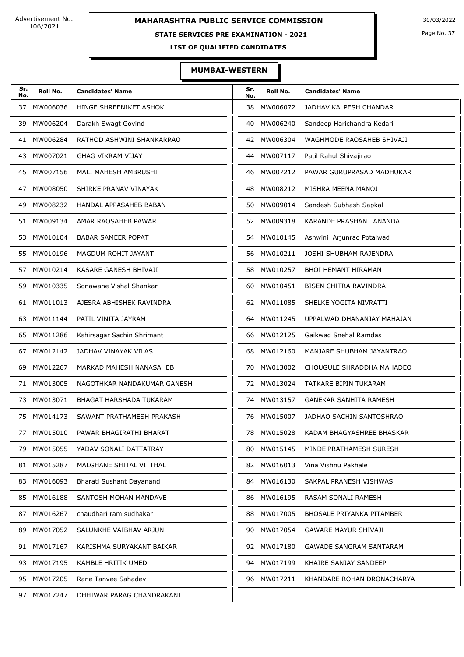#### **STATE SERVICES PRE EXAMINATION - 2021**

Page No. 37

**LIST OF QUALIFIED CANDIDATES** 

#### **MUMBAI-WESTERN**

| Sr.<br>No. | Roll No.    | <b>Candidates' Name</b>     | Sr.<br>No. | Roll No.    | <b>Candidates' Name</b>        |
|------------|-------------|-----------------------------|------------|-------------|--------------------------------|
| 37         | MW006036    | HINGE SHREENIKET ASHOK      | 38         | MW006072    | JADHAV KALPESH CHANDAR         |
| 39         | MW006204    | Darakh Swagt Govind         | 40         | MW006240    | Sandeep Harichandra Kedari     |
|            | 41 MW006284 | RATHOD ASHWINI SHANKARRAO   | 42         | MW006304    | WAGHMODE RAOSAHEB SHIVAJI      |
| 43         | MW007021    | <b>GHAG VIKRAM VIJAY</b>    | 44         | MW007117    | Patil Rahul Shivajirao         |
| 45         | MW007156    | MALI MAHESH AMBRUSHI        | 46         | MW007212    | PAWAR GURUPRASAD MADHUKAR      |
| 47         | MW008050    | SHIRKE PRANAV VINAYAK       | 48         | MW008212    | MISHRA MEENA MANOJ             |
| 49         | MW008232    | HANDAL APPASAHEB BABAN      | 50         | MW009014    | Sandesh Subhash Sapkal         |
|            | 51 MW009134 | AMAR RAOSAHEB PAWAR         | 52         | MW009318    | KARANDE PRASHANT ANANDA        |
|            | 53 MW010104 | <b>BABAR SAMEER POPAT</b>   | 54         | MW010145    | Ashwini Arjunrao Potalwad      |
| 55         | MW010196    | MAGDUM ROHIT JAYANT         | 56         | MW010211    | JOSHI SHUBHAM RAJENDRA         |
| 57         | MW010214    | KASARE GANESH BHIVAJI       | 58         | MW010257    | <b>BHOI HEMANT HIRAMAN</b>     |
| 59         | MW010335    | Sonawane Vishal Shankar     | 60         | MW010451    | BISEN CHITRA RAVINDRA          |
| 61         | MW011013    | AJESRA ABHISHEK RAVINDRA    | 62         | MW011085    | SHELKE YOGITA NIVRATTI         |
| 63         | MW011144    | PATIL VINITA JAYRAM         | 64         | MW011245    | UPPALWAD DHANANJAY MAHAJAN     |
| 65         | MW011286    | Kshirsagar Sachin Shrimant  | 66         | MW012125    | Gaikwad Snehal Ramdas          |
| 67         | MW012142    | JADHAV VINAYAK VILAS        | 68         | MW012160    | MANJARE SHUBHAM JAYANTRAO      |
| 69         | MW012267    | MARKAD MAHESH NANASAHEB     | 70         | MW013002    | CHOUGULE SHRADDHA MAHADEO      |
| 71         | MW013005    | NAGOTHKAR NANDAKUMAR GANESH | 72         | MW013024    | TATKARE BIPIN TUKARAM          |
| 73         | MW013071    | BHAGAT HARSHADA TUKARAM     | 74         | MW013157    | <b>GANEKAR SANHITA RAMESH</b>  |
|            | 75 MW014173 | SAWANT PRATHAMESH PRAKASH   | 76         | MW015007    | JADHAO SACHIN SANTOSHRAO       |
| 77         | MW015010    | PAWAR BHAGIRATHI BHARAT     | 78         | MW015028    | KADAM BHAGYASHREE BHASKAR      |
|            | 79 MW015055 | YADAV SONALI DATTATRAY      |            | 80 MW015145 | MINDE PRATHAMESH SURESH        |
|            | 81 MW015287 | MALGHANE SHITAL VITTHAL     |            | 82 MW016013 | Vina Vishnu Pakhale            |
|            | 83 MW016093 | Bharati Sushant Dayanand    |            | 84 MW016130 | SAKPAL PRANESH VISHWAS         |
|            | 85 MW016188 | SANTOSH MOHAN MANDAVE       |            | 86 MW016195 | RASAM SONALI RAMESH            |
|            | 87 MW016267 | chaudhari ram sudhakar      |            | 88 MW017005 | BHOSALE PRIYANKA PITAMBER      |
| 89         | MW017052    | SALUNKHE VAIBHAV ARJUN      | 90         | MW017054    | <b>GAWARE MAYUR SHIVAJI</b>    |
|            | 91 MW017167 | KARISHMA SURYAKANT BAIKAR   |            | 92 MW017180 | <b>GAWADE SANGRAM SANTARAM</b> |
|            | 93 MW017195 | KAMBLE HRITIK UMED          |            | 94 MW017199 | KHAIRE SANJAY SANDEEP          |
|            | 95 MW017205 | Rane Tanvee Sahadev         |            | 96 MW017211 | KHANDARE ROHAN DRONACHARYA     |
| 97         | MW017247    | DHHIWAR PARAG CHANDRAKANT   |            |             |                                |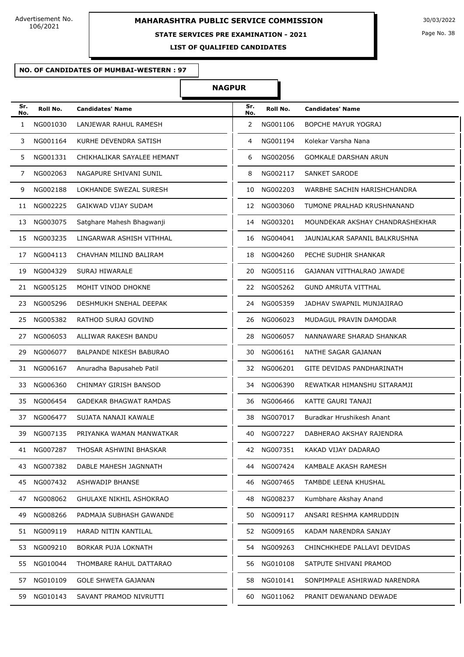#### **STATE SERVICES PRE EXAMINATION - 2021**

**LIST OF QUALIFIED CANDIDATES** 

#### **NO. OF CANDIDATES OF MUMBAI-WESTERN : 97**

#### **NAGPUR**

| Sr.<br>No.   | Roll No.    | <b>Candidates' Name</b>    | Sr.<br>No. | Roll No. | <b>Candidates' Name</b>         |
|--------------|-------------|----------------------------|------------|----------|---------------------------------|
| $\mathbf{1}$ | NG001030    | LANJEWAR RAHUL RAMESH      | 2          | NG001106 | <b>BOPCHE MAYUR YOGRAJ</b>      |
| 3            | NG001164    | KURHE DEVENDRA SATISH      | 4          | NG001194 | Kolekar Varsha Nana             |
| 5            | NG001331    | CHIKHALIKAR SAYALEE HEMANT | 6          | NG002056 | <b>GOMKALE DARSHAN ARUN</b>     |
| 7            | NG002063    | NAGAPURE SHIVANI SUNIL     | 8          | NG002117 | <b>SANKET SARODE</b>            |
| 9            | NG002188    | LOKHANDE SWEZAL SURESH     | 10         | NG002203 | WARBHE SACHIN HARISHCHANDRA     |
| 11           | NG002225    | GAIKWAD VIJAY SUDAM        | 12         | NG003060 | TUMONE PRALHAD KRUSHNANAND      |
| 13           | NG003075    | Satghare Mahesh Bhagwanji  | 14         | NG003201 | MOUNDEKAR AKSHAY CHANDRASHEKHAR |
| 15           | NG003235    | LINGARWAR ASHISH VITHHAL   | 16         | NG004041 | JAUNJALKAR SAPANIL BALKRUSHNA   |
| 17           | NG004113    | CHAVHAN MILIND BALIRAM     | 18         | NG004260 | PECHE SUDHIR SHANKAR            |
| 19           | NG004329    | SURAJ HIWARALE             | 20         | NG005116 | GAJANAN VITTHALRAO JAWADE       |
| 21           | NG005125    | MOHIT VINOD DHOKNE         | 22         | NG005262 | <b>GUND AMRUTA VITTHAL</b>      |
| 23           | NG005296    | DESHMUKH SNEHAL DEEPAK     | 24         | NG005359 | JADHAV SWAPNIL MUNJAJIRAO       |
| 25           | NG005382    | RATHOD SURAJ GOVIND        | 26         | NG006023 | MUDAGUL PRAVIN DAMODAR          |
| 27           | NG006053    | ALLIWAR RAKESH BANDU       | 28         | NG006057 | NANNAWARE SHARAD SHANKAR        |
| 29           | NG006077    | BALPANDE NIKESH BABURAO    | 30         | NG006161 | NATHE SAGAR GAJANAN             |
| 31           | NG006167    | Anuradha Bapusaheb Patil   | 32         | NG006201 | GITE DEVIDAS PANDHARINATH       |
| 33           | NG006360    | CHINMAY GIRISH BANSOD      | 34         | NG006390 | REWATKAR HIMANSHU SITARAMJI     |
| 35           | NG006454    | GADEKAR BHAGWAT RAMDAS     | 36         | NG006466 | KATTE GAURI TANAJI              |
| 37           | NG006477    | SUJATA NANAJI KAWALE       | 38         | NG007017 | Buradkar Hrushikesh Anant       |
| 39           | NG007135    | PRIYANKA WAMAN MANWATKAR   | 40         | NG007227 | DABHERAO AKSHAY RAJENDRA        |
|              | 41 NG007287 | THOSAR ASHWINI BHASKAR     | 42         | NG007351 | KAKAD VIJAY DADARAO             |
| 43 -         | NG007382    | DABLE MAHESH JAGNNATH      | 44         | NG007424 | KAMBALE AKASH RAMESH            |
| 45           | NG007432    | ASHWADIP BHANSE            | 46         | NG007465 | TAMBDE LEENA KHUSHAL            |
| 47           | NG008062    | GHULAXE NIKHIL ASHOKRAO    | 48         | NG008237 | Kumbhare Akshay Anand           |
| 49           | NG008266    | PADMAJA SUBHASH GAWANDE    | 50         | NG009117 | ANSARI RESHMA KAMRUDDIN         |
|              | 51 NG009119 | HARAD NITIN KANTILAL       | 52         | NG009165 | KADAM NARENDRA SANJAY           |
| 53           | NG009210    | BORKAR PUJA LOKNATH        | 54         | NG009263 | CHINCHKHEDE PALLAVI DEVIDAS     |
|              | 55 NG010044 | THOMBARE RAHUL DATTARAO    | 56         | NG010108 | SATPUTE SHIVANI PRAMOD          |
| 57           | NG010109    | <b>GOLE SHWETA GAJANAN</b> | 58         | NG010141 | SONPIMPALE ASHIRWAD NARENDRA    |
| 59           | NG010143    | SAVANT PRAMOD NIVRUTTI     | 60         | NG011062 | PRANIT DEWANAND DEWADE          |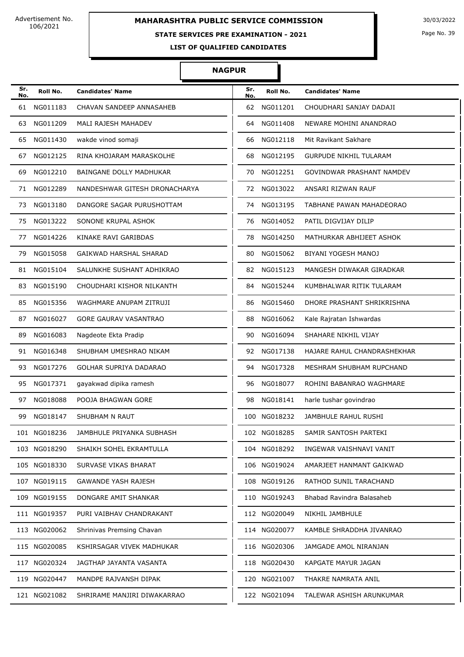### **STATE SERVICES PRE EXAMINATION - 2021**

Page No. 39

**LIST OF QUALIFIED CANDIDATES** 

#### **NAGPUR**

| Sr.<br>No. | Roll No.     | <b>Candidates' Name</b>       | Sr.<br>No. | Roll No.     | <b>Candidates' Name</b>       |
|------------|--------------|-------------------------------|------------|--------------|-------------------------------|
| 61         | NG011183     | CHAVAN SANDEEP ANNASAHEB      | 62         | NG011201     | CHOUDHARI SANJAY DADAJI       |
| 63         | NG011209     | MALI RAJESH MAHADEV           | 64         | NG011408     | NEWARE MOHINI ANANDRAO        |
| 65         | NG011430     | wakde vinod somaji            | 66         | NG012118     | Mit Ravikant Sakhare          |
| 67         | NG012125     | RINA KHOJARAM MARASKOLHE      | 68         | NG012195     | <b>GURPUDE NIKHIL TULARAM</b> |
| 69         | NG012210     | BAINGANE DOLLY MADHUKAR       | 70         | NG012251     | GOVINDWAR PRASHANT NAMDEV     |
| 71         | NG012289     | NANDESHWAR GITESH DRONACHARYA | 72         | NG013022     | ANSARI RIZWAN RAUF            |
| 73         | NG013180     | DANGORE SAGAR PURUSHOTTAM     | 74         | NG013195     | TABHANE PAWAN MAHADEORAO      |
| 75         | NG013222     | SONONE KRUPAL ASHOK           | 76         | NG014052     | PATIL DIGVIJAY DILIP          |
| 77         | NG014226     | KINAKE RAVI GARIBDAS          | 78         | NG014250     | MATHURKAR ABHIJEET ASHOK      |
| 79         | NG015058     | GAIKWAD HARSHAL SHARAD        | 80         | NG015062     | BIYANI YOGESH MANOJ           |
| 81         | NG015104     | SALUNKHE SUSHANT ADHIKRAO     | 82         | NG015123     | MANGESH DIWAKAR GIRADKAR      |
| 83         | NG015190     | CHOUDHARI KISHOR NILKANTH     | 84         | NG015244     | KUMBHALWAR RITIK TULARAM      |
| 85         | NG015356     | WAGHMARE ANUPAM ZITRUJI       | 86         | NG015460     | DHORE PRASHANT SHRIKRISHNA    |
| 87         | NG016027     | GORE GAURAV VASANTRAO         | 88         | NG016062     | Kale Rajratan Ishwardas       |
| 89         | NG016083     | Nagdeote Ekta Pradip          | 90         | NG016094     | SHAHARE NIKHIL VIJAY          |
| 91         | NG016348     | SHUBHAM UMESHRAO NIKAM        | 92         | NG017138     | HAJARE RAHUL CHANDRASHEKHAR   |
| 93         | NG017276     | <b>GOLHAR SUPRIYA DADARAO</b> | 94         | NG017328     | MESHRAM SHUBHAM RUPCHAND      |
| 95         | NG017371     | gayakwad dipika ramesh        | 96         | NG018077     | ROHINI BABANRAO WAGHMARE      |
| 97         | NG018088     | POOJA BHAGWAN GORE            | 98         | NG018141     | harle tushar govindrao        |
| 99         | NG018147     | SHUBHAM N RAUT                |            | 100 NG018232 | JAMBHULE RAHUL RUSHI          |
|            | 101 NG018236 | JAMBHULE PRIYANKA SUBHASH     |            | 102 NG018285 | SAMIR SANTOSH PARTEKI         |
|            | 103 NG018290 | SHAIKH SOHEL EKRAMTULLA       |            | 104 NG018292 | INGEWAR VAISHNAVI VANIT       |
|            | 105 NG018330 | SURVASE VIKAS BHARAT          |            | 106 NG019024 | AMARJEET HANMANT GAIKWAD      |
|            | 107 NG019115 | <b>GAWANDE YASH RAJESH</b>    |            | 108 NG019126 | RATHOD SUNIL TARACHAND        |
|            | 109 NG019155 | DONGARE AMIT SHANKAR          |            | 110 NG019243 | Bhabad Ravindra Balasaheb     |
|            | 111 NG019357 | PURI VAIBHAV CHANDRAKANT      |            | 112 NG020049 | NIKHIL JAMBHULE               |
|            | 113 NG020062 | Shrinivas Premsing Chavan     |            | 114 NG020077 | KAMBLE SHRADDHA JIVANRAO      |
|            | 115 NG020085 | KSHIRSAGAR VIVEK MADHUKAR     |            | 116 NG020306 | JAMGADE AMOL NIRANJAN         |
|            | 117 NG020324 | JAGTHAP JAYANTA VASANTA       |            | 118 NG020430 | KAPGATE MAYUR JAGAN           |
|            | 119 NG020447 | MANDPE RAJVANSH DIPAK         |            | 120 NG021007 | THAKRE NAMRATA ANIL           |
|            | 121 NG021082 | SHRIRAME MANJIRI DIWAKARRAO   |            | 122 NG021094 | TALEWAR ASHISH ARUNKUMAR      |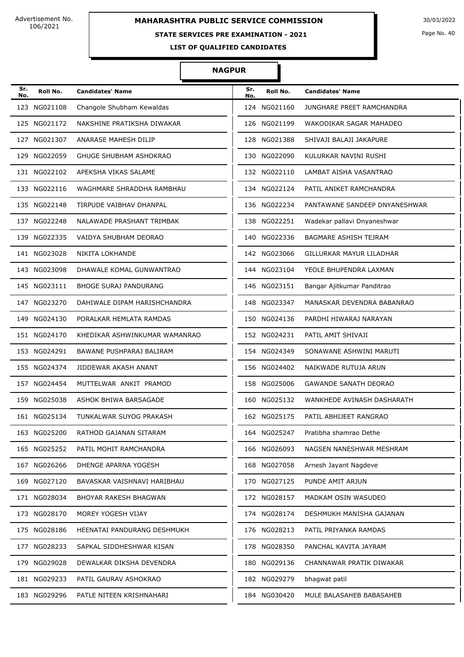### **STATE SERVICES PRE EXAMINATION - 2021**

Page No. 40

**LIST OF QUALIFIED CANDIDATES** 

#### **NAGPUR**

| Sr.<br>No. | Roll No.     | <b>Candidates' Name</b>       | Sr.<br>No. | Roll No.     | <b>Candidates' Name</b>             |
|------------|--------------|-------------------------------|------------|--------------|-------------------------------------|
|            | 123 NG021108 | Changole Shubham Kewaldas     |            | 124 NG021160 | JUNGHARE PREET RAMCHANDRA           |
|            | 125 NG021172 | NAKSHINE PRATIKSHA DIWAKAR    |            | 126 NG021199 | WAKODIKAR SAGAR MAHADEO             |
|            | 127 NG021307 | ANARASE MAHESH DILIP          |            | 128 NG021388 | SHIVAJI BALAJI JAKAPURE             |
|            | 129 NG022059 | GHUGE SHUBHAM ASHOKRAO        |            | 130 NG022090 | KULURKAR NAVINI RUSHI               |
|            | 131 NG022102 | APEKSHA VIKAS SALAME          |            | 132 NG022110 | LAMBAT AISHA VASANTRAO              |
|            | 133 NG022116 | WAGHMARE SHRADDHA RAMBHAU     |            | 134 NG022124 | PATIL ANIKET RAMCHANDRA             |
|            | 135 NG022148 | TIRPUDE VAIBHAV DHANPAL       |            | 136 NG022234 | PANTAWANE SANDEEP DNYANESHWAR       |
|            | 137 NG022248 | NALAWADE PRASHANT TRIMBAK     |            | 138 NG022251 | Wadekar pallavi Dnyaneshwar         |
|            | 139 NG022335 | VAIDYA SHUBHAM DEORAO         |            | 140 NG022336 | BAGMARE ASHISH TEJRAM               |
|            | 141 NG023028 | NIKITA LOKHANDE               |            | 142 NG023066 | GILLURKAR MAYUR LILADHAR            |
|            | 143 NG023098 | DHAWALE KOMAL GUNWANTRAO      |            | 144 NG023104 | YEOLE BHUPENDRA LAXMAN              |
|            | 145 NG023111 | <b>BHOGE SURAJ PANDURANG</b>  |            | 146 NG023151 | Bangar Ajitkumar Panditrao          |
|            | 147 NG023270 | DAHIWALE DIPAM HARISHCHANDRA  |            | 148 NG023347 | MANASKAR DEVENDRA BABANRAO          |
|            | 149 NG024130 | PORALKAR HEMLATA RAMDAS       |            | 150 NG024136 | PARDHI HIWARAJ NARAYAN              |
|            | 151 NG024170 | KHEDIKAR ASHWINKUMAR WAMANRAO |            | 152 NG024231 | PATIL AMIT SHIVAJI                  |
|            | 153 NG024291 | BAWANE PUSHPARAJ BALIRAM      |            | 154 NG024349 | SONAWANE ASHWINI MARUTI             |
|            | 155 NG024374 | JIDDEWAR AKASH ANANT          |            | 156 NG024402 | NAIKWADE RUTUJA ARUN                |
|            | 157 NG024454 | MUTTELWAR ANKIT PRAMOD        |            | 158 NG025006 | <b>GAWANDE SANATH DEORAO</b>        |
|            | 159 NG025038 | ASHOK BHIWA BARSAGADE         |            | 160 NG025132 | WANKHEDE AVINASH DASHARATH          |
|            | 161 NG025134 | TUNKALWAR SUYOG PRAKASH       |            | 162 NG025175 | PATIL ABHIJEET RANGRAO              |
|            | 163 NG025200 | RATHOD GAJANAN SITARAM        |            |              | 164 NG025247 Pratibha shamrao Dethe |
|            | 165 NG025252 | PATIL MOHIT RAMCHANDRA        |            | 166 NG026093 | NAGSEN NANESHWAR MESHRAM            |
|            | 167 NG026266 | DHENGE APARNA YOGESH          |            | 168 NG027058 | Arnesh Jayant Nagdeve               |
|            | 169 NG027120 | BAVASKAR VAISHNAVI HARIBHAU   |            | 170 NG027125 | PUNDE AMIT ARJUN                    |
|            | 171 NG028034 | BHOYAR RAKESH BHAGWAN         |            | 172 NG028157 | MADKAM OSIN WASUDEO                 |
|            | 173 NG028170 | MOREY YOGESH VIJAY            |            | 174 NG028174 | DESHMUKH MANISHA GAJANAN            |
|            | 175 NG028186 | HEENATAI PANDURANG DESHMUKH   |            | 176 NG028213 | PATIL PRIYANKA RAMDAS               |
|            | 177 NG028233 | SAPKAL SIDDHESHWAR KISAN      |            | 178 NG028350 | PANCHAL KAVITA JAYRAM               |
|            | 179 NG029028 | DEWALKAR DIKSHA DEVENDRA      |            | 180 NG029136 | CHANNAWAR PRATIK DIWAKAR            |
|            | 181 NG029233 | PATIL GAURAV ASHOKRAO         |            | 182 NG029279 | bhagwat patil                       |
|            | 183 NG029296 | PATLE NITEEN KRISHNAHARI      |            | 184 NG030420 | MULE BALASAHEB BABASAHEB            |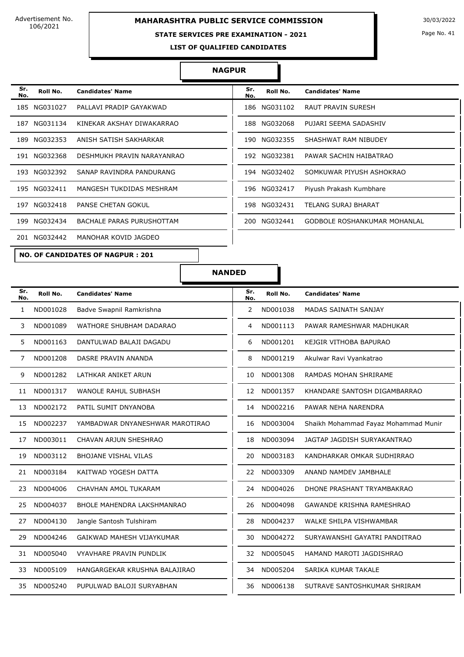#### **STATE SERVICES PRE EXAMINATION - 2021**

Page No. 41

**LIST OF QUALIFIED CANDIDATES** 

#### **NAGPUR**

| Sr.<br>No. | Roll No.     | <b>Candidates' Name</b>    | Sr.<br>No. | Roll No.     | <b>Candidates' Name</b>      |
|------------|--------------|----------------------------|------------|--------------|------------------------------|
|            | 185 NG031027 | PALLAVI PRADIP GAYAKWAD    |            | 186 NG031102 | RAUT PRAVIN SURESH           |
|            | 187 NG031134 | KINEKAR AKSHAY DIWAKARRAO  |            | 188 NG032068 | PUJARI SEEMA SADASHIV        |
|            | 189 NG032353 | ANISH SATISH SAKHARKAR     |            | 190 NG032355 | SHASHWAT RAM NIBUDEY         |
|            | 191 NG032368 | DESHMUKH PRAVIN NARAYANRAO |            | 192 NG032381 | PAWAR SACHIN HAIBATRAO       |
|            | 193 NG032392 | SANAP RAVINDRA PANDURANG   |            | 194 NG032402 | SOMKUWAR PIYUSH ASHOKRAO     |
|            | 195 NG032411 | MANGESH TUKDIDAS MESHRAM   |            | 196 NG032417 | Piyush Prakash Kumbhare      |
|            | 197 NG032418 | <b>PANSE CHETAN GOKUL</b>  |            | 198 NG032431 | TELANG SURAJ BHARAT          |
|            | 199 NG032434 | BACHALE PARAS PURUSHOTTAM  |            | 200 NG032441 | GODBOLE ROSHANKUMAR MOHANLAL |
|            | 201 NG032442 | MANOHAR KOVID JAGDEO       |            |              |                              |

**NO. OF CANDIDATES OF NAGPUR : 201**

| Sr.<br>No. | Roll No.     | <b>Candidates' Name</b>      |
|------------|--------------|------------------------------|
|            | 186 NG031102 | <b>RAUT PRAVIN SURESH</b>    |
|            | 188 NG032068 | PUJARI SEEMA SADASHIV        |
|            | 190 NG032355 | SHASHWAT RAM NIBUDEY         |
|            | 192 NG032381 | PAWAR SACHIN HAIBATRAO       |
|            | 194 NG032402 | SOMKUWAR PIYUSH ASHOKRAO     |
| 196        | NG032417     | Piyush Prakash Kumbhare      |
|            | 198 NG032431 | TELANG SURAJ BHARAT          |
| 200        | NG032441     | GODBOLE ROSHANKUMAR MOHANLAL |
|            |              |                              |

**NANDED**

| Sr.<br>No. | Roll No. | <b>Candidates' Name</b>           | Sr.<br>No. | Roll No. | <b>Candidates' Name</b>              |
|------------|----------|-----------------------------------|------------|----------|--------------------------------------|
| 1          | ND001028 | Badve Swapnil Ramkrishna          | 2          | ND001038 | MADAS SAINATH SANJAY                 |
| 3          | ND001089 | WATHORE SHUBHAM DADARAO           | 4          | ND001113 | PAWAR RAMESHWAR MADHUKAR             |
| 5          | ND001163 | DANTULWAD BALAJI DAGADU           | 6          | ND001201 | KEJGIR VITHOBA BAPURAO               |
| 7          | ND001208 | DASRE PRAVIN ANANDA               | 8          | ND001219 | Akulwar Ravi Vyankatrao              |
| 9          | ND001282 | LATHKAR ANIKET ARUN               | 10         | ND001308 | RAMDAS MOHAN SHRIRAME                |
| 11         | ND001317 | <b>WANOLE RAHUL SUBHASH</b>       | 12         | ND001357 | KHANDARE SANTOSH DIGAMBARRAO         |
| 13         | ND002172 | PATIL SUMIT DNYANOBA              | 14         | ND002216 | PAWAR NEHA NARENDRA                  |
| 15         | ND002237 | YAMBADWAR DNYANESHWAR MAROTIRAO   | 16         | ND003004 | Shaikh Mohammad Fayaz Mohammad Munir |
| 17         | ND003011 | CHAVAN ARJUN SHESHRAO             | 18         | ND003094 | JAGTAP JAGDISH SURYAKANTRAO          |
| 19         | ND003112 | <b>BHOJANE VISHAL VILAS</b>       | 20         | ND003183 | KANDHARKAR OMKAR SUDHIRRAO           |
| 21         | ND003184 | KAITWAD YOGESH DATTA              | 22         | ND003309 | ANAND NAMDEV JAMBHALE                |
| 23         | ND004006 | CHAVHAN AMOL TUKARAM              | 24         | ND004026 | DHONE PRASHANT TRYAMBAKRAO           |
| 25         | ND004037 | <b>BHOLE MAHENDRA LAKSHMANRAO</b> | 26         | ND004098 | <b>GAWANDE KRISHNA RAMESHRAO</b>     |
| 27         | ND004130 | Jangle Santosh Tulshiram          | 28         | ND004237 | WALKE SHILPA VISHWAMBAR              |
| 29         | ND004246 | GAIKWAD MAHESH VIJAYKUMAR         | 30         | ND004272 | SURYAWANSHI GAYATRI PANDITRAO        |
| 31         | ND005040 | VYAVHARE PRAVIN PUNDLIK           | 32         | ND005045 | HAMAND MAROTI JAGDISHRAO             |
| 33         | ND005109 | HANGARGEKAR KRUSHNA BALAJIRAO     | 34         | ND005204 | SARIKA KUMAR TAKALE                  |
| 35         | ND005240 | PUPULWAD BALOJI SURYABHAN         | 36         | ND006138 | SUTRAVE SANTOSHKUMAR SHRIRAM         |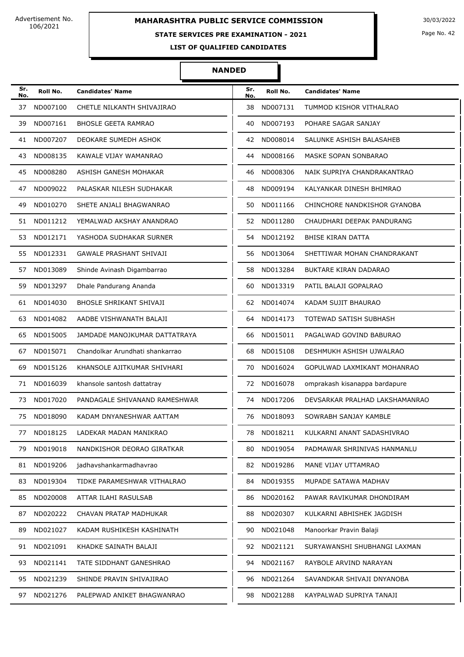### **STATE SERVICES PRE EXAMINATION - 2021**

Page No. 42

**LIST OF QUALIFIED CANDIDATES** 

#### **NANDED**

| Sr.<br>No. | Roll No.    | <b>Candidates' Name</b>         | Sr.<br>No. | Roll No.    | <b>Candidates' Name</b>        |
|------------|-------------|---------------------------------|------------|-------------|--------------------------------|
| 37         | ND007100    | CHETLE NILKANTH SHIVAJIRAO      | 38         | ND007131    | TUMMOD KISHOR VITHALRAO        |
| 39         | ND007161    | <b>BHOSLE GEETA RAMRAO</b>      | 40         | ND007193    | POHARE SAGAR SANJAY            |
| 41         | ND007207    | DEOKARE SUMEDH ASHOK            | 42         | ND008014    | SALUNKE ASHISH BALASAHEB       |
| 43         | ND008135    | KAWALE VIJAY WAMANRAO           | 44         | ND008166    | MASKE SOPAN SONBARAO           |
| 45         | ND008280    | ASHISH GANESH MOHAKAR           | 46         | ND008306    | NAIK SUPRIYA CHANDRAKANTRAO    |
| 47         | ND009022    | PALASKAR NILESH SUDHAKAR        | 48         | ND009194    | KALYANKAR DINESH BHIMRAO       |
| 49         | ND010270    | SHETE ANJALI BHAGWANRAO         | 50         | ND011166    | CHINCHORE NANDKISHOR GYANOBA   |
| 51         | ND011212    | YEMALWAD AKSHAY ANANDRAO        | 52         | ND011280    | CHAUDHARI DEEPAK PANDURANG     |
| 53         | ND012171    | YASHODA SUDHAKAR SURNER         | 54         | ND012192    | <b>BHISE KIRAN DATTA</b>       |
| 55         | ND012331    | <b>GAWALE PRASHANT SHIVAJI</b>  | 56         | ND013064    | SHETTIWAR MOHAN CHANDRAKANT    |
| 57         | ND013089    | Shinde Avinash Digambarrao      | 58         | ND013284    | <b>BUKTARE KIRAN DADARAO</b>   |
| 59         | ND013297    | Dhale Pandurang Ananda          | 60         | ND013319    | PATIL BALAJI GOPALRAO          |
| 61         | ND014030    | <b>BHOSLE SHRIKANT SHIVAJI</b>  | 62         | ND014074    | KADAM SUJIT BHAURAO            |
| 63         | ND014082    | AADBE VISHWANATH BALAJI         | 64         | ND014173    | TOTEWAD SATISH SUBHASH         |
| 65         | ND015005    | JAMDADE MANOJKUMAR DATTATRAYA   | 66         | ND015011    | PAGALWAD GOVIND BABURAO        |
| 67         | ND015071    | Chandolkar Arundhati shankarrao | 68         | ND015108    | DESHMUKH ASHISH UJWALRAO       |
| 69         | ND015126    | KHANSOLE AJITKUMAR SHIVHARI     | 70         | ND016024    | GOPULWAD LAXMIKANT MOHANRAO    |
| 71         | ND016039    | khansole santosh dattatray      | 72         | ND016078    | omprakash kisanappa bardapure  |
| 73         | ND017020    | PANDAGALE SHIVANAND RAMESHWAR   | 74         | ND017206    | DEVSARKAR PRALHAD LAKSHAMANRAO |
| 75         | ND018090    | KADAM DNYANESHWAR AATTAM        | 76         | ND018093    | SOWRABH SANJAY KAMBLE          |
|            | 77 ND018125 | LADEKAR MADAN MANIKRAO          | 78         | ND018211    | KULKARNI ANANT SADASHIVRAO     |
| 79 -       | ND019018    | NANDKISHOR DEORAO GIRATKAR      | 80.        | ND019054    | PADMAWAR SHRINIVAS HANMANLU    |
|            | 81 ND019206 | jadhavshankarmadhavrao          |            | 82 ND019286 | MANE VIJAY UTTAMRAO            |
| 83         | ND019304    | TIDKE PARAMESHWAR VITHALRAO     | 84.        | ND019355    | MUPADE SATAWA MADHAV           |
| 85         | ND020008    | ATTAR ILAHI RASULSAB            | 86         | ND020162    | PAWAR RAVIKUMAR DHONDIRAM      |
| 87         | ND020222    | CHAVAN PRATAP MADHUKAR          | 88         | ND020307    | KULKARNI ABHISHEK JAGDISH      |
| 89         | ND021027    | KADAM RUSHIKESH KASHINATH       | 90         | ND021048    | Manoorkar Pravin Balaji        |
| 91         | ND021091    | KHADKE SAINATH BALAJI           | 92         | ND021121    | SURYAWANSHI SHUBHANGI LAXMAN   |
| 93         | ND021141    | TATE SIDDHANT GANESHRAO         | 94         | ND021167    | RAYBOLE ARVIND NARAYAN         |
| 95         | ND021239    | SHINDE PRAVIN SHIVAJIRAO        | 96         | ND021264    | SAVANDKAR SHIVAJI DNYANOBA     |
| 97         | ND021276    | PALEPWAD ANIKET BHAGWANRAO      | 98         | ND021288    | KAYPALWAD SUPRIYA TANAJI       |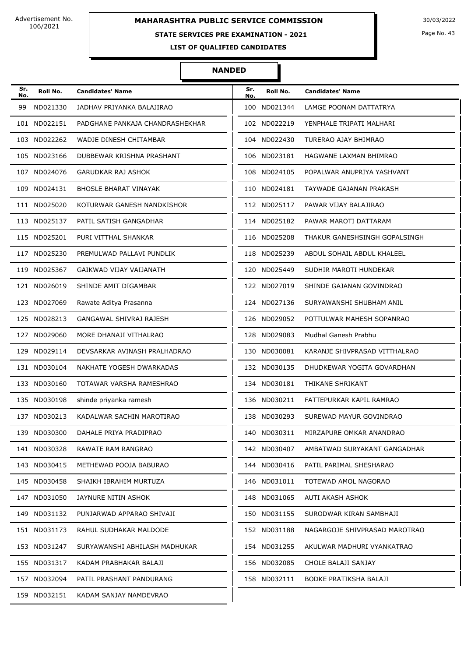### **STATE SERVICES PRE EXAMINATION - 2021**

Page No. 43

**LIST OF QUALIFIED CANDIDATES** 

#### **NANDED**

| Sr.<br>No. | Roll No.     | <b>Candidates' Name</b>         | Sr.<br>No. | Roll No.     | <b>Candidates' Name</b>       |
|------------|--------------|---------------------------------|------------|--------------|-------------------------------|
| 99         | ND021330     | JADHAV PRIYANKA BALAJIRAO       |            | 100 ND021344 | LAMGE POONAM DATTATRYA        |
|            | 101 ND022151 | PADGHANE PANKAJA CHANDRASHEKHAR |            | 102 ND022219 | YENPHALE TRIPATI MALHARI      |
|            | 103 ND022262 | WADJE DINESH CHITAMBAR          |            | 104 ND022430 | TURERAO AJAY BHIMRAO          |
|            | 105 ND023166 | DUBBEWAR KRISHNA PRASHANT       |            | 106 ND023181 | HAGWANE LAXMAN BHIMRAO        |
|            | 107 ND024076 | <b>GARUDKAR RAJ ASHOK</b>       |            | 108 ND024105 | POPALWAR ANUPRIYA YASHVANT    |
|            | 109 ND024131 | <b>BHOSLE BHARAT VINAYAK</b>    |            | 110 ND024181 | TAYWADE GAJANAN PRAKASH       |
|            | 111 ND025020 | KOTURWAR GANESH NANDKISHOR      |            | 112 ND025117 | PAWAR VIJAY BALAJIRAO         |
|            | 113 ND025137 | PATIL SATISH GANGADHAR          |            | 114 ND025182 | PAWAR MAROTI DATTARAM         |
|            | 115 ND025201 | PURI VITTHAL SHANKAR            |            | 116 ND025208 | THAKUR GANESHSINGH GOPALSINGH |
|            | 117 ND025230 | PREMULWAD PALLAVI PUNDLIK       |            | 118 ND025239 | ABDUL SOHAIL ABDUL KHALEEL    |
|            | 119 ND025367 | GAIKWAD VIJAY VAIJANATH         |            | 120 ND025449 | SUDHIR MAROTI HUNDEKAR        |
|            | 121 ND026019 | SHINDE AMIT DIGAMBAR            |            | 122 ND027019 | SHINDE GAJANAN GOVINDRAO      |
|            | 123 ND027069 | Rawate Aditya Prasanna          |            | 124 ND027136 | SURYAWANSHI SHUBHAM ANIL      |
|            | 125 ND028213 | GANGAWAL SHIVRAJ RAJESH         |            | 126 ND029052 | POTTULWAR MAHESH SOPANRAO     |
|            | 127 ND029060 | MORE DHANAJI VITHALRAO          |            | 128 ND029083 | Mudhal Ganesh Prabhu          |
|            | 129 ND029114 | DEVSARKAR AVINASH PRALHADRAO    |            | 130 ND030081 | KARANJE SHIVPRASAD VITTHALRAO |
|            | 131 ND030104 | NAKHATE YOGESH DWARKADAS        |            | 132 ND030135 | DHUDKEWAR YOGITA GOVARDHAN    |
|            | 133 ND030160 | TOTAWAR VARSHA RAMESHRAO        |            | 134 ND030181 | THIKANE SHRIKANT              |
|            | 135 ND030198 | shinde priyanka ramesh          |            | 136 ND030211 | FATTEPURKAR KAPIL RAMRAO      |
|            | 137 ND030213 | KADALWAR SACHIN MAROTIRAO       |            | 138 ND030293 | SUREWAD MAYUR GOVINDRAO       |
|            | 139 ND030300 | DAHALE PRIYA PRADIPRAO          |            | 140 ND030311 | MIRZAPURE OMKAR ANANDRAO      |
|            | 141 ND030328 | RAWATE RAM RANGRAO              |            | 142 ND030407 | AMBATWAD SURYAKANT GANGADHAR  |
|            | 143 ND030415 | METHEWAD POOJA BABURAO          |            | 144 ND030416 | PATIL PARIMAL SHESHARAO       |
|            | 145 ND030458 | SHAIKH IBRAHIM MURTUZA          |            | 146 ND031011 | TOTEWAD AMOL NAGORAO          |
|            | 147 ND031050 | JAYNURE NITIN ASHOK             |            | 148 ND031065 | AUTI AKASH ASHOK              |
|            | 149 ND031132 | PUNJARWAD APPARAO SHIVAJI       |            | 150 ND031155 | SURODWAR KIRAN SAMBHAJI       |
|            | 151 ND031173 | RAHUL SUDHAKAR MALDODE          |            | 152 ND031188 | NAGARGOJE SHIVPRASAD MAROTRAO |
|            | 153 ND031247 | SURYAWANSHI ABHILASH MADHUKAR   |            | 154 ND031255 | AKULWAR MADHURI VYANKATRAO    |
|            | 155 ND031317 | KADAM PRABHAKAR BALAJI          |            | 156 ND032085 | CHOLE BALAJI SANJAY           |
|            | 157 ND032094 | PATIL PRASHANT PANDURANG        |            | 158 ND032111 | BODKE PRATIKSHA BALAJI        |
|            | 159 ND032151 | KADAM SANJAY NAMDEVRAO          |            |              |                               |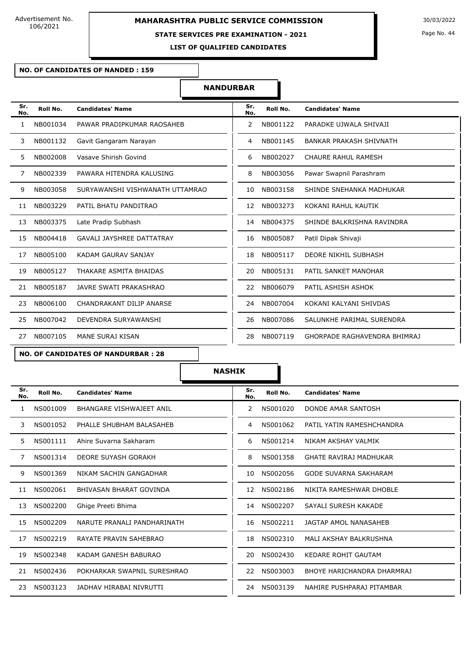#### **STATE SERVICES PRE EXAMINATION - 2021**

**LIST OF QUALIFIED CANDIDATES** 

Page No. 44

#### **NO. OF CANDIDATES OF NANDED : 159**

#### **NANDURBAR**

| Sr.<br>No. | Roll No. | <b>Candidates' Name</b>          | Sr.<br>No. | Roll No. | <b>Candidates' Name</b>             |
|------------|----------|----------------------------------|------------|----------|-------------------------------------|
| 1          | NB001034 | PAWAR PRADIPKUMAR RAOSAHEB       | 2          | NB001122 | PARADKE UJWALA SHIVAJI              |
| 3          | NB001132 | Gavit Gangaram Narayan           | 4          | NB001145 | <b>BANKAR PRAKASH SHIVNATH</b>      |
| 5.         | NB002008 | Vasave Shirish Govind            | 6          | NB002027 | CHAURE RAHUL RAMESH                 |
| 7          | NB002339 | PAWARA HITENDRA KALUSING         | 8          | NB003056 | Pawar Swapnil Parashram             |
| 9          | NB003058 | SURYAWANSHI VISHWANATH UTTAMRAO  | 10         | NB003158 | SHINDE SNEHANKA MADHUKAR            |
| 11         | NB003229 | PATIL BHATU PANDITRAO            | 12         | NB003273 | KOKANI RAHUL KAUTIK                 |
| 13         | NB003375 | Late Pradip Subhash              | 14         | NB004375 | SHINDE BALKRISHNA RAVINDRA          |
| 15         | NB004418 | <b>GAVALI JAYSHREE DATTATRAY</b> | 16         | NB005087 | Patil Dipak Shivaji                 |
| 17         | NB005100 | KADAM GAURAV SANJAY              | 18         | NB005117 | DEORE NIKHIL SUBHASH                |
| 19         | NB005127 | THAKARE ASMITA BHAIDAS           | 20         | NB005131 | PATIL SANKET MANOHAR                |
| 21         | NB005187 | JAVRE SWATI PRAKASHRAO           | 22         | NB006079 | PATIL ASHISH ASHOK                  |
| 23         | NB006100 | CHANDRAKANT DILIP ANARSE         | 24         | NB007004 | KOKANI KALYANI SHIVDAS              |
| 25         | NB007042 | DEVENDRA SURYAWANSHI             | 26         | NB007086 | SALUNKHE PARIMAL SURENDRA           |
| 27         | NB007105 | MANE SURAJ KISAN                 | 28         | NB007119 | <b>GHORPADE RAGHAVENDRA BHIMRAJ</b> |

#### **NO. OF CANDIDATES OF NANDURBAR : 28**

| Sr.<br>No. | Roll No. | <b>Candidates' Name</b>     | Sr.<br>No. | Roll No. | <b>Candidates' Name</b>       |
|------------|----------|-----------------------------|------------|----------|-------------------------------|
| 1          | NS001009 | BHANGARE VISHWAJEET ANIL    | 2          | NS001020 | DONDE AMAR SANTOSH            |
| 3          | NS001052 | PHALLE SHUBHAM BALASAHEB    | 4          | NS001062 | PATIL YATIN RAMESHCHANDRA     |
| 5          | NS001111 | Ahire Suvarna Sakharam      | 6          | NS001214 | NIKAM AKSHAY VALMIK           |
| 7          | NS001314 | DEORE SUYASH GORAKH         | 8          | NS001358 | <b>GHATE RAVIRAJ MADHUKAR</b> |
| 9          | NS001369 | NIKAM SACHIN GANGADHAR      | 10         | NS002056 | <b>GODE SUVARNA SAKHARAM</b>  |
| 11         | NS002061 | BHIVASAN BHARAT GOVINDA     | 12         | NS002186 | NIKITA RAMESHWAR DHOBLE       |
| 13         | NS002200 | Ghige Preeti Bhima          | 14         | NS002207 | SAYALI SURESH KAKADE          |
| 15         | NS002209 | NARUTE PRANALI PANDHARINATH | 16         | NS002211 | JAGTAP AMOL NANASAHEB         |
| 17         | NS002219 | RAYATE PRAVIN SAHEBRAO      | 18         | NS002310 | MALI AKSHAY BALKRUSHNA        |
| 19         | NS002348 | KADAM GANESH BABURAO        | 20         | NS002430 | KEDARE ROHIT GAUTAM           |
| 21         | NS002436 | POKHARKAR SWAPNIL SURESHRAO | 22         | NS003003 | BHOYE HARICHANDRA DHARMRAJ    |
| 23         | NS003123 | JADHAV HIRABAI NIVRUTTI     | 24         | NS003139 | NAHIRE PUSHPARAJ PITAMBAR     |

| Sr.<br>No. | Roll No. | <b>Candidates' Name</b>            |
|------------|----------|------------------------------------|
| 2          | NS001020 | DONDE AMAR SANTOSH                 |
| 4          | NS001062 | PATIL YATIN RAMESHCHANDRA          |
| 6          | NS001214 | NIKAM AKSHAY VAI MIK               |
| 8          | NS001358 | <b>GHATE RAVIRA1 MADHUKAR</b>      |
| 10         | NS002056 | GODE SUVARNA SAKHARAM              |
| 12.        | NS002186 | NIKITA RAMESHWAR DHOBI F           |
| 14         | NS002207 | SAYALI SURESH KAKADE               |
| 16         | NS002211 | JAGTAP AMOL NANASAHEB              |
| 18         | NS002310 | MAI I AKSHAY BAI KRUSHNA           |
| 20.        | NS002430 | <b>KEDARE ROHIT GAUTAM</b>         |
| 22         | NS003003 | BHOYF HARICHANDRA DHARMRA1         |
| 24         |          | NS003139 NAHIRE PUSHPARAJ PITAMBAR |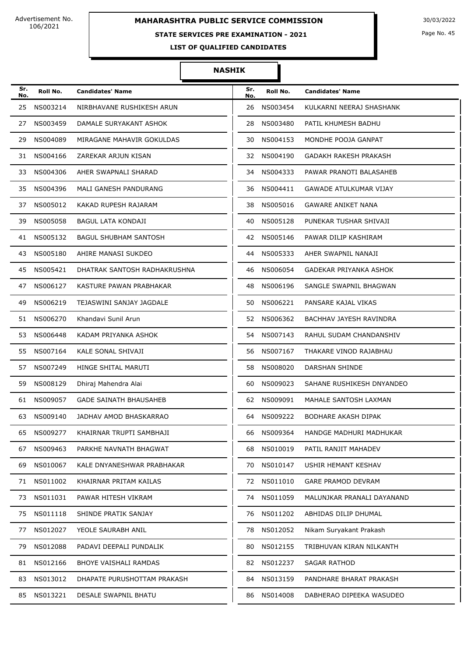### **STATE SERVICES PRE EXAMINATION - 2021**

Page No. 45

**LIST OF QUALIFIED CANDIDATES** 

| Sr.<br>No. | Roll No.    | <b>Candidates' Name</b>       | Sr.<br>No. | Roll No.    | <b>Candidates' Name</b>       |
|------------|-------------|-------------------------------|------------|-------------|-------------------------------|
| 25         | NS003214    | NIRBHAVANE RUSHIKESH ARUN     | 26         | NS003454    | KULKARNI NEERAJ SHASHANK      |
| 27         | NS003459    | DAMALE SURYAKANT ASHOK        | 28         | NS003480    | PATIL KHUMESH BADHU           |
| 29         | NS004089    | MIRAGANE MAHAVIR GOKULDAS     | 30         | NS004153    | MONDHE POOJA GANPAT           |
| 31         | NS004166    | ZAREKAR ARJUN KISAN           | 32         | NS004190    | <b>GADAKH RAKESH PRAKASH</b>  |
| 33         | NS004306    | AHER SWAPNALI SHARAD          | 34         | NS004333    | PAWAR PRANOTI BALASAHEB       |
| 35         | NS004396    | MALI GANESH PANDURANG         | 36         | NS004411    | <b>GAWADE ATULKUMAR VIJAY</b> |
| 37         | NS005012    | KAKAD RUPESH RAJARAM          | 38         | NS005016    | GAWARE ANIKET NANA            |
| 39         | NS005058    | BAGUL LATA KONDAJI            | 40         | NS005128    | PUNEKAR TUSHAR SHIVAJI        |
| 41         | NS005132    | <b>BAGUL SHUBHAM SANTOSH</b>  | 42         | NS005146    | PAWAR DILIP KASHIRAM          |
| 43         | NS005180    | AHIRE MANASI SUKDEO           | 44         | NS005333    | AHER SWAPNIL NANAJI           |
| 45         | NS005421    | DHATRAK SANTOSH RADHAKRUSHNA  | 46         | NS006054    | <b>GADEKAR PRIYANKA ASHOK</b> |
| 47         | NS006127    | KASTURE PAWAN PRABHAKAR       | 48         | NS006196    | SANGLE SWAPNIL BHAGWAN        |
| 49         | NS006219    | TEJASWINI SANJAY JAGDALE      | 50         | NS006221    | PANSARE KAJAL VIKAS           |
| 51         | NS006270    | Khandavi Sunil Arun           | 52         | NS006362    | BACHHAV JAYESH RAVINDRA       |
| 53         | NS006448    | KADAM PRIYANKA ASHOK          | 54         | NS007143    | RAHUL SUDAM CHANDANSHIV       |
| 55         | NS007164    | KALE SONAL SHIVAJI            | 56         | NS007167    | THAKARE VINOD RAJABHAU        |
| 57         | NS007249    | HINGE SHITAL MARUTI           | 58         | NS008020    | DARSHAN SHINDE                |
| 59         | NS008129    | Dhiraj Mahendra Alai          | 60         | NS009023    | SAHANE RUSHIKESH DNYANDEO     |
| 61         | NS009057    | <b>GADE SAINATH BHAUSAHEB</b> | 62         | NS009091    | MAHALE SANTOSH LAXMAN         |
| 63         | NS009140    | JADHAV AMOD BHASKARRAO        | 64         | NS009222    | <b>BODHARE AKASH DIPAK</b>    |
|            | 65 NS009277 | KHAIRNAR TRUPTI SAMBHAJI      |            | 66 NS009364 | HANDGE MADHURI MADHUKAR       |
| 67         | NS009463    | PARKHE NAVNATH BHAGWAT        | 68         | NS010019    | PATIL RANJIT MAHADEV          |
| 69         | NS010067    | KALE DNYANESHWAR PRABHAKAR    | 70         | NS010147    | USHIR HEMANT KESHAV           |
| 71         | NS011002    | KHAIRNAR PRITAM KAILAS        | 72         | NS011010    | <b>GARE PRAMOD DEVRAM</b>     |
| 73         | NS011031    | PAWAR HITESH VIKRAM           | 74         | NS011059    | MALUNJKAR PRANALI DAYANAND    |
| 75         | NS011118    | SHINDE PRATIK SANJAY          | 76         | NS011202    | ABHIDAS DILIP DHUMAL          |
| 77         | NS012027    | YEOLE SAURABH ANIL            | 78         | NS012052    | Nikam Suryakant Prakash       |
| 79         | NS012088    | PADAVI DEEPALI PUNDALIK       | 80         | NS012155    | TRIBHUVAN KIRAN NILKANTH      |
| 81         | NS012166    | <b>BHOYE VAISHALI RAMDAS</b>  | 82         | NS012237    | SAGAR RATHOD                  |
| 83         | NS013012    | DHAPATE PURUSHOTTAM PRAKASH   | 84         | NS013159    | PANDHARE BHARAT PRAKASH       |
| 85         | NS013221    | DESALE SWAPNIL BHATU          | 86         | NS014008    | DABHERAO DIPEEKA WASUDEO      |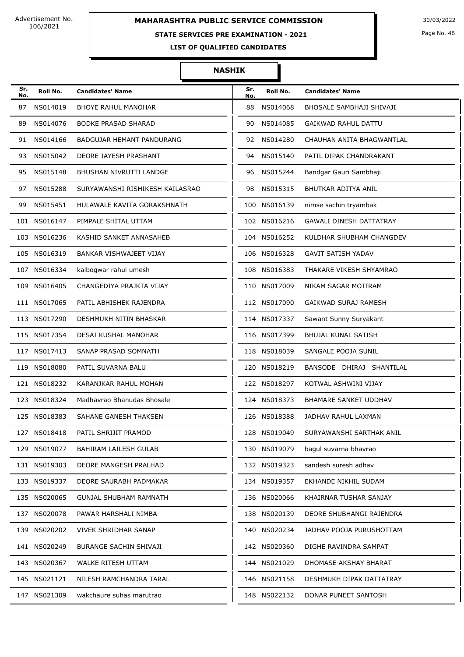#### **STATE SERVICES PRE EXAMINATION - 2021**

Page No. 46

**LIST OF QUALIFIED CANDIDATES** 

| Sr.<br>No. | Roll No.     | <b>Candidates' Name</b>          | Sr.<br>No. | Roll No.     | <b>Candidates' Name</b>        |
|------------|--------------|----------------------------------|------------|--------------|--------------------------------|
| 87         | NS014019     | <b>BHOYE RAHUL MANOHAR</b>       | 88         | NS014068     | BHOSALE SAMBHAJI SHIVAJI       |
| 89         | NS014076     | <b>BODKE PRASAD SHARAD</b>       | 90         | NS014085     | <b>GAIKWAD RAHUL DATTU</b>     |
| 91         | NS014166     | <b>BADGUJAR HEMANT PANDURANG</b> | 92         | NS014280     | CHAUHAN ANITA BHAGWANTLAL      |
| 93         | NS015042     | DEORE JAYESH PRASHANT            | 94         | NS015140     | PATIL DIPAK CHANDRAKANT        |
| 95         | NS015148     | BHUSHAN NIVRUTTI LANDGE          | 96         | NS015244     | Bandgar Gauri Sambhaji         |
| 97         | NS015288     | SURYAWANSHI RISHIKESH KAILASRAO  | 98         | NS015315     | BHUTKAR ADITYA ANIL            |
| 99         | NS015451     | HULAWALE KAVITA GORAKSHNATH      | 100        | NS016139     | nimse sachin tryambak          |
|            | 101 NS016147 | PIMPALE SHITAL UTTAM             |            | 102 NS016216 | <b>GAWALI DINESH DATTATRAY</b> |
|            | 103 NS016236 | KASHID SANKET ANNASAHEB          |            | 104 NS016252 | KULDHAR SHUBHAM CHANGDEV       |
|            | 105 NS016319 | BANKAR VISHWAJEET VIJAY          |            | 106 NS016328 | <b>GAVIT SATISH YADAV</b>      |
|            | 107 NS016334 | kalbogwar rahul umesh            |            | 108 NS016383 | THAKARE VIKESH SHYAMRAO        |
|            | 109 NS016405 | CHANGEDIYA PRAJKTA VIJAY         |            | 110 NS017009 | NIKAM SAGAR MOTIRAM            |
|            | 111 NS017065 | PATIL ABHISHEK RAJENDRA          |            | 112 NS017090 | GAIKWAD SURAJ RAMESH           |
|            | 113 NS017290 | DESHMUKH NITIN BHASKAR           |            | 114 NS017337 | Sawant Sunny Suryakant         |
|            | 115 NS017354 | DESAI KUSHAL MANOHAR             |            | 116 NS017399 | <b>BHUJAL KUNAL SATISH</b>     |
|            | 117 NS017413 | SANAP PRASAD SOMNATH             |            | 118 NS018039 | SANGALE POOJA SUNIL            |
|            | 119 NS018080 | PATIL SUVARNA BALU               |            | 120 NS018219 | BANSODE DHIRAJ SHANTILAL       |
|            | 121 NS018232 | KARANJKAR RAHUL MOHAN            |            | 122 NS018297 | KOTWAL ASHWINI VIJAY           |
|            | 123 NS018324 | Madhavrao Bhanudas Bhosale       |            | 124 NS018373 | <b>BHAMARE SANKET UDDHAV</b>   |
|            | 125 NS018383 | SAHANE GANESH THAKSEN            |            | 126 NS018388 | JADHAV RAHUL LAXMAN            |
|            | 127 NS018418 | PATIL SHRIJIT PRAMOD             |            | 128 NS019049 | SURYAWANSHI SARTHAK ANIL       |
|            | 129 NS019077 | BAHIRAM LAILESH GULAB            |            | 130 NS019079 | bagul suvarna bhavrao          |
|            | 131 NS019303 | DEORE MANGESH PRALHAD            |            | 132 NS019323 | sandesh suresh adhav           |
|            | 133 NS019337 | DEORE SAURABH PADMAKAR           |            | 134 NS019357 | EKHANDE NIKHIL SUDAM           |
|            | 135 NS020065 | <b>GUNJAL SHUBHAM RAMNATH</b>    |            | 136 NS020066 | KHAIRNAR TUSHAR SANJAY         |
|            | 137 NS020078 | PAWAR HARSHALI NIMBA             |            | 138 NS020139 | DEORE SHUBHANGI RAJENDRA       |
|            | 139 NS020202 | VIVEK SHRIDHAR SANAP             |            | 140 NS020234 | JADHAV POOJA PURUSHOTTAM       |
|            | 141 NS020249 | BURANGE SACHIN SHIVAJI           |            | 142 NS020360 | DIGHE RAVINDRA SAMPAT          |
|            | 143 NS020367 | WALKE RITESH UTTAM               |            | 144 NS021029 | DHOMASE AKSHAY BHARAT          |
|            | 145 NS021121 | NILESH RAMCHANDRA TARAL          |            | 146 NS021158 | DESHMUKH DIPAK DATTATRAY       |
|            | 147 NS021309 | wakchaure suhas marutrao         |            | 148 NS022132 | DONAR PUNEET SANTOSH           |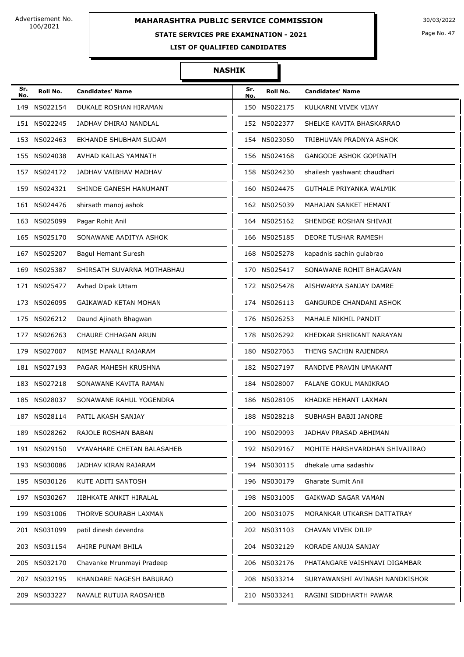#### **STATE SERVICES PRE EXAMINATION - 2021**

Page No. 47

**LIST OF QUALIFIED CANDIDATES** 

| Sr.<br>No. | Roll No.     | <b>Candidates' Name</b>    | Sr.<br>No. | Roll No.     | <b>Candidates' Name</b>        |
|------------|--------------|----------------------------|------------|--------------|--------------------------------|
| 149        | NS022154     | DUKALE ROSHAN HIRAMAN      |            | 150 NS022175 | KULKARNI VIVEK VIJAY           |
|            | 151 NS022245 | JADHAV DHIRAJ NANDLAL      |            | 152 NS022377 | SHELKE KAVITA BHASKARRAO       |
| 153        | NS022463     | EKHANDE SHUBHAM SUDAM      |            | 154 NS023050 | TRIBHUVAN PRADNYA ASHOK        |
|            | 155 NS024038 | AVHAD KAILAS YAMNATH       |            | 156 NS024168 | <b>GANGODE ASHOK GOPINATH</b>  |
|            | 157 NS024172 | JADHAV VAIBHAV MADHAV      |            | 158 NS024230 | shailesh yashwant chaudhari    |
|            | 159 NS024321 | SHINDE GANESH HANUMANT     |            | 160 NS024475 | GUTHALE PRIYANKA WALMIK        |
|            | 161 NS024476 | shirsath manoj ashok       |            | 162 NS025039 | MAHAJAN SANKET HEMANT          |
| 163        | NS025099     | Pagar Rohit Anil           |            | 164 NS025162 | SHENDGE ROSHAN SHIVAJI         |
|            | 165 NS025170 | SONAWANE AADITYA ASHOK     |            | 166 NS025185 | DEORE TUSHAR RAMESH            |
| 167        | NS025207     | Bagul Hemant Suresh        |            | 168 NS025278 | kapadnis sachin gulabrao       |
| 169        | NS025387     | SHIRSATH SUVARNA MOTHABHAU | 170        | NS025417     | SONAWANE ROHIT BHAGAVAN        |
| 171        | NS025477     | Avhad Dipak Uttam          |            | 172 NS025478 | AISHWARYA SANJAY DAMRE         |
|            | 173 NS026095 | GAIKAWAD KETAN MOHAN       |            | 174 NS026113 | <b>GANGURDE CHANDANI ASHOK</b> |
|            | 175 NS026212 | Daund Ajinath Bhagwan      |            | 176 NS026253 | MAHALE NIKHIL PANDIT           |
| 177        | NS026263     | CHAURE CHHAGAN ARUN        |            | 178 NS026292 | KHEDKAR SHRIKANT NARAYAN       |
| 179        | NS027007     | NIMSE MANALI RAJARAM       |            | 180 NS027063 | THENG SACHIN RAJENDRA          |
|            | 181 NS027193 | PAGAR MAHESH KRUSHNA       |            | 182 NS027197 | RANDIVE PRAVIN UMAKANT         |
|            | 183 NS027218 | SONAWANE KAVITA RAMAN      |            | 184 NS028007 | FALANE GOKUL MANIKRAO          |
|            | 185 NS028037 | SONAWANE RAHUL YOGENDRA    |            | 186 NS028105 | KHADKE HEMANT LAXMAN           |
|            | 187 NS028114 | PATIL AKASH SANJAY         |            | 188 NS028218 | SUBHASH BABJI JANORE           |
|            | 189 NS028262 | RAJOLE ROSHAN BABAN        |            | 190 NS029093 | JADHAV PRASAD ABHIMAN          |
|            | 191 NS029150 | VYAVAHARE CHETAN BALASAHEB |            | 192 NS029167 | MOHITE HARSHVARDHAN SHIVAJIRAO |
|            | 193 NS030086 | JADHAV KIRAN RAJARAM       |            | 194 NS030115 | dhekale uma sadashiv           |
|            | 195 NS030126 | KUTE ADITI SANTOSH         |            | 196 NS030179 | Gharate Sumit Anil             |
|            | 197 NS030267 | JIBHKATE ANKIT HIRALAL     |            | 198 NS031005 | GAIKWAD SAGAR VAMAN            |
|            | 199 NS031006 | THORVE SOURABH LAXMAN      |            | 200 NS031075 | MORANKAR UTKARSH DATTATRAY     |
|            | 201 NS031099 | patil dinesh devendra      |            | 202 NS031103 | CHAVAN VIVEK DILIP             |
| 203        | NS031154     | AHIRE PUNAM BHILA          | 204        | NS032129     | KORADE ANUJA SANJAY            |
|            | 205 NS032170 | Chavanke Mrunmayi Pradeep  |            | 206 NS032176 | PHATANGARE VAISHNAVI DIGAMBAR  |
|            | 207 NS032195 | KHANDARE NAGESH BABURAO    |            | 208 NS033214 | SURYAWANSHI AVINASH NANDKISHOR |
|            | 209 NS033227 | NAVALE RUTUJA RAOSAHEB     |            | 210 NS033241 | RAGINI SIDDHARTH PAWAR         |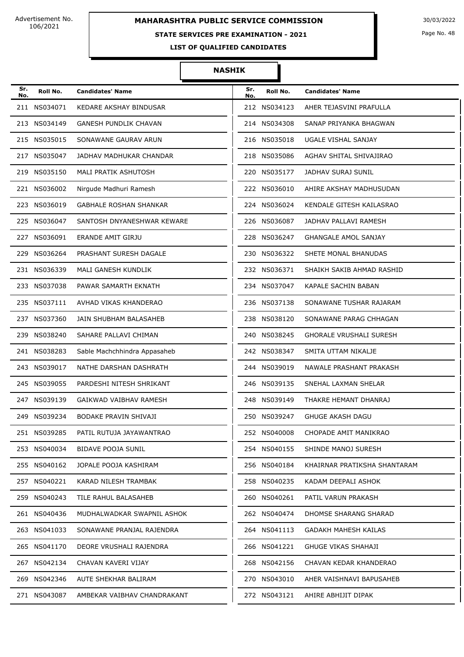#### **STATE SERVICES PRE EXAMINATION - 2021**

Page No. 48

**LIST OF QUALIFIED CANDIDATES** 

| Sr.<br>No. | Roll No.     | <b>Candidates' Name</b>       | Sr.<br>No. | Roll No.     | <b>Candidates' Name</b>        |
|------------|--------------|-------------------------------|------------|--------------|--------------------------------|
|            | 211 NS034071 | KEDARE AKSHAY BINDUSAR        |            | 212 NS034123 | AHER TEJASVINI PRAFULLA        |
|            | 213 NS034149 | <b>GANESH PUNDLIK CHAVAN</b>  |            | 214 NS034308 | SANAP PRIYANKA BHAGWAN         |
|            | 215 NS035015 | SONAWANE GAURAV ARUN          |            | 216 NS035018 | UGALE VISHAL SANJAY            |
|            | 217 NS035047 | JADHAV MADHUKAR CHANDAR       |            | 218 NS035086 | AGHAV SHITAL SHIVAJIRAO        |
|            | 219 NS035150 | MALI PRATIK ASHUTOSH          |            | 220 NS035177 | JADHAV SURAJ SUNIL             |
|            | 221 NS036002 | Nirgude Madhuri Ramesh        |            | 222 NS036010 | AHIRE AKSHAY MADHUSUDAN        |
|            | 223 NS036019 | <b>GABHALE ROSHAN SHANKAR</b> |            | 224 NS036024 | KENDALE GITESH KAILASRAO       |
|            | 225 NS036047 | SANTOSH DNYANESHWAR KEWARE    |            | 226 NS036087 | JADHAV PALLAVI RAMESH          |
|            | 227 NS036091 | ERANDE AMIT GIRJU             |            | 228 NS036247 | <b>GHANGALE AMOL SANJAY</b>    |
|            | 229 NS036264 | PRASHANT SURESH DAGALE        |            | 230 NS036322 | SHETE MONAL BHANUDAS           |
|            | 231 NS036339 | MALI GANESH KUNDLIK           |            | 232 NS036371 | SHAIKH SAKIB AHMAD RASHID      |
|            | 233 NS037038 | PAWAR SAMARTH EKNATH          |            | 234 NS037047 | KAPALE SACHIN BABAN            |
|            | 235 NS037111 | AVHAD VIKAS KHANDERAO         |            | 236 NS037138 | SONAWANE TUSHAR RAJARAM        |
|            | 237 NS037360 | JAIN SHUBHAM BALASAHEB        |            | 238 NS038120 | SONAWANE PARAG CHHAGAN         |
|            | 239 NS038240 | SAHARE PALLAVI CHIMAN         |            | 240 NS038245 | <b>GHORALE VRUSHALI SURESH</b> |
|            | 241 NS038283 | Sable Machchhindra Appasaheb  |            | 242 NS038347 | SMITA UTTAM NIKALJE            |
|            | 243 NS039017 | NATHE DARSHAN DASHRATH        |            | 244 NS039019 | NAWALE PRASHANT PRAKASH        |
|            | 245 NS039055 | PARDESHI NITESH SHRIKANT      |            | 246 NS039135 | SNEHAL LAXMAN SHELAR           |
|            | 247 NS039139 | GAIKWAD VAIBHAV RAMESH        |            | 248 NS039149 | THAKRE HEMANT DHANRAJ          |
|            | 249 NS039234 | BODAKE PRAVIN SHIVAJI         |            | 250 NS039247 | <b>GHUGE AKASH DAGU</b>        |
|            | 251 NS039285 | PATIL RUTUJA JAYAWANTRAO      |            | 252 NS040008 | CHOPADE AMIT MANIKRAO          |
|            | 253 NS040034 | BIDAVE POOJA SUNIL            |            | 254 NS040155 | SHINDE MANOJ SURESH            |
|            | 255 NS040162 | JOPALE POOJA KASHIRAM         |            | 256 NS040184 | KHAIRNAR PRATIKSHA SHANTARAM   |
|            | 257 NS040221 | KARAD NILESH TRAMBAK          |            | 258 NS040235 | KADAM DEEPALI ASHOK            |
|            | 259 NS040243 | TILE RAHUL BALASAHEB          |            | 260 NS040261 | PATIL VARUN PRAKASH            |
|            | 261 NS040436 | MUDHALWADKAR SWAPNIL ASHOK    |            | 262 NS040474 | DHOMSE SHARANG SHARAD          |
|            | 263 NS041033 | SONAWANE PRANJAL RAJENDRA     |            | 264 NS041113 | <b>GADAKH MAHESH KAILAS</b>    |
|            | 265 NS041170 | DEORE VRUSHALI RAJENDRA       |            | 266 NS041221 | <b>GHUGE VIKAS SHAHAJI</b>     |
|            | 267 NS042134 | CHAVAN KAVERI VIJAY           |            | 268 NS042156 | CHAVAN KEDAR KHANDERAO         |
|            | 269 NS042346 | AUTE SHEKHAR BALIRAM          |            | 270 NS043010 | AHER VAISHNAVI BAPUSAHEB       |
|            | 271 NS043087 | AMBEKAR VAIBHAV CHANDRAKANT   |            | 272 NS043121 | AHIRE ABHIJIT DIPAK            |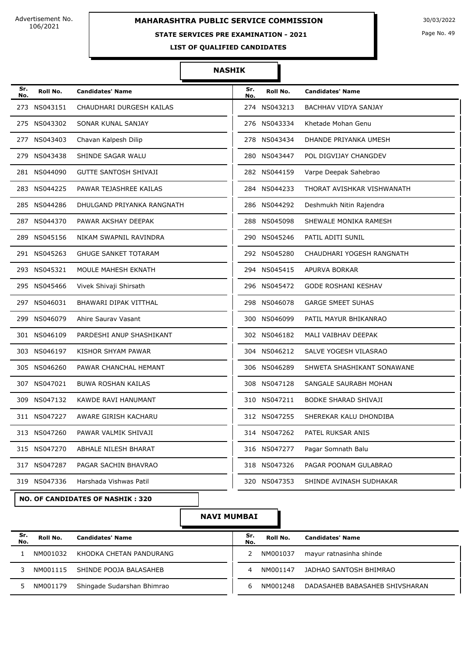# **MAHARASHTRA PUBLIC SERVICE COMMISSION** 30/03/2022

#### **STATE SERVICES PRE EXAMINATION - 2021**

Page No. 49

**LIST OF QUALIFIED CANDIDATES** 

#### **NASHIK**

| Sr.<br>No. | Roll No.     | <b>Candidates' Name</b>                 | Sr.<br>No. | Roll No.     | <b>Candidates' Name</b>     |
|------------|--------------|-----------------------------------------|------------|--------------|-----------------------------|
|            | 273 NS043151 | CHAUDHARI DURGESH KAILAS                |            | 274 NS043213 | <b>BACHHAV VIDYA SANJAY</b> |
|            | 275 NS043302 | SONAR KUNAL SANJAY                      |            | 276 NS043334 | Khetade Mohan Genu          |
|            | 277 NS043403 | Chavan Kalpesh Dilip                    |            | 278 NS043434 | DHANDE PRIYANKA UMESH       |
|            | 279 NS043438 | SHINDE SAGAR WALU                       |            | 280 NS043447 | POL DIGVIJAY CHANGDEV       |
|            | 281 NS044090 | GUTTE SANTOSH SHIVAJI                   |            | 282 NS044159 | Varpe Deepak Sahebrao       |
|            | 283 NS044225 | PAWAR TEJASHREE KAILAS                  |            | 284 NS044233 | THORAT AVISHKAR VISHWANATH  |
|            | 285 NS044286 | DHULGAND PRIYANKA RANGNATH              |            | 286 NS044292 | Deshmukh Nitin Rajendra     |
|            | 287 NS044370 | PAWAR AKSHAY DEEPAK                     |            | 288 NS045098 | SHEWALE MONIKA RAMESH       |
|            | 289 NS045156 | NIKAM SWAPNIL RAVINDRA                  |            | 290 NS045246 | PATIL ADITI SUNIL           |
|            | 291 NS045263 | <b>GHUGE SANKET TOTARAM</b>             |            | 292 NS045280 | CHAUDHARI YOGESH RANGNATH   |
|            | 293 NS045321 | MOULE MAHESH EKNATH                     |            | 294 NS045415 | APURVA BORKAR               |
|            | 295 NS045466 | Vivek Shivaji Shirsath                  |            | 296 NS045472 | <b>GODE ROSHANI KESHAV</b>  |
|            | 297 NS046031 | BHAWARI DIPAK VITTHAL                   |            | 298 NS046078 | <b>GARGE SMEET SUHAS</b>    |
|            | 299 NS046079 | Ahire Saurav Vasant                     |            | 300 NS046099 | PATIL MAYUR BHIKANRAO       |
|            | 301 NS046109 | PARDESHI ANUP SHASHIKANT                |            | 302 NS046182 | MALI VAIBHAV DEEPAK         |
|            | 303 NS046197 | KISHOR SHYAM PAWAR                      |            | 304 NS046212 | SALVE YOGESH VILASRAO       |
|            | 305 NS046260 | PAWAR CHANCHAL HEMANT                   |            | 306 NS046289 | SHWETA SHASHIKANT SONAWANE  |
|            | 307 NS047021 | <b>BUWA ROSHAN KAILAS</b>               |            | 308 NS047128 | SANGALE SAURABH MOHAN       |
|            | 309 NS047132 | KAWDE RAVI HANUMANT                     |            | 310 NS047211 | BODKE SHARAD SHIVAJI        |
|            | 311 NS047227 | AWARE GIRISH KACHARU                    |            | 312 NS047255 | SHEREKAR KALU DHONDIBA      |
|            | 313 NS047260 | PAWAR VALMIK SHIVAJI                    |            | 314 NS047262 | PATEL RUKSAR ANIS           |
|            | 315 NS047270 | ABHALE NILESH BHARAT                    |            | 316 NS047277 | Pagar Somnath Balu          |
|            | 317 NS047287 | PAGAR SACHIN BHAVRAO                    |            | 318 NS047326 | PAGAR POONAM GULABRAO       |
|            | 319 NS047336 | Harshada Vishwas Patil                  |            | 320 NS047353 | SHINDE AVINASH SUDHAKAR     |
|            |              | <b>NO. OF CANDIDATES OF NASHIK: 320</b> |            |              |                             |

**NAVI MUMBAI**

| Sr.<br>No. | Roll No. | <b>Candidates' Name</b>    | Sr.<br>No. | Roll No. | <b>Candidates' Name</b>        |  |  |
|------------|----------|----------------------------|------------|----------|--------------------------------|--|--|
|            | NM001032 | KHODKA CHETAN PANDURANG    |            | NM001037 | mayur ratnasinha shinde        |  |  |
|            | NM001115 | SHINDE POOJA BALASAHEB     | 4          | NM001147 | JADHAO SANTOSH BHIMRAO         |  |  |
|            | NM001179 | Shingade Sudarshan Bhimrao | 6          | NM001248 | DADASAHEB BABASAHEB SHIVSHARAN |  |  |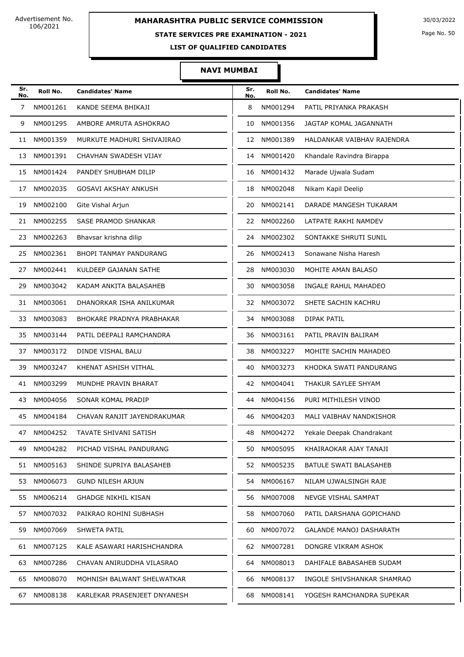### **STATE SERVICES PRE EXAMINATION - 2021**

Page No. 50

**LIST OF QUALIFIED CANDIDATES** 

#### **NAVI MUMBAI**

| Sr.<br>No. | Roll No.    | <b>Candidates' Name</b>       | Sr.<br>No. | Roll No.    | <b>Candidates' Name</b>       |
|------------|-------------|-------------------------------|------------|-------------|-------------------------------|
| 7          | NM001261    | KANDE SEEMA BHIKAJI           | 8          | NM001294    | PATIL PRIYANKA PRAKASH        |
| 9          | NM001295    | AMBORE AMRUTA ASHOKRAO        | 10         | NM001356    | JAGTAP KOMAL JAGANNATH        |
| 11         | NM001359    | MURKUTE MADHURI SHIVAJIRAO    | 12         | NM001389    | HALDANKAR VAIBHAV RAJENDRA    |
| 13         | NM001391    | CHAVHAN SWADESH VIJAY         | 14         | NM001420    | Khandale Ravindra Birappa     |
| 15         | NM001424    | PANDEY SHUBHAM DILIP          | 16         | NM001432    | Marade Ujwala Sudam           |
| 17         | NM002035    | <b>GOSAVI AKSHAY ANKUSH</b>   | 18         | NM002048    | Nikam Kapil Deelip            |
| 19         | NM002100    | Gite Vishal Arjun             | 20         | NM002141    | DARADE MANGESH TUKARAM        |
| 21         | NM002255    | SASE PRAMOD SHANKAR           | 22         | NM002260    | LATPATE RAKHI NAMDEV          |
| 23         | NM002263    | Bhavsar krishna dilip         | 24         | NM002302    | SONTAKKE SHRUTI SUNIL         |
| 25         | NM002361    | <b>BHOPI TANMAY PANDURANG</b> | 26         | NM002413    | Sonawane Nisha Haresh         |
| 27         | NM002441    | KULDEEP GAJANAN SATHE         | 28         | NM003030    | MOHITE AMAN BALASO            |
| 29         | NM003042    | KADAM ANKITA BALASAHEB        | 30         | NM003058    | INGALE RAHUL MAHADEO          |
| 31         | NM003061    | DHANORKAR ISHA ANILKUMAR      | 32         | NM003072    | SHETE SACHIN KACHRU           |
| 33         | NM003083    | BHOKARE PRADNYA PRABHAKAR     | 34         | NM003088    | DIPAK PATIL                   |
| 35         | NM003144    | PATIL DEEPALI RAMCHANDRA      | 36         | NM003161    | PATIL PRAVIN BALIRAM          |
| 37         | NM003172    | DINDE VISHAL BALU             | 38         | NM003227    | MOHITE SACHIN MAHADEO         |
| 39         | NM003247    | KHENAT ASHISH VITHAL          | 40         | NM003273    | KHODKA SWATI PANDURANG        |
| 41         | NM003299    | MUNDHE PRAVIN BHARAT          | 42         | NM004041    | THAKUR SAYLEE SHYAM           |
| 43         | NM004056    | SONAR KOMAL PRADIP            | 44         | NM004156    | PURI MITHILESH VINOD          |
| 45         | NM004184    | CHAVAN RANJIT JAYENDRAKUMAR   | 46         | NM004203    | MALI VAIBHAV NANDKISHOR       |
|            | 47 NM004252 | TAVATE SHIVANI SATISH         |            | 48 NM004272 | Yekale Deepak Chandrakant     |
| 49         | NM004282    | PICHAD VISHAL PANDURANG       | 50         | NM005095    | KHAIRAOKAR AJAY TANAJI        |
|            | 51 NM005163 | SHINDE SUPRIYA BALASAHEB      |            | 52 NM005235 | <b>BATULE SWATI BALASAHEB</b> |
| 53         | NM006073    | <b>GUND NILESH ARJUN</b>      | 54         | NM006167    | NILAM UJWALSINGH RAJE         |
|            | 55 NM006214 | <b>GHADGE NIKHIL KISAN</b>    | 56         | NM007008    | NEVGE VISHAL SAMPAT           |
| 57         | NM007032    | PAIKRAO ROHINI SUBHASH        | 58         | NM007060    | PATIL DARSHANA GOPICHAND      |
| 59         | NM007069    | <b>SHWETA PATIL</b>           | 60         | NM007072    | GALANDE MANOJ DASHARATH       |
| 61         | NM007125    | KALE ASAWARI HARISHCHANDRA    | 62         | NM007281    | DONGRE VIKRAM ASHOK           |
| 63         | NM007286    | CHAVAN ANIRUDDHA VILASRAO     | 64         | NM008013    | DAHIFALE BABASAHEB SUDAM      |
|            | 65 NM008070 | MOHNISH BALWANT SHELWATKAR    | 66         | NM008137    | INGOLE SHIVSHANKAR SHAMRAO    |
| 67         | NM008138    | KARLEKAR PRASENJEET DNYANESH  | 68         | NM008141    | YOGESH RAMCHANDRA SUPEKAR     |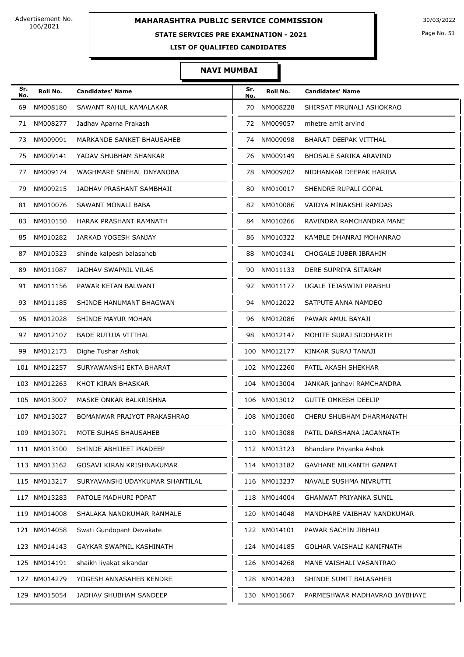### **STATE SERVICES PRE EXAMINATION - 2021**

Page No. 51

**LIST OF QUALIFIED CANDIDATES** 

#### **NAVI MUMBAI**

| Sr.<br>No. | Roll No.     | <b>Candidates' Name</b>         | Sr.<br>No. | Roll No.     | <b>Candidates' Name</b>       |
|------------|--------------|---------------------------------|------------|--------------|-------------------------------|
| 69         | NM008180     | SAWANT RAHUL KAMALAKAR          | 70         | NM008228     | SHIRSAT MRUNALI ASHOKRAO      |
| 71         | NM008277     | Jadhav Aparna Prakash           | 72         | NM009057     | mhetre amit arvind            |
| 73         | NM009091     | MARKANDE SANKET BHAUSAHEB       | 74         | NM009098     | <b>BHARAT DEEPAK VITTHAL</b>  |
| 75         | NM009141     | YADAV SHUBHAM SHANKAR           | 76         | NM009149     | BHOSALE SARIKA ARAVIND        |
| 77         | NM009174     | WAGHMARE SNEHAL DNYANOBA        | 78         | NM009202     | NIDHANKAR DEEPAK HARIBA       |
| 79         | NM009215     | JADHAV PRASHANT SAMBHAJI        | 80         | NM010017     | SHENDRE RUPALI GOPAL          |
| 81         | NM010076     | SAWANT MONALI BABA              | 82         | NM010086     | VAIDYA MINAKSHI RAMDAS        |
| 83         | NM010150     | HARAK PRASHANT RAMNATH          | 84         | NM010266     | RAVINDRA RAMCHANDRA MANE      |
| 85         | NM010282     | JARKAD YOGESH SANJAY            | 86         | NM010322     | KAMBLE DHANRAJ MOHANRAO       |
| 87         | NM010323     | shinde kalpesh balasaheb        | 88         | NM010341     | CHOGALE JUBER IBRAHIM         |
| 89         | NM011087     | JADHAV SWAPNIL VILAS            | 90         | NM011133     | DERE SUPRIYA SITARAM          |
| 91.        | NM011156     | PAWAR KETAN BALWANT             | 92         | NM011177     | UGALE TEJASWINI PRABHU        |
| 93.        | NM011185     | SHINDE HANUMANT BHAGWAN         | 94         | NM012022     | SATPUTE ANNA NAMDEO           |
| 95         | NM012028     | SHINDE MAYUR MOHAN              | 96         | NM012086     | PAWAR AMUL BAYAJI             |
| 97         | NM012107     | <b>BADE RUTUJA VITTHAL</b>      | 98         | NM012147     | MOHITE SURAJ SIDDHARTH        |
| 99         | NM012173     | Dighe Tushar Ashok              |            | 100 NM012177 | KINKAR SURAJ TANAJI           |
|            | 101 NM012257 | SURYAWANSHI EKTA BHARAT         |            | 102 NM012260 | PATIL AKASH SHEKHAR           |
|            | 103 NM012263 | KHOT KIRAN BHASKAR              |            | 104 NM013004 | JANKAR janhavi RAMCHANDRA     |
|            | 105 NM013007 | MASKE ONKAR BALKRISHNA          |            | 106 NM013012 | <b>GUTTE OMKESH DEELIP</b>    |
|            | 107 NM013027 | BOMANWAR PRAJYOT PRAKASHRAO     |            | 108 NM013060 | CHERU SHUBHAM DHARMANATH      |
|            | 109 NM013071 | MOTE SUHAS BHAUSAHEB            |            | 110 NM013088 | PATIL DARSHANA JAGANNATH      |
|            | 111 NM013100 | SHINDE ABHIJEET PRADEEP         |            | 112 NM013123 | Bhandare Priyanka Ashok       |
|            | 113 NM013162 | GOSAVI KIRAN KRISHNAKUMAR       |            | 114 NM013182 | GAVHANE NILKANTH GANPAT       |
|            | 115 NM013217 | SURYAVANSHI UDAYKUMAR SHANTILAL |            | 116 NM013237 | NAVALE SUSHMA NIVRUTTI        |
|            | 117 NM013283 | PATOLE MADHURI POPAT            |            | 118 NM014004 | <b>GHANWAT PRIYANKA SUNIL</b> |
|            | 119 NM014008 | SHALAKA NANDKUMAR RANMALE       |            | 120 NM014048 | MANDHARE VAIBHAV NANDKUMAR    |
|            | 121 NM014058 | Swati Gundopant Devakate        |            | 122 NM014101 | PAWAR SACHIN JIBHAU           |
|            | 123 NM014143 | GAYKAR SWAPNIL KASHINATH        |            | 124 NM014185 | GOLHAR VAISHALI KANIFNATH     |
|            | 125 NM014191 | shaikh liyakat sikandar         |            | 126 NM014268 | MANE VAISHALI VASANTRAO       |
|            | 127 NM014279 | YOGESH ANNASAHEB KENDRE         |            | 128 NM014283 | SHINDE SUMIT BALASAHEB        |
|            | 129 NM015054 | JADHAV SHUBHAM SANDEEP          |            | 130 NM015067 | PARMESHWAR MADHAVRAO JAYBHAYE |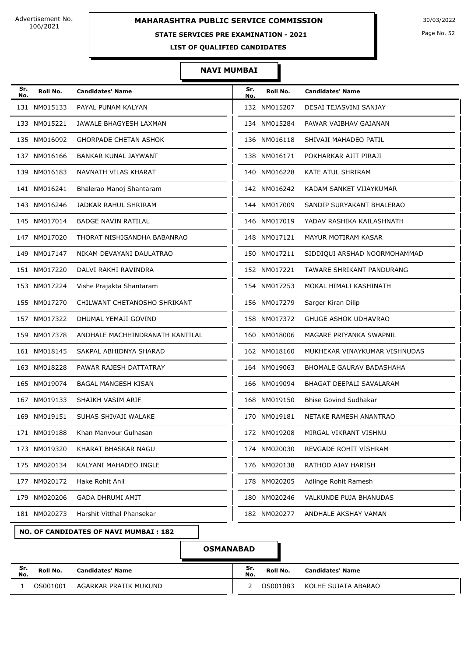### **MAHARASHTRA PUBLIC SERVICE COMMISSION** 30/03/2022

#### **STATE SERVICES PRE EXAMINATION - 2021**

Page No. 52

**LIST OF QUALIFIED CANDIDATES** 

#### **NAVI MUMBAI**

| Sr.<br>No. | Roll No.     | <b>Candidates' Name</b>         | Sr.<br>No. | Roll No.     | <b>Candidates' Name</b>         |
|------------|--------------|---------------------------------|------------|--------------|---------------------------------|
|            | 131 NM015133 | PAYAL PUNAM KALYAN              |            | 132 NM015207 | DESAI TEJASVINI SANJAY          |
|            | 133 NM015221 | JAWALE BHAGYESH LAXMAN          |            | 134 NM015284 | PAWAR VAIBHAV GAJANAN           |
|            | 135 NM016092 | <b>GHORPADE CHETAN ASHOK</b>    |            | 136 NM016118 | SHIVAJI MAHADEO PATIL           |
|            | 137 NM016166 | BANKAR KUNAL JAYWANT            |            | 138 NM016171 | POKHARKAR AJIT PIRAJI           |
|            | 139 NM016183 | NAVNATH VILAS KHARAT            |            | 140 NM016228 | KATE ATUL SHRIRAM               |
|            | 141 NM016241 | Bhalerao Manoj Shantaram        |            | 142 NM016242 | KADAM SANKET VIJAYKUMAR         |
|            | 143 NM016246 | JADKAR RAHUL SHRIRAM            |            | 144 NM017009 | SANDIP SURYAKANT BHALERAO       |
|            | 145 NM017014 | <b>BADGE NAVIN RATILAL</b>      |            | 146 NM017019 | YADAV RASHIKA KAILASHNATH       |
|            | 147 NM017020 | THORAT NISHIGANDHA BABANRAO     |            | 148 NM017121 | MAYUR MOTIRAM KASAR             |
|            | 149 NM017147 | NIKAM DEVAYANI DAULATRAO        |            | 150 NM017211 | SIDDIQUI ARSHAD NOORMOHAMMAD    |
|            | 151 NM017220 | DALVI RAKHI RAVINDRA            |            | 152 NM017221 | TAWARE SHRIKANT PANDURANG       |
|            | 153 NM017224 | Vishe Prajakta Shantaram        |            | 154 NM017253 | MOKAL HIMALI KASHINATH          |
|            | 155 NM017270 | CHILWANT CHETANOSHO SHRIKANT    |            | 156 NM017279 | Sarger Kiran Dilip              |
|            | 157 NM017322 | DHUMAL YEMAJI GOVIND            |            | 158 NM017372 | <b>GHUGE ASHOK UDHAVRAO</b>     |
|            | 159 NM017378 | ANDHALE MACHHINDRANATH KANTILAL |            | 160 NM018006 | MAGARE PRIYANKA SWAPNIL         |
|            | 161 NM018145 | SAKPAL ABHIDNYA SHARAD          |            | 162 NM018160 | MUKHEKAR VINAYKUMAR VISHNUDAS   |
|            | 163 NM018228 | PAWAR RAJESH DATTATRAY          |            | 164 NM019063 | <b>BHOMALE GAURAV BADASHAHA</b> |
|            | 165 NM019074 | <b>BAGAL MANGESH KISAN</b>      |            | 166 NM019094 | BHAGAT DEEPALI SAVALARAM        |
|            | 167 NM019133 | SHAIKH VASIM ARIF               |            | 168 NM019150 | <b>Bhise Govind Sudhakar</b>    |
|            | 169 NM019151 | SUHAS SHIVAJI WALAKE            |            | 170 NM019181 | NETAKE RAMESH ANANTRAO          |
|            | 171 NM019188 | Khan Manvour Gulhasan           |            | 172 NM019208 | MIRGAL VIKRANT VISHNU           |
|            | 173 NM019320 | KHARAT BHASKAR NAGU             |            | 174 NM020030 | REVGADE ROHIT VISHRAM           |
|            | 175 NM020134 | KALYANI MAHADEO INGLE           |            | 176 NM020138 | RATHOD AJAY HARISH              |
|            | 177 NM020172 | Hake Rohit Anil                 |            | 178 NM020205 | Adlinge Rohit Ramesh            |
|            | 179 NM020206 | <b>GADA DHRUMI AMIT</b>         |            | 180 NM020246 | VALKUNDE PUJA BHANUDAS          |
|            | 181 NM020273 | Harshit Vitthal Phansekar       |            | 182 NM020277 | ANDHALE AKSHAY VAMAN            |

#### **NO. OF CANDIDATES OF NAVI MUMBAI : 182**

### **OSMANABAD**

| Sr.<br>No. | Roll No. | <b>Candidates' Name</b> | Sr.<br>No. | Roll No. | <b>Candidates' Name</b> |
|------------|----------|-------------------------|------------|----------|-------------------------|
|            | OS001001 | AGARKAR PRATIK MUKUND   |            | OS001083 | KOLHE SUJATA ABARAO     |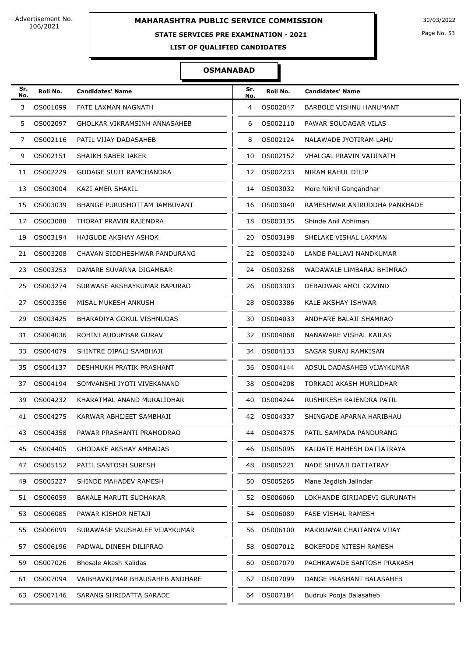### **STATE SERVICES PRE EXAMINATION - 2021**

Page No. 53

**LIST OF QUALIFIED CANDIDATES** 

#### **OSMANABAD**

| Sr.<br>No. | Roll No.    | <b>Candidates' Name</b>             | Sr.<br>No. | Roll No.    | <b>Candidates' Name</b>        |
|------------|-------------|-------------------------------------|------------|-------------|--------------------------------|
| 3          | OS001099    | FATE LAXMAN NAGNATH                 | 4          | OS002047    | <b>BARBOLE VISHNU HANUMANT</b> |
| 5          | OS002097    | <b>GHOLKAR VIKRAMSINH ANNASAHEB</b> | 6          | OS002110    | PAWAR SOUDAGAR VILAS           |
| 7          | OS002116    | PATIL VIJAY DADASAHEB               | 8          | OS002124    | NALAWADE JYOTIRAM LAHU         |
| 9          | OS002151    | SHAIKH SABER JAKER                  | 10         | OS002152    | VHALGAL PRAVIN VAIJINATH       |
| 11         | OS002229    | <b>GODAGE SUJIT RAMCHANDRA</b>      | 12         | OS002233    | NIKAM RAHUL DILIP              |
| 13         | OS003004    | KAZI AMER SHAKIL                    | 14         | OS003032    | More Nikhil Gangandhar         |
| 15         | OS003039    | BHANGE PURUSHOTTAM JAMBUVANT        | 16         | OS003040    | RAMESHWAR ANIRUDDHA PANKHADE   |
| 17         | OS003088    | THORAT PRAVIN RAJENDRA              | 18         | OS003135    | Shinde Anil Abhiman            |
| 19         | OS003194    | HAJGUDE AKSHAY ASHOK                | 20         | OS003198    | SHELAKE VISHAL LAXMAN          |
| 21         | OS003208    | CHAVAN SIDDHESHWAR PANDURANG        | 22         | OS003240    | LANDE PALLAVI NANDKUMAR        |
| 23         | OS003253    | DAMARE SUVARNA DIGAMBAR             | 24         | OS003268    | WADAWALE LIMBARAJ BHIMRAO      |
| 25         | OS003274    | SURWASE AKSHAYKUMAR BAPURAO         | 26         | OS003303    | DEBADWAR AMOL GOVIND           |
| 27         | OS003356    | MISAL MUKESH ANKUSH                 | 28         | OS003386    | KALE AKSHAY ISHWAR             |
| 29         | OS003425    | BHARADIYA GOKUL VISHNUDAS           | 30         | OS004033    | ANDHARE BALAJI SHAMRAO         |
| 31         | OS004036    | ROHINI AUDUMBAR GURAV               | 32         | OS004068    | NANAWARE VISHAL KAILAS         |
| 33         | OS004079    | SHINTRE DIPALI SAMBHAJI             | 34         | OS004133    | SAGAR SURAJ RAMKISAN           |
| 35         | OS004137    | DESHMUKH PRATIK PRASHANT            | 36         | OS004144    | ADSUL DADASAHEB VIJAYKUMAR     |
| 37         | OS004194    | SOMVANSHI JYOTI VIVEKANAND          | 38         | OS004208    | TORKADI AKASH MURLIDHAR        |
| 39         | OS004232    | KHARATMAL ANAND MURALIDHAR          | 40         | OS004244    | RUSHIKESH RAJENDRA PATIL       |
| 41         | OS004275    | KARWAR ABHIJEET SAMBHAJI            |            | 42 0S004337 | SHINGADE APARNA HARIBHAU       |
|            | 43 OS004358 | PAWAR PRASHANTI PRAMODRAO           |            | 44 0S004375 | PATIL SAMPADA PANDURANG        |
| 45         | OS004405    | GHODAKE AKSHAY AMBADAS              | 46         | OS005095    | KALDATE MAHESH DATTATRAYA      |
| 47         | OS005152    | PATIL SANTOSH SURESH                | 48         | OS005221    | NADE SHIVAJI DATTATRAY         |
| 49         | OS005227    | SHINDE MAHADEV RAMESH               | 50         | OS005265    | Mane Jagdish Jalindar          |
| 51         | OS006059    | BAKALE MARUTI SUDHAKAR              | 52         | OS006060    | LOKHANDE GIRIJADEVI GURUNATH   |
| 53         | OS006085    | PAWAR KISHOR NETAJI                 | 54         | OS006089    | FASE VISHAL RAMESH             |
| 55         | OS006099    | SURAWASE VRUSHALEE VIJAYKUMAR       | 56         | OS006100    | MAKRUWAR CHAITANYA VIJAY       |
| 57         | OS006196    | PADWAL DINESH DILIPRAO              | 58         | OS007012    | BOKEFODE NITESH RAMESH         |
| 59         | OS007026    | Bhosale Akash Kalidas               | 60         | OS007079    | PACHKAWADE SANTOSH PRAKASH     |
| 61         | OS007094    | VAIBHAVKUMAR BHAUSAHEB ANDHARE      | 62         | OS007099    | DANGE PRASHANT BALASAHEB       |
| 63         | OS007146    | SARANG SHRIDATTA SARADE             | 64         | OS007184    | Budruk Pooja Balasaheb         |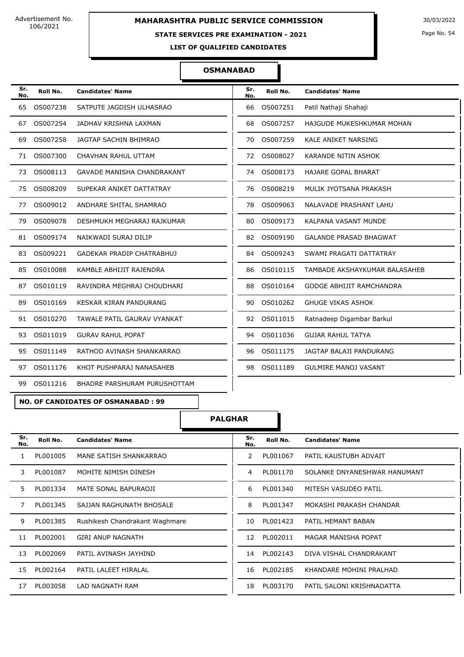#### **STATE SERVICES PRE EXAMINATION - 2021**

Page No. 54

**LIST OF QUALIFIED CANDIDATES** 

#### **OSMANABAD**

| Sr.<br>No. | Roll No. | <b>Candidates' Name</b>           | Sr.<br>No. | Roll No. | <b>Candidates' Name</b>         |
|------------|----------|-----------------------------------|------------|----------|---------------------------------|
| 65         | OS007238 | SATPUTE JAGDISH ULHASRAO          | 66         | OS007251 | Patil Nathaji Shahaji           |
| 67         | OS007254 | JADHAV KRISHNA LAXMAN             | 68         | OS007257 | HAJGUDE MUKESHKUMAR MOHAN       |
| 69         | OS007258 | JAGTAP SACHIN BHIMRAO             | 70         | OS007259 | <b>KALE ANIKET NARSING</b>      |
| 71         | OS007300 | CHAVHAN RAHUL UTTAM               | 72         | OS008027 | <b>KARANDE NITIN ASHOK</b>      |
| 73         | OS008113 | <b>GAVADE MANISHA CHANDRAKANT</b> | 74         | OS008173 | <b>HAJARE GOPAL BHARAT</b>      |
| 75         | OS008209 | SUPEKAR ANIKET DATTATRAY          | 76         | OS008219 | MULIK JYOTSANA PRAKASH          |
| 77         | OS009012 | ANDHARE SHITAL SHAMRAO            | 78         | OS009063 | NALAVADE PRASHANT LAHU          |
| 79         | OS009078 | DESHMUKH MEGHARAJ RAJKUMAR        | 80         | OS009173 | KALPANA VASANT MUNDE            |
| 81         | OS009174 | NAIKWADI SURAJ DILIP              | 82         | OS009190 | <b>GALANDE PRASAD BHAGWAT</b>   |
| 83         | OS009221 | <b>GADEKAR PRADIP CHATRABHUJ</b>  | 84         | OS009243 | SWAMI PRAGATI DATTATRAY         |
| 85         | OS010088 | KAMBLE ABHIJIT RAJENDRA           | 86         | OS010115 | TAMBADE AKSHAYKUMAR BALASAHEB   |
| 87         | OS010119 | RAVINDRA MEGHRAJ CHOUDHARI        | 88         | OS010164 | <b>GODGE ABHIJIT RAMCHANDRA</b> |
| 89         | OS010169 | <b>KESKAR KIRAN PANDURANG</b>     | 90         | OS010262 | <b>GHUGE VIKAS ASHOK</b>        |
| 91         | OS010270 | TAWALE PATIL GAURAV VYANKAT       | 92         | OS011015 | Ratnadeep Digambar Barkul       |
| 93         | OS011019 | <b>GURAV RAHUL POPAT</b>          | 94         | OS011036 | <b>GUJAR RAHUL TATYA</b>        |
| 95         | OS011149 | RATHOD AVINASH SHANKARRAO         | 96         | OS011175 | JAGTAP BALAJI PANDURANG         |
| 97         | OS011176 | KHOT PUSHPARAJ NANASAHEB          | 98         | OS011189 | <b>GULMIRE MANOJ VASANT</b>     |
| 99         | OS011216 | BHADRE PARSHURAM PURUSHOTTAM      |            |          |                                 |

**NO. OF CANDIDATES OF OSMANABAD : 99**

**PALGHAR**

| Sr.<br>No. | Roll No. | <b>Candidates' Name</b>        | Sr.<br>No. | Roll No. | <b>Candidates' Name</b>      |
|------------|----------|--------------------------------|------------|----------|------------------------------|
| 1          | PL001005 | MANE SATISH SHANKARRAO         | 2          | PL001067 | PATIL KAUSTUBH ADVAIT        |
| 3          | PL001087 | MOHITE NIMISH DINESH           | 4          | PL001170 | SOLANKE DNYANESHWAR HANUMANT |
| 5.         | PL001334 | MATE SONAL BAPURAOJI           | 6          | PL001340 | MITESH VASUDEO PATIL         |
| 7          | PL001345 | SAJJAN RAGHUNATH BHOSALE       | 8          | PL001347 | MOKASHI PRAKASH CHANDAR      |
| 9          | PL001385 | Rushikesh Chandrakant Waghmare | 10         | PL001423 | PATIL HEMANT BABAN           |
| 11         | PL002001 | <b>GIRI ANUP NAGNATH</b>       | 12         | PL002011 | MAGAR MANISHA POPAT          |
| 13         | PL002069 | PATIL AVINASH JAYHIND          | 14         | PL002143 | DIVA VISHAL CHANDRAKANT      |
| 15         | PL002164 | PATIL LALEET HIRALAL           | 16         | PL002185 | KHANDARE MOHINI PRALHAD      |
| 17         | PL003058 | LAD NAGNATH RAM                | 18         | PL003170 | PATIL SALONI KRISHNADATTA    |
|            |          |                                |            |          |                              |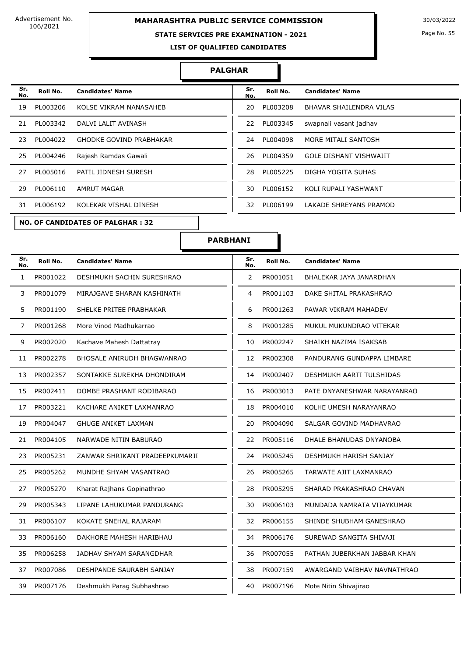### **MAHARASHTRA PUBLIC SERVICE COMMISSION** 30/03/2022

#### **STATE SERVICES PRE EXAMINATION - 2021**

Page No. 55

**LIST OF QUALIFIED CANDIDATES** 

#### **PALGHAR**

|    | Sr.<br>Roll No.       | <b>Candidates' Name</b>        | Sr.       | Roll No. | <b>Candidates' Name</b>        |
|----|-----------------------|--------------------------------|-----------|----------|--------------------------------|
|    | No.<br>PL003206<br>19 | KOLSE VIKRAM NANASAHEB         | No.<br>20 | PL003208 | <b>BHAVAR SHAILENDRA VILAS</b> |
| 21 | PL003342              | DALVI LALIT AVINASH            | 22        | PL003345 | swapnali vasant jadhav         |
|    | PL004022<br>23        | <b>GHODKE GOVIND PRABHAKAR</b> | 24        | PL004098 | MORE MITALI SANTOSH            |
|    | PL004246<br>25        | Rajesh Ramdas Gawali           | 26        | PL004359 | <b>GOLE DISHANT VISHWAJIT</b>  |
|    | PL005016<br>27        | PATIL JIDNESH SURESH           | 28        | PL005225 | <b>DIGHA YOGITA SUHAS</b>      |
|    | 29<br>PL006110        | <b>AMRUT MAGAR</b>             | 30        | PL006152 | KOLI RUPALI YASHWANT           |
| 31 | PL006192              | KOLEKAR VISHAL DINESH          | 32        | PL006199 | <b>LAKADE SHREYANS PRAMOD</b>  |
|    |                       |                                |           |          |                                |

**NO. OF CANDIDATES OF PALGHAR : 32**

| Sr.<br>No. | Roll No. | <b>Candidates' Name</b> |
|------------|----------|-------------------------|
| 20         | PL003208 | BHAVAR SHAILENDRA VILAS |
| 22         | PL003345 | swapnali vasant jadhav  |
| 24         | PL004098 | MORE MITALI SANTOSH     |
| 26         | PL004359 | GOLE DISHANT VISHWAJIT  |
| 28         | PL005225 | DIGHA YOGITA SUHAS      |
| 30         | PL006152 | KOLI RUPALI YASHWANT    |
| 32         | PL006199 | I AKADE SHREYANS PRAMOD |

**PARBHANI**

| Sr.<br>No.     | Roll No. | <b>Candidates' Name</b>           | Sr.<br>No.            | Roll No. | <b>Candidates' Name</b>      |
|----------------|----------|-----------------------------------|-----------------------|----------|------------------------------|
| $\mathbf{1}$   | PR001022 | DESHMUKH SACHIN SURESHRAO         | $\mathbf{2}^{\prime}$ | PR001051 | BHALEKAR JAYA JANARDHAN      |
| 3              | PR001079 | MIRAJGAVE SHARAN KASHINATH        | 4                     | PR001103 | DAKE SHITAL PRAKASHRAO       |
| 5              | PR001190 | SHELKE PRITEE PRABHAKAR           | 6                     | PR001263 | PAWAR VIKRAM MAHADEV         |
| $\overline{7}$ | PR001268 | More Vinod Madhukarrao            | 8                     | PR001285 | MUKUL MUKUNDRAO VITEKAR      |
| 9              | PR002020 | Kachave Mahesh Dattatray          | 10                    | PR002247 | SHAIKH NAZIMA ISAKSAB        |
| 11             | PR002278 | <b>BHOSALE ANIRUDH BHAGWANRAO</b> | 12                    | PR002308 | PANDURANG GUNDAPPA LIMBARE   |
| 13             | PR002357 | SONTAKKE SUREKHA DHONDIRAM        | 14                    | PR002407 | DESHMUKH AARTI TULSHIDAS     |
| 15             | PR002411 | DOMBE PRASHANT RODIBARAO          | 16                    | PR003013 | PATE DNYANESHWAR NARAYANRAO  |
| 17             | PR003221 | KACHARE ANIKET LAXMANRAO          | 18                    | PR004010 | KOLHE UMESH NARAYANRAO       |
| 19             | PR004047 | <b>GHUGE ANIKET LAXMAN</b>        | 20                    | PR004090 | SALGAR GOVIND MADHAVRAO      |
| 21             | PR004105 | NARWADE NITIN BABURAO             | 22                    | PR005116 | DHALE BHANUDAS DNYANOBA      |
| 23             | PR005231 | ZANWAR SHRIKANT PRADEEPKUMARJI    | 24                    | PR005245 | DESHMUKH HARISH SANJAY       |
| 25             | PR005262 | MUNDHE SHYAM VASANTRAO            | 26                    | PR005265 | TARWATE AJIT LAXMANRAO       |
| 27             | PR005270 | Kharat Rajhans Gopinathrao        | 28                    | PR005295 | SHARAD PRAKASHRAO CHAVAN     |
| 29             | PR005343 | LIPANE LAHUKUMAR PANDURANG        | 30                    | PR006103 | MUNDADA NAMRATA VIJAYKUMAR   |
| 31             | PR006107 | KOKATE SNEHAL RAJARAM             | 32                    | PR006155 | SHINDE SHUBHAM GANESHRAO     |
| 33             | PR006160 | DAKHORE MAHESH HARIBHAU           | 34                    | PR006176 | SUREWAD SANGITA SHIVAJI      |
| 35             | PR006258 | JADHAV SHYAM SARANGDHAR           | 36                    | PR007055 | PATHAN JUBERKHAN JABBAR KHAN |
| 37             | PR007086 | DESHPANDE SAURABH SANJAY          | 38                    | PR007159 | AWARGAND VAIBHAV NAVNATHRAO  |
| 39             | PR007176 | Deshmukh Parag Subhashrao         | 40                    | PR007196 | Mote Nitin Shivajirao        |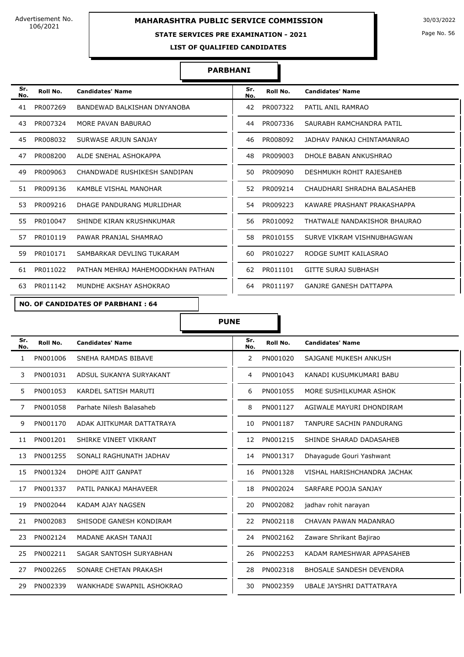#### **STATE SERVICES PRE EXAMINATION - 2021**

Page No. 56

**LIST OF QUALIFIED CANDIDATES** 

#### **PARBHANI**

| Sr.<br>No. | Roll No. | <b>Candidates' Name</b>           | Sr.<br>No. | Roll No. | <b>Candidates' Name</b>       |
|------------|----------|-----------------------------------|------------|----------|-------------------------------|
| 41         | PR007269 | BANDEWAD BALKISHAN DNYANOBA       | 42         | PR007322 | PATIL ANIL RAMRAO             |
| 43         | PR007324 | MORE PAVAN BABURAO                | 44         | PR007336 | SAURABH RAMCHANDRA PATIL      |
| 45         | PR008032 | SURWASE ARJUN SANJAY              | 46         | PR008092 | JADHAV PANKAJ CHINTAMANRAO    |
| 47         | PR008200 | ALDE SNEHAL ASHOKAPPA             | 48         | PR009003 | DHOLE BABAN ANKUSHRAO         |
| 49         | PR009063 | CHANDWADE RUSHIKESH SANDIPAN      | 50.        | PR009090 | DESHMUKH ROHIT RAJESAHEB      |
| 51.        | PR009136 | KAMBLE VISHAL MANOHAR             | 52         | PR009214 | CHAUDHARI SHRADHA BALASAHEB   |
| 53         | PR009216 | DHAGE PANDURANG MURLIDHAR         | 54         | PR009223 | KAWARE PRASHANT PRAKASHAPPA   |
| 55.        | PR010047 | SHINDE KIRAN KRUSHNKUMAR          | 56.        | PR010092 | THATWALE NANDAKISHOR BHAURAO  |
| 57         | PR010119 | PAWAR PRANJAL SHAMRAO             | 58         | PR010155 | SURVE VIKRAM VISHNUBHAGWAN    |
| 59         | PR010171 | SAMBARKAR DEVLING TUKARAM         | 60         | PR010227 | RODGE SUMIT KAILASRAO         |
| 61         | PR011022 | PATHAN MEHRAJ MAHEMOODKHAN PATHAN | 62         | PR011101 | <b>GITTE SURAJ SUBHASH</b>    |
| 63         | PR011142 | MUNDHE AKSHAY ASHOKRAO            | 64         | PR011197 | <b>GANJRE GANESH DATTAPPA</b> |

#### **NO. OF CANDIDATES OF PARBHANI : 64**

| Sr.<br>No.   | Roll No. | <b>Candidates' Name</b>   | Sr.<br>No. | Roll No. | <b>Candidates' Name</b>         |
|--------------|----------|---------------------------|------------|----------|---------------------------------|
| $\mathbf{1}$ | PN001006 | SNEHA RAMDAS BIBAVE       | 2          | PN001020 | SAJGANE MUKESH ANKUSH           |
| 3            | PN001031 | ADSUL SUKANYA SURYAKANT   | 4          | PN001043 | KANADI KUSUMKUMARI BABU         |
| 5            | PN001053 | KARDEL SATISH MARUTI      | 6          | PN001055 | MORE SUSHILKUMAR ASHOK          |
| 7            | PN001058 | Parhate Nilesh Balasaheb  | 8          | PN001127 | AGIWALE MAYURI DHONDIRAM        |
| 9            | PN001170 | ADAK AJITKUMAR DATTATRAYA | 10         | PN001187 | TANPURE SACHIN PANDURANG        |
| 11           | PN001201 | SHIRKE VINEET VIKRANT     | 12         | PN001215 | SHINDE SHARAD DADASAHEB         |
| 13           | PN001255 | SONALI RAGHUNATH JADHAV   | 14         | PN001317 | Dhayagude Gouri Yashwant        |
| 15           | PN001324 | DHOPE AJIT GANPAT         | 16         | PN001328 | VISHAL HARISHCHANDRA JACHAK     |
| 17           | PN001337 | PATIL PANKAJ MAHAVEER     | 18         | PN002024 | SARFARE POOJA SANJAY            |
| 19           | PN002044 | KADAM AJAY NAGSEN         | 20         | PN002082 | jadhav rohit narayan            |
| 21           | PN002083 | SHISODE GANESH KONDIRAM   | 22         | PN002118 | CHAVAN PAWAN MADANRAO           |
| 23           | PN002124 | MADANE AKASH TANAJI       | 24         | PN002162 | Zaware Shrikant Bajirao         |
| 25           | PN002211 | SAGAR SANTOSH SURYABHAN   | 26         | PN002253 | KADAM RAMESHWAR APPASAHEB       |
| 27           | PN002265 | SONARE CHETAN PRAKASH     | 28         | PN002318 | <b>BHOSALE SANDESH DEVENDRA</b> |
| 29           | PN002339 | WANKHADE SWAPNIL ASHOKRAO | 30         | PN002359 | UBALE JAYSHRI DATTATRAYA        |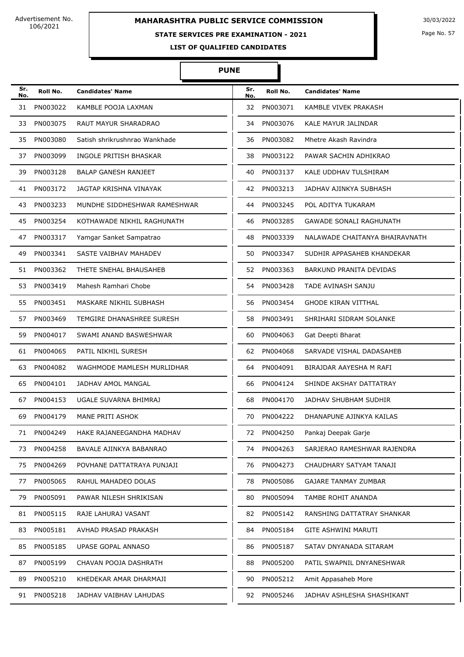# **MAHARASHTRA PUBLIC SERVICE COMMISSION** 30/03/2022

### **STATE SERVICES PRE EXAMINATION - 2021**

Page No. 57

**LIST OF QUALIFIED CANDIDATES** 

| Sr.<br>No. | Roll No. | <b>Candidates' Name</b>       | Sr.<br>No. | Roll No. | <b>Candidates' Name</b>        |
|------------|----------|-------------------------------|------------|----------|--------------------------------|
| 31         | PN003022 | KAMBLE POOJA LAXMAN           | 32         | PN003071 | KAMBLE VIVEK PRAKASH           |
| 33         | PN003075 | RAUT MAYUR SHARADRAO          | 34         | PN003076 | KALE MAYUR JALINDAR            |
| 35         | PN003080 | Satish shrikrushnrao Wankhade | 36         | PN003082 | Mhetre Akash Ravindra          |
| 37         | PN003099 | INGOLE PRITISH BHASKAR        | 38         | PN003122 | PAWAR SACHIN ADHIKRAO          |
| 39         | PN003128 | <b>BALAP GANESH RANJEET</b>   | 40         | PN003137 | KALE UDDHAV TULSHIRAM          |
| 41         | PN003172 | JAGTAP KRISHNA VINAYAK        | 42         | PN003213 | JADHAV AJINKYA SUBHASH         |
| 43         | PN003233 | MUNDHE SIDDHESHWAR RAMESHWAR  | 44         | PN003245 | POL ADITYA TUKARAM             |
| 45         | PN003254 | KOTHAWADE NIKHIL RAGHUNATH    | 46         | PN003285 | <b>GAWADE SONALI RAGHUNATH</b> |
| 47         | PN003317 | Yamgar Sanket Sampatrao       | 48         | PN003339 | NALAWADE CHAITANYA BHAIRAVNATH |
| 49         | PN003341 | SASTE VAIBHAV MAHADEV         | 50         | PN003347 | SUDHIR APPASAHEB KHANDEKAR     |
| 51         | PN003362 | THETE SNEHAL BHAUSAHEB        | 52         | PN003363 | BARKUND PRANITA DEVIDAS        |
| 53         | PN003419 | Mahesh Ramhari Chobe          | 54         | PN003428 | TADE AVINASH SANJU             |
| 55         | PN003451 | MASKARE NIKHIL SUBHASH        | 56         | PN003454 | GHODE KIRAN VITTHAL            |
| 57         | PN003469 | TEMGIRE DHANASHREE SURESH     | 58         | PN003491 | SHRIHARI SIDRAM SOLANKE        |
| 59         | PN004017 | SWAMI ANAND BASWESHWAR        | 60         | PN004063 | Gat Deepti Bharat              |
| 61         | PN004065 | PATIL NIKHIL SURESH           | 62         | PN004068 | SARVADE VISHAL DADASAHEB       |
| 63         | PN004082 | WAGHMODE MAMLESH MURLIDHAR    | 64         | PN004091 | BIRAJDAR AAYESHA M RAFI        |
| 65         | PN004101 | <b>JADHAV AMOL MANGAL</b>     | 66         | PN004124 | SHINDE AKSHAY DATTATRAY        |
| 67         | PN004153 | UGALE SUVARNA BHIMRAJ         | 68         | PN004170 | JADHAV SHUBHAM SUDHIR          |
| 69         | PN004179 | MANE PRITI ASHOK              | 70         | PN004222 | DHANAPUNE AJINKYA KAILAS       |
|            | PN004249 | HAKE RAJANEEGANDHA MADHAV     | 72         | PN004250 | Pankaj Deepak Garje            |
| 73         | PN004258 | BAVALE AJINKYA BABANRAO       | 74         | PN004263 | SARJERAO RAMESHWAR RAJENDRA    |
| 75         | PN004269 | POVHANE DATTATRAYA PUNJAJI    | 76         | PN004273 | CHAUDHARY SATYAM TANAJI        |
| 77         | PN005065 | RAHUL MAHADEO DOLAS           | 78         | PN005086 | <b>GAJARE TANMAY ZUMBAR</b>    |
| 79         | PN005091 | PAWAR NILESH SHRIKISAN        | 80         | PN005094 | TAMBE ROHIT ANANDA             |
| 81         | PN005115 | RAJE LAHURAJ VASANT           | 82         | PN005142 | RANSHING DATTATRAY SHANKAR     |
| 83         | PN005181 | AVHAD PRASAD PRAKASH          | 84         | PN005184 | <b>GITE ASHWINI MARUTI</b>     |
| 85         | PN005185 | UPASE GOPAL ANNASO            | 86         | PN005187 | SATAV DNYANADA SITARAM         |
| 87         | PN005199 | CHAVAN POOJA DASHRATH         | 88         | PN005200 | PATIL SWAPNIL DNYANESHWAR      |
| 89         | PN005210 | KHEDEKAR AMAR DHARMAJI        | 90         | PN005212 | Amit Appasaheb More            |
| 91         | PN005218 | JADHAV VAIBHAV LAHUDAS        | 92         | PN005246 | JADHAV ASHLESHA SHASHIKANT     |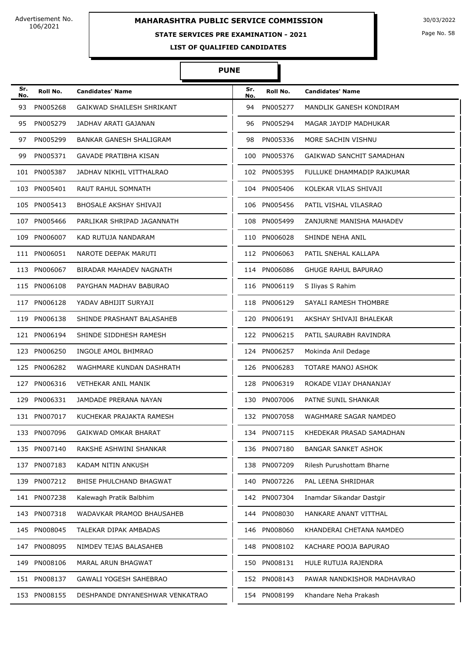## **STATE SERVICES PRE EXAMINATION - 2021**

Page No. 58

**LIST OF QUALIFIED CANDIDATES** 

#### **PUNE**

Π

| Sr.<br>No. | Roll No.     | <b>Candidates' Name</b>         | Sr.<br>No. | Roll No.     | <b>Candidates' Name</b>    |
|------------|--------------|---------------------------------|------------|--------------|----------------------------|
| 93         | PN005268     | GAIKWAD SHAILESH SHRIKANT       | 94         | PN005277     | MANDLIK GANESH KONDIRAM    |
| 95         | PN005279     | JADHAV ARATI GAJANAN            | 96         | PN005294     | MAGAR JAYDIP MADHUKAR      |
| 97         | PN005299     | BANKAR GANESH SHALIGRAM         | 98         | PN005336     | MORE SACHIN VISHNU         |
| 99         | PN005371     | <b>GAVADE PRATIBHA KISAN</b>    | 100        | PN005376     | GAIKWAD SANCHIT SAMADHAN   |
|            | 101 PN005387 | JADHAV NIKHIL VITTHALRAO        | 102        | PN005395     | FULLUKE DHAMMADIP RAJKUMAR |
|            | 103 PN005401 | <b>RAUT RAHUL SOMNATH</b>       |            | 104 PN005406 | KOLEKAR VILAS SHIVAJI      |
|            | 105 PN005413 | BHOSALE AKSHAY SHIVAJI          |            | 106 PN005456 | PATIL VISHAL VILASRAO      |
|            | 107 PN005466 | PARLIKAR SHRIPAD JAGANNATH      | 108        | PN005499     | ZANJURNE MANISHA MAHADEV   |
|            | 109 PN006007 | KAD RUTUJA NANDARAM             | 110        | PN006028     | SHINDE NEHA ANIL           |
|            | 111 PN006051 | NAROTE DEEPAK MARUTI            |            | 112 PN006063 | PATIL SNEHAL KALLAPA       |
|            | 113 PN006067 | BIRADAR MAHADEV NAGNATH         |            | 114 PN006086 | <b>GHUGE RAHUL BAPURAO</b> |
|            | 115 PN006108 | PAYGHAN MADHAV BABURAO          |            | 116 PN006119 | S Iliyas S Rahim           |
| 117        | PN006128     | YADAV ABHIJIT SURYAJI           |            | 118 PN006129 | SAYALI RAMESH THOMBRE      |
|            | 119 PN006138 | SHINDE PRASHANT BALASAHEB       |            | 120 PN006191 | AKSHAY SHIVAJI BHALEKAR    |
|            | 121 PN006194 | SHINDE SIDDHESH RAMESH          |            | 122 PN006215 | PATIL SAURABH RAVINDRA     |
|            | 123 PN006250 | INGOLE AMOL BHIMRAO             |            | 124 PN006257 | Mokinda Anil Dedage        |
| 125        | PN006282     | WAGHMARE KUNDAN DASHRATH        | 126        | PN006283     | TOTARE MANOJ ASHOK         |
|            | 127 PN006316 | <b>VETHEKAR ANIL MANIK</b>      |            | 128 PN006319 | ROKADE VIJAY DHANANJAY     |
|            | 129 PN006331 | JAMDADE PRERANA NAYAN           |            | 130 PN007006 | PATNE SUNIL SHANKAR        |
|            | 131 PN007017 | KUCHEKAR PRAJAKTA RAMESH        |            | 132 PN007058 | WAGHMARE SAGAR NAMDEO      |
|            | 133 PN007096 | GAIKWAD OMKAR BHARAT            |            | 134 PN007115 | KHEDEKAR PRASAD SAMADHAN   |
|            | 135 PN007140 | RAKSHE ASHWINI SHANKAR          | 136        | PN007180     | <b>BANGAR SANKET ASHOK</b> |
|            | 137 PN007183 | KADAM NITIN ANKUSH              |            | 138 PN007209 | Rilesh Purushottam Bharne  |
|            | 139 PN007212 | BHISE PHULCHAND BHAGWAT         |            | 140 PN007226 | PAL LEENA SHRIDHAR         |
|            | 141 PN007238 | Kalewagh Pratik Balbhim         |            | 142 PN007304 | Inamdar Sikandar Dastgir   |
|            | 143 PN007318 | WADAVKAR PRAMOD BHAUSAHEB       |            | 144 PN008030 | HANKARE ANANT VITTHAL      |
|            | 145 PN008045 | TALEKAR DIPAK AMBADAS           |            | 146 PN008060 | KHANDERAI CHETANA NAMDEO   |
|            | 147 PN008095 | NIMDEV TEJAS BALASAHEB          |            | 148 PN008102 | KACHARE POOJA BAPURAO      |
|            | 149 PN008106 | MARAL ARUN BHAGWAT              |            | 150 PN008131 | HULE RUTUJA RAJENDRA       |
|            | 151 PN008137 | GAWALI YOGESH SAHEBRAO          |            | 152 PN008143 | PAWAR NANDKISHOR MADHAVRAO |
|            | 153 PN008155 | DESHPANDE DNYANESHWAR VENKATRAO |            | 154 PN008199 | Khandare Neha Prakash      |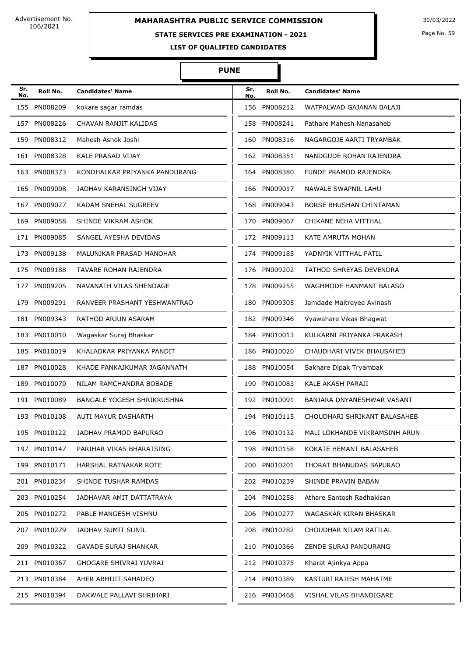# **MAHARASHTRA PUBLIC SERVICE COMMISSION** 30/03/2022

#### **STATE SERVICES PRE EXAMINATION - 2021**

Page No. 59

**LIST OF QUALIFIED CANDIDATES** 

| Sr.<br>No. | Roll No.     | <b>Candidates' Name</b>           | Sr.<br>No. | Roll No.     | <b>Candidates' Name</b>       |
|------------|--------------|-----------------------------------|------------|--------------|-------------------------------|
|            | 155 PN008209 | kokare sagar ramdas               | 156        | PN008212     | WATPALWAD GAJANAN BALAJI      |
|            | 157 PN008226 | CHAVAN RANJIT KALIDAS             | 158        | PN008241     | Pathare Mahesh Nanasaheb      |
|            | 159 PN008312 | Mahesh Ashok Joshi                | 160        | PN008316     | NAGARGOJE AARTI TRYAMBAK      |
|            | 161 PN008328 | <b>KALE PRASAD VIJAY</b>          |            | 162 PN008351 | NANDGUDE ROHAN RAJENDRA       |
|            | 163 PN008373 | KONDHALKAR PRIYANKA PANDURANG     |            | 164 PN008380 | <b>FUNDE PRAMOD RAJENDRA</b>  |
|            | 165 PN009008 | JADHAV KARANSINGH VIJAY           | 166        | PN009017     | NAWALE SWAPNIL LAHU           |
|            | 167 PN009027 | KADAM SNEHAL SUGREEV              | 168        | PN009043     | BORSE BHUSHAN CHINTAMAN       |
| 169        | PN009058     | SHINDE VIKRAM ASHOK               | 170        | PN009067     | CHIKANE NEHA VITTHAL          |
|            | 171 PN009085 | SANGEL AYESHA DEVIDAS             |            | 172 PN009113 | KATE AMRUTA MOHAN             |
|            | 173 PN009138 | MALUNJKAR PRASAD MANOHAR          |            | 174 PN009185 | YADNYIK VITTHAL PATIL         |
|            | 175 PN009188 | TAVARE ROHAN RAJENDRA             | 176        | PN009202     | TATHOD SHREYAS DEVENDRA       |
|            | 177 PN009205 | NAVANATH VILAS SHENDAGE           | 178        | PN009255     | WAGHMODE HANMANT BALASO       |
|            | 179 PN009291 | RANVEER PRASHANT YESHWANTRAO      | 180        | PN009305     | Jamdade Maitreyee Avinash     |
|            | 181 PN009343 | RATHOD ARJUN ASARAM               |            | 182 PN009346 | Vyawahare Vikas Bhagwat       |
|            | 183 PN010010 | Wagaskar Suraj Bhaskar            |            | 184 PN010013 | KULKARNI PRIYANKA PRAKASH     |
|            | 185 PN010019 | KHALADKAR PRIYANKA PANDIT         | 186        | PN010020     | CHAUDHARI VIVEK BHAUSAHEB     |
|            | 187 PN010028 | KHADE PANKAJKUMAR JAGANNATH       | 188        | PN010054     | Sakhare Dipak Tryambak        |
|            | 189 PN010070 | NILAM RAMCHANDRA BOBADE           | 190        | PN010083     | KALE AKASH PARAJI             |
|            | 191 PN010089 | <b>BANGALE YOGESH SHRIKRUSHNA</b> | 192        | PN010091     | BANJARA DNYANESHWAR VASANT    |
|            | 193 PN010108 | AUTI MAYUR DASHARTH               |            | 194 PN010115 | CHOUDHARI SHRIKANT BALASAHEB  |
|            | 195 PN010122 | JADHAV PRAMOD BAPURAO             |            | 196 PN010132 | MALI LOKHANDE VIKRAMSINH ARUN |
|            | 197 PN010147 | PARIHAR VIKAS BHARATSING          |            | 198 PN010158 | KOKATE HEMANT BALASAHEB       |
|            | 199 PN010171 | HARSHAL RATNAKAR ROTE             | 200        | PN010201     | THORAT BHANUDAS BAPURAO       |
|            | 201 PN010234 | SHINDE TUSHAR RAMDAS              |            | 202 PN010239 | SHINDE PRAVIN BABAN           |
|            | 203 PN010254 | JADHAVAR AMIT DATTATRAYA          |            | 204 PN010258 | Athare Santosh Radhakisan     |
|            | 205 PN010272 | PABLE MANGESH VISHNU              |            | 206 PN010277 | WAGASKAR KIRAN BHASKAR        |
|            | 207 PN010279 | JADHAV SUMIT SUNIL                |            | 208 PN010282 | CHOUDHAR NILAM RATILAL        |
|            | 209 PN010322 | GAVADE SURAJ SHANKAR              |            | 210 PN010366 | ZENDE SURAJ PANDURANG         |
|            | 211 PN010367 | GHOGARE SHIVRAJ YUVRAJ            |            | 212 PN010375 | Kharat Ajinkya Appa           |
|            | 213 PN010384 | AHER ABHIJIT SAHADEO              |            | 214 PN010389 | KASTURI RAJESH MAHATME        |
|            | 215 PN010394 | DAKWALE PALLAVI SHRIHARI          |            | 216 PN010468 | VISHAL VILAS BHANDIGARE       |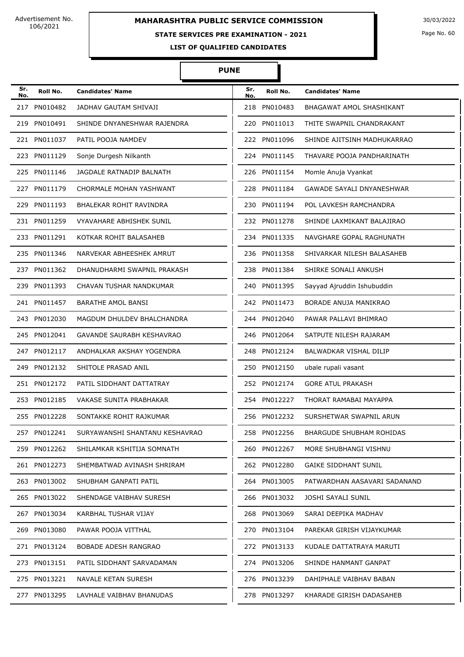## **STATE SERVICES PRE EXAMINATION - 2021**

Page No. 60

**LIST OF QUALIFIED CANDIDATES** 

| Sr.<br>No. | Roll No.     | <b>Candidates' Name</b>          | Sr.<br>No. | Roll No.     | <b>Candidates' Name</b>          |
|------------|--------------|----------------------------------|------------|--------------|----------------------------------|
| 217        | PN010482     | JADHAV GAUTAM SHIVAJI            | 218        | PN010483     | BHAGAWAT AMOL SHASHIKANT         |
|            | 219 PN010491 | SHINDE DNYANESHWAR RAJENDRA      | 220        | PN011013     | THITE SWAPNIL CHANDRAKANT        |
|            | 221 PN011037 | PATIL POOJA NAMDEV               |            | 222 PN011096 | SHINDE AJITSINH MADHUKARRAO      |
| 223        | PN011129     | Sonje Durgesh Nilkanth           | 224        | PN011145     | THAVARE POOJA PANDHARINATH       |
|            | 225 PN011146 | JAGDALE RATNADIP BALNATH         | 226        | PN011154     | Momle Anuja Vyankat              |
|            | 227 PN011179 | CHORMALE MOHAN YASHWANT          | 228        | PN011184     | <b>GAWADE SAYALI DNYANESHWAR</b> |
| 229        | PN011193     | BHALEKAR ROHIT RAVINDRA          | 230        | PN011194     | POL LAVKESH RAMCHANDRA           |
|            | 231 PN011259 | <b>VYAVAHARE ABHISHEK SUNIL</b>  | 232        | PN011278     | SHINDE LAXMIKANT BALAJIRAO       |
| 233        | PN011291     | KOTKAR ROHIT BALASAHEB           | 234        | PN011335     | NAVGHARE GOPAL RAGHUNATH         |
|            | 235 PN011346 | NARVEKAR ABHEESHEK AMRUT         |            | 236 PN011358 | SHIVARKAR NILESH BALASAHEB       |
| 237        | PN011362     | DHANUDHARMI SWAPNIL PRAKASH      | 238        | PN011384     | SHIRKE SONALI ANKUSH             |
| 239        | PN011393     | CHAVAN TUSHAR NANDKUMAR          | 240        | PN011395     | Sayyad Ajruddin Ishubuddin       |
|            | 241 PN011457 | BARATHE AMOL BANSI               |            | 242 PN011473 | BORADE ANUJA MANIKRAO            |
|            | 243 PN012030 | MAGDUM DHULDEV BHALCHANDRA       |            | 244 PN012040 | PAWAR PALLAVI BHIMRAO            |
|            | 245 PN012041 | <b>GAVANDE SAURABH KESHAVRAO</b> |            | 246 PN012064 | SATPUTE NILESH RAJARAM           |
| 247        | PN012117     | ANDHALKAR AKSHAY YOGENDRA        |            | 248 PN012124 | BALWADKAR VISHAL DILIP           |
| 249        | PN012132     | SHITOLE PRASAD ANIL              |            | 250 PN012150 | ubale rupali vasant              |
|            | 251 PN012172 | PATIL SIDDHANT DATTATRAY         |            | 252 PN012174 | <b>GORE ATUL PRAKASH</b>         |
|            | 253 PN012185 | <b>VAKASE SUNITA PRABHAKAR</b>   |            | 254 PN012227 | THORAT RAMABAI MAYAPPA           |
|            | 255 PN012228 | SONTAKKE ROHIT RAJKUMAR          |            | 256 PN012232 | SURSHETWAR SWAPNIL ARUN          |
|            | 257 PN012241 | SURYAWANSHI SHANTANU KESHAVRAO   |            | 258 PN012256 | BHARGUDE SHUBHAM ROHIDAS         |
|            | 259 PN012262 | SHILAMKAR KSHITIJA SOMNATH       |            | 260 PN012267 | MORE SHUBHANGI VISHNU            |
|            | 261 PN012273 | SHEMBATWAD AVINASH SHRIRAM       |            | 262 PN012280 | <b>GAIKE SIDDHANT SUNIL</b>      |
|            | 263 PN013002 | SHUBHAM GANPATI PATIL            |            | 264 PN013005 | PATWARDHAN AASAVARI SADANAND     |
|            | 265 PN013022 | SHENDAGE VAIBHAV SURESH          |            | 266 PN013032 | JOSHI SAYALI SUNIL               |
|            | 267 PN013034 | KARBHAL TUSHAR VIJAY             |            | 268 PN013069 | SARAI DEEPIKA MADHAV             |
|            | 269 PN013080 | PAWAR POOJA VITTHAL              |            | 270 PN013104 | PAREKAR GIRISH VIJAYKUMAR        |
|            | 271 PN013124 | BOBADE ADESH RANGRAO             |            | 272 PN013133 | KUDALE DATTATRAYA MARUTI         |
|            | 273 PN013151 | PATIL SIDDHANT SARVADAMAN        |            | 274 PN013206 | SHINDE HANMANT GANPAT            |
|            | 275 PN013221 | NAVALE KETAN SURESH              |            | 276 PN013239 | DAHIPHALE VAIBHAV BABAN          |
|            | 277 PN013295 | LAVHALE VAIBHAV BHANUDAS         |            | 278 PN013297 | KHARADE GIRISH DADASAHEB         |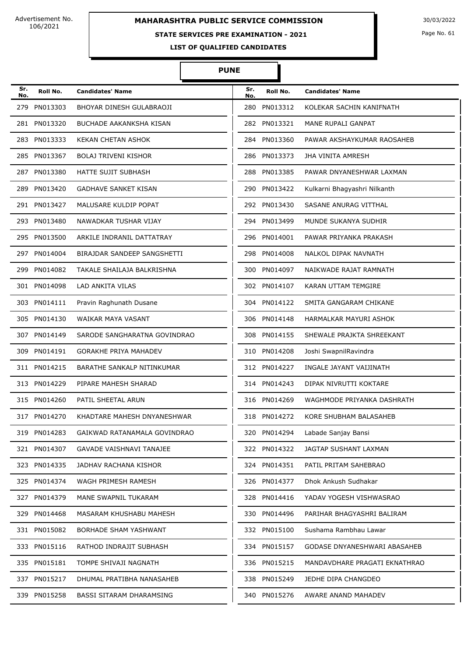## **STATE SERVICES PRE EXAMINATION - 2021**

Page No. 61

**LIST OF QUALIFIED CANDIDATES** 

| Sr.<br>No. | Roll No.     | <b>Candidates' Name</b>         | Sr.<br>No. | Roll No.     | <b>Candidates' Name</b>       |
|------------|--------------|---------------------------------|------------|--------------|-------------------------------|
| 279        | PN013303     | BHOYAR DINESH GULABRAOJI        | 280        | PN013312     | KOLEKAR SACHIN KANIFNATH      |
|            | 281 PN013320 | <b>BUCHADE AAKANKSHA KISAN</b>  |            | 282 PN013321 | MANE RUPALI GANPAT            |
|            | 283 PN013333 | KEKAN CHETAN ASHOK              |            | 284 PN013360 | PAWAR AKSHAYKUMAR RAOSAHEB    |
|            | 285 PN013367 | <b>BOLAJ TRIVENI KISHOR</b>     |            | 286 PN013373 | JHA VINITA AMRESH             |
|            | 287 PN013380 | <b>HATTE SUJIT SUBHASH</b>      | 288        | PN013385     | PAWAR DNYANESHWAR LAXMAN      |
|            | 289 PN013420 | <b>GADHAVE SANKET KISAN</b>     |            | 290 PN013422 | Kulkarni Bhagyashri Nilkanth  |
|            | 291 PN013427 | MALUSARE KULDIP POPAT           |            | 292 PN013430 | SASANE ANURAG VITTHAL         |
|            | 293 PN013480 | NAWADKAR TUSHAR VIJAY           |            | 294 PN013499 | MUNDE SUKANYA SUDHIR          |
|            | 295 PN013500 | ARKILE INDRANIL DATTATRAY       |            | 296 PN014001 | PAWAR PRIYANKA PRAKASH        |
|            | 297 PN014004 | BIRAJDAR SANDEEP SANGSHETTI     | 298        | PN014008     | NALKOL DIPAK NAVNATH          |
| 299        | PN014082     | TAKALE SHAILAJA BALKRISHNA      | 300        | PN014097     | NAIKWADE RAJAT RAMNATH        |
|            | 301 PN014098 | LAD ANKITA VILAS                | 302        | PN014107     | KARAN UTTAM TEMGIRE           |
|            | 303 PN014111 | Pravin Raghunath Dusane         |            | 304 PN014122 | SMITA GANGARAM CHIKANE        |
|            | 305 PN014130 | WAIKAR MAYA VASANT              |            | 306 PN014148 | HARMALKAR MAYURI ASHOK        |
|            | 307 PN014149 | SARODE SANGHARATNA GOVINDRAO    | 308        | PN014155     | SHEWALE PRAJKTA SHREEKANT     |
|            | 309 PN014191 | <b>GORAKHE PRIYA MAHADEV</b>    |            | 310 PN014208 | Joshi SwapnilRavindra         |
|            | 311 PN014215 | BARATHE SANKALP NITINKUMAR      |            | 312 PN014227 | INGALE JAYANT VAIJINATH       |
|            | 313 PN014229 | PIPARE MAHESH SHARAD            |            | 314 PN014243 | DIPAK NIVRUTTI KOKTARE        |
|            | 315 PN014260 | PATIL SHEETAL ARUN              |            | 316 PN014269 | WAGHMODE PRIYANKA DASHRATH    |
|            | 317 PN014270 | KHADTARE MAHESH DNYANESHWAR     |            | 318 PN014272 | KORE SHUBHAM BALASAHEB        |
|            | 319 PN014283 | GAIKWAD RATANAMALA GOVINDRAO    |            | 320 PN014294 | Labade Sanjay Bansi           |
|            | 321 PN014307 | <b>GAVADE VAISHNAVI TANAJEE</b> |            | 322 PN014322 | JAGTAP SUSHANT LAXMAN         |
|            | 323 PN014335 | JADHAV RACHANA KISHOR           |            | 324 PN014351 | PATIL PRITAM SAHEBRAO         |
|            | 325 PN014374 | WAGH PRIMESH RAMESH             |            | 326 PN014377 | Dhok Ankush Sudhakar          |
|            | 327 PN014379 | MANE SWAPNIL TUKARAM            |            | 328 PN014416 | YADAV YOGESH VISHWASRAO       |
|            | 329 PN014468 | MASARAM KHUSHABU MAHESH         |            | 330 PN014496 | PARIHAR BHAGYASHRI BALIRAM    |
|            | 331 PN015082 | BORHADE SHAM YASHWANT           |            | 332 PN015100 | Sushama Rambhau Lawar         |
|            | 333 PN015116 | RATHOD INDRAJIT SUBHASH         |            | 334 PN015157 | GODASE DNYANESHWARI ABASAHEB  |
|            | 335 PN015181 | TOMPE SHIVAJI NAGNATH           |            | 336 PN015215 | MANDAVDHARE PRAGATI EKNATHRAO |
|            | 337 PN015217 | DHUMAL PRATIBHA NANASAHEB       |            | 338 PN015249 | JEDHE DIPA CHANGDEO           |
|            | 339 PN015258 | BASSI SITARAM DHARAMSING        |            | 340 PN015276 | AWARE ANAND MAHADEV           |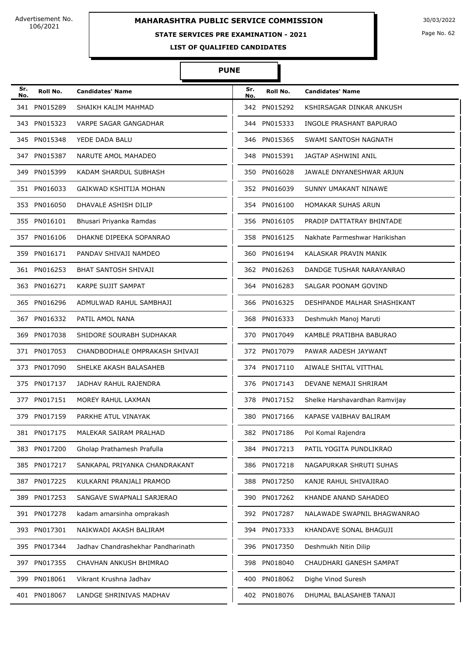# **STATE SERVICES PRE EXAMINATION - 2021**

Page No. 62

**LIST OF QUALIFIED CANDIDATES** 

#### **PUNE**

Π

| Sr.<br>No. | Roll No.     | <b>Candidates' Name</b>            | Sr.<br>No. | Roll No.     | <b>Candidates' Name</b>       |
|------------|--------------|------------------------------------|------------|--------------|-------------------------------|
|            | 341 PN015289 | SHAIKH KALIM MAHMAD                |            | 342 PN015292 | KSHIRSAGAR DINKAR ANKUSH      |
|            | 343 PN015323 | VARPE SAGAR GANGADHAR              | 344        | PN015333     | INGOLE PRASHANT BAPURAO       |
|            | 345 PN015348 | YEDE DADA BALU                     |            | 346 PN015365 | SWAMI SANTOSH NAGNATH         |
|            | 347 PN015387 | NARUTE AMOL MAHADEO                |            | 348 PN015391 | JAGTAP ASHWINI ANIL           |
| 349.       | PN015399     | KADAM SHARDUL SUBHASH              | 350        | PN016028     | JAWALE DNYANESHWAR ARJUN      |
|            | 351 PN016033 | GAIKWAD KSHITIJA MOHAN             | 352        | PN016039     | SUNNY UMAKANT NINAWE          |
|            | 353 PN016050 | DHAVALE ASHISH DILIP               |            | 354 PN016100 | HOMAKAR SUHAS ARUN            |
| 355        | PN016101     | Bhusari Priyanka Ramdas            | 356        | PN016105     | PRADIP DATTATRAY BHINTADE     |
|            | 357 PN016106 | DHAKNE DIPEEKA SOPANRAO            | 358        | PN016125     | Nakhate Parmeshwar Harikishan |
| 359        | PN016171     | PANDAV SHIVAJI NAMDEO              | 360        | PN016194     | KALASKAR PRAVIN MANIK         |
|            | 361 PN016253 | BHAT SANTOSH SHIVAJI               |            | 362 PN016263 | DANDGE TUSHAR NARAYANRAO      |
| 363.       | PN016271     | KARPE SUJIT SAMPAT                 | 364        | PN016283     | SALGAR POONAM GOVIND          |
|            | 365 PN016296 | ADMULWAD RAHUL SAMBHAJI            |            | 366 PN016325 | DESHPANDE MALHAR SHASHIKANT   |
|            | 367 PN016332 | PATIL AMOL NANA                    |            | 368 PN016333 | Deshmukh Manoj Maruti         |
|            | 369 PN017038 | SHIDORE SOURABH SUDHAKAR           |            | 370 PN017049 | KAMBLE PRATIBHA BABURAO       |
|            | 371 PN017053 | CHANDBODHALE OMPRAKASH SHIVAJI     |            | 372 PN017079 | PAWAR AADESH JAYWANT          |
|            | 373 PN017090 | SHELKE AKASH BALASAHEB             | 374        | PN017110     | AIWALE SHITAL VITTHAL         |
|            | 375 PN017137 | JADHAV RAHUL RAJENDRA              |            | 376 PN017143 | DEVANE NEMAJI SHRIRAM         |
|            | 377 PN017151 | MOREY RAHUL LAXMAN                 |            | 378 PN017152 | Shelke Harshavardhan Ramvijay |
|            | 379 PN017159 | PARKHE ATUL VINAYAK                |            | 380 PN017166 | KAPASE VAIBHAV BALIRAM        |
|            | 381 PN017175 | MALEKAR SAIRAM PRALHAD             |            | 382 PN017186 | Pol Komal Rajendra            |
|            | 383 PN017200 | Gholap Prathamesh Prafulla         | 384        | PN017213     | PATIL YOGITA PUNDLIKRAO       |
|            | 385 PN017217 | SANKAPAL PRIYANKA CHANDRAKANT      |            | 386 PN017218 | NAGAPURKAR SHRUTI SUHAS       |
|            | 387 PN017225 | KULKARNI PRANJALI PRAMOD           |            | 388 PN017250 | KANJE RAHUL SHIVAJIRAO        |
| 389.       | PN017253     | SANGAVE SWAPNALI SARJERAO          | 390        | PN017262     | KHANDE ANAND SAHADEO          |
|            | 391 PN017278 | kadam amarsinha omprakash          |            | 392 PN017287 | NALAWADE SWAPNIL BHAGWANRAO   |
|            | 393 PN017301 | NAIKWADI AKASH BALIRAM             |            | 394 PN017333 | KHANDAVE SONAL BHAGUJI        |
|            | 395 PN017344 | Jadhav Chandrashekhar Pandharinath |            | 396 PN017350 | Deshmukh Nitin Dilip          |
|            | 397 PN017355 | CHAVHAN ANKUSH BHIMRAO             | 398        | PN018040     | CHAUDHARI GANESH SAMPAT       |
|            | 399 PN018061 | Vikrant Krushna Jadhav             | 400        | PN018062     | Dighe Vinod Suresh            |
|            | 401 PN018067 | LANDGE SHRINIVAS MADHAV            |            | 402 PN018076 | DHUMAL BALASAHEB TANAJI       |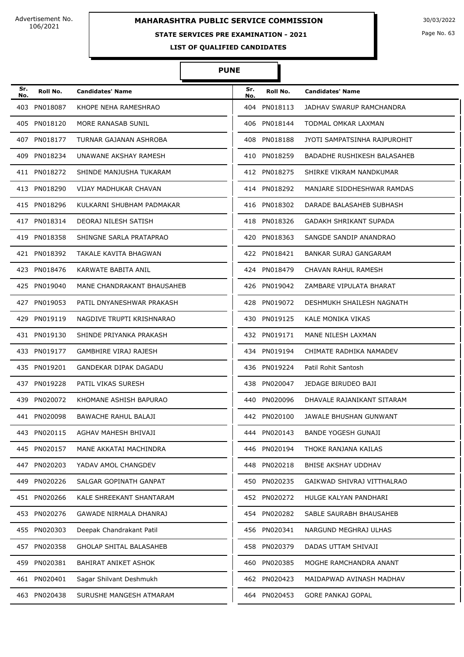## **STATE SERVICES PRE EXAMINATION - 2021**

Page No. 63

**LIST OF QUALIFIED CANDIDATES** 

| Sr.<br>No. | Roll No.     | <b>Candidates' Name</b>        | Sr.<br>No. | Roll No.     | <b>Candidates' Name</b>       |
|------------|--------------|--------------------------------|------------|--------------|-------------------------------|
|            | 403 PN018087 | KHOPE NEHA RAMESHRAO           |            | 404 PN018113 | JADHAV SWARUP RAMCHANDRA      |
|            | 405 PN018120 | MORE RANASAB SUNIL             |            | 406 PN018144 | TODMAL OMKAR LAXMAN           |
|            | 407 PN018177 | TURNAR GAJANAN ASHROBA         |            | 408 PN018188 | JYOTI SAMPATSINHA RAJPUROHIT  |
|            | 409 PN018234 | UNAWANE AKSHAY RAMESH          |            | 410 PN018259 | BADADHE RUSHIKESH BALASAHEB   |
|            | 411 PN018272 | SHINDE MANJUSHA TUKARAM        |            | 412 PN018275 | SHIRKE VIKRAM NANDKUMAR       |
|            | 413 PN018290 | VIJAY MADHUKAR CHAVAN          |            | 414 PN018292 | MANJARE SIDDHESHWAR RAMDAS    |
|            | 415 PN018296 | KULKARNI SHUBHAM PADMAKAR      |            | 416 PN018302 | DARADE BALASAHEB SUBHASH      |
|            | 417 PN018314 | DEORAJ NILESH SATISH           |            | 418 PN018326 | <b>GADAKH SHRIKANT SUPADA</b> |
|            | 419 PN018358 | SHINGNE SARLA PRATAPRAO        |            | 420 PN018363 | SANGDE SANDIP ANANDRAO        |
|            | 421 PN018392 | TAKALE KAVITA BHAGWAN          |            | 422 PN018421 | BANKAR SURAJ GANGARAM         |
|            | 423 PN018476 | KARWATE BABITA ANIL            |            | 424 PN018479 | CHAVAN RAHUL RAMESH           |
|            | 425 PN019040 | MANE CHANDRAKANT BHAUSAHEB     |            | 426 PN019042 | ZAMBARE VIPULATA BHARAT       |
|            | 427 PN019053 | PATIL DNYANESHWAR PRAKASH      |            | 428 PN019072 | DESHMUKH SHAILESH NAGNATH     |
|            | 429 PN019119 | NAGDIVE TRUPTI KRISHNARAO      |            | 430 PN019125 | KALE MONIKA VIKAS             |
|            | 431 PN019130 | SHINDE PRIYANKA PRAKASH        |            | 432 PN019171 | MANE NILESH LAXMAN            |
|            | 433 PN019177 | GAMBHIRE VIRAJ RAJESH          |            | 434 PN019194 | CHIMATE RADHIKA NAMADEV       |
|            | 435 PN019201 | GANDEKAR DIPAK DAGADU          |            | 436 PN019224 | Patil Rohit Santosh           |
|            | 437 PN019228 | PATIL VIKAS SURESH             |            | 438 PN020047 | JEDAGE BIRUDEO BAJI           |
|            | 439 PN020072 | KHOMANE ASHISH BAPURAO         |            | 440 PN020096 | DHAVALE RAJANIKANT SITARAM    |
|            | 441 PN020098 | <b>BAWACHE RAHUL BALAJI</b>    |            | 442 PN020100 | JAWALE BHUSHAN GUNWANT        |
|            | 443 PN020115 | AGHAV MAHESH BHIVAJI           |            | 444 PN020143 | <b>BANDE YOGESH GUNAJI</b>    |
|            | 445 PN020157 | MANE AKKATAI MACHINDRA         |            | 446 PN020194 | THOKE RANJANA KAILAS          |
|            | 447 PN020203 | YADAV AMOL CHANGDEV            |            | 448 PN020218 | BHISE AKSHAY UDDHAV           |
|            | 449 PN020226 | SALGAR GOPINATH GANPAT         |            | 450 PN020235 | GAIKWAD SHIVRAJ VITTHALRAO    |
|            | 451 PN020266 | KALE SHREEKANT SHANTARAM       |            | 452 PN020272 | HULGE KALYAN PANDHARI         |
|            | 453 PN020276 | GAWADE NIRMALA DHANRAJ         |            | 454 PN020282 | SABLE SAURABH BHAUSAHEB       |
|            | 455 PN020303 | Deepak Chandrakant Patil       |            | 456 PN020341 | NARGUND MEGHRAJ ULHAS         |
|            | 457 PN020358 | <b>GHOLAP SHITAL BALASAHEB</b> |            | 458 PN020379 | DADAS UTTAM SHIVAJI           |
|            | 459 PN020381 | BAHIRAT ANIKET ASHOK           |            | 460 PN020385 | MOGHE RAMCHANDRA ANANT        |
|            | 461 PN020401 | Sagar Shilvant Deshmukh        |            | 462 PN020423 | MAIDAPWAD AVINASH MADHAV      |
|            | 463 PN020438 | SURUSHE MANGESH ATMARAM        |            | 464 PN020453 | <b>GORE PANKAJ GOPAL</b>      |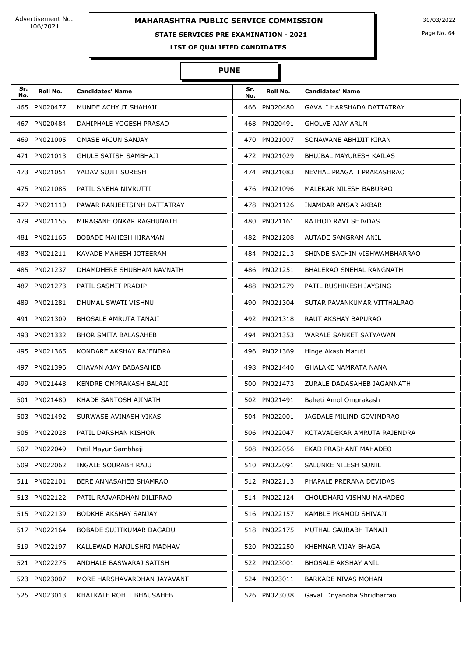# **MAHARASHTRA PUBLIC SERVICE COMMISSION** 30/03/2022

### **STATE SERVICES PRE EXAMINATION - 2021**

Page No. 64

**LIST OF QUALIFIED CANDIDATES** 

#### **PUNE**

Π

| Sr.<br>No. | Roll No.     | <b>Candidates' Name</b>      | Sr.<br>No. | Roll No.     | <b>Candidates' Name</b>          |
|------------|--------------|------------------------------|------------|--------------|----------------------------------|
|            | 465 PN020477 | MUNDE ACHYUT SHAHAJI         | 466        | PN020480     | <b>GAVALI HARSHADA DATTATRAY</b> |
|            | 467 PN020484 | DAHIPHALE YOGESH PRASAD      | 468        | PN020491     | <b>GHOLVE AJAY ARUN</b>          |
| 469        | PN021005     | OMASE ARJUN SANJAY           | 470        | PN021007     | SONAWANE ABHIJIT KIRAN           |
|            | 471 PN021013 | <b>GHULE SATISH SAMBHAJI</b> |            | 472 PN021029 | <b>BHUJBAL MAYURESH KAILAS</b>   |
|            | 473 PN021051 | YADAV SUJIT SURESH           |            | 474 PN021083 | NEVHAL PRAGATI PRAKASHRAO        |
|            | 475 PN021085 | PATIL SNEHA NIVRUTTI         |            | 476 PN021096 | MALEKAR NILESH BABURAO           |
|            | 477 PN021110 | PAWAR RANJEETSINH DATTATRAY  |            | 478 PN021126 | INAMDAR ANSAR AKBAR              |
|            | 479 PN021155 | MIRAGANE ONKAR RAGHUNATH     | 480        | PN021161     | RATHOD RAVI SHIVDAS              |
|            | 481 PN021165 | <b>BOBADE MAHESH HIRAMAN</b> |            | 482 PN021208 | AUTADE SANGRAM ANIL              |
|            | 483 PN021211 | KAVADE MAHESH JOTEERAM       |            | 484 PN021213 | SHINDE SACHIN VISHWAMBHARRAO     |
|            | 485 PN021237 | DHAMDHERE SHUBHAM NAVNATH    |            | 486 PN021251 | <b>BHALERAO SNEHAL RANGNATH</b>  |
|            | 487 PN021273 | PATIL SASMIT PRADIP          | 488        | PN021279     | PATIL RUSHIKESH JAYSING          |
|            | 489 PN021281 | DHUMAL SWATI VISHNU          | 490        | PN021304     | SUTAR PAVANKUMAR VITTHALRAO      |
|            | 491 PN021309 | <b>BHOSALE AMRUTA TANAJI</b> |            | 492 PN021318 | RAUT AKSHAY BAPURAO              |
|            | 493 PN021332 | <b>BHOR SMITA BALASAHEB</b>  |            | 494 PN021353 | WARALE SANKET SATYAWAN           |
|            | 495 PN021365 | KONDARE AKSHAY RAJENDRA      | 496        | PN021369     | Hinge Akash Maruti               |
|            | 497 PN021396 | CHAVAN AJAY BABASAHEB        | 498        | PN021440     | <b>GHALAKE NAMRATA NANA</b>      |
|            | 499 PN021448 | KENDRE OMPRAKASH BALAJI      |            | 500 PN021473 | ZURALE DADASAHEB JAGANNATH       |
|            | 501 PN021480 | KHADE SANTOSH AJINATH        |            | 502 PN021491 | Baheti Amol Omprakash            |
|            | 503 PN021492 | SURWASE AVINASH VIKAS        |            | 504 PN022001 | JAGDALE MILIND GOVINDRAO         |
|            | 505 PN022028 | PATIL DARSHAN KISHOR         |            | 506 PN022047 | KOTAVADEKAR AMRUTA RAJENDRA      |
|            | 507 PN022049 | Patil Mayur Sambhaji         |            | 508 PN022056 | EKAD PRASHANT MAHADEO            |
|            | 509 PN022062 | INGALE SOURABH RAJU          |            | 510 PN022091 | SALUNKE NILESH SUNIL             |
|            | 511 PN022101 | BERE ANNASAHEB SHAMRAO       |            | 512 PN022113 | PHAPALE PRERANA DEVIDAS          |
|            | 513 PN022122 | PATIL RAJVARDHAN DILIPRAO    |            | 514 PN022124 | CHOUDHARI VISHNU MAHADEO         |
|            | 515 PN022139 | BODKHE AKSHAY SANJAY         |            | 516 PN022157 | KAMBLE PRAMOD SHIVAJI            |
|            | 517 PN022164 | BOBADE SUJITKUMAR DAGADU     |            | 518 PN022175 | MUTHAL SAURABH TANAJI            |
|            | 519 PN022197 | KALLEWAD MANJUSHRI MADHAV    |            | 520 PN022250 | KHEMNAR VIJAY BHAGA              |
|            | 521 PN022275 | ANDHALE BASWARAJ SATISH      |            | 522 PN023001 | <b>BHOSALE AKSHAY ANIL</b>       |
|            | 523 PN023007 | MORE HARSHAVARDHAN JAYAVANT  |            | 524 PN023011 | <b>BARKADE NIVAS MOHAN</b>       |
|            | 525 PN023013 | KHATKALE ROHIT BHAUSAHEB     |            | 526 PN023038 | Gavali Dnyanoba Shridharrao      |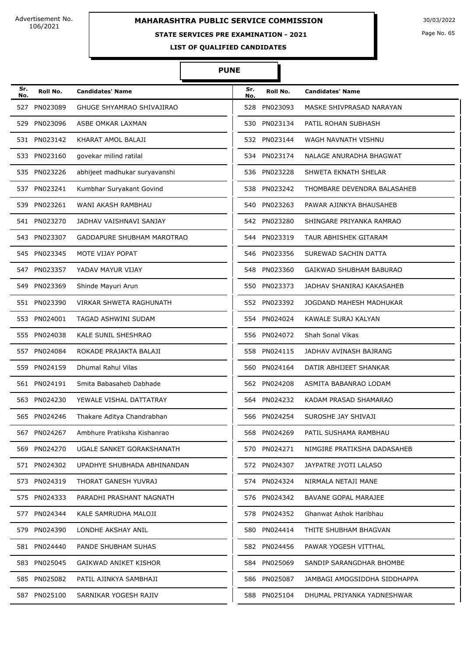## **STATE SERVICES PRE EXAMINATION - 2021**

Page No. 65

**LIST OF QUALIFIED CANDIDATES** 

| Sr.<br>No. | Roll No.     | <b>Candidates' Name</b>       | Sr.<br>No. | Roll No.     | <b>Candidates' Name</b>      |
|------------|--------------|-------------------------------|------------|--------------|------------------------------|
| 527        | PN023089     | GHUGE SHYAMRAO SHIVAJIRAO     |            | 528 PN023093 | MASKE SHIVPRASAD NARAYAN     |
|            | 529 PN023096 | ASBE OMKAR LAXMAN             |            | 530 PN023134 | PATIL ROHAN SUBHASH          |
|            | 531 PN023142 | KHARAT AMOL BALAJI            |            | 532 PN023144 | WAGH NAVNATH VISHNU          |
|            | 533 PN023160 | govekar milind ratilal        |            | 534 PN023174 | NALAGE ANURADHA BHAGWAT      |
|            | 535 PN023226 | abhijeet madhukar suryavanshi |            | 536 PN023228 | SHWETA EKNATH SHELAR         |
|            | 537 PN023241 | Kumbhar Suryakant Govind      |            | 538 PN023242 | THOMBARE DEVENDRA BALASAHEB  |
|            | 539 PN023261 | WANI AKASH RAMBHAU            |            | 540 PN023263 | PAWAR AJINKYA BHAUSAHEB      |
|            | 541 PN023270 | JADHAV VAISHNAVI SANJAY       |            | 542 PN023280 | SHINGARE PRIYANKA RAMRAO     |
|            | 543 PN023307 | GADDAPURE SHUBHAM MAROTRAO    | 544        | PN023319     | TAUR ABHISHEK GITARAM        |
|            | 545 PN023345 | MOTE VIJAY POPAT              |            | 546 PN023356 | SUREWAD SACHIN DATTA         |
|            | 547 PN023357 | YADAV MAYUR VIJAY             | 548        | PN023360     | GAIKWAD SHUBHAM BABURAO      |
| 549        | PN023369     | Shinde Mayuri Arun            | 550        | PN023373     | JADHAV SHANIRAJ KAKASAHEB    |
|            | 551 PN023390 | VIRKAR SHWETA RAGHUNATH       |            | 552 PN023392 | JOGDAND MAHESH MADHUKAR      |
|            | 553 PN024001 | TAGAD ASHWINI SUDAM           |            | 554 PN024024 | KAWALE SURAJ KALYAN          |
|            | 555 PN024038 | KALE SUNIL SHESHRAO           |            | 556 PN024072 | <b>Shah Sonal Vikas</b>      |
|            | 557 PN024084 | ROKADE PRAJAKTA BALAJI        |            | 558 PN024115 | JADHAV AVINASH BAJRANG       |
|            | 559 PN024159 | Dhumal Rahul Vilas            |            | 560 PN024164 | DATIR ABHIJEET SHANKAR       |
|            | 561 PN024191 | Smita Babasaheb Dabhade       |            | 562 PN024208 | ASMITA BABANRAO LODAM        |
|            | 563 PN024230 | YEWALE VISHAL DATTATRAY       |            | 564 PN024232 | KADAM PRASAD SHAMARAO        |
|            | 565 PN024246 | Thakare Aditya Chandrabhan    |            | 566 PN024254 | SUROSHE JAY SHIVAJI          |
|            | 567 PN024267 | Ambhure Pratiksha Kishanrao   |            | 568 PN024269 | PATIL SUSHAMA RAMBHAU        |
|            | 569 PN024270 | UGALE SANKET GORAKSHANATH     |            | 570 PN024271 | NIMGIRE PRATIKSHA DADASAHEB  |
|            | 571 PN024302 | UPADHYE SHUBHADA ABHINANDAN   |            | 572 PN024307 | JAYPATRE JYOTI LALASO        |
|            | 573 PN024319 | THORAT GANESH YUVRAJ          |            | 574 PN024324 | NIRMALA NETAJI MANE          |
|            | 575 PN024333 | PARADHI PRASHANT NAGNATH      |            | 576 PN024342 | BAVANE GOPAL MARAJEE         |
|            | 577 PN024344 | KALE SAMRUDHA MALOJI          |            | 578 PN024352 | Ghanwat Ashok Haribhau       |
|            | 579 PN024390 | LONDHE AKSHAY ANIL            |            | 580 PN024414 | THITE SHUBHAM BHAGVAN        |
|            | 581 PN024440 | PANDE SHUBHAM SUHAS           |            | 582 PN024456 | PAWAR YOGESH VITTHAL         |
|            | 583 PN025045 | GAIKWAD ANIKET KISHOR         |            | 584 PN025069 | SANDIP SARANGDHAR BHOMBE     |
|            | 585 PN025082 | PATIL AJINKYA SAMBHAJI        |            | 586 PN025087 | JAMBAGI AMOGSIDDHA SIDDHAPPA |
|            | 587 PN025100 | SARNIKAR YOGESH RAJIV         |            | 588 PN025104 | DHUMAL PRIYANKA YADNESHWAR   |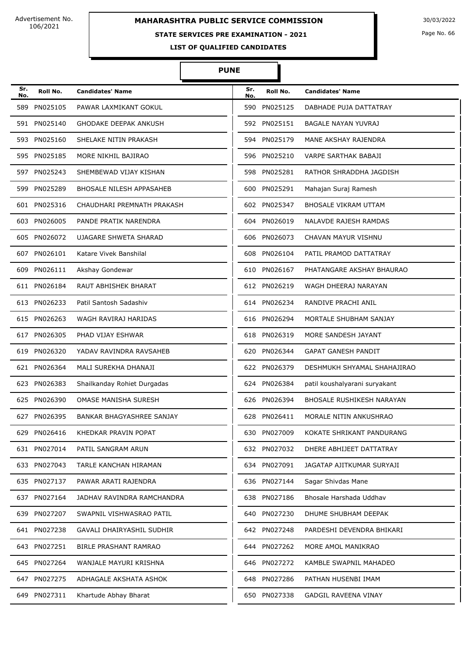# **MAHARASHTRA PUBLIC SERVICE COMMISSION** 30/03/2022

### **STATE SERVICES PRE EXAMINATION - 2021**

Page No. 66

**LIST OF QUALIFIED CANDIDATES** 

| Sr.<br>No. | Roll No.     | <b>Candidates' Name</b>         | Sr.<br>No. | Roll No.     | <b>Candidates' Name</b>          |
|------------|--------------|---------------------------------|------------|--------------|----------------------------------|
| 589        | PN025105     | PAWAR LAXMIKANT GOKUL           |            | 590 PN025125 | DABHADE PUJA DATTATRAY           |
|            | 591 PN025140 | <b>GHODAKE DEEPAK ANKUSH</b>    |            | 592 PN025151 | BAGALE NAYAN YUVRAJ              |
|            | 593 PN025160 | SHELAKE NITIN PRAKASH           |            | 594 PN025179 | MANE AKSHAY RAJENDRA             |
|            | 595 PN025185 | MORE NIKHIL BAJIRAO             | 596        | PN025210     | VARPE SARTHAK BABAJI             |
| 597        | PN025243     | SHEMBEWAD VIJAY KISHAN          |            | 598 PN025281 | RATHOR SHRADDHA JAGDISH          |
| 599        | PN025289     | <b>BHOSALE NILESH APPASAHEB</b> |            | 600 PN025291 | Mahajan Suraj Ramesh             |
|            | 601 PN025316 | CHAUDHARI PREMNATH PRAKASH      |            | 602 PN025347 | BHOSALE VIKRAM UTTAM             |
|            | 603 PN026005 | PANDE PRATIK NARENDRA           | 604        | PN026019     | <b>NALAVDE RAJESH RAMDAS</b>     |
|            | 605 PN026072 | <b>UJAGARE SHWETA SHARAD</b>    | 606        | PN026073     | CHAVAN MAYUR VISHNU              |
|            | 607 PN026101 | Katare Vivek Banshilal          |            | 608 PN026104 | PATIL PRAMOD DATTATRAY           |
| 609        | PN026111     | Akshay Gondewar                 |            | 610 PN026167 | PHATANGARE AKSHAY BHAURAO        |
|            | 611 PN026184 | <b>RAUT ABHISHEK BHARAT</b>     |            | 612 PN026219 | WAGH DHEERAJ NARAYAN             |
|            | 613 PN026233 | Patil Santosh Sadashiv          | 614        | PN026234     | RANDIVE PRACHI ANIL              |
|            | 615 PN026263 | WAGH RAVIRAJ HARIDAS            |            | 616 PN026294 | MORTALE SHUBHAM SANJAY           |
| 617        | PN026305     | PHAD VIJAY ESHWAR               | 618        | PN026319     | MORE SANDESH JAYANT              |
| 619        | PN026320     | YADAV RAVINDRA RAVSAHEB         | 620        | PN026344     | <b>GAPAT GANESH PANDIT</b>       |
|            | 621 PN026364 | MALI SUREKHA DHANAJI            |            | 622 PN026379 | DESHMUKH SHYAMAL SHAHAJIRAO      |
|            | 623 PN026383 | Shailkanday Rohiet Durgadas     |            | 624 PN026384 | patil koushalyarani suryakant    |
|            | 625 PN026390 | OMASE MANISHA SURESH            |            | 626 PN026394 | <b>BHOSALE RUSHIKESH NARAYAN</b> |
| 627        | PN026395     | BANKAR BHAGYASHREE SANJAY       |            | 628 PN026411 | MORALE NITIN ANKUSHRAO           |
|            | 629 PN026416 | KHEDKAR PRAVIN POPAT            |            | 630 PN027009 | KOKATE SHRIKANT PANDURANG        |
|            | 631 PN027014 | PATIL SANGRAM ARUN              |            | 632 PN027032 | DHERE ABHIJEET DATTATRAY         |
|            | 633 PN027043 | TARLE KANCHAN HIRAMAN           |            | 634 PN027091 | JAGATAP AJITKUMAR SURYAJI        |
|            | 635 PN027137 | PAWAR ARATI RAJENDRA            |            | 636 PN027144 | Sagar Shivdas Mane               |
|            | 637 PN027164 | JADHAV RAVINDRA RAMCHANDRA      |            | 638 PN027186 | Bhosale Harshada Uddhav          |
|            | 639 PN027207 | SWAPNIL VISHWASRAO PATIL        |            | 640 PN027230 | DHUME SHUBHAM DEEPAK             |
|            | 641 PN027238 | GAVALI DHAIRYASHIL SUDHIR       |            | 642 PN027248 | PARDESHI DEVENDRA BHIKARI        |
|            | 643 PN027251 | BIRLE PRASHANT RAMRAO           |            | 644 PN027262 | MORE AMOL MANIKRAO               |
|            | 645 PN027264 | WANJALE MAYURI KRISHNA          |            | 646 PN027272 | KAMBLE SWAPNIL MAHADEO           |
|            | 647 PN027275 | ADHAGALE AKSHATA ASHOK          |            | 648 PN027286 | PATHAN HUSENBI IMAM              |
|            | 649 PN027311 | Khartude Abhay Bharat           |            | 650 PN027338 | <b>GADGIL RAVEENA VINAY</b>      |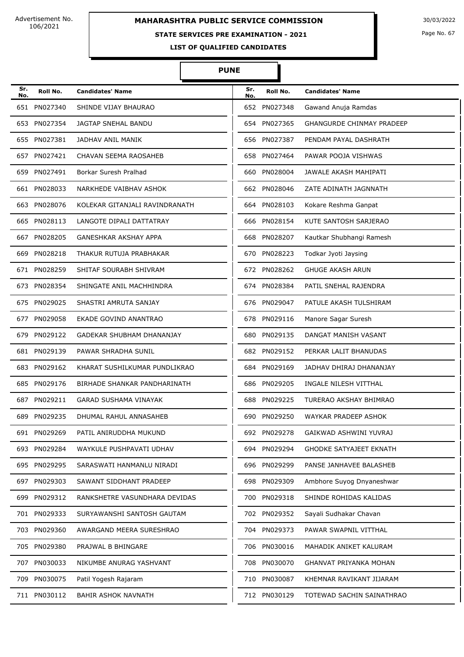# **MAHARASHTRA PUBLIC SERVICE COMMISSION** 30/03/2022

### **STATE SERVICES PRE EXAMINATION - 2021**

Page No. 67

**LIST OF QUALIFIED CANDIDATES** 

#### **PUNE**

Π

| Sr.<br>No. | Roll No.     | <b>Candidates' Name</b>        | Sr.<br>No. | Roll No.     | <b>Candidates' Name</b>          |
|------------|--------------|--------------------------------|------------|--------------|----------------------------------|
| 651        | PN027340     | SHINDE VIJAY BHAURAO           |            | 652 PN027348 | Gawand Anuja Ramdas              |
|            | 653 PN027354 | <b>JAGTAP SNEHAL BANDU</b>     |            | 654 PN027365 | <b>GHANGURDE CHINMAY PRADEEP</b> |
|            | 655 PN027381 | JADHAV ANIL MANIK              |            | 656 PN027387 | PENDAM PAYAL DASHRATH            |
| 657        | PN027421     | CHAVAN SEEMA RAOSAHEB          |            | 658 PN027464 | PAWAR POOJA VISHWAS              |
| 659        | PN027491     | Borkar Suresh Pralhad          | 660        | PN028004     | JAWALE AKASH MAHIPATI            |
|            | 661 PN028033 | NARKHEDE VAIBHAV ASHOK         |            | 662 PN028046 | ZATE ADINATH JAGNNATH            |
|            | 663 PN028076 | KOLEKAR GITANJALI RAVINDRANATH |            | 664 PN028103 | Kokare Reshma Ganpat             |
|            | 665 PN028113 | LANGOTE DIPALI DATTATRAY       | 666        | PN028154     | KUTE SANTOSH SARJERAO            |
| 667        | PN028205     | <b>GANESHKAR AKSHAY APPA</b>   | 668        | PN028207     | Kautkar Shubhangi Ramesh         |
| 669        | PN028218     | THAKUR RUTUJA PRABHAKAR        | 670        | PN028223     | Todkar Jyoti Jaysing             |
|            | 671 PN028259 | SHITAF SOURABH SHIVRAM         |            | 672 PN028262 | <b>GHUGE AKASH ARUN</b>          |
| 673        | PN028354     | SHINGATE ANIL MACHHINDRA       |            | 674 PN028384 | PATIL SNEHAL RAJENDRA            |
| 675        | PN029025     | SHASTRI AMRUTA SANJAY          | 676        | PN029047     | PATULE AKASH TULSHIRAM           |
| 677        | PN029058     | EKADE GOVIND ANANTRAO          | 678        | PN029116     | Manore Sagar Suresh              |
| 679        | PN029122     | GADEKAR SHUBHAM DHANANJAY      | 680        | PN029135     | DANGAT MANISH VASANT             |
|            | 681 PN029139 | PAWAR SHRADHA SUNIL            |            | 682 PN029152 | PERKAR LALIT BHANUDAS            |
| 683        | PN029162     | KHARAT SUSHILKUMAR PUNDLIKRAO  |            | 684 PN029169 | JADHAV DHIRAJ DHANANJAY          |
|            | 685 PN029176 | BIRHADE SHANKAR PANDHARINATH   |            | 686 PN029205 | INGALE NILESH VITTHAL            |
| 687        | PN029211     | <b>GARAD SUSHAMA VINAYAK</b>   |            | 688 PN029225 | TURERAO AKSHAY BHIMRAO           |
|            | 689 PN029235 | DHUMAL RAHUL ANNASAHEB         |            | 690 PN029250 | WAYKAR PRADEEP ASHOK             |
|            | 691 PN029269 | PATIL ANIRUDDHA MUKUND         |            | 692 PN029278 | GAIKWAD ASHWINI YUVRAJ           |
|            | 693 PN029284 | WAYKULE PUSHPAVATI UDHAV       |            | 694 PN029294 | <b>GHODKE SATYAJEET EKNATH</b>   |
|            | 695 PN029295 | SARASWATI HANMANLU NIRADI      |            | 696 PN029299 | PANSE JANHAVEE BALASHEB          |
|            | 697 PN029303 | SAWANT SIDDHANT PRADEEP        |            | 698 PN029309 | Ambhore Suyog Dnyaneshwar        |
|            | 699 PN029312 | RANKSHETRE VASUNDHARA DEVIDAS  |            | 700 PN029318 | SHINDE ROHIDAS KALIDAS           |
|            | 701 PN029333 | SURYAWANSHI SANTOSH GAUTAM     |            | 702 PN029352 | Sayali Sudhakar Chavan           |
|            | 703 PN029360 | AWARGAND MEERA SURESHRAO       |            | 704 PN029373 | PAWAR SWAPNIL VITTHAL            |
|            | 705 PN029380 | PRAJWAL B BHINGARE             |            | 706 PN030016 | MAHADIK ANIKET KALURAM           |
| 707        | PN030033     | NIKUMBE ANURAG YASHVANT        |            | 708 PN030070 | <b>GHANVAT PRIYANKA MOHAN</b>    |
| 709        | PN030075     | Patil Yogesh Rajaram           |            | 710 PN030087 | KHEMNAR RAVIKANT JIJARAM         |
|            | 711 PN030112 | <b>BAHIR ASHOK NAVNATH</b>     |            | 712 PN030129 | TOTEWAD SACHIN SAINATHRAO        |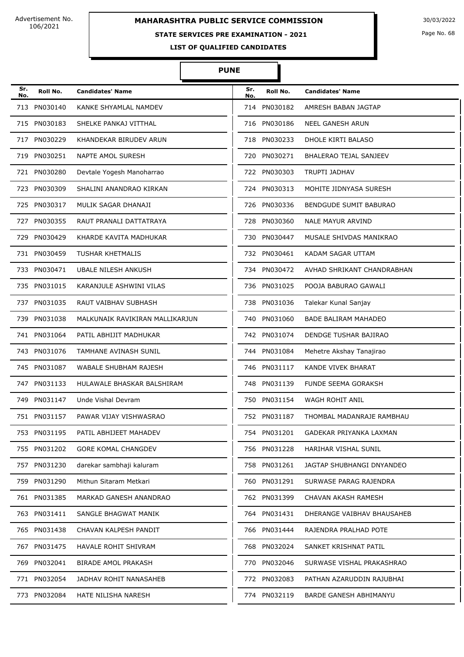# **MAHARASHTRA PUBLIC SERVICE COMMISSION** 30/03/2022

#### **STATE SERVICES PRE EXAMINATION - 2021**

Page No. 68

**LIST OF QUALIFIED CANDIDATES** 

#### **PUNE**

Π

| Sr.<br>No. | Roll No.     | <b>Candidates' Name</b>         | Sr.<br>No. | Roll No.     | <b>Candidates' Name</b>       |
|------------|--------------|---------------------------------|------------|--------------|-------------------------------|
| 713        | PN030140     | KANKE SHYAMLAL NAMDEV           |            | 714 PN030182 | AMRESH BABAN JAGTAP           |
| 715        | PN030183     | SHELKE PANKAJ VITTHAL           |            | 716 PN030186 | <b>NEEL GANESH ARUN</b>       |
| 717        | PN030229     | KHANDEKAR BIRUDEV ARUN          |            | 718 PN030233 | DHOLE KIRTI BALASO            |
| 719        | PN030251     | NAPTE AMOL SURESH               | 720        | PN030271     | <b>BHALERAO TEJAL SANJEEV</b> |
| 721        | PN030280     | Devtale Yogesh Manoharrao       |            | 722 PN030303 | <b>TRUPTI JADHAV</b>          |
| 723        | PN030309     | SHALINI ANANDRAO KIRKAN         |            | 724 PN030313 | MOHITE JIDNYASA SURESH        |
|            | 725 PN030317 | MULIK SAGAR DHANAJI             |            | 726 PN030336 | <b>BENDGUDE SUMIT BABURAO</b> |
| 727        | PN030355     | RAUT PRANALI DATTATRAYA         | 728        | PN030360     | <b>NALE MAYUR ARVIND</b>      |
| 729        | PN030429     | KHARDE KAVITA MADHUKAR          |            | 730 PN030447 | MUSALE SHIVDAS MANIKRAO       |
|            | 731 PN030459 | <b>TUSHAR KHETMALIS</b>         |            | 732 PN030461 | <b>KADAM SAGAR UTTAM</b>      |
|            | 733 PN030471 | <b>UBALE NILESH ANKUSH</b>      |            | 734 PN030472 | AVHAD SHRIKANT CHANDRABHAN    |
|            | 735 PN031015 | KARANJULE ASHWINI VILAS         | 736        | PN031025     | POOJA BABURAO GAWALI          |
| 737        | PN031035     | RAUT VAIBHAV SUBHASH            |            | 738 PN031036 | Talekar Kunal Sanjay          |
| 739        | PN031038     | MALKUNAIK RAVIKIRAN MALLIKARJUN |            | 740 PN031060 | <b>BADE BALIRAM MAHADEO</b>   |
|            | 741 PN031064 | PATIL ABHIJIT MADHUKAR          |            | 742 PN031074 | DENDGE TUSHAR BAJIRAO         |
| 743        | PN031076     | TAMHANE AVINASH SUNIL           | 744        | PN031084     | Mehetre Akshay Tanajirao      |
| 745        | PN031087     | WABALE SHUBHAM RAJESH           | 746        | PN031117     | KANDE VIVEK BHARAT            |
|            | 747 PN031133 | HULAWALE BHASKAR BALSHIRAM      |            | 748 PN031139 | FUNDE SEEMA GORAKSH           |
| 749        | PN031147     | Unde Vishal Devram              |            | 750 PN031154 | WAGH ROHIT ANIL               |
|            | 751 PN031157 | PAWAR VIJAY VISHWASRAO          |            | 752 PN031187 | THOMBAL MADANRAJE RAMBHAU     |
|            | 753 PN031195 | PATIL ABHIJEET MAHADEV          |            | 754 PN031201 | GADEKAR PRIYANKA LAXMAN       |
|            | 755 PN031202 | <b>GORE KOMAL CHANGDEV</b>      |            | 756 PN031228 | <b>HARIHAR VISHAL SUNIL</b>   |
|            | 757 PN031230 | darekar sambhaji kaluram        |            | 758 PN031261 | JAGTAP SHUBHANGI DNYANDEO     |
| 759        | PN031290     | Mithun Sitaram Metkari          |            | 760 PN031291 | SURWASE PARAG RAJENDRA        |
| 761        | PN031385     | MARKAD GANESH ANANDRAO          | 762        | PN031399     | CHAVAN AKASH RAMESH           |
|            | 763 PN031411 | SANGLE BHAGWAT MANIK            |            | 764 PN031431 | DHERANGE VAIBHAV BHAUSAHEB    |
|            | 765 PN031438 | CHAVAN KALPESH PANDIT           |            | 766 PN031444 | RAJENDRA PRALHAD POTE         |
| 767        | PN031475     | HAVALE ROHIT SHIVRAM            |            | 768 PN032024 | SANKET KRISHNAT PATIL         |
| 769        | PN032041     | <b>BIRADE AMOL PRAKASH</b>      |            | 770 PN032046 | SURWASE VISHAL PRAKASHRAO     |
|            | 771 PN032054 | JADHAV ROHIT NANASAHEB          |            | 772 PN032083 | PATHAN AZARUDDIN RAJUBHAI     |
|            | 773 PN032084 | HATE NILISHA NARESH             |            | 774 PN032119 | <b>BARDE GANESH ABHIMANYU</b> |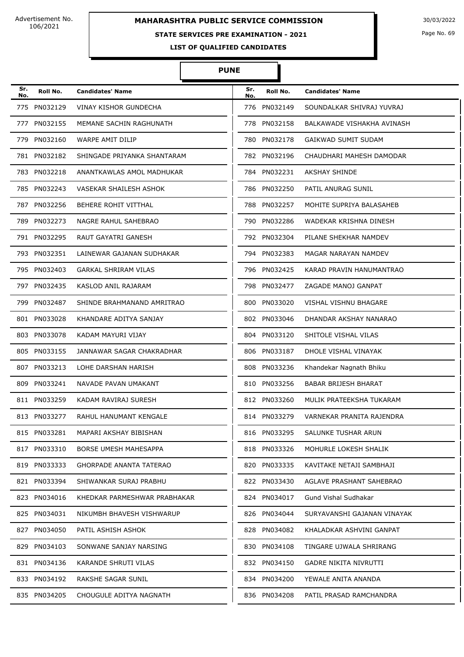## **STATE SERVICES PRE EXAMINATION - 2021**

Page No. 69

**LIST OF QUALIFIED CANDIDATES** 

| Sr.<br>No. | Roll No.     | <b>Candidates' Name</b>        | Sr.<br>No. | Roll No.     | <b>Candidates' Name</b>      |
|------------|--------------|--------------------------------|------------|--------------|------------------------------|
|            | 775 PN032129 | <b>VINAY KISHOR GUNDECHA</b>   |            | 776 PN032149 | SOUNDALKAR SHIVRAJ YUVRAJ    |
|            | 777 PN032155 | MEMANE SACHIN RAGHUNATH        |            | 778 PN032158 | BALKAWADE VISHAKHA AVINASH   |
|            | 779 PN032160 | WARPE AMIT DILIP               |            | 780 PN032178 | <b>GAIKWAD SUMIT SUDAM</b>   |
|            | 781 PN032182 | SHINGADE PRIYANKA SHANTARAM    |            | 782 PN032196 | CHAUDHARI MAHESH DAMODAR     |
|            | 783 PN032218 | ANANTKAWLAS AMOL MADHUKAR      |            | 784 PN032231 | <b>AKSHAY SHINDE</b>         |
|            | 785 PN032243 | VASEKAR SHAILESH ASHOK         |            | 786 PN032250 | PATIL ANURAG SUNIL           |
|            | 787 PN032256 | BEHERE ROHIT VITTHAL           |            | 788 PN032257 | MOHITE SUPRIYA BALASAHEB     |
|            | 789 PN032273 | NAGRE RAHUL SAHEBRAO           |            | 790 PN032286 | WADEKAR KRISHNA DINESH       |
|            | 791 PN032295 | RAUT GAYATRI GANESH            |            | 792 PN032304 | PILANE SHEKHAR NAMDEV        |
|            | 793 PN032351 | LAINEWAR GAJANAN SUDHAKAR      |            | 794 PN032383 | MAGAR NARAYAN NAMDEV         |
|            | 795 PN032403 | <b>GARKAL SHRIRAM VILAS</b>    |            | 796 PN032425 | KARAD PRAVIN HANUMANTRAO     |
|            | 797 PN032435 | KASLOD ANIL RAJARAM            |            | 798 PN032477 | ZAGADE MANOJ GANPAT          |
|            | 799 PN032487 | SHINDE BRAHMANAND AMRITRAO     | 800        | PN033020     | <b>VISHAL VISHNU BHAGARE</b> |
|            | 801 PN033028 | KHANDARE ADITYA SANJAY         |            | 802 PN033046 | DHANDAR AKSHAY NANARAO       |
|            | 803 PN033078 | KADAM MAYURI VIJAY             |            | 804 PN033120 | SHITOLE VISHAL VILAS         |
|            | 805 PN033155 | JANNAWAR SAGAR CHAKRADHAR      |            | 806 PN033187 | DHOLE VISHAL VINAYAK         |
|            | 807 PN033213 | LOHE DARSHAN HARISH            |            | 808 PN033236 | Khandekar Nagnath Bhiku      |
|            | 809 PN033241 | NAVADE PAVAN UMAKANT           |            | 810 PN033256 | <b>BABAR BRIJESH BHARAT</b>  |
|            | 811 PN033259 | KADAM RAVIRAJ SURESH           |            | 812 PN033260 | MULIK PRATEEKSHA TUKARAM     |
|            | 813 PN033277 | RAHUL HANUMANT KENGALE         |            | 814 PN033279 | VARNEKAR PRANITA RAJENDRA    |
|            | 815 PN033281 | MAPARI AKSHAY BIBISHAN         |            | 816 PN033295 | SALUNKE TUSHAR ARUN          |
|            | 817 PN033310 | <b>BORSE UMESH MAHESAPPA</b>   |            | 818 PN033326 | MOHURLE LOKESH SHALIK        |
|            | 819 PN033333 | <b>GHORPADE ANANTA TATERAO</b> |            | 820 PN033335 | KAVITAKE NETAJI SAMBHAJI     |
|            | 821 PN033394 | SHIWANKAR SURAJ PRABHU         |            | 822 PN033430 | AGLAVE PRASHANT SAHEBRAO     |
|            | 823 PN034016 | KHEDKAR PARMESHWAR PRABHAKAR   |            | 824 PN034017 | Gund Vishal Sudhakar         |
|            | 825 PN034031 | NIKUMBH BHAVESH VISHWARUP      |            | 826 PN034044 | SURYAVANSHI GAJANAN VINAYAK  |
|            | 827 PN034050 | PATIL ASHISH ASHOK             |            | 828 PN034082 | KHALADKAR ASHVINI GANPAT     |
|            | 829 PN034103 | SONWANE SANJAY NARSING         |            | 830 PN034108 | TINGARE UJWALA SHRIRANG      |
|            | 831 PN034136 | KARANDE SHRUTI VILAS           |            | 832 PN034150 | <b>GADRE NIKITA NIVRUTTI</b> |
|            | 833 PN034192 | RAKSHE SAGAR SUNIL             |            | 834 PN034200 | YEWALE ANITA ANANDA          |
|            | 835 PN034205 | CHOUGULE ADITYA NAGNATH        |            | 836 PN034208 | PATIL PRASAD RAMCHANDRA      |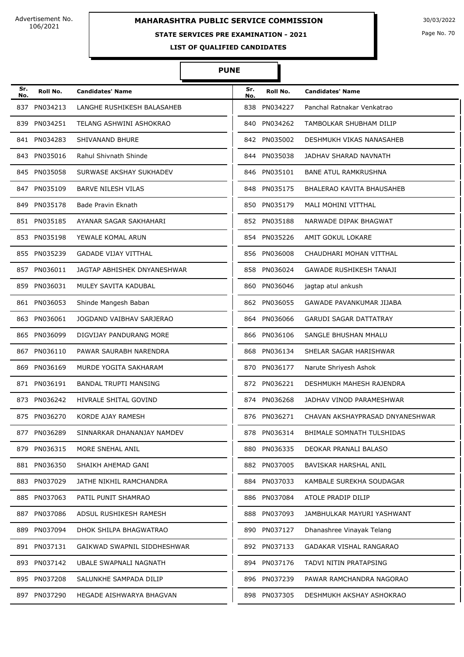## **STATE SERVICES PRE EXAMINATION - 2021**

Page No. 70

**LIST OF QUALIFIED CANDIDATES** 

| Sr.<br>No. | Roll No.     | <b>Candidates' Name</b>      | Sr.<br>No. | Roll No.     | <b>Candidates' Name</b>         |
|------------|--------------|------------------------------|------------|--------------|---------------------------------|
| 837        | PN034213     | LANGHE RUSHIKESH BALASAHEB   | 838        | PN034227     | Panchal Ratnakar Venkatrao      |
| 839        | PN034251     | TELANG ASHWINI ASHOKRAO      | 840        | PN034262     | TAMBOLKAR SHUBHAM DILIP         |
|            | 841 PN034283 | SHIVANAND BHURE              |            | 842 PN035002 | DESHMUKH VIKAS NANASAHEB        |
|            | 843 PN035016 | Rahul Shivnath Shinde        | 844        | PN035038     | JADHAV SHARAD NAVNATH           |
|            | 845 PN035058 | SURWASE AKSHAY SUKHADEV      |            | 846 PN035101 | <b>BANE ATUL RAMKRUSHNA</b>     |
|            | 847 PN035109 | <b>BARVE NILESH VILAS</b>    | 848        | PN035175     | BHALERAO KAVITA BHAUSAHEB       |
|            | 849 PN035178 | Bade Pravin Eknath           |            | 850 PN035179 | MALI MOHINI VITTHAL             |
|            | 851 PN035185 | AYANAR SAGAR SAKHAHARI       |            | 852 PN035188 | NARWADE DIPAK BHAGWAT           |
|            | 853 PN035198 | YEWALE KOMAL ARUN            | 854        | PN035226     | AMIT GOKUL LOKARE               |
|            | 855 PN035239 | <b>GADADE VIJAY VITTHAL</b>  |            | 856 PN036008 | CHAUDHARI MOHAN VITTHAL         |
|            | 857 PN036011 | JAGTAP ABHISHEK DNYANESHWAR  | 858        | PN036024     | <b>GAWADE RUSHIKESH TANAJI</b>  |
| 859        | PN036031     | MULEY SAVITA KADUBAL         | 860        | PN036046     | jagtap atul ankush              |
|            | 861 PN036053 | Shinde Mangesh Baban         | 862        | PN036055     | GAWADE PAVANKUMAR JIJABA        |
|            | 863 PN036061 | JOGDAND VAIBHAV SARJERAO     |            | 864 PN036066 | <b>GARUDI SAGAR DATTATRAY</b>   |
|            | 865 PN036099 | DIGVIJAY PANDURANG MORE      | 866        | PN036106     | SANGLE BHUSHAN MHALU            |
| 867        | PN036110     | PAWAR SAURABH NARENDRA       | 868        | PN036134     | SHELAR SAGAR HARISHWAR          |
| 869        | PN036169     | MURDE YOGITA SAKHARAM        | 870        | PN036177     | Narute Shriyesh Ashok           |
|            | 871 PN036191 | <b>BANDAL TRUPTI MANSING</b> |            | 872 PN036221 | DESHMUKH MAHESH RAJENDRA        |
| 873        | PN036242     | <b>HIVRALE SHITAL GOVIND</b> | 874        | PN036268     | JADHAV VINOD PARAMESHWAR        |
|            | 875 PN036270 | KORDE AJAY RAMESH            | 876        | PN036271     | CHAVAN AKSHAYPRASAD DNYANESHWAR |
|            | 877 PN036289 | SINNARKAR DHANANJAY NAMDEV   |            | 878 PN036314 | BHIMALE SOMNATH TULSHIDAS       |
|            | 879 PN036315 | MORE SNEHAL ANIL             | 880        | PN036335     | DEOKAR PRANALI BALASO           |
|            | 881 PN036350 | SHAIKH AHEMAD GANI           |            | 882 PN037005 | BAVISKAR HARSHAL ANIL           |
|            | 883 PN037029 | JATHE NIKHIL RAMCHANDRA      |            | 884 PN037033 | KAMBALE SUREKHA SOUDAGAR        |
|            | 885 PN037063 | PATIL PUNIT SHAMRAO          |            | 886 PN037084 | ATOLE PRADIP DILIP              |
|            | 887 PN037086 | ADSUL RUSHIKESH RAMESH       |            | 888 PN037093 | JAMBHULKAR MAYURI YASHWANT      |
|            | 889 PN037094 | DHOK SHILPA BHAGWATRAO       |            | 890 PN037127 | Dhanashree Vinayak Telang       |
|            | 891 PN037131 | GAIKWAD SWAPNIL SIDDHESHWAR  |            | 892 PN037133 | GADAKAR VISHAL RANGARAO         |
|            | 893 PN037142 | UBALE SWAPNALI NAGNATH       |            | 894 PN037176 | TADVI NITIN PRATAPSING          |
|            | 895 PN037208 | SALUNKHE SAMPADA DILIP       |            | 896 PN037239 | PAWAR RAMCHANDRA NAGORAO        |
|            | 897 PN037290 | HEGADE AISHWARYA BHAGVAN     |            | 898 PN037305 | DESHMUKH AKSHAY ASHOKRAO        |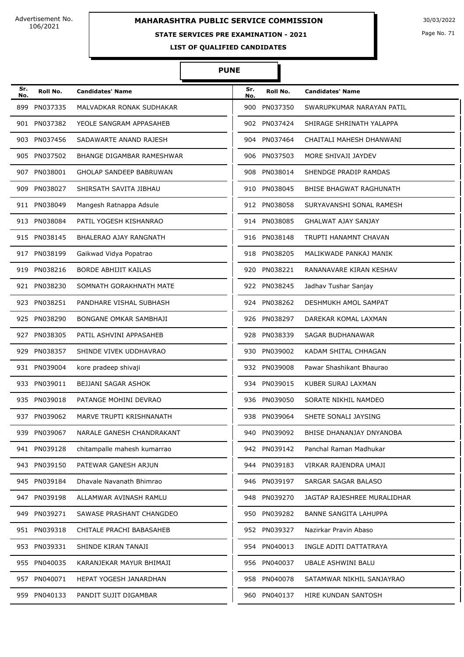#### **STATE SERVICES PRE EXAMINATION - 2021**

Page No. 71

**LIST OF QUALIFIED CANDIDATES** 

| Sr.<br>No. | Roll No.     | <b>Candidates' Name</b>       | Sr.<br>No. | Roll No.     | <b>Candidates' Name</b>     |
|------------|--------------|-------------------------------|------------|--------------|-----------------------------|
| 899        | PN037335     | MALVADKAR RONAK SUDHAKAR      | 900        | PN037350     | SWARUPKUMAR NARAYAN PATIL   |
|            | 901 PN037382 | YEOLE SANGRAM APPASAHEB       |            | 902 PN037424 | SHIRAGE SHRINATH YALAPPA    |
|            | 903 PN037456 | SADAWARTE ANAND RAJESH        |            | 904 PN037464 | CHAITALI MAHESH DHANWANI    |
| 905        | PN037502     | BHANGE DIGAMBAR RAMESHWAR     | 906        | PN037503     | MORE SHIVAJI JAYDEV         |
|            | 907 PN038001 | GHOLAP SANDEEP BABRUWAN       | 908        | PN038014     | SHENDGE PRADIP RAMDAS       |
| 909        | PN038027     | SHIRSATH SAVITA JIBHAU        |            | 910 PN038045 | BHISE BHAGWAT RAGHUNATH     |
|            | 911 PN038049 | Mangesh Ratnappa Adsule       |            | 912 PN038058 | SURYAVANSHI SONAL RAMESH    |
|            | 913 PN038084 | PATIL YOGESH KISHANRAO        |            | 914 PN038085 | <b>GHALWAT AJAY SANJAY</b>  |
|            | 915 PN038145 | <b>BHALERAO AJAY RANGNATH</b> |            | 916 PN038148 | TRUPTI HANAMNT CHAVAN       |
|            | 917 PN038199 | Gaikwad Vidya Popatrao        |            | 918 PN038205 | MALIKWADE PANKAJ MANIK      |
|            | 919 PN038216 | <b>BORDE ABHIJIT KAILAS</b>   | 920        | PN038221     | RANANAVARE KIRAN KESHAV     |
|            | 921 PN038230 | SOMNATH GORAKHNATH MATE       |            | 922 PN038245 | Jadhav Tushar Sanjay        |
|            | 923 PN038251 | PANDHARE VISHAL SUBHASH       |            | 924 PN038262 | DESHMUKH AMOL SAMPAT        |
|            | 925 PN038290 | BONGANE OMKAR SAMBHAJI        |            | 926 PN038297 | DAREKAR KOMAL LAXMAN        |
|            | 927 PN038305 | PATIL ASHVINI APPASAHEB       | 928        | PN038339     | SAGAR BUDHANAWAR            |
| 929        | PN038357     | SHINDE VIVEK UDDHAVRAO        | 930        | PN039002     | KADAM SHITAL CHHAGAN        |
|            | 931 PN039004 | kore pradeep shivaji          |            | 932 PN039008 | Pawar Shashikant Bhaurao    |
|            | 933 PN039011 | BEJJANI SAGAR ASHOK           |            | 934 PN039015 | KUBER SURAJ LAXMAN          |
|            | 935 PN039018 | PATANGE MOHINI DEVRAO         | 936        | PN039050     | SORATE NIKHIL NAMDEO        |
| 937        | PN039062     | MARVE TRUPTI KRISHNANATH      |            | 938 PN039064 | SHETE SONALI JAYSING        |
|            | 939 PN039067 | NARALE GANESH CHANDRAKANT     |            | 940 PN039092 | BHISE DHANANJAY DNYANOBA    |
|            | 941 PN039128 | chitampalle mahesh kumarrao   |            | 942 PN039142 | Panchal Raman Madhukar      |
|            | 943 PN039150 | PATEWAR GANESH ARJUN          |            | 944 PN039183 | VIRKAR RAJENDRA UMAJI       |
|            | 945 PN039184 | Dhavale Navanath Bhimrao      |            | 946 PN039197 | SARGAR SAGAR BALASO         |
|            | 947 PN039198 | ALLAMWAR AVINASH RAMLU        |            | 948 PN039270 | JAGTAP RAJESHREE MURALIDHAR |
|            | 949 PN039271 | SAWASE PRASHANT CHANGDEO      |            | 950 PN039282 | BANNE SANGITA LAHUPPA       |
|            | 951 PN039318 | CHITALE PRACHI BABASAHEB      |            | 952 PN039327 | Nazirkar Pravin Abaso       |
|            | 953 PN039331 | SHINDE KIRAN TANAJI           |            | 954 PN040013 | INGLE ADITI DATTATRAYA      |
|            | 955 PN040035 | KARANJEKAR MAYUR BHIMAJI      |            | 956 PN040037 | UBALE ASHWINI BALU          |
|            | 957 PN040071 | HEPAT YOGESH JANARDHAN        |            | 958 PN040078 | SATAMWAR NIKHIL SANJAYRAO   |
|            | 959 PN040133 | PANDIT SUJIT DIGAMBAR         |            | 960 PN040137 | HIRE KUNDAN SANTOSH         |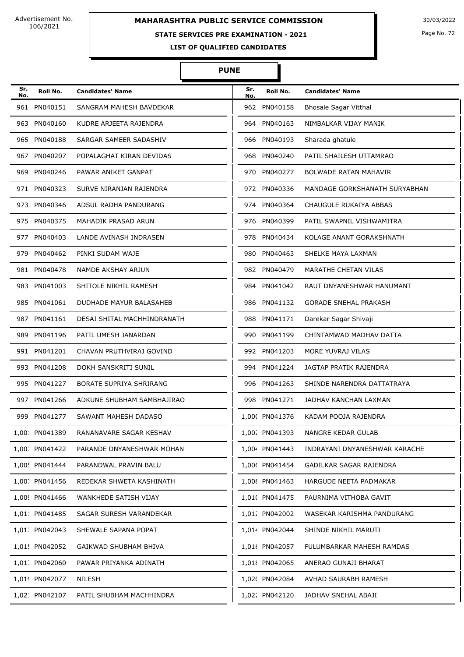# **MAHARASHTRA PUBLIC SERVICE COMMISSION** 30/03/2022

#### **STATE SERVICES PRE EXAMINATION - 2021**

Page No. 72

**LIST OF QUALIFIED CANDIDATES** 

| Sr.<br>No. | Roll No.       | <b>Candidates' Name</b>        | Sr.<br>No. | Roll No.       | <b>Candidates' Name</b>       |
|------------|----------------|--------------------------------|------------|----------------|-------------------------------|
|            | 961 PN040151   | SANGRAM MAHESH BAVDEKAR        | 962        | PN040158       | <b>Bhosale Sagar Vitthal</b>  |
|            | 963 PN040160   | KUDRE ARJEETA RAJENDRA         |            | 964 PN040163   | NIMBALKAR VIJAY MANIK         |
|            | 965 PN040188   | SARGAR SAMEER SADASHIV         |            | 966 PN040193   | Sharada ghatule               |
|            | 967 PN040207   | POPALAGHAT KIRAN DEVIDAS       | 968        | PN040240       | PATIL SHAILESH UTTAMRAO       |
| 969        | PN040246       | PAWAR ANIKET GANPAT            | 970        | PN040277       | <b>BOLWADE RATAN MAHAVIR</b>  |
|            | 971 PN040323   | SURVE NIRANJAN RAJENDRA        |            | 972 PN040336   | MANDAGE GORKSHANATH SURYABHAN |
|            | 973 PN040346   | ADSUL RADHA PANDURANG          |            | 974 PN040364   | CHAUGULE RUKAIYA ABBAS        |
|            | 975 PN040375   | MAHADIK PRASAD ARUN            |            | 976 PN040399   | PATIL SWAPNIL VISHWAMITRA     |
|            | 977 PN040403   | LANDE AVINASH INDRASEN         |            | 978 PN040434   | KOLAGE ANANT GORAKSHNATH      |
|            | 979 PN040462   | PINKI SUDAM WAJE               | 980        | PN040463       | SHELKE MAYA LAXMAN            |
|            | 981 PN040478   | NAMDE AKSHAY ARJUN             |            | 982 PN040479   | MARATHE CHETAN VILAS          |
|            | 983 PN041003   | SHITOLE NIKHIL RAMESH          | 984        | PN041042       | RAUT DNYANESHWAR HANUMANT     |
|            | 985 PN041061   | DUDHADE MAYUR BALASAHEB        | 986        | PN041132       | <b>GORADE SNEHAL PRAKASH</b>  |
|            | 987 PN041161   | DESAI SHITAL MACHHINDRANATH    |            | 988 PN041171   | Darekar Sagar Shivaji         |
|            | 989 PN041196   | PATIL UMESH JANARDAN           |            | 990 PN041199   | CHINTAMWAD MADHAV DATTA       |
|            | 991 PN041201   | CHAVAN PRUTHVIRAJ GOVIND       |            | 992 PN041203   | MORE YUVRAJ VILAS             |
|            | 993 PN041208   | DOKH SANSKRITI SUNIL           | 994        | PN041224       | JAGTAP PRATIK RAJENDRA        |
|            | 995 PN041227   | <b>BORATE SUPRIYA SHRIRANG</b> |            | 996 PN041263   | SHINDE NARENDRA DATTATRAYA    |
|            | 997 PN041266   | ADKUNE SHUBHAM SAMBHAJIRAO     |            | 998 PN041271   | JADHAV KANCHAN LAXMAN         |
| 999        | PN041277       | SAWANT MAHESH DADASO           |            | 1,000 PN041376 | KADAM POOJA RAJENDRA          |
|            | 1,001 PN041389 | RANANAVARE SAGAR KESHAV        |            | 1,002 PN041393 | NANGRE KEDAR GULAB            |
|            | 1,00. PN041422 | PARANDE DNYANESHWAR MOHAN      |            | 1,004 PN041443 | INDRAYANI DNYANESHWAR KARACHE |
|            | 1,00! PN041444 | PARANDWAL PRAVIN BALU          |            | 1,006 PN041454 | GADILKAR SAGAR RAJENDRA       |
|            | 1,00. PN041456 | REDEKAR SHWETA KASHINATH       |            | 1,008 PN041463 | HARGUDE NEETA PADMAKAR        |
|            | 1,009 PN041466 | WANKHEDE SATISH VIJAY          |            | 1,01( PN041475 | PAURNIMA VITHOBA GAVIT        |
|            | 1,011 PN041485 | SAGAR SURESH VARANDEKAR        |            | 1,01. PN042002 | WASEKAR KARISHMA PANDURANG    |
|            | 1,01. PN042043 | SHEWALE SAPANA POPAT           |            | 1,014 PN042044 | SHINDE NIKHIL MARUTI          |
|            | 1,01! PN042052 | GAIKWAD SHUBHAM BHIVA          |            | 1,01( PN042057 | FULUMBARKAR MAHESH RAMDAS     |
|            | 1,01, PN042060 | PAWAR PRIYANKA ADINATH         |            | 1,01{ PN042065 | ANERAO GUNAJI BHARAT          |
|            | 1,019 PN042077 | NILESH                         |            | 1,02( PN042084 | AVHAD SAURABH RAMESH          |
|            | 1,021 PN042107 | PATIL SHUBHAM MACHHINDRA       |            | 1,022 PN042120 | JADHAV SNEHAL ABAJI           |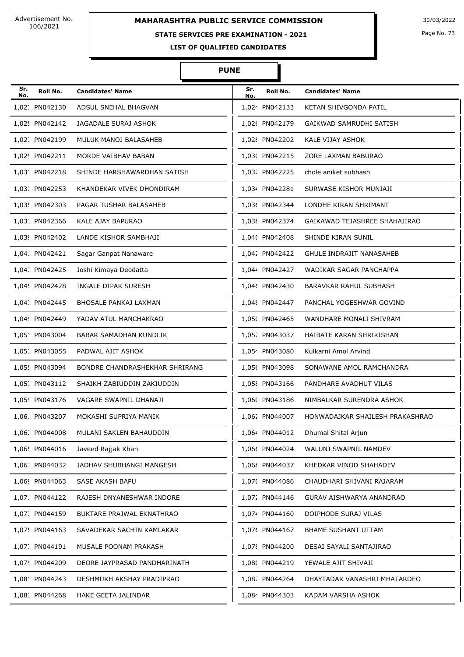# **MAHARASHTRA PUBLIC SERVICE COMMISSION** 30/03/2022

### **STATE SERVICES PRE EXAMINATION - 2021**

Page No. 73

**LIST OF QUALIFIED CANDIDATES** 

#### **PUNE**

Π

| Sr.<br>No. | Roll No.       | <b>Candidates' Name</b>        | Sr.<br>No. | Roll No.       | <b>Candidates' Name</b>         |
|------------|----------------|--------------------------------|------------|----------------|---------------------------------|
|            | 1.02. PN042130 | ADSUL SNEHAL BHAGVAN           |            | 1,024 PN042133 | KETAN SHIVGONDA PATIL           |
|            | 1,02! PN042142 | JAGADALE SURAJ ASHOK           |            | 1,026 PN042179 | GAIKWAD SAMRUDHI SATISH         |
|            | 1,02; PN042199 | MULUK MANOJ BALASAHEB          |            | 1,02{ PN042202 | KALE VIJAY ASHOK                |
|            | 1,029 PN042211 | MORDE VAIBHAV BABAN            |            | 1,03( PN042215 | ZORE LAXMAN BABURAO             |
|            | 1,031 PN042218 | SHINDE HARSHAWARDHAN SATISH    |            | 1,032 PN042225 | chole aniket subhash            |
|            | 1,03: PN042253 | KHANDEKAR VIVEK DHONDIRAM      |            | 1,034 PN042281 | SURWASE KISHOR MUNJAJI          |
|            | 1,03! PN042303 | PAGAR TUSHAR BALASAHEB         |            | 1,036 PN042344 | LONDHE KIRAN SHRIMANT           |
|            | 1,03. PN042366 | KALE AJAY BAPURAO              |            | 1,03{ PN042374 | GAIKAWAD TEJASHREE SHAHAJIRAO   |
|            | 1,039 PN042402 | LANDE KISHOR SAMBHAJI          |            | 1,04( PN042408 | SHINDE KIRAN SUNIL              |
|            | 1,041 PN042421 | Sagar Ganpat Nanaware          |            | 1,042 PN042422 | <b>GHULE INDRAJIT NANASAHEB</b> |
|            | 1,04. PN042425 | Joshi Kimaya Deodatta          |            | 1,044 PN042427 | WADIKAR SAGAR PANCHAPPA         |
|            | 1,04! PN042428 | INGALE DIPAK SURESH            |            | 1,046 PN042430 | BARAVKAR RAHUL SUBHASH          |
|            | 1,04. PN042445 | BHOSALE PANKAJ LAXMAN          |            | 1,048 PN042447 | PANCHAL YOGESHWAR GOVIND        |
|            | 1,049 PN042449 | YADAV ATUL MANCHAKRAO          |            | 1,05( PN042465 | WANDHARE MONALI SHIVRAM         |
|            | 1,051 PN043004 | BABAR SAMADHAN KUNDLIK         |            | 1,052 PN043037 | HAIBATE KARAN SHRIKISHAN        |
|            | 1,05: PN043055 | PADWAL AJIT ASHOK              |            | 1,054 PN043080 | Kulkarni Amol Arvind            |
|            | 1,05! PN043094 | BONDRE CHANDRASHEKHAR SHRIRANG |            | 1,056 PN043098 | SONAWANE AMOL RAMCHANDRA        |
|            | 1,05. PN043112 | SHAIKH ZABIUDDIN ZAKIUDDIN     |            | 1,05{ PN043166 | PANDHARE AVADHUT VILAS          |
|            | 1,059 PN043176 | VAGARE SWAPNIL DHANAJI         |            | 1,06( PN043186 | NIMBALKAR SURENDRA ASHOK        |
|            | 1,06: PN043207 | MOKASHI SUPRIYA MANIK          |            | 1,06% PN044007 | HONWADAJKAR SHAILESH PRAKASHRAO |
|            | 1,06. PN044008 | MULANI SAKLEN BAHAUDDIN        |            | 1,064 PN044012 | Dhumal Shital Arjun             |
|            | 1,06! PN044016 | Javeed Rajjak Khan             |            | 1,066 PN044024 | WALUNJ SWAPNIL NAMDEV           |
|            | 1,06. PN044032 | JADHAV SHUBHANGI MANGESH       |            | 1,06{ PN044037 | KHEDKAR VINOD SHAHADEV          |
|            | 1,069 PN044063 | SASE AKASH BAPU                |            | 1,07( PN044086 | CHAUDHARI SHIVANI RAJARAM       |
|            | 1,071 PN044122 | RAJESH DNYANESHWAR INDORE      |            | 1,07. PN044146 | GURAV AISHWARYA ANANDRAO        |
|            | 1,07. PN044159 | BUKTARE PRAJWAL EKNATHRAO      |            | 1,074 PN044160 | DOIPHODE SURAJ VILAS            |
|            | 1,07! PN044163 | SAVADEKAR SACHIN KAMLAKAR      |            | 1,076 PN044167 | BHAME SUSHANT UTTAM             |
|            | 1,07. PN044191 | MUSALE POONAM PRAKASH          |            | 1,07{ PN044200 | DESAI SAYALI SANTAJIRAO         |
|            | 1,079 PN044209 | DEORE JAYPRASAD PANDHARINATH   |            | 1,08( PN044219 | YEWALE AJIT SHIVAJI             |
|            | 1,081 PN044243 | DESHMUKH AKSHAY PRADIPRAO      |            | 1,08. PN044264 | DHAYTADAK VANASHRI MHATARDEO    |
|            | 1,08. PN044268 | HAKE GEETA JALINDAR            |            | 1,084 PN044303 | KADAM VARSHA ASHOK              |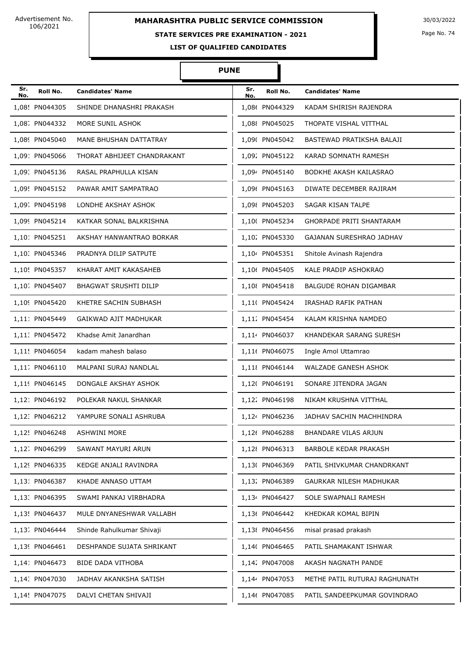# **STATE SERVICES PRE EXAMINATION - 2021**

Page No. 74

**LIST OF QUALIFIED CANDIDATES** 

| Sr.<br>No. | Roll No.       | <b>Candidates' Name</b>      | Sr.<br>No. | Roll No.       | <b>Candidates' Name</b>         |
|------------|----------------|------------------------------|------------|----------------|---------------------------------|
|            | 1,08! PN044305 | SHINDE DHANASHRI PRAKASH     |            | 1,086 PN044329 | KADAM SHIRISH RAJENDRA          |
|            | 1,08. PN044332 | MORE SUNIL ASHOK             |            | 1,088 PN045025 | THOPATE VISHAL VITTHAL          |
|            | 1,089 PN045040 | MANE BHUSHAN DATTATRAY       |            | 1,09( PN045042 | BASTEWAD PRATIKSHA BALAJI       |
|            | 1.09: PN045066 | THORAT ABHIJEET CHANDRAKANT  |            | 1,092 PN045122 | KARAD SOMNATH RAMESH            |
|            | 1,09. PN045136 | RASAL PRAPHULLA KISAN        |            | 1,094 PN045140 | BODKHE AKASH KAILASRAO          |
|            | 1,09! PN045152 | PAWAR AMIT SAMPATRAO         |            | 1,096 PN045163 | DIWATE DECEMBER RAJIRAM         |
|            | 1,09. PN045198 | LONDHE AKSHAY ASHOK          |            | 1,098 PN045203 | SAGAR KISAN TALPE               |
|            | 1,099 PN045214 | KATKAR SONAL BALKRISHNA      |            | 1,100 PN045234 | <b>GHORPADE PRITI SHANTARAM</b> |
|            | 1,10: PN045251 | AKSHAY HANWANTRAO BORKAR     |            | 1,102 PN045330 | GAJANAN SURESHRAO JADHAV        |
|            | 1,10. PN045346 | PRADNYA DILIP SATPUTE        |            | 1,104 PN045351 | Shitole Avinash Rajendra        |
|            | 1,10! PN045357 | KHARAT AMIT KAKASAHEB        |            | 1,106 PN045405 | KALE PRADIP ASHOKRAO            |
|            | 1,10. PN045407 | <b>BHAGWAT SRUSHTI DILIP</b> |            | 1,10{ PN045418 | <b>BALGUDE ROHAN DIGAMBAR</b>   |
|            | 1,109 PN045420 | KHETRE SACHIN SUBHASH        |            | 1,110 PN045424 | IRASHAD RAFIK PATHAN            |
|            | 1,11: PN045449 | GAIKWAD AJIT MADHUKAR        |            | 1,112 PN045454 | KALAM KRISHNA NAMDEO            |
|            | 1,11. PN045472 | Khadse Amit Janardhan        |            | 1,114 PN046037 | KHANDEKAR SARANG SURESH         |
|            | 1,11! PN046054 | kadam mahesh balaso          |            | 1,116 PN046075 | Ingle Amol Uttamrao             |
|            | 1,11. PN046110 | MALPANI SURAJ NANDLAL        |            | 1,118 PN046144 | <b>WALZADE GANESH ASHOK</b>     |
|            | 1,119 PN046145 | DONGALE AKSHAY ASHOK         |            | 1,12( PN046191 | SONARE JITENDRA JAGAN           |
|            | 1,121 PN046192 | POLEKAR NAKUL SHANKAR        |            | 1,122 PN046198 | NIKAM KRUSHNA VITTHAL           |
|            | 1,12. PN046212 | YAMPURE SONALI ASHRUBA       |            | 1,124 PN046236 | JADHAV SACHIN MACHHINDRA        |
|            | 1,12! PN046248 | <b>ASHWINI MORE</b>          |            | 1,12( PN046288 | BHANDARE VILAS ARJUN            |
|            | 1,12. PN046299 | SAWANT MAYURI ARUN           |            | 1,12{ PN046313 | BARBOLE KEDAR PRAKASH           |
|            | 1,129 PN046335 | KEDGE ANJALI RAVINDRA        |            | 1,13( PN046369 | PATIL SHIVKUMAR CHANDRKANT      |
|            | 1,131 PN046387 | KHADE ANNASO UTTAM           |            | 1,132 PN046389 | GAURKAR NILESH MADHUKAR         |
|            | 1,13: PN046395 | SWAMI PANKAJ VIRBHADRA       |            | 1,134 PN046427 | SOLE SWAPNALI RAMESH            |
|            | 1,13! PN046437 | MULE DNYANESHWAR VALLABH     |            | 1,136 PN046442 | KHEDKAR KOMAL BIPIN             |
|            | 1,13. PN046444 | Shinde Rahulkumar Shivaji    |            | 1,138 PN046456 | misal prasad prakash            |
|            | 1,139 PN046461 | DESHPANDE SUJATA SHRIKANT    |            | 1,14( PN046465 | PATIL SHAMAKANT ISHWAR          |
|            | 1,141 PN046473 | BIDE DADA VITHOBA            |            | 1,142 PN047008 | AKASH NAGNATH PANDE             |
|            | 1,14. PN047030 | JADHAV AKANKSHA SATISH       |            | 1,144 PN047053 | METHE PATIL RUTURAJ RAGHUNATH   |
|            | 1,14! PN047075 | DALVI CHETAN SHIVAJI         |            | 1,146 PN047085 | PATIL SANDEEPKUMAR GOVINDRAO    |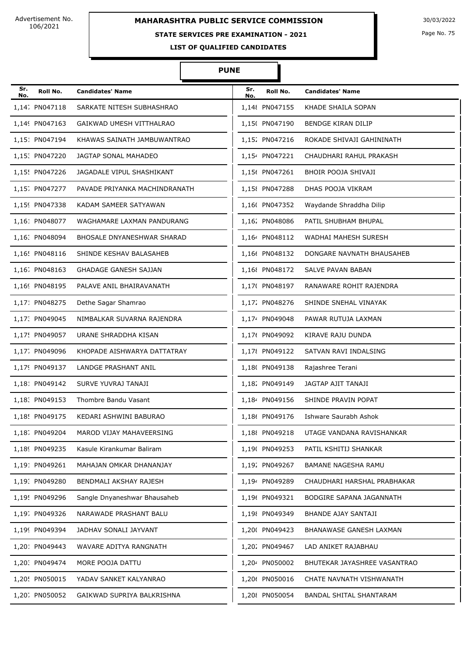## **STATE SERVICES PRE EXAMINATION - 2021**

Page No. 75

**LIST OF QUALIFIED CANDIDATES** 

| Sr.<br>No. | Roll No.       | <b>Candidates' Name</b>       | Sr.<br>No. | Roll No.       | <b>Candidates' Name</b>      |
|------------|----------------|-------------------------------|------------|----------------|------------------------------|
|            | 1,14. PN047118 | SARKATE NITESH SUBHASHRAO     |            | 1,148 PN047155 | KHADE SHAILA SOPAN           |
|            | 1,149 PN047163 | GAIKWAD UMESH VITTHALRAO      |            | 1,15( PN047190 | BENDGE KIRAN DILIP           |
|            | 1,15: PN047194 | KHAWAS SAINATH JAMBUWANTRAO   |            | 1,152 PN047216 | ROKADE SHIVAJI GAHININATH    |
|            | 1,15: PN047220 | JAGTAP SONAL MAHADEO          |            | 1,154 PN047221 | CHAUDHARI RAHUL PRAKASH      |
|            | 1,15! PN047226 | JAGADALE VIPUL SHASHIKANT     |            | 1,156 PN047261 | BHOIR POOJA SHIVAJI          |
|            | 1,15; PN047277 | PAVADE PRIYANKA MACHINDRANATH |            | 1,15{ PN047288 | DHAS POOJA VIKRAM            |
|            | 1,159 PN047338 | KADAM SAMEER SATYAWAN         |            | 1,16( PN047352 | Waydande Shraddha Dilip      |
|            | 1,16: PN048077 | WAGHAMARE LAXMAN PANDURANG    |            | 1,162 PN048086 | PATIL SHUBHAM BHUPAL         |
|            | 1,16: PN048094 | BHOSALE DNYANESHWAR SHARAD    |            | 1,164 PN048112 | <b>WADHAI MAHESH SURESH</b>  |
|            | 1,16! PN048116 | SHINDE KESHAV BALASAHEB       |            | 1,166 PN048132 | DONGARE NAVNATH BHAUSAHEB    |
|            | 1,16. PN048163 | <b>GHADAGE GANESH SAJJAN</b>  |            | 1,16{ PN048172 | SALVE PAVAN BABAN            |
|            | 1,169 PN048195 | PALAVE ANIL BHAIRAVANATH      |            | 1,17( PN048197 | RANAWARE ROHIT RAJENDRA      |
|            | 1,171 PN048275 | Dethe Sagar Shamrao           |            | 1,172 PN048276 | SHINDE SNEHAL VINAYAK        |
|            | 1,17. PN049045 | NIMBALKAR SUVARNA RAJENDRA    |            | 1,174 PN049048 | PAWAR RUTUJA LAXMAN          |
|            | 1,17! PN049057 | URANE SHRADDHA KISAN          |            | 1,176 PN049092 | KIRAVE RAJU DUNDA            |
|            | 1,17. PN049096 | KHOPADE AISHWARYA DATTATRAY   |            | 1,17{ PN049122 | SATVAN RAVI INDALSING        |
|            | 1,179 PN049137 | LANDGE PRASHANT ANIL          |            | 1,18( PN049138 | Rajashree Terani             |
|            | 1,181 PN049142 | SURVE YUVRAJ TANAJI           |            | 1,182 PN049149 | JAGTAP AJIT TANAJI           |
|            | 1,18. PN049153 | Thombre Bandu Vasant          |            | 1,184 PN049156 | SHINDE PRAVIN POPAT          |
|            | 1,18! PN049175 | KEDARI ASHWINI BABURAO        |            | 1,186 PN049176 | Ishware Saurabh Ashok        |
|            | 1,18. PN049204 | MAROD VIJAY MAHAVEERSING      |            | 1,188 PN049218 | UTAGE VANDANA RAVISHANKAR    |
|            | 1,189 PN049235 | Kasule Kirankumar Baliram     |            | 1,19( PN049253 | PATIL KSHITIJ SHANKAR        |
|            | 1,191 PN049261 | MAHAJAN OMKAR DHANANJAY       |            | 1,192 PN049267 | BAMANE NAGESHA RAMU          |
|            | 1,19. PN049280 | BENDMALI AKSHAY RAJESH        |            | 1,194 PN049289 | CHAUDHARI HARSHAL PRABHAKAR  |
|            | 1,19! PN049296 | Sangle Dnyaneshwar Bhausaheb  |            | 1,196 PN049321 | BODGIRE SAPANA JAGANNATH     |
|            | 1,19; PN049326 | NARAWADE PRASHANT BALU        |            | 1,198 PN049349 | BHANDE AJAY SANTAJI          |
|            | 1,199 PN049394 | JADHAV SONALI JAYVANT         |            | 1,20( PN049423 | BHANAWASE GANESH LAXMAN      |
|            | 1,201 PN049443 | WAVARE ADITYA RANGNATH        |            | 1,20% PN049467 | LAD ANIKET RAJABHAU          |
|            | 1,20. PN049474 | MORE POOJA DATTU              |            | 1,204 PN050002 | BHUTEKAR JAYASHREE VASANTRAO |
|            | 1,20! PN050015 | YADAV SANKET KALYANRAO        |            | 1,206 PN050016 | CHATE NAVNATH VISHWANATH     |
|            | 1,20; PN050052 | GAIKWAD SUPRIYA BALKRISHNA    |            | 1,20{ PN050054 | BANDAL SHITAL SHANTARAM      |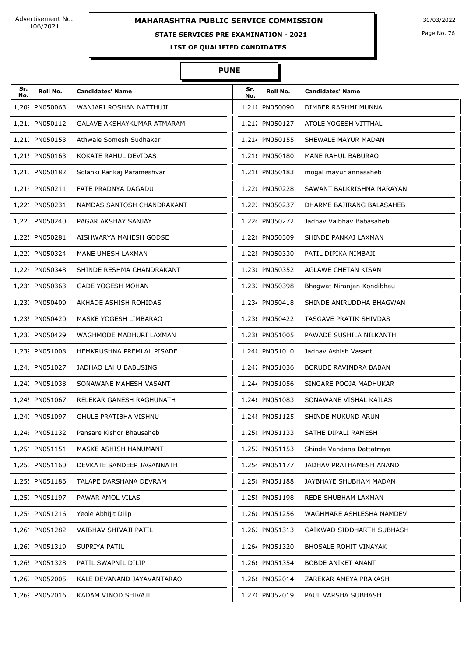# **STATE SERVICES PRE EXAMINATION - 2021**

Page No. 76

**LIST OF QUALIFIED CANDIDATES** 

| Sr.<br>No. | Roll No.       | <b>Candidates' Name</b>      | Sr.<br>No. | Roll No.       | <b>Candidates' Name</b>    |
|------------|----------------|------------------------------|------------|----------------|----------------------------|
|            | 1,209 PN050063 | WANJARI ROSHAN NATTHUJI      |            | 1,210 PN050090 | DIMBER RASHMI MUNNA        |
|            | 1,211 PN050112 | GALAVE AKSHAYKUMAR ATMARAM   |            | 1,212 PN050127 | ATOLE YOGESH VITTHAL       |
|            | 1,21. PN050153 | Athwale Somesh Sudhakar      |            | 1,214 PN050155 | SHEWALE MAYUR MADAN        |
|            | 1,21! PN050163 | KOKATE RAHUL DEVIDAS         |            | 1,216 PN050180 | <b>MANE RAHUL BABURAO</b>  |
|            | 1,21. PN050182 | Solanki Pankaj Parameshvar   |            | 1,218 PN050183 | mogal mayur annasaheb      |
|            | 1,219 PN050211 | FATE PRADNYA DAGADU          |            | 1,22( PN050228 | SAWANT BALKRISHNA NARAYAN  |
|            | 1,221 PN050231 | NAMDAS SANTOSH CHANDRAKANT   |            | 1,222 PN050237 | DHARME BAJIRANG BALASAHEB  |
|            | 1,22. PN050240 | PAGAR AKSHAY SANJAY          |            | 1,224 PN050272 | Jadhav Vaibhav Babasaheb   |
|            | 1,22! PN050281 | AISHWARYA MAHESH GODSE       |            | 1,226 PN050309 | SHINDE PANKAJ LAXMAN       |
|            | 1,22; PN050324 | MANE UMESH LAXMAN            |            | 1,228 PN050330 | PATIL DIPIKA NIMBAJI       |
|            | 1,229 PN050348 | SHINDE RESHMA CHANDRAKANT    |            | 1,23( PN050352 | AGLAWE CHETAN KISAN        |
|            | 1,231 PN050363 | <b>GADE YOGESH MOHAN</b>     |            | 1,232 PN050398 | Bhagwat Niranjan Kondibhau |
|            | 1,23: PN050409 | AKHADE ASHISH ROHIDAS        |            | 1,234 PN050418 | SHINDE ANIRUDDHA BHAGWAN   |
|            | 1,23! PN050420 | MASKE YOGESH LIMBARAO        |            | 1,236 PN050422 | TASGAVE PRATIK SHIVDAS     |
|            | 1,23. PN050429 | WAGHMODE MADHURI LAXMAN      |            | 1,238 PN051005 | PAWADE SUSHILA NILKANTH    |
|            | 1,239 PN051008 | HEMKRUSHNA PREMLAL PISADE    |            | 1,24( PN051010 | Jadhav Ashish Vasant       |
|            | 1,241 PN051027 | JADHAO LAHU BABUSING         |            | 1,242 PN051036 | BORUDE RAVINDRA BABAN      |
|            | 1,24. PN051038 | SONAWANE MAHESH VASANT       |            | 1,244 PN051056 | SINGARE POOJA MADHUKAR     |
|            | 1,24! PN051067 | RELEKAR GANESH RAGHUNATH     |            | 1,246 PN051083 | SONAWANE VISHAL KAILAS     |
|            | 1,24. PN051097 | <b>GHULE PRATIBHA VISHNU</b> |            | 1,248 PN051125 | SHINDE MUKUND ARUN         |
|            | 1,249 PN051132 | Pansare Kishor Bhausaheb     |            | 1,25( PN051133 | SATHE DIPALI RAMESH        |
|            | 1,251 PN051151 | MASKE ASHISH HANUMANT        |            | 1,25% PN051153 | Shinde Vandana Dattatraya  |
|            | 1,25: PN051160 | DEVKATE SANDEEP JAGANNATH    |            | 1,254 PN051177 | JADHAV PRATHAMESH ANAND    |
|            | 1,25! PN051186 | TALAPE DARSHANA DEVRAM       |            | 1,256 PN051188 | JAYBHAYE SHUBHAM MADAN     |
|            | 1,25; PN051197 | PAWAR AMOL VILAS             |            | 1,25 PN051198  | REDE SHUBHAM LAXMAN        |
|            | 1,259 PN051216 | Yeole Abhijit Dilip          |            | 1,26( PN051256 | WAGHMARE ASHLESHA NAMDEV   |
|            | 1,261 PN051282 | VAIBHAV SHIVAJI PATIL        |            | 1,26% PN051313 | GAIKWAD SIDDHARTH SUBHASH  |
|            | 1,26. PN051319 | SUPRIYA PATIL                |            | 1,264 PN051320 | BHOSALE ROHIT VINAYAK      |
|            | 1,26! PN051328 | PATIL SWAPNIL DILIP          |            | 1,266 PN051354 | <b>BOBDE ANIKET ANANT</b>  |
|            | 1,26. PN052005 | KALE DEVANAND JAYAVANTARAO   |            | 1,26{ PN052014 | ZAREKAR AMEYA PRAKASH      |
|            | 1,269 PN052016 | KADAM VINOD SHIVAJI          |            | 1,27( PN052019 | PAUL VARSHA SUBHASH        |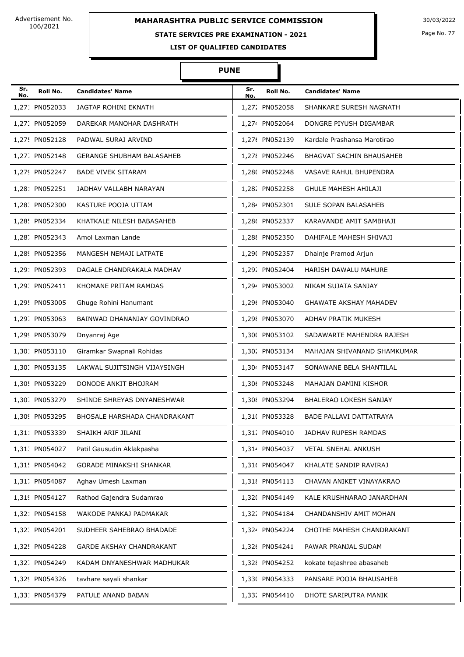#### **STATE SERVICES PRE EXAMINATION - 2021**

Page No. 77

**LIST OF QUALIFIED CANDIDATES** 

| Sr.<br>No. | Roll No.       | <b>Candidates' Name</b>             | Sr.<br>No. | Roll No.       | <b>Candidates' Name</b>         |
|------------|----------------|-------------------------------------|------------|----------------|---------------------------------|
|            | 1,271 PN052033 | <b>JAGTAP ROHINI EKNATH</b>         |            | 1,272 PN052058 | SHANKARE SURESH NAGNATH         |
|            | 1,27: PN052059 | DAREKAR MANOHAR DASHRATH            |            | 1,274 PN052064 | DONGRE PIYUSH DIGAMBAR          |
|            | 1,27! PN052128 | PADWAL SURAJ ARVIND                 |            | 1,276 PN052139 | Kardale Prashansa Marotirao     |
|            | 1,27. PN052148 | <b>GERANGE SHUBHAM BALASAHEB</b>    |            | 1,278 PN052246 | <b>BHAGVAT SACHIN BHAUSAHEB</b> |
|            | 1,279 PN052247 | <b>BADE VIVEK SITARAM</b>           |            | 1,28( PN052248 | VASAVE RAHUL BHUPENDRA          |
|            | 1,281 PN052251 | JADHAV VALLABH NARAYAN              |            | 1,282 PN052258 | <b>GHULE MAHESH AHILAJI</b>     |
|            | 1,28. PN052300 | KASTURE POOJA UTTAM                 |            | 1,284 PN052301 | SULE SOPAN BALASAHEB            |
|            | 1,28! PN052334 | KHATKALE NILESH BABASAHEB           |            | 1,286 PN052337 | KARAVANDE AMIT SAMBHAJI         |
|            | 1,28. PN052343 | Amol Laxman Lande                   |            | 1,288 PN052350 | DAHIFALE MAHESH SHIVAJI         |
|            | 1,289 PN052356 | MANGESH NEMAJI LATPATE              |            | 1,29( PN052357 | Dhainje Pramod Arjun            |
|            | 1,291 PN052393 | DAGALE CHANDRAKALA MADHAV           |            | 1,292 PN052404 | HARISH DAWALU MAHURE            |
|            | 1,29: PN052411 | KHOMANE PRITAM RAMDAS               |            | 1,294 PN053002 | NIKAM SUJATA SANJAY             |
|            | 1,29! PN053005 | Ghuge Rohini Hanumant               |            | 1,296 PN053040 | <b>GHAWATE AKSHAY MAHADEV</b>   |
|            | 1,29. PN053063 | BAINWAD DHANANJAY GOVINDRAO         |            | 1,298 PN053070 | ADHAV PRATIK MUKESH             |
|            | 1,299 PN053079 | Dnyanraj Age                        |            | 1,30( PN053102 | SADAWARTE MAHENDRA RAJESH       |
|            | 1,30: PN053110 | Giramkar Swapnali Rohidas           |            | 1,302 PN053134 | MAHAJAN SHIVANAND SHAMKUMAR     |
|            | 1,30: PN053135 | LAKWAL SUJITSINGH VIJAYSINGH        |            | 1,304 PN053147 | SONAWANE BELA SHANTILAL         |
|            | 1,30! PN053229 | DONODE ANKIT BHOJRAM                |            | 1,306 PN053248 | MAHAJAN DAMINI KISHOR           |
|            | 1,30. PN053279 | SHINDE SHREYAS DNYANESHWAR          |            | 1,30{ PN053294 | BHALERAO LOKESH SANJAY          |
|            | 1,309 PN053295 | <b>BHOSALE HARSHADA CHANDRAKANT</b> |            | 1,31( PN053328 | <b>BADE PALLAVI DATTATRAYA</b>  |
|            | 1,31: PN053339 | SHAIKH ARIF JILANI                  |            | 1,31. PN054010 | JADHAV RUPESH RAMDAS            |
|            | 1,31. PN054027 | Patil Gausudin Aklakpasha           |            | 1,314 PN054037 | VETAL SNEHAL ANKUSH             |
|            | 1,31! PN054042 | <b>GORADE MINAKSHI SHANKAR</b>      |            | 1,31( PN054047 | KHALATE SANDIP RAVIRAJ          |
|            | 1,31. PN054087 | Aghav Umesh Laxman                  |            | 1,31{ PN054113 | CHAVAN ANIKET VINAYAKRAO        |
|            | 1,319 PN054127 | Rathod Gajendra Sudamrao            |            | 1,32( PN054149 | KALE KRUSHNARAO JANARDHAN       |
|            | 1,321 PN054158 | WAKODE PANKAJ PADMAKAR              |            | 1,322 PN054184 | CHANDANSHIV AMIT MOHAN          |
|            | 1,32. PN054201 | SUDHEER SAHEBRAO BHADADE            |            | 1,324 PN054224 | CHOTHE MAHESH CHANDRAKANT       |
|            | 1,32! PN054228 | GARDE AKSHAY CHANDRAKANT            |            | 1,32( PN054241 | PAWAR PRANJAL SUDAM             |
|            | 1,32; PN054249 | KADAM DNYANESHWAR MADHUKAR          |            | 1,32{ PN054252 | kokate tejashree abasaheb       |
|            | 1,329 PN054326 | tavhare sayali shankar              |            | 1,33( PN054333 | PANSARE POOJA BHAUSAHEB         |
|            | 1,331 PN054379 | PATULE ANAND BABAN                  |            | 1,332 PN054410 | DHOTE SARIPUTRA MANIK           |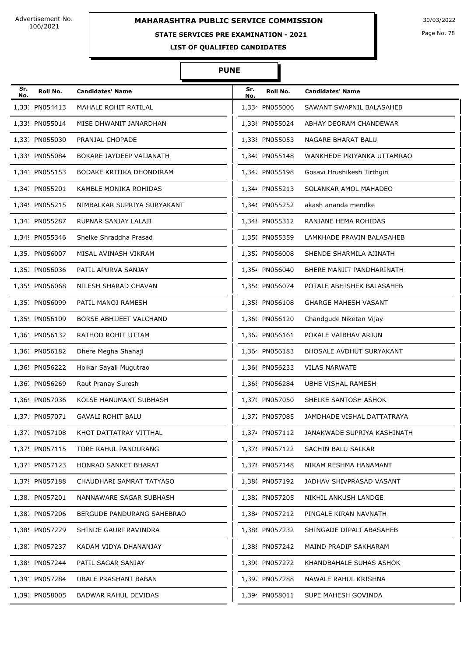# **STATE SERVICES PRE EXAMINATION - 2021**

Page No. 78

**LIST OF QUALIFIED CANDIDATES** 

| Sr.<br>No. | Roll No.       | <b>Candidates' Name</b>     | Sr.<br>No. | Roll No.       | <b>Candidates' Name</b>         |
|------------|----------------|-----------------------------|------------|----------------|---------------------------------|
|            | 1,33. PN054413 | MAHALE ROHIT RATILAL        |            | 1,334 PN055006 | SAWANT SWAPNIL BALASAHEB        |
|            | 1,33! PN055014 | MISE DHWANIT JANARDHAN      |            | 1,336 PN055024 | ABHAY DEORAM CHANDEWAR          |
|            | 1,33. PN055030 | PRANJAL CHOPADE             |            | 1,338 PN055053 | NAGARE BHARAT BALU              |
|            | 1,339 PN055084 | BOKARE JAYDEEP VAIJANATH    |            | 1,34( PN055148 | WANKHEDE PRIYANKA UTTAMRAO      |
|            | 1,341 PN055153 | BODAKE KRITIKA DHONDIRAM    |            | 1,342 PN055198 | Gosavi Hrushikesh Tirthgiri     |
|            | 1,34: PN055201 | KAMBLE MONIKA ROHIDAS       |            | 1,344 PN055213 | SOLANKAR AMOL MAHADEO           |
|            | 1,34! PN055215 | NIMBALKAR SUPRIYA SURYAKANT |            | 1,346 PN055252 | akash ananda mendke             |
|            | 1,34, PN055287 | RUPNAR SANJAY LALAJI        |            | 1,348 PN055312 | RANJANE HEMA ROHIDAS            |
|            | 1,349 PN055346 | Shelke Shraddha Prasad      |            | 1,35( PN055359 | LAMKHADE PRAVIN BALASAHEB       |
|            | 1,351 PN056007 | MISAL AVINASH VIKRAM        |            | 1,35% PN056008 | SHENDE SHARMILA AJINATH         |
|            | 1,35. PN056036 | PATIL APURVA SANJAY         |            | 1,354 PN056040 | BHERE MANJIT PANDHARINATH       |
|            | 1,35! PN056068 | NILESH SHARAD CHAVAN        |            | 1,356 PN056074 | POTALE ABHISHEK BALASAHEB       |
|            | 1,35. PN056099 | PATIL MANOJ RAMESH          |            | 1,35{ PN056108 | <b>GHARGE MAHESH VASANT</b>     |
|            | 1,359 PN056109 | BORSE ABHIJEET VALCHAND     |            | 1,36( PN056120 | Chandgude Niketan Vijay         |
|            | 1,36: PN056132 | RATHOD ROHIT UTTAM          |            | 1,36% PN056161 | POKALE VAIBHAV ARJUN            |
|            | 1,36. PN056182 | Dhere Megha Shahaji         |            | 1,364 PN056183 | <b>BHOSALE AVDHUT SURYAKANT</b> |
|            | 1,36! PN056222 | Holkar Sayali Mugutrao      |            | 1,366 PN056233 | <b>VILAS NARWATE</b>            |
|            | 1,36. PN056269 | Raut Pranay Suresh          |            | 1,36{ PN056284 | <b>UBHE VISHAL RAMESH</b>       |
|            | 1,369 PN057036 | KOLSE HANUMANT SUBHASH      |            | 1,37( PN057050 | SHELKE SANTOSH ASHOK            |
|            | 1,371 PN057071 | <b>GAVALI ROHIT BALU</b>    |            | 1,372 PN057085 | JAMDHADE VISHAL DATTATRAYA      |
|            | 1,37. PN057108 | KHOT DATTATRAY VITTHAL      |            | 1,374 PN057112 | JANAKWADE SUPRIYA KASHINATH     |
|            | 1,37! PN057115 | TORE RAHUL PANDURANG        |            | 1,376 PN057122 | SACHIN BALU SALKAR              |
|            | 1,37. PN057123 | HONRAO SANKET BHARAT        |            | 1,37{ PN057148 | NIKAM RESHMA HANAMANT           |
|            | 1,379 PN057188 | CHAUDHARI SAMRAT TATYASO    |            | 1,38( PN057192 | JADHAV SHIVPRASAD VASANT        |
|            | 1,381 PN057201 | NANNAWARE SAGAR SUBHASH     |            | 1,382 PN057205 | NIKHIL ANKUSH LANDGE            |
|            | 1,38. PN057206 | BERGUDE PANDURANG SAHEBRAO  |            | 1,384 PN057212 | PINGALE KIRAN NAVNATH           |
|            | 1,38! PN057229 | SHINDE GAURI RAVINDRA       |            | 1,386 PN057232 | SHINGADE DIPALI ABASAHEB        |
|            | 1,38. PN057237 | KADAM VIDYA DHANANJAY       |            | 1,38 PN057242  | MAIND PRADIP SAKHARAM           |
|            | 1,389 PN057244 | PATIL SAGAR SANJAY          |            | 1,39( PN057272 | KHANDBAHALE SUHAS ASHOK         |
|            | 1,391 PN057284 | UBALE PRASHANT BABAN        |            | 1,39. PN057288 | NAWALE RAHUL KRISHNA            |
|            | 1,39: PN058005 | BADWAR RAHUL DEVIDAS        |            | 1,394 PN058011 | SUPE MAHESH GOVINDA             |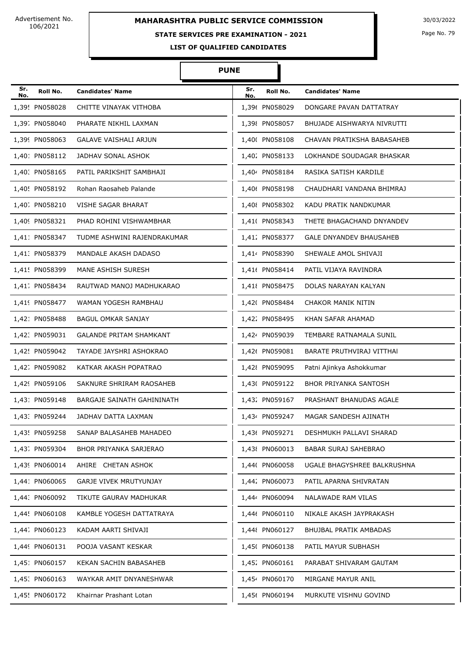# **MAHARASHTRA PUBLIC SERVICE COMMISSION** 30/03/2022

#### **STATE SERVICES PRE EXAMINATION - 2021**

Page No. 79

**LIST OF QUALIFIED CANDIDATES** 

| Sr.<br>No. | Roll No.       | <b>Candidates' Name</b>           | Sr.<br>No. | Roll No.       | <b>Candidates' Name</b>        |
|------------|----------------|-----------------------------------|------------|----------------|--------------------------------|
|            | 1,39! PN058028 | CHITTE VINAYAK VITHOBA            |            | 1.396 PN058029 | DONGARE PAVAN DATTATRAY        |
|            | 1,39. PN058040 | PHARATE NIKHIL LAXMAN             |            | 1,398 PN058057 | BHUJADE AISHWARYA NIVRUTTI     |
|            | 1,399 PN058063 | GALAVE VAISHALI ARJUN             |            | 1,40( PN058108 | CHAVAN PRATIKSHA BABASAHEB     |
|            | 1,401 PN058112 | JADHAV SONAL ASHOK                |            | 1,402 PN058133 | LOKHANDE SOUDAGAR BHASKAR      |
|            | 1,40. PN058165 | PATIL PARIKSHIT SAMBHAJI          |            | 1,404 PN058184 | RASIKA SATISH KARDILE          |
|            | 1,40! PN058192 | Rohan Raosaheb Palande            |            | 1,406 PN058198 | CHAUDHARI VANDANA BHIMRAJ      |
|            | 1,40. PN058210 | VISHE SAGAR BHARAT                |            | 1,40{ PN058302 | KADU PRATIK NANDKUMAR          |
|            | 1,409 PN058321 | PHAD ROHINI VISHWAMBHAR           |            | 1,41( PN058343 | THETE BHAGACHAND DNYANDEV      |
|            | 1,411 PN058347 | TUDME ASHWINI RAJENDRAKUMAR       |            | 1,412 PN058377 | <b>GALE DNYANDEV BHAUSAHEB</b> |
|            | 1,41. PN058379 | MANDALE AKASH DADASO              |            | 1,414 PN058390 | SHEWALE AMOL SHIVAJI           |
|            | 1,41! PN058399 | MANE ASHISH SURESH                |            | 1,41( PN058414 | PATIL VIJAYA RAVINDRA          |
|            | 1,41. PN058434 | RAUTWAD MANOJ MADHUKARAO          |            | 1,41{ PN058475 | DOLAS NARAYAN KALYAN           |
|            | 1,419 PN058477 | WAMAN YOGESH RAMBHAU              |            | 1,42( PN058484 | CHAKOR MANIK NITIN             |
|            | 1,421 PN058488 | <b>BAGUL OMKAR SANJAY</b>         |            | 1,422 PN058495 | KHAN SAFAR AHAMAD              |
|            | 1,42. PN059031 | <b>GALANDE PRITAM SHAMKANT</b>    |            | 1,424 PN059039 | TEMBARE RATNAMALA SUNIL        |
|            | 1,42! PN059042 | TAYADE JAYSHRI ASHOKRAO           |            | 1,42( PN059081 | BARATE PRUTHVIRAJ VITTHAI      |
|            | 1,42. PN059082 | KATKAR AKASH POPATRAO             |            | 1,42{ PN059095 | Patni Ajinkya Ashokkumar       |
|            | 1,429 PN059106 | SAKNURE SHRIRAM RAOSAHEB          |            | 1,43( PN059122 | <b>BHOR PRIYANKA SANTOSH</b>   |
|            | 1,431 PN059148 | <b>BARGAJE SAINATH GAHININATH</b> |            | 1,432 PN059167 | PRASHANT BHANUDAS AGALE        |
|            | 1.43. PN059244 | JADHAV DATTA LAXMAN               |            | 1,434 PN059247 | MAGAR SANDESH AJINATH          |
|            | 1,43! PN059258 | SANAP BALASAHEB MAHADEO           |            | 1,436 PN059271 | DESHMUKH PALLAVI SHARAD        |
|            | 1,43. PN059304 | BHOR PRIYANKA SARJERAO            |            | 1,43{ PN060013 | <b>BABAR SURAJ SAHEBRAO</b>    |
|            | 1,439 PN060014 | AHIRE CHETAN ASHOK                |            | 1,44( PN060058 | UGALE BHAGYSHREE BALKRUSHNA    |
|            | 1,441 PN060065 | GARJE VIVEK MRUTYUNJAY            |            | 1,442 PN060073 | PATIL APARNA SHIVRATAN         |
|            | 1,44. PN060092 | TIKUTE GAURAV MADHUKAR            |            | 1,444 PN060094 | NALAWADE RAM VILAS             |
|            | 1,44! PN060108 | KAMBLE YOGESH DATTATRAYA          |            | 1,446 PN060110 | NIKALE AKASH JAYPRAKASH        |
|            | 1,44. PN060123 | KADAM AARTI SHIVAJI               |            | 1,448 PN060127 | BHUJBAL PRATIK AMBADAS         |
|            | 1,449 PN060131 | POOJA VASANT KESKAR               |            | 1,45( PN060138 | PATIL MAYUR SUBHASH            |
|            | 1,451 PN060157 | KEKAN SACHIN BABASAHEB            |            | 1,45% PN060161 | PARABAT SHIVARAM GAUTAM        |
|            | 1,45. PN060163 | WAYKAR AMIT DNYANESHWAR           |            | 1,454 PN060170 | MIRGANE MAYUR ANIL             |
|            | 1,45! PN060172 | Khairnar Prashant Lotan           |            | 1,456 PN060194 | MURKUTE VISHNU GOVIND          |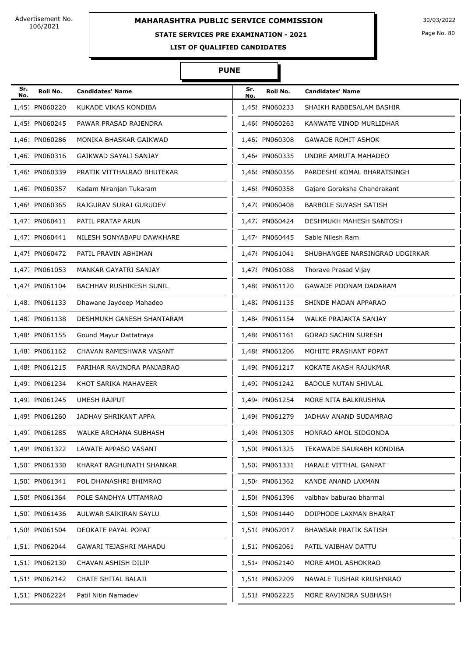## **STATE SERVICES PRE EXAMINATION - 2021**

Page No. 80

**LIST OF QUALIFIED CANDIDATES** 

| Sr.<br>No. | Roll No.       | <b>Candidates' Name</b>        | Sr.<br>No. | Roll No.       | <b>Candidates' Name</b>        |
|------------|----------------|--------------------------------|------------|----------------|--------------------------------|
|            | 1,45; PN060220 | KUKADE VIKAS KONDIBA           |            | 1,45{ PN060233 | SHAIKH RABBESALAM BASHIR       |
|            | 1,459 PN060245 | PAWAR PRASAD RAJENDRA          |            | 1,46( PN060263 | KANWATE VINOD MURLIDHAR        |
|            | 1,461 PN060286 | MONIKA BHASKAR GAIKWAD         |            | 1,462 PN060308 | <b>GAWADE ROHIT ASHOK</b>      |
|            | 1,46: PN060316 | GAIKWAD SAYALI SANJAY          |            | 1,464 PN060335 | UNDRE AMRUTA MAHADEO           |
|            | 1,46! PN060339 | PRATIK VITTHALRAO BHUTEKAR     |            | 1,466 PN060356 | PARDESHI KOMAL BHARATSINGH     |
|            | 1,46. PN060357 | Kadam Niranjan Tukaram         |            | 1,46{ PN060358 | Gajare Goraksha Chandrakant    |
|            | 1,469 PN060365 | RAJGURAV SURAJ GURUDEV         |            | 1,47( PN060408 | <b>BARBOLE SUYASH SATISH</b>   |
|            | 1,471 PN060411 | PATIL PRATAP ARUN              |            | 1,472 PN060424 | DESHMUKH MAHESH SANTOSH        |
|            | 1,47. PN060441 | NILESH SONYABAPU DAWKHARE      |            | 1,474 PN060445 | Sable Nilesh Ram               |
|            | 1,47! PN060472 | PATIL PRAVIN ABHIMAN           |            | 1,47( PN061041 | SHUBHANGEE NARSINGRAO UDGIRKAR |
|            | 1,47. PN061053 | MANKAR GAYATRI SANJAY          |            | 1,478 PN061088 | Thorave Prasad Vijay           |
|            | 1,479 PN061104 | <b>BACHHAV RUSHIKESH SUNIL</b> |            | 1,48( PN061120 | <b>GAWADE POONAM DADARAM</b>   |
|            | 1,481 PN061133 | Dhawane Jaydeep Mahadeo        |            | 1,482 PN061135 | SHINDE MADAN APPARAO           |
|            | 1,48. PN061138 | DESHMUKH GANESH SHANTARAM      |            | 1,484 PN061154 | WALKE PRAJAKTA SANJAY          |
|            | 1,48! PN061155 | Gound Mayur Dattatraya         |            | 1,486 PN061161 | <b>GORAD SACHIN SURESH</b>     |
|            | 1,48. PN061162 | CHAVAN RAMESHWAR VASANT        |            | 1,488 PN061206 | MOHITE PRASHANT POPAT          |
|            | 1,489 PN061215 | PARIHAR RAVINDRA PANJABRAO     |            | 1,49( PN061217 | KOKATE AKASH RAJUKMAR          |
|            | 1,49: PN061234 | KHOT SARIKA MAHAVEER           |            | 1,492 PN061242 | <b>BADOLE NUTAN SHIVLAL</b>    |
|            | 1,49: PN061245 | <b>UMESH RAJPUT</b>            |            | 1,494 PN061254 | MORE NITA BALKRUSHNA           |
|            | 1,49! PN061260 | <b>JADHAV SHRIKANT APPA</b>    |            | 1,496 PN061279 | JADHAV ANAND SUDAMRAO          |
|            | 1,49. PN061285 | WALKE ARCHANA SUBHASH          |            | 1,49{ PN061305 | HONRAO AMOL SIDGONDA           |
|            | 1,499 PN061322 | LAWATE APPASO VASANT           |            | 1,50( PN061325 | TEKAWADE SAURABH KONDIBA       |
|            | 1,501 PN061330 | KHARAT RAGHUNATH SHANKAR       |            | 1,502 PN061331 | HARALE VITTHAL GANPAT          |
|            | 1,50. PN061341 | POL DHANASHRI BHIMRAO          |            | 1,50 PN061362  | KANDE ANAND LAXMAN             |
|            | 1,50! PN061364 | POLE SANDHYA UTTAMRAO          |            | 1,506 PN061396 | vaibhav baburao bharmal        |
|            | 1,50 PN061436  | AULWAR SAIKIRAN SAYLU          |            | 1,50{ PN061440 | DOIPHODE LAXMAN BHARAT         |
|            | 1,509 PN061504 | DEOKATE PAYAL POPAT            |            | 1,51( PN062017 | BHAWSAR PRATIK SATISH          |
|            | 1,51! PN062044 | GAWARI TEJASHRI MAHADU         |            | 1,512 PN062061 | PATIL VAIBHAV DATTU            |
|            | 1,51. PN062130 | CHAVAN ASHISH DILIP            |            | 1,514 PN062140 | MORE AMOL ASHOKRAO             |
|            | 1,51! PN062142 | CHATE SHITAL BALAJI            |            | 1,516 PN062209 | NAWALE TUSHAR KRUSHNRAO        |
|            | 1,51. PN062224 | Patil Nitin Namadev            |            | 1,51{ PN062225 | MORE RAVINDRA SUBHASH          |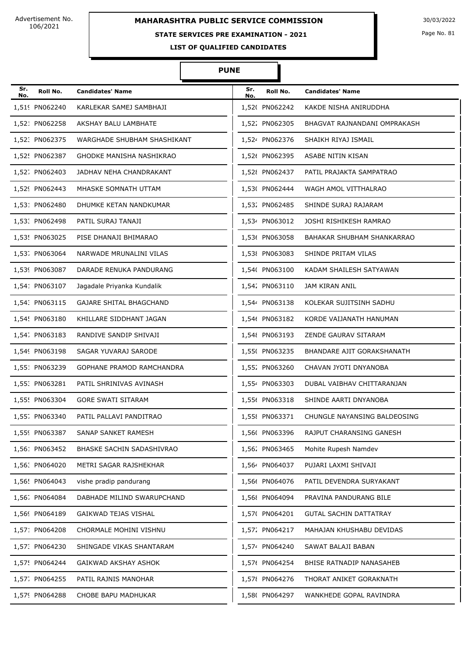# **STATE SERVICES PRE EXAMINATION - 2021**

Page No. 81

**LIST OF QUALIFIED CANDIDATES** 

| Sr.<br>No. | Roll No.       | <b>Candidates' Name</b>        | Sr.<br>No. | Roll No.       | <b>Candidates' Name</b>           |
|------------|----------------|--------------------------------|------------|----------------|-----------------------------------|
|            | 1,519 PN062240 | KARLEKAR SAMEJ SAMBHAJI        |            | 1,52( PN062242 | KAKDE NISHA ANIRUDDHA             |
|            | 1,521 PN062258 | AKSHAY BALU LAMBHATE           |            | 1,522 PN062305 | BHAGVAT RAJNANDANI OMPRAKASH      |
|            | 1,52. PN062375 | WARGHADE SHUBHAM SHASHIKANT    |            | 1,524 PN062376 | SHAIKH RIYAJ ISMAIL               |
|            | 1,52! PN062387 | GHODKE MANISHA NASHIKRAO       |            | 1,526 PN062395 | ASABE NITIN KISAN                 |
|            | 1,52; PN062403 | JADHAV NEHA CHANDRAKANT        |            | 1,52{ PN062437 | PATIL PRAJAKTA SAMPATRAO          |
|            | 1,529 PN062443 | MHASKE SOMNATH UTTAM           |            | 1,53( PN062444 | WAGH AMOL VITTHALRAO              |
|            | 1,531 PN062480 | DHUMKE KETAN NANDKUMAR         |            | 1,532 PN062485 | SHINDE SURAJ RAJARAM              |
|            | 1,53. PN062498 | PATIL SURAJ TANAJI             |            | 1,534 PN063012 | JOSHI RISHIKESH RAMRAO            |
|            | 1,53! PN063025 | PISE DHANAJI BHIMARAO          |            | 1,536 PN063058 | <b>BAHAKAR SHUBHAM SHANKARRAO</b> |
|            | 1,53. PN063064 | NARWADE MRUNALINI VILAS        |            | 1,53{ PN063083 | SHINDE PRITAM VILAS               |
|            | 1,539 PN063087 | DARADE RENUKA PANDURANG        |            | 1,54( PN063100 | KADAM SHAILESH SATYAWAN           |
|            | 1,54: PN063107 | Jagadale Priyanka Kundalik     |            | 1,542 PN063110 | <b>JAM KIRAN ANIL</b>             |
|            | 1,54. PN063115 | <b>GAJARE SHITAL BHAGCHAND</b> |            | 1,544 PN063138 | KOLEKAR SUJITSINH SADHU           |
|            | 1,54! PN063180 | KHILLARE SIDDHANT JAGAN        |            | 1,546 PN063182 | KORDE VAIJANATH HANUMAN           |
|            | 1,54. PN063183 | RANDIVE SANDIP SHIVAJI         |            | 1,548 PN063193 | ZENDE GAURAV SITARAM              |
|            | 1,549 PN063198 | SAGAR YUVARAJ SARODE           |            | 1,55( PN063235 | BHANDARE AJIT GORAKSHANATH        |
|            | 1,551 PN063239 | GOPHANE PRAMOD RAMCHANDRA      |            | 1,55% PN063260 | CHAVAN JYOTI DNYANOBA             |
|            | 1,55. PN063281 | PATIL SHRINIVAS AVINASH        |            | 1,554 PN063303 | DUBAL VAIBHAV CHITTARANJAN        |
|            | 1,55! PN063304 | <b>GORE SWATI SITARAM</b>      |            | 1,556 PN063318 | SHINDE AARTI DNYANOBA             |
|            | 1,55. PN063340 | PATIL PALLAVI PANDITRAO        |            | 1,55{ PN063371 | CHUNGLE NAYANSING BALDEOSING      |
|            | 1,559 PN063387 | SANAP SANKET RAMESH            |            | 1,56( PN063396 | RAJPUT CHARANSING GANESH          |
|            | 1,561 PN063452 | BHASKE SACHIN SADASHIVRAO      |            | 1,562 PN063465 | Mohite Rupesh Namdev              |
|            | 1,56: PN064020 | METRI SAGAR RAJSHEKHAR         |            | 1,564 PN064037 | PUJARI LAXMI SHIVAJI              |
|            | 1,56! PN064043 | vishe pradip pandurang         |            | 1,566 PN064076 | PATIL DEVENDRA SURYAKANT          |
|            | 1,56. PN064084 | DABHADE MILIND SWARUPCHAND     |            | 1,56{ PN064094 | PRAVINA PANDURANG BILE            |
|            | 1,569 PN064189 | GAIKWAD TEJAS VISHAL           |            | 1,57( PN064201 | <b>GUTAL SACHIN DATTATRAY</b>     |
|            | 1,571 PN064208 | CHORMALE MOHINI VISHNU         |            | 1,57% PN064217 | MAHAJAN KHUSHABU DEVIDAS          |
|            | 1,57. PN064230 | SHINGADE VIKAS SHANTARAM       |            | 1,574 PN064240 | SAWAT BALAJI BABAN                |
|            | 1,57! PN064244 | GAIKWAD AKSHAY ASHOK           |            | 1,576 PN064254 | BHISE RATNADIP NANASAHEB          |
|            | 1,57. PN064255 | PATIL RAJNIS MANOHAR           |            | 1,57{ PN064276 | THORAT ANIKET GORAKNATH           |
|            | 1,579 PN064288 | CHOBE BAPU MADHUKAR            |            | 1,58( PN064297 | WANKHEDE GOPAL RAVINDRA           |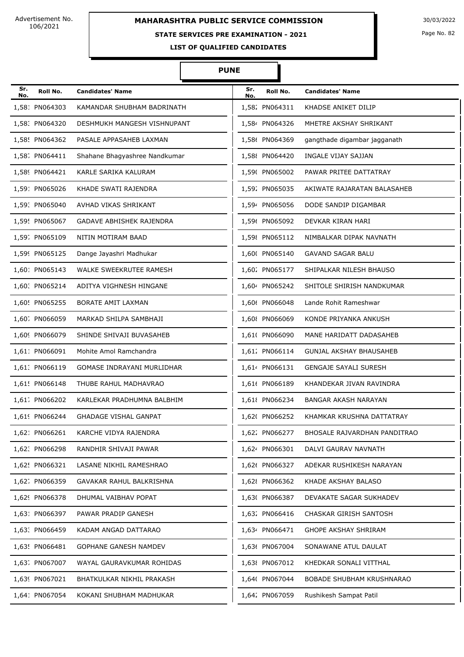## **STATE SERVICES PRE EXAMINATION - 2021**

Page No. 82

**LIST OF QUALIFIED CANDIDATES** 

| Sr.<br>No. | Roll No.       | <b>Candidates' Name</b>        | Sr.<br>No. | Roll No.       | <b>Candidates' Name</b>        |
|------------|----------------|--------------------------------|------------|----------------|--------------------------------|
|            | 1,581 PN064303 | KAMANDAR SHUBHAM BADRINATH     |            | 1,582 PN064311 | KHADSE ANIKET DILIP            |
|            | 1,58. PN064320 | DESHMUKH MANGESH VISHNUPANT    |            | 1,584 PN064326 | MHETRE AKSHAY SHRIKANT         |
|            | 1,58! PN064362 | PASALE APPASAHEB LAXMAN        |            | 1,586 PN064369 | gangthade digambar jagganath   |
|            | 1,58 PN064411  | Shahane Bhagyashree Nandkumar  |            | 1,58{ PN064420 | INGALE VIJAY SAJJAN            |
|            | 1,589 PN064421 | KARLE SARIKA KALURAM           |            | 1,59( PN065002 | PAWAR PRITEE DATTATRAY         |
|            | 1,591 PN065026 | KHADE SWATI RAJENDRA           |            | 1,592 PN065035 | AKIWATE RAJARATAN BALASAHEB    |
|            | 1,59. PN065040 | AVHAD VIKAS SHRIKANT           |            | 1,594 PN065056 | DODE SANDIP DIGAMBAR           |
|            | 1,59! PN065067 | GADAVE ABHISHEK RAJENDRA       |            | 1,596 PN065092 | DEVKAR KIRAN HARI              |
|            | 1,59. PN065109 | NITIN MOTIRAM BAAD             |            | 1,598 PN065112 | NIMBALKAR DIPAK NAVNATH        |
|            | 1,599 PN065125 | Dange Jayashri Madhukar        |            | 1,60( PN065140 | <b>GAVAND SAGAR BALU</b>       |
|            | 1,601 PN065143 | <b>WALKE SWEEKRUTEE RAMESH</b> |            | 1,602 PN065177 | SHIPALKAR NILESH BHAUSO        |
|            | 1,60. PN065214 | ADITYA VIGHNESH HINGANE        |            | 1.604 PN065242 | SHITOLE SHIRISH NANDKUMAR      |
|            | 1,60! PN065255 | <b>BORATE AMIT LAXMAN</b>      |            | 1,606 PN066048 | Lande Rohit Rameshwar          |
|            | 1,60. PN066059 | MARKAD SHILPA SAMBHAJI         |            | 1,60{ PN066069 | KONDE PRIYANKA ANKUSH          |
|            | 1,609 PN066079 | SHINDE SHIVAJI BUVASAHEB       |            | 1,61( PN066090 | MANE HARIDATT DADASAHEB        |
|            | 1,611 PN066091 | Mohite Amol Ramchandra         |            | 1,612 PN066114 | <b>GUNJAL AKSHAY BHAUSAHEB</b> |
|            | 1,61. PN066119 | GOMASE INDRAYANI MURLIDHAR     |            | 1,614 PN066131 | <b>GENGAJE SAYALI SURESH</b>   |
|            | 1,61! PN066148 | THUBE RAHUL MADHAVRAO          |            | 1,61( PN066189 | KHANDEKAR JIVAN RAVINDRA       |
|            | 1,61. PN066202 | KARLEKAR PRADHUMNA BALBHIM     |            | 1,61{ PN066234 | BANGAR AKASH NARAYAN           |
|            | 1,619 PN066244 | <b>GHADAGE VISHAL GANPAT</b>   |            | 1,62( PN066252 | KHAMKAR KRUSHNA DATTATRAY      |
|            | 1,621 PN066261 | KARCHE VIDYA RAJENDRA          |            | 1,622 PN066277 | BHOSALE RAJVARDHAN PANDITRAO   |
|            | 1,62. PN066298 | RANDHIR SHIVAJI PAWAR          |            | 1,624 PN066301 | DALVI GAURAV NAVNATH           |
|            | 1,62! PN066321 | LASANE NIKHIL RAMESHRAO        |            | 1,626 PN066327 | ADEKAR RUSHIKESH NARAYAN       |
|            | 1,62. PN066359 | GAVAKAR RAHUL BALKRISHNA       |            | 1,62{ PN066362 | KHADE AKSHAY BALASO            |
|            | 1,629 PN066378 | DHUMAL VAIBHAV POPAT           |            | 1,63( PN066387 | DEVAKATE SAGAR SUKHADEV        |
|            | 1,631 PN066397 | PAWAR PRADIP GANESH            |            | 1,632 PN066416 | CHASKAR GIRISH SANTOSH         |
|            | 1,63. PN066459 | KADAM ANGAD DATTARAO           |            | 1,634 PN066471 | <b>GHOPE AKSHAY SHRIRAM</b>    |
|            | 1,63! PN066481 | GOPHANE GANESH NAMDEV          |            | 1,63( PN067004 | SONAWANE ATUL DAULAT           |
|            | 1,63. PN067007 | WAYAL GAURAVKUMAR ROHIDAS      |            | 1,63{ PN067012 | KHEDKAR SONALI VITTHAL         |
|            | 1,639 PN067021 | BHATKULKAR NIKHIL PRAKASH      |            | 1,64( PN067044 | BOBADE SHUBHAM KRUSHNARAO      |
|            | 1,641 PN067054 | KOKANI SHUBHAM MADHUKAR        |            | 1,64% PN067059 | Rushikesh Sampat Patil         |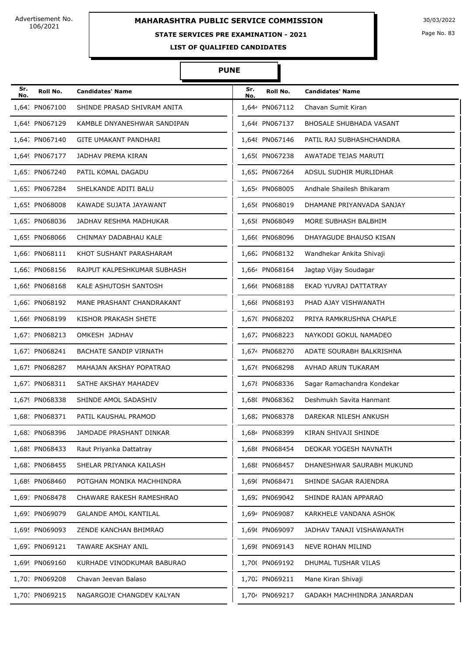#### **STATE SERVICES PRE EXAMINATION - 2021**

Page No. 83

**LIST OF QUALIFIED CANDIDATES** 

#### **PUNE**

Π

| Sr.<br>No. | Roll No.       | <b>Candidates' Name</b>       | Sr.<br>No. | Roll No.       | <b>Candidates' Name</b>    |
|------------|----------------|-------------------------------|------------|----------------|----------------------------|
|            | 1,64. PN067100 | SHINDE PRASAD SHIVRAM ANITA   |            | 1,644 PN067112 | Chavan Sumit Kiran         |
|            | 1,64! PN067129 | KAMBLE DNYANESHWAR SANDIPAN   |            | 1,646 PN067137 | BHOSALE SHUBHADA VASANT    |
|            | 1,64. PN067140 | <b>GITE UMAKANT PANDHARI</b>  |            | 1,648 PN067146 | PATIL RAJ SUBHASHCHANDRA   |
|            | 1,649 PN067177 | JADHAV PREMA KIRAN            |            | 1,65( PN067238 | AWATADE TEJAS MARUTI       |
|            | 1,651 PN067240 | PATIL KOMAL DAGADU            |            | 1,652 PN067264 | ADSUL SUDHIR MURLIDHAR     |
|            | 1,65: PN067284 | SHELKANDE ADITI BALU          |            | 1,654 PN068005 | Andhale Shailesh Bhikaram  |
|            | 1,65! PN068008 | KAWADE SUJATA JAYAWANT        |            | 1,656 PN068019 | DHAMANE PRIYANVADA SANJAY  |
|            | 1,65. PN068036 | JADHAV RESHMA MADHUKAR        |            | 1,65{ PN068049 | MORE SUBHASH BALBHIM       |
|            | 1,659 PN068066 | CHINMAY DADABHAU KALE         |            | 1,66( PN068096 | DHAYAGUDE BHAUSO KISAN     |
|            | 1,661 PN068111 | KHOT SUSHANT PARASHARAM       |            | 1,662 PN068132 | Wandhekar Ankita Shivaji   |
|            | 1,66: PN068156 | RAJPUT KALPESHKUMAR SUBHASH   |            | 1,664 PN068164 | Jagtap Vijay Soudagar      |
|            | 1,66! PN068168 | KALE ASHUTOSH SANTOSH         |            | 1,666 PN068188 | EKAD YUVRAJ DATTATRAY      |
|            | 1,66. PN068192 | MANE PRASHANT CHANDRAKANT     |            | 1,66{ PN068193 | PHAD AJAY VISHWANATH       |
|            | 1,669 PN068199 | KISHOR PRAKASH SHETE          |            | 1,67( PN068202 | PRIYA RAMKRUSHNA CHAPLE    |
|            | 1,671 PN068213 | OMKESH JADHAV                 |            | 1,672 PN068223 | NAYKODI GOKUL NAMADEO      |
|            | 1,67. PN068241 | <b>BACHATE SANDIP VIRNATH</b> |            | 1,674 PN068270 | ADATE SOURABH BALKRISHNA   |
|            | 1,67! PN068287 | MAHAJAN AKSHAY POPATRAO       |            | 1,676 PN068298 | AVHAD ARUN TUKARAM         |
|            | 1,67. PN068311 | SATHE AKSHAY MAHADEV          |            | 1,67{ PN068336 | Sagar Ramachandra Kondekar |
|            | 1,679 PN068338 | SHINDE AMOL SADASHIV          |            | 1,68( PN068362 | Deshmukh Savita Hanmant    |
|            | 1,681 PN068371 | PATIL KAUSHAL PRAMOD          |            | 1,682 PN068378 | DAREKAR NILESH ANKUSH      |
|            | 1,68. PN068396 | JAMDADE PRASHANT DINKAR       |            | 1,684 PN068399 | KIRAN SHIVAJI SHINDE       |
|            | 1,68! PN068433 | Raut Priyanka Dattatray       |            | 1,686 PN068454 | DEOKAR YOGESH NAVNATH      |
|            | 1,68. PN068455 | SHELAR PRIYANKA KAILASH       |            | 1,68{ PN068457 | DHANESHWAR SAURABH MUKUND  |
|            | 1,689 PN068460 | POTGHAN MONIKA MACHHINDRA     |            | 1,69( PN068471 | SHINDE SAGAR RAJENDRA      |
|            | 1,691 PN068478 | CHAWARE RAKESH RAMESHRAO      |            | 1,692 PN069042 | SHINDE RAJAN APPARAO       |
|            | 1,69. PN069079 | GALANDE AMOL KANTILAL         |            | 1,694 PN069087 | KARKHELE VANDANA ASHOK     |
|            | 1,69! PN069093 | ZENDE KANCHAN BHIMRAO         |            | 1,696 PN069097 | JADHAV TANAJI VISHAWANATH  |
|            | 1,69. PN069121 | TAWARE AKSHAY ANIL            |            | 1,69{ PN069143 | NEVE ROHAN MILIND          |
|            | 1,699 PN069160 | KURHADE VINODKUMAR BABURAO    |            | 1,70( PN069192 | DHUMAL TUSHAR VILAS        |
|            | 1,701 PN069208 | Chavan Jeevan Balaso          |            | 1,70% PN069211 | Mane Kiran Shivaji         |
|            | 1,70. PN069215 | NAGARGOJE CHANGDEV KALYAN     |            | 1,704 PN069217 | GADAKH MACHHINDRA JANARDAN |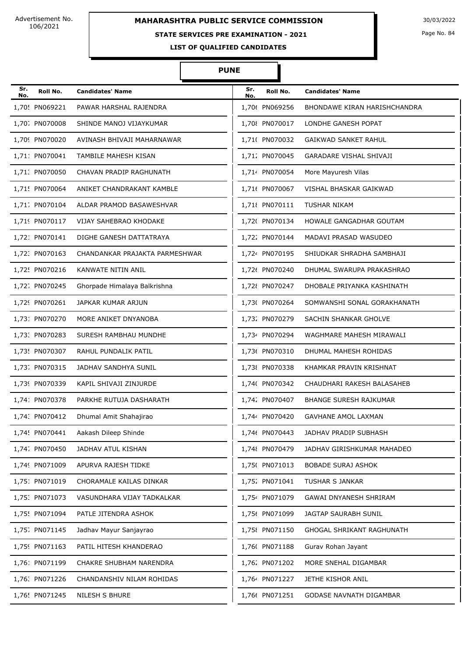## **STATE SERVICES PRE EXAMINATION - 2021**

Page No. 84

**LIST OF QUALIFIED CANDIDATES** 

| Sr.<br>No. | Roll No.       | <b>Candidates' Name</b>        | Sr.<br>No. | Roll No.       | <b>Candidates' Name</b>        |
|------------|----------------|--------------------------------|------------|----------------|--------------------------------|
|            | 1,70! PN069221 | PAWAR HARSHAL RAJENDRA         |            | 1,706 PN069256 | BHONDAWE KIRAN HARISHCHANDRA   |
|            | 1,70. PN070008 | SHINDE MANOJ VIJAYKUMAR        |            | 1,70{ PN070017 | LONDHE GANESH POPAT            |
|            | 1,709 PN070020 | AVINASH BHIVAJI MAHARNAWAR     |            | 1,71( PN070032 | <b>GAIKWAD SANKET RAHUL</b>    |
|            | 1,711 PN070041 | TAMBILE MAHESH KISAN           |            | 1,712 PN070045 | <b>GARADARE VISHAL SHIVAJI</b> |
|            | 1,71. PN070050 | CHAVAN PRADIP RAGHUNATH        |            | 1,714 PN070054 | More Mayuresh Vilas            |
|            | 1,71! PN070064 | ANIKET CHANDRAKANT KAMBLE      |            | 1,716 PN070067 | VISHAL BHASKAR GAIKWAD         |
|            | 1,71. PN070104 | ALDAR PRAMOD BASAWESHVAR       |            | 1,71{ PN070111 | TUSHAR NIKAM                   |
|            | 1,719 PN070117 | VIJAY SAHEBRAO KHODAKE         |            | 1,72( PN070134 | HOWALE GANGADHAR GOUTAM        |
|            | 1,721 PN070141 | DIGHE GANESH DATTATRAYA        |            | 1,722 PN070144 | MADAVI PRASAD WASUDEO          |
|            | 1,72. PN070163 | CHANDANKAR PRAJAKTA PARMESHWAR |            | 1,724 PN070195 | SHIUDKAR SHRADHA SAMBHAJI      |
|            | 1.72! PN070216 | KANWATE NITIN ANIL             |            | 1,726 PN070240 | DHUMAL SWARUPA PRAKASHRAO      |
|            | 1,72; PN070245 | Ghorpade Himalaya Balkrishna   |            | 1,72{ PN070247 | DHOBALE PRIYANKA KASHINATH     |
|            | 1,729 PN070261 | JAPKAR KUMAR ARJUN             |            | 1,73( PN070264 | SOMWANSHI SONAL GORAKHANATH    |
|            | 1,731 PN070270 | MORE ANIKET DNYANOBA           |            | 1,732 PN070279 | SACHIN SHANKAR GHOLVE          |
|            | 1,73. PN070283 | SURESH RAMBHAU MUNDHE          |            | 1,734 PN070294 | WAGHMARE MAHESH MIRAWALI       |
|            | 1,73! PN070307 | RAHUL PUNDALIK PATIL           |            | 1,736 PN070310 | DHUMAL MAHESH ROHIDAS          |
|            | 1,73. PN070315 | JADHAV SANDHYA SUNIL           |            | 1,73{ PN070338 | KHAMKAR PRAVIN KRISHNAT        |
|            | 1,739 PN070339 | KAPIL SHIVAJI ZINJURDE         |            | 1,740 PN070342 | CHAUDHARI RAKESH BALASAHEB     |
|            | 1,741 PN070378 | PARKHE RUTUJA DASHARATH        |            | 1,742 PN070407 | <b>BHANGE SURESH RAJKUMAR</b>  |
|            | 1,74. PN070412 | Dhumal Amit Shahajirao         |            | 1,744 PN070420 | <b>GAVHANE AMOL LAXMAN</b>     |
|            | 1,74! PN070441 | Aakash Dileep Shinde           |            | 1,746 PN070443 | JADHAV PRADIP SUBHASH          |
|            | 1,74. PN070450 | JADHAV ATUL KISHAN             |            | 1,748 PN070479 | JADHAV GIRISHKUMAR MAHADEO     |
|            | 1,749 PN071009 | APURVA RAJESH TIDKE            |            | 1,75( PN071013 | <b>BOBADE SURAJ ASHOK</b>      |
|            | 1,751 PN071019 | CHORAMALE KAILAS DINKAR        |            | 1,75% PN071041 | <b>TUSHAR S JANKAR</b>         |
|            | 1,75. PN071073 | VASUNDHARA VIJAY TADKALKAR     |            | 1,754 PN071079 | GAWAI DNYANESH SHRIRAM         |
|            | 1,75! PN071094 | PATLE JITENDRA ASHOK           |            | 1,756 PN071099 | JAGTAP SAURABH SUNIL           |
|            | 1,75; PN071145 | Jadhav Mayur Sanjayrao         |            | 1,75{ PN071150 | GHOGAL SHRIKANT RAGHUNATH      |
|            | 1,759 PN071163 | PATIL HITESH KHANDERAO         |            | 1,76( PN071188 | Gurav Rohan Jayant             |
|            | 1,761 PN071199 | CHAKRE SHUBHAM NARENDRA        |            | 1,76; PN071202 | MORE SNEHAL DIGAMBAR           |
|            | 1,76. PN071226 | CHANDANSHIV NILAM ROHIDAS      |            | 1,764 PN071227 | JETHE KISHOR ANIL              |
|            | 1,76! PN071245 | NILESH S BHURE                 |            | 1,766 PN071251 | <b>GODASE NAVNATH DIGAMBAR</b> |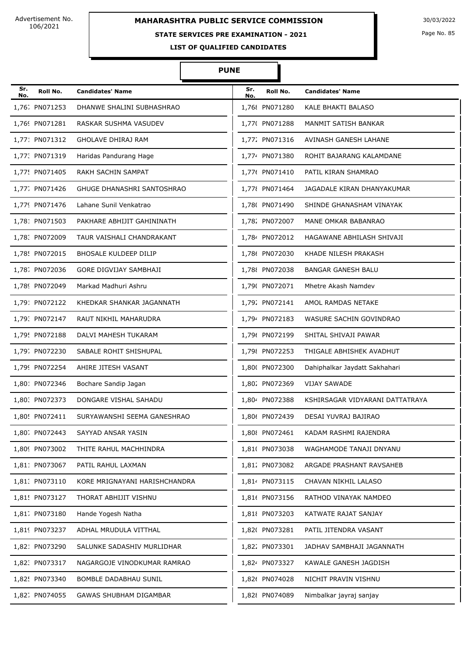# **STATE SERVICES PRE EXAMINATION - 2021**

Page No. 85

**LIST OF QUALIFIED CANDIDATES** 

#### **PUNE**

Π

| Sr.<br>No. | Roll No.       | <b>Candidates' Name</b>           | Sr.<br>No. | Roll No.       | <b>Candidates' Name</b>         |
|------------|----------------|-----------------------------------|------------|----------------|---------------------------------|
|            | 1,76; PN071253 | DHANWE SHALINI SUBHASHRAO         |            | 1,76{ PN071280 | KALE BHAKTI BALASO              |
|            | 1,769 PN071281 | RASKAR SUSHMA VASUDEV             |            | 1,77( PN071288 | MANMIT SATISH BANKAR            |
|            | 1,771 PN071312 | <b>GHOLAVE DHIRAJ RAM</b>         |            | 1,772 PN071316 | AVINASH GANESH LAHANE           |
|            | 1,77. PN071319 | Haridas Pandurang Hage            |            | 1,774 PN071380 | ROHIT BAJARANG KALAMDANE        |
|            | 1,77! PN071405 | RAKH SACHIN SAMPAT                |            | 1,776 PN071410 | PATIL KIRAN SHAMRAO             |
|            | 1,77. PN071426 | <b>GHUGE DHANASHRI SANTOSHRAO</b> |            | 1,77{ PN071464 | JAGADALE KIRAN DHANYAKUMAR      |
|            | 1,779 PN071476 | Lahane Sunil Venkatrao            |            | 1,78( PN071490 | SHINDE GHANASHAM VINAYAK        |
|            | 1,78: PN071503 | PAKHARE ABHIJIT GAHININATH        |            | 1,782 PN072007 | MANE OMKAR BABANRAO             |
|            | 1,78: PN072009 | TAUR VAISHALI CHANDRAKANT         |            | 1,784 PN072012 | HAGAWANE ABHILASH SHIVAJI       |
|            | 1,78! PN072015 | <b>BHOSALE KULDEEP DILIP</b>      |            | 1,786 PN072030 | KHADE NILESH PRAKASH            |
|            | 1,78. PN072036 | <b>GORE DIGVIJAY SAMBHAJI</b>     |            | 1,788 PN072038 | <b>BANGAR GANESH BALU</b>       |
|            | 1,789 PN072049 | Markad Madhuri Ashru              |            | 1,79( PN072071 | Mhetre Akash Namdev             |
|            | 1,791 PN072122 | KHEDKAR SHANKAR JAGANNATH         |            | 1,792 PN072141 | AMOL RAMDAS NETAKE              |
|            | 1,79. PN072147 | RAUT NIKHIL MAHARUDRA             |            | 1,794 PN072183 | WASURE SACHIN GOVINDRAO         |
|            | 1,79! PN072188 | DALVI MAHESH TUKARAM              |            | 1,796 PN072199 | SHITAL SHIVAJI PAWAR            |
|            | 1,79; PN072230 | SABALE ROHIT SHISHUPAL            |            | 1,798 PN072253 | THIGALE ABHISHEK AVADHUT        |
|            | 1,799 PN072254 | AHIRE JITESH VASANT               |            | 1,80( PN072300 | Dahiphalkar Jaydatt Sakhahari   |
|            | 1,801 PN072346 | Bochare Sandip Jagan              |            | 1,802 PN072369 | <b>VIJAY SAWADE</b>             |
|            | 1,80. PN072373 | DONGARE VISHAL SAHADU             |            | 1,804 PN072388 | KSHIRSAGAR VIDYARANI DATTATRAYA |
|            | 1,80! PN072411 | SURYAWANSHI SEEMA GANESHRAO       |            | 1,806 PN072439 | DESAI YUVRAJ BAJIRAO            |
|            | 1,80. PN072443 | SAYYAD ANSAR YASIN                |            | 1,80{ PN072461 | KADAM RASHMI RAJENDRA           |
|            | 1,809 PN073002 | THITE RAHUL MACHHINDRA            |            | 1,81( PN073038 | WAGHAMODE TANAJI DNYANU         |
|            | 1,811 PN073067 | PATIL RAHUL LAXMAN                |            | 1,81. PN073082 | ARGADE PRASHANT RAVSAHEB        |
|            | 1,81. PN073110 | KORE MRIGNAYANI HARISHCHANDRA     |            | 1,814 PN073115 | CHAVAN NIKHIL LALASO            |
|            | 1,81! PN073127 | THORAT ABHIJIT VISHNU             |            | 1,816 PN073156 | RATHOD VINAYAK NAMDEO           |
|            | 1,81. PN073180 | Hande Yogesh Natha                |            | 1,81{ PN073203 | KATWATE RAJAT SANJAY            |
|            | 1,819 PN073237 | ADHAL MRUDULA VITTHAL             |            | 1,82( PN073281 | PATIL JITENDRA VASANT           |
|            | 1,821 PN073290 | SALUNKE SADASHIV MURLIDHAR        |            | 1,822 PN073301 | JADHAV SAMBHAJI JAGANNATH       |
|            | 1,82. PN073317 | NAGARGOJE VINODKUMAR RAMRAO       |            | 1,824 PN073327 | KAWALE GANESH JAGDISH           |
|            | 1,82! PN073340 | BOMBLE DADABHAU SUNIL             |            | 1,826 PN074028 | NICHIT PRAVIN VISHNU            |
|            | 1,82. PN074055 | GAWAS SHUBHAM DIGAMBAR            |            | 1,82{ PN074089 | Nimbalkar jayraj sanjay         |
|            |                |                                   |            |                |                                 |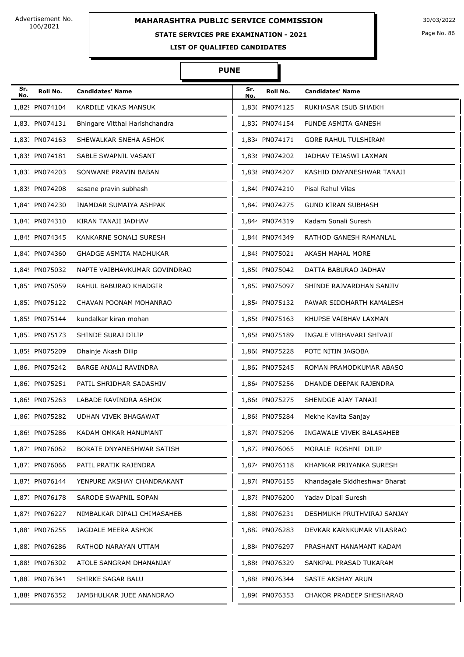# **STATE SERVICES PRE EXAMINATION - 2021**

Page No. 86

**LIST OF QUALIFIED CANDIDATES** 

| Sr. |                |                                | Sr. |                |                               |
|-----|----------------|--------------------------------|-----|----------------|-------------------------------|
| No. | Roll No.       | <b>Candidates' Name</b>        | No. | Roll No.       | <b>Candidates' Name</b>       |
|     | 1,829 PN074104 | KARDILE VIKAS MANSUK           |     | 1,83( PN074125 | RUKHASAR ISUB SHAIKH          |
|     | 1,831 PN074131 | Bhingare Vitthal Harishchandra |     | 1,832 PN074154 | FUNDE ASMITA GANESH           |
|     | 1,83. PN074163 | SHEWALKAR SNEHA ASHOK          |     | 1,834 PN074171 | <b>GORE RAHUL TULSHIRAM</b>   |
|     | 1,83! PN074181 | SABLE SWAPNIL VASANT           |     | 1,836 PN074202 | JADHAV TEJASWI LAXMAN         |
|     | 1,83. PN074203 | SONWANE PRAVIN BABAN           |     | 1,83{ PN074207 | KASHID DNYANESHWAR TANAJI     |
|     | 1,839 PN074208 | sasane pravin subhash          |     | 1,84( PN074210 | Pisal Rahul Vilas             |
|     | 1,841 PN074230 | INAMDAR SUMAIYA ASHPAK         |     | 1,842 PN074275 | <b>GUND KIRAN SUBHASH</b>     |
|     | 1,84. PN074310 | KIRAN TANAJI JADHAV            |     | 1,844 PN074319 | Kadam Sonali Suresh           |
|     | 1,84! PN074345 | KANKARNE SONALI SURESH         |     | 1,846 PN074349 | RATHOD GANESH RAMANLAL        |
|     | 1,84. PN074360 | <b>GHADGE ASMITA MADHUKAR</b>  |     | 1,848 PN075021 | AKASH MAHAL MORE              |
|     | 1,849 PN075032 | NAPTE VAIBHAVKUMAR GOVINDRAO   |     | 1,85( PN075042 | DATTA BABURAO JADHAV          |
|     | 1,851 PN075059 | RAHUL BABURAO KHADGIR          |     | 1,852 PN075097 | SHINDE RAJVARDHAN SANJIV      |
|     | 1,85. PN075122 | CHAVAN POONAM MOHANRAO         |     | 1,854 PN075132 | PAWAR SIDDHARTH KAMALESH      |
|     | 1,85! PN075144 | kundalkar kiran mohan          |     | 1,856 PN075163 | KHUPSE VAIBHAV LAXMAN         |
|     | 1,85. PN075173 | SHINDE SURAJ DILIP             |     | 1,85{ PN075189 | INGALE VIBHAVARI SHIVAJI      |
|     | 1,859 PN075209 | Dhainje Akash Dilip            |     | 1,86( PN075228 | POTE NITIN JAGOBA             |
|     | 1,861 PN075242 | BARGE ANJALI RAVINDRA          |     | 1,862 PN075245 | ROMAN PRAMODKUMAR ABASO       |
|     | 1,86. PN075251 | PATIL SHRIDHAR SADASHIV        |     | 1,864 PN075256 | DHANDE DEEPAK RAJENDRA        |
|     | 1,86! PN075263 | LABADE RAVINDRA ASHOK          |     | 1,866 PN075275 | SHENDGE AJAY TANAJI           |
|     | 1,86. PN075282 | UDHAN VIVEK BHAGAWAT           |     | 1,86{ PN075284 | Mekhe Kavita Sanjay           |
|     | 1,869 PN075286 | KADAM OMKAR HANUMANT           |     | 1,87( PN075296 | INGAWALE VIVEK BALASAHEB      |
|     | 1,871 PN076062 | BORATE DNYANESHWAR SATISH      |     | 1,872 PN076065 | MORALE ROSHNI DILIP           |
|     | 1,87. PN076066 | PATIL PRATIK RAJENDRA          |     | 1,874 PN076118 | KHAMKAR PRIYANKA SURESH       |
|     | 1,87! PN076144 | YENPURE AKSHAY CHANDRAKANT     |     | 1,876 PN076155 | Khandagale Siddheshwar Bharat |
|     | 1,87. PN076178 | SARODE SWAPNIL SOPAN           |     | 1,87{ PN076200 | Yadav Dipali Suresh           |
|     | 1,879 PN076227 | NIMBALKAR DIPALI CHIMASAHEB    |     | 1,88( PN076231 | DESHMUKH PRUTHVIRAJ SANJAY    |
|     | 1,881 PN076255 | JAGDALE MEERA ASHOK            |     | 1,882 PN076283 | DEVKAR KARNKUMAR VILASRAO     |
|     | 1,88. PN076286 | RATHOD NARAYAN UTTAM           |     | 1,884 PN076297 | PRASHANT HANAMANT KADAM       |
|     | 1,88! PN076302 | ATOLE SANGRAM DHANANJAY        |     | 1,886 PN076329 | SANKPAL PRASAD TUKARAM        |
|     | 1,88. PN076341 | SHIRKE SAGAR BALU              |     | 1,888 PN076344 | SASTE AKSHAY ARUN             |
|     | 1,889 PN076352 | JAMBHULKAR JUEE ANANDRAO       |     | 1,89( PN076353 | CHAKOR PRADEEP SHESHARAO      |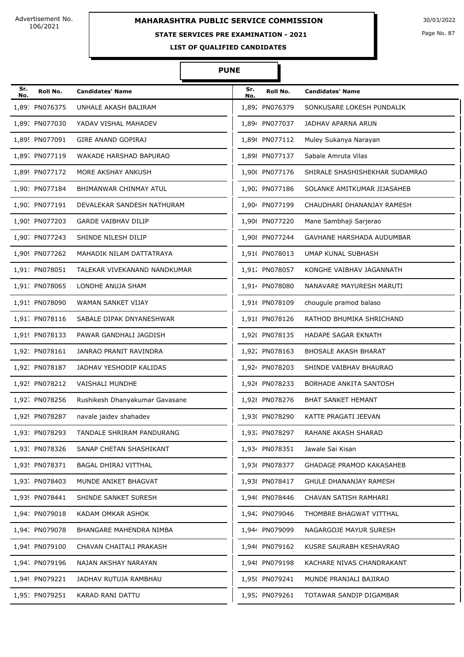# **MAHARASHTRA PUBLIC SERVICE COMMISSION** 30/03/2022

#### **STATE SERVICES PRE EXAMINATION - 2021**

Page No. 87

**LIST OF QUALIFIED CANDIDATES** 

#### **PUNE**

Π

| Sr.<br>No. | Roll No.       | <b>Candidates' Name</b>        | Sr.<br>No. | Roll No.       | <b>Candidates' Name</b>        |
|------------|----------------|--------------------------------|------------|----------------|--------------------------------|
|            | 1,891 PN076375 | UNHALE AKASH BALIRAM           |            | 1,892 PN076379 | SONKUSARE LOKESH PUNDALIK      |
|            | 1,89: PN077030 | YADAV VISHAL MAHADEV           |            | 1,894 PN077037 | JADHAV APARNA ARUN             |
|            | 1,89! PN077091 | <b>GIRE ANAND GOPIRAJ</b>      |            | 1,896 PN077112 | Muley Sukanya Narayan          |
|            | 1,89. PN077119 | WAKADE HARSHAD BAPURAO         |            | 1,898 PN077137 | Sabale Amruta Vilas            |
|            | 1,899 PN077172 | MORE AKSHAY ANKUSH             |            | 1,90( PN077176 | SHIRALE SHASHISHEKHAR SUDAMRAO |
|            | 1,901 PN077184 | BHIMANWAR CHINMAY ATUL         |            | 1,902 PN077186 | SOLANKE AMITKUMAR JIJASAHEB    |
|            | 1,90. PN077191 | DEVALEKAR SANDESH NATHURAM     |            | 1,904 PN077199 | CHAUDHARI DHANANJAY RAMESH     |
|            | 1,90! PN077203 | <b>GARDE VAIBHAV DILIP</b>     |            | 1,906 PN077220 | Mane Sambhaji Sarjerao         |
|            | 1,90. PN077243 | SHINDE NILESH DILIP            |            | 1,90{ PN077244 | GAVHANE HARSHADA AUDUMBAR      |
|            | 1,909 PN077262 | MAHADIK NILAM DATTATRAYA       |            | 1,91( PN078013 | UMAP KUNAL SUBHASH             |
|            | 1,911 PN078051 | TALEKAR VIVEKANAND NANDKUMAR   |            | 1,912 PN078057 | KONGHE VAIBHAV JAGANNATH       |
|            | 1,91. PN078065 | LONDHE ANUJA SHAM              |            | 1,914 PN078080 | NANAVARE MAYURESH MARUTI       |
|            | 1,91! PN078090 | WAMAN SANKET VIJAY             |            | 1,91( PN078109 | chougule pramod balaso         |
|            | 1,91. PN078116 | SABALE DIPAK DNYANESHWAR       |            | 1,91{ PN078126 | RATHOD BHUMIKA SHRICHAND       |
|            | 1,919 PN078133 | PAWAR GANDHALI JAGDISH         |            | 1,92( PN078135 | HADAPE SAGAR EKNATH            |
|            | 1,921 PN078161 | JANRAO PRANIT RAVINDRA         |            | 1,922 PN078163 | <b>BHOSALE AKASH BHARAT</b>    |
|            | 1,92. PN078187 | JADHAV YESHODIP KALIDAS        |            | 1,924 PN078203 | SHINDE VAIBHAV BHAURAO         |
|            | 1,92! PN078212 | <b>VAISHALI MUNDHE</b>         |            | 1,926 PN078233 | BORHADE ANKITA SANTOSH         |
|            | 1,92. PN078256 | Rushikesh Dhanyakumar Gavasane |            | 1,92{ PN078276 | <b>BHAT SANKET HEMANT</b>      |
|            | 1,929 PN078287 | navale jaidev shahadev         |            | 1,93( PN078290 | KATTE PRAGATI JEEVAN           |
|            | 1,93: PN078293 | TANDALE SHRIRAM PANDURANG      |            | 1,932 PN078297 | RAHANE AKASH SHARAD            |
|            | 1,93. PN078326 | SANAP CHETAN SHASHIKANT        |            | 1,934 PN078351 | Jawale Sai Kisan               |
|            | 1,93! PN078371 | BAGAL DHIRAJ VITTHAL           |            | 1,936 PN078377 | GHADAGE PRAMOD KAKASAHEB       |
|            | 1,93. PN078403 | MUNDE ANIKET BHAGVAT           |            | 1,93{ PN078417 | GHULE DHANANJAY RAMESH         |
|            | 1,939 PN078441 | SHINDE SANKET SURESH           |            | 1,94( PN078446 | CHAVAN SATISH RAMHARI          |
|            | 1,941 PN079018 | KADAM OMKAR ASHOK              |            | 1,942 PN079046 | THOMBRE BHAGWAT VITTHAL        |
|            | 1,94. PN079078 | BHANGARE MAHENDRA NIMBA        |            | 1,944 PN079099 | NAGARGOJE MAYUR SURESH         |
|            | 1,94! PN079100 | CHAVAN CHAITALI PRAKASH        |            | 1,946 PN079162 | KUSRE SAURABH KESHAVRAO        |
|            | 1,94. PN079196 | NAJAN AKSHAY NARAYAN           |            | 1,948 PN079198 | KACHARE NIVAS CHANDRAKANT      |
|            | 1,949 PN079221 | JADHAV RUTUJA RAMBHAU          |            | 1,95( PN079241 | MUNDE PRANJALI BAJIRAO         |
|            | 1,951 PN079251 | KARAD RANI DATTU               |            | 1,95% PN079261 | TOTAWAR SANDIP DIGAMBAR        |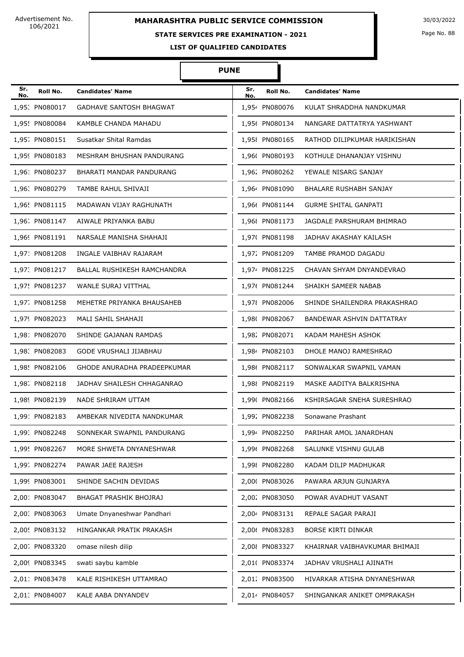## **STATE SERVICES PRE EXAMINATION - 2021**

Page No. 88

**LIST OF QUALIFIED CANDIDATES** 

| Sr.<br>No. | Roll No.       | <b>Candidates' Name</b>        | Sr.<br>No. | Roll No.       | <b>Candidates' Name</b>       |
|------------|----------------|--------------------------------|------------|----------------|-------------------------------|
|            | 1,95: PN080017 | <b>GADHAVE SANTOSH BHAGWAT</b> |            | 1,954 PN080076 | KULAT SHRADDHA NANDKUMAR      |
|            | 1,95! PN080084 | KAMBLE CHANDA MAHADU           |            | 1,956 PN080134 | NANGARE DATTATRYA YASHWANT    |
|            | 1,95. PN080151 | Susatkar Shital Ramdas         |            | 1,95{ PN080165 | RATHOD DILIPKUMAR HARIKISHAN  |
|            | 1,959 PN080183 | MESHRAM BHUSHAN PANDURANG      |            | 1,96( PN080193 | KOTHULE DHANANJAY VISHNU      |
|            | 1,961 PN080237 | BHARATI MANDAR PANDURANG       |            | 1,962 PN080262 | YEWALE NISARG SANJAY          |
|            | 1,96. PN080279 | TAMBE RAHUL SHIVAJI            |            | 1,964 PN081090 | BHALARE RUSHABH SANJAY        |
|            | 1,96! PN081115 | MADAWAN VIJAY RAGHUNATH        |            | 1,966 PN081144 | <b>GURME SHITAL GANPATI</b>   |
|            | 1,96. PN081147 | AIWALE PRIYANKA BABU           |            | 1,96{ PN081173 | JAGDALE PARSHURAM BHIMRAO     |
|            | 1,969 PN081191 | NARSALE MANISHA SHAHAJI        |            | 1,97( PN081198 | JADHAV AKASHAY KAILASH        |
|            | 1,971 PN081208 | INGALE VAIBHAV RAJARAM         |            | 1,972 PN081209 | TAMBE PRAMOD DAGADU           |
|            | 1,97. PN081217 | BALLAL RUSHIKESH RAMCHANDRA    |            | 1,974 PN081225 | CHAVAN SHYAM DNYANDEVRAO      |
|            | 1,97! PN081237 | WANLE SURAJ VITTHAL            |            | 1,97( PN081244 | SHAIKH SAMEER NABAB           |
|            | 1,97. PN081258 | MEHETRE PRIYANKA BHAUSAHEB     |            | 1,978 PN082006 | SHINDE SHAILENDRA PRAKASHRAO  |
|            | 1,979 PN082023 | MALI SAHIL SHAHAJI             |            | 1,98( PN082067 | BANDEWAR ASHVIN DATTATRAY     |
|            | 1,981 PN082070 | SHINDE GAJANAN RAMDAS          |            | 1,982 PN082071 | KADAM MAHESH ASHOK            |
|            | 1,98. PN082083 | GODE VRUSHALI JIJABHAU         |            | 1,984 PN082103 | DHOLE MANOJ RAMESHRAO         |
|            | 1,98! PN082106 | GHODE ANURADHA PRADEEPKUMAR    |            | 1,986 PN082117 | SONWALKAR SWAPNIL VAMAN       |
|            | 1,98. PN082118 | JADHAV SHAILESH CHHAGANRAO     |            | 1,988 PN082119 | MASKE AADITYA BALKRISHNA      |
|            | 1,989 PN082139 | NADE SHRIRAM UTTAM             |            | 1,99( PN082166 | KSHIRSAGAR SNEHA SURESHRAO    |
|            | 1,991 PN082183 | AMBEKAR NIVEDITA NANDKUMAR     |            | 1,992 PN082238 | Sonawane Prashant             |
|            | 1,99. PN082248 | SONNEKAR SWAPNIL PANDURANG     |            | 1,994 PN082250 | PARIHAR AMOL JANARDHAN        |
|            | 1,99! PN082267 | MORE SHWETA DNYANESHWAR        |            | 1,996 PN082268 | SALUNKE VISHNU GULAB          |
|            | 1,99. PN082274 | PAWAR JAEE RAJESH              |            | 1,99{ PN082280 | KADAM DILIP MADHUKAR          |
|            | 1,999 PN083001 | SHINDE SACHIN DEVIDAS          |            | 2,000 PN083026 | PAWARA ARJUN GUNJARYA         |
|            | 2,001 PN083047 | BHAGAT PRASHIK BHOJRAJ         |            | 2,002 PN083050 | POWAR AVADHUT VASANT          |
|            | 2,00. PN083063 | Umate Dnyaneshwar Pandhari     |            | 2,004 PN083131 | REPALE SAGAR PARAJI           |
|            | 2,00! PN083132 | HINGANKAR PRATIK PRAKASH       |            | 2,006 PN083283 | BORSE KIRTI DINKAR            |
|            | 2,00. PN083320 | omase nilesh dilip             |            | 2,008 PN083327 | KHAIRNAR VAIBHAVKUMAR BHIMAJI |
|            | 2,009 PN083345 | swati saybu kamble             |            | 2,01( PN083374 | JADHAV VRUSHALI AJINATH       |
|            | 2,011 PN083478 | KALE RISHIKESH UTTAMRAO        |            | 2,012 PN083500 | HIVARKAR ATISHA DNYANESHWAR   |
|            | 2,01. PN084007 | KALE AABA DNYANDEV             |            | 2,014 PN084057 | SHINGANKAR ANIKET OMPRAKASH   |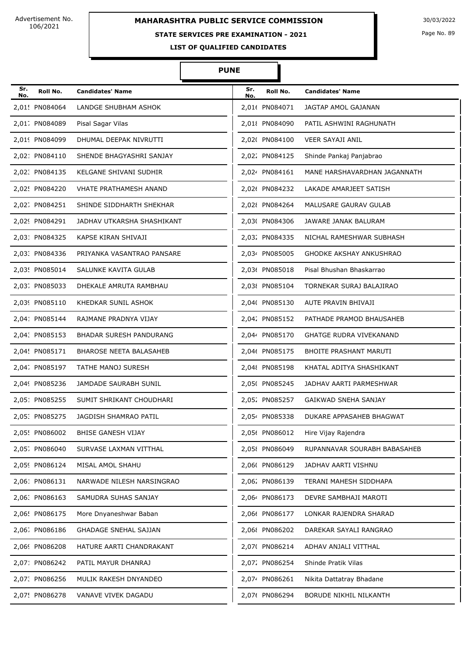# **MAHARASHTRA PUBLIC SERVICE COMMISSION** 30/03/2022

# **STATE SERVICES PRE EXAMINATION - 2021**

Page No. 89

**LIST OF QUALIFIED CANDIDATES** 

| Sr.<br>No. | Roll No.       | <b>Candidates' Name</b>        | Sr.<br>No. | Roll No.       | <b>Candidates' Name</b>        |
|------------|----------------|--------------------------------|------------|----------------|--------------------------------|
|            | 2,01! PN084064 | LANDGE SHUBHAM ASHOK           |            | 2,01( PN084071 | JAGTAP AMOL GAJANAN            |
|            | 2,01. PN084089 | Pisal Sagar Vilas              |            | 2,01{ PN084090 | PATIL ASHWINI RAGHUNATH        |
|            | 2,019 PN084099 | DHUMAL DEEPAK NIVRUTTI         |            | 2,02( PN084100 | VEER SAYAJI ANIL               |
|            | 2,021 PN084110 | SHENDE BHAGYASHRI SANJAY       |            | 2,022 PN084125 | Shinde Pankaj Panjabrao        |
|            | 2,02. PN084135 | KELGANE SHIVANI SUDHIR         |            | 2,024 PN084161 | MANE HARSHAVARDHAN JAGANNATH   |
|            | 2,02! PN084220 | <b>VHATE PRATHAMESH ANAND</b>  |            | 2,02( PN084232 | LAKADE AMARJEET SATISH         |
|            | 2,02. PN084251 | SHINDE SIDDHARTH SHEKHAR       |            | 2,02{ PN084264 | MALUSARE GAURAV GULAB          |
|            | 2,029 PN084291 | JADHAV UTKARSHA SHASHIKANT     |            | 2,03( PN084306 | JAWARE JANAK BALURAM           |
|            | 2,031 PN084325 | KAPSE KIRAN SHIVAJI            |            | 2,032 PN084335 | NICHAL RAMESHWAR SUBHASH       |
|            | 2,03: PN084336 | PRIYANKA VASANTRAO PANSARE     |            | 2,034 PN085005 | <b>GHODKE AKSHAY ANKUSHRAO</b> |
|            | 2,03! PN085014 | SALUNKE KAVITA GULAB           |            | 2,036 PN085018 | Pisal Bhushan Bhaskarrao       |
|            | 2,03. PN085033 | DHEKALE AMRUTA RAMBHAU         |            | 2,03{ PN085104 | TORNEKAR SURAJ BALAJIRAO       |
|            | 2,039 PN085110 | KHEDKAR SUNIL ASHOK            |            | 2,04( PN085130 | AUTE PRAVIN BHIVAJI            |
|            | 2,041 PN085144 | RAJMANE PRADNYA VIJAY          |            | 2,042 PN085152 | PATHADE PRAMOD BHAUSAHEB       |
|            | 2,04. PN085153 | BHADAR SURESH PANDURANG        |            | 2,044 PN085170 | <b>GHATGE RUDRA VIVEKANAND</b> |
|            | 2,04! PN085171 | <b>BHAROSE NEETA BALASAHEB</b> |            | 2,046 PN085175 | <b>BHOITE PRASHANT MARUTI</b>  |
|            | 2,04. PN085197 | <b>TATHE MANOJ SURESH</b>      |            | 2,048 PN085198 | KHATAL ADITYA SHASHIKANT       |
|            | 2,049 PN085236 | JAMDADE SAURABH SUNIL          |            | 2,05( PN085245 | JADHAV AARTI PARMESHWAR        |
|            | 2,051 PN085255 | SUMIT SHRIKANT CHOUDHARI       |            | 2,052 PN085257 | <b>GAIKWAD SNEHA SANJAY</b>    |
|            | 2,05: PN085275 | JAGDISH SHAMRAO PATIL          |            | 2,054 PN085338 | DUKARE APPASAHEB BHAGWAT       |
|            | 2,05! PN086002 | BHISE GANESH VIJAY             |            | 2,056 PN086012 | Hire Vijay Rajendra            |
|            | 2,05. PN086040 | SURVASE LAXMAN VITTHAL         |            | 2,05{ PN086049 | RUPANNAVAR SOURABH BABASAHEB   |
|            | 2,059 PN086124 | MISAL AMOL SHAHU               |            | 2,06( PN086129 | JADHAV AARTI VISHNU            |
|            | 2,06: PN086131 | NARWADE NILESH NARSINGRAO      |            | 2,06. PN086139 | TERANI MAHESH SIDDHAPA         |
|            | 2,06. PN086163 | SAMUDRA SUHAS SANJAY           |            | 2,064 PN086173 | DEVRE SAMBHAJI MAROTI          |
|            | 2,06! PN086175 | More Dnyaneshwar Baban         |            | 2,066 PN086177 | LONKAR RAJENDRA SHARAD         |
|            | 2,06; PN086186 | GHADAGE SNEHAL SAJJAN          |            | 2,06{ PN086202 | DAREKAR SAYALI RANGRAO         |
|            | 2,069 PN086208 | HATURE AARTI CHANDRAKANT       |            | 2,07( PN086214 | ADHAV ANJALI VITTHAL           |
|            | 2,071 PN086242 | PATIL MAYUR DHANRAJ            |            | 2,07. PN086254 | Shinde Pratik Vilas            |
|            | 2,07. PN086256 | MULIK RAKESH DNYANDEO          |            | 2,074 PN086261 | Nikita Dattatray Bhadane       |
|            | 2,07! PN086278 | VANAVE VIVEK DAGADU            |            | 2,076 PN086294 | BORUDE NIKHIL NILKANTH         |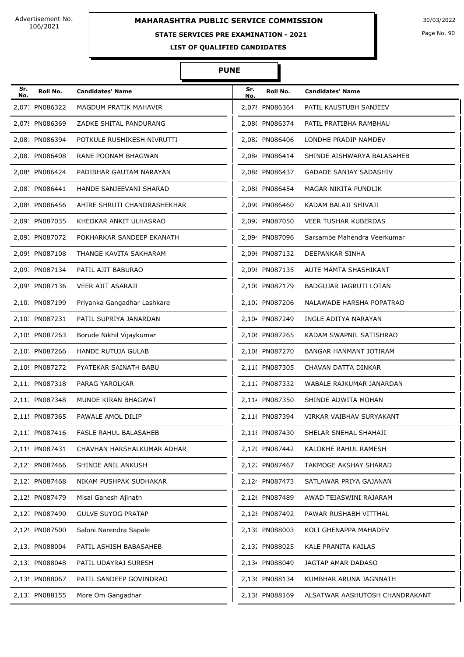# **MAHARASHTRA PUBLIC SERVICE COMMISSION** 30/03/2022

## **STATE SERVICES PRE EXAMINATION - 2021**

Page No. 90

**LIST OF QUALIFIED CANDIDATES** 

| Sr.<br>No. | Roll No.       | <b>Candidates' Name</b>     | Sr.<br>No. | Roll No.       | <b>Candidates' Name</b>        |
|------------|----------------|-----------------------------|------------|----------------|--------------------------------|
|            | 2,07. PN086322 | MAGDUM PRATIK MAHAVIR       |            | 2,078 PN086364 | PATIL KAUSTUBH SANJEEV         |
|            | 2,079 PN086369 | ZADKE SHITAL PANDURANG      |            | 2,08( PN086374 | PATIL PRATIBHA RAMBHAU         |
|            | 2,081 PN086394 | POTKULE RUSHIKESH NIVRUTTI  |            | 2,08. PN086406 | LONDHE PRADIP NAMDEV           |
|            | 2,08. PN086408 | RANE POONAM BHAGWAN         |            | 2,084 PN086414 | SHINDE AISHWARYA BALASAHEB     |
|            | 2,08! PN086424 | PADIBHAR GAUTAM NARAYAN     |            | 2,086 PN086437 | GADADE SANJAY SADASHIV         |
|            | 2,08. PN086441 | HANDE SANJEEVANI SHARAD     |            | 2,08{ PN086454 | MAGAR NIKITA PUNDLIK           |
|            | 2,089 PN086456 | AHIRE SHRUTI CHANDRASHEKHAR |            | 2,09( PN086460 | KADAM BALAJI SHIVAJI           |
|            | 2,091 PN087035 | KHEDKAR ANKIT ULHASRAO      |            | 2,092 PN087050 | <b>VEER TUSHAR KUBERDAS</b>    |
|            | 2,09: PN087072 | POKHARKAR SANDEEP EKANATH   |            | 2,094 PN087096 | Sarsambe Mahendra Veerkumar    |
|            | 2,09! PN087108 | THANGE KAVITA SAKHARAM      |            | 2,09( PN087132 | DEEPANKAR SINHA                |
|            | 2,09. PN087134 | PATIL AJIT BABURAO          |            | 2,098 PN087135 | AUTE MAMTA SHASHIKANT          |
|            | 2,099 PN087136 | <b>VEER AJIT ASARAJI</b>    |            | 2,10( PN087179 | BADGUJAR JAGRUTI LOTAN         |
|            | 2,10: PN087199 | Priyanka Gangadhar Lashkare |            | 2,102 PN087206 | NALAWADE HARSHA POPATRAO       |
|            | 2,10. PN087231 | PATIL SUPRIYA JANARDAN      |            | 2,104 PN087249 | INGLE ADITYA NARAYAN           |
|            | 2,10! PN087263 | Borude Nikhil Vijaykumar    |            | 2,106 PN087265 | KADAM SWAPNIL SATISHRAO        |
|            | 2,10. PN087266 | HANDE RUTUJA GULAB          |            | 2,108 PN087270 | BANGAR HANMANT JOTIRAM         |
|            | 2,109 PN087272 | PYATEKAR SAINATH BABU       |            | 2,11( PN087305 | CHAVAN DATTA DINKAR            |
|            | 2,111 PN087318 | PARAG YAROLKAR              |            | 2,112 PN087332 | WABALE RAJKUMAR JANARDAN       |
|            | 2,11: PN087348 | MUNDE KIRAN BHAGWAT         |            | 2,114 PN087350 | SHINDE ADWITA MOHAN            |
|            | 2,11! PN087365 | PAWALE AMOL DILIP           |            | 2,11( PN087394 | VIRKAR VAIBHAV SURYAKANT       |
|            | 2,11. PN087416 | FASLE RAHUL BALASAHEB       |            | 2,11{ PN087430 | SHELAR SNEHAL SHAHAJI          |
|            | 2,119 PN087431 | CHAVHAN HARSHALKUMAR ADHAR  |            | 2,12( PN087442 | KALOKHE RAHUL RAMESH           |
|            | 2,121 PN087466 | SHINDE ANIL ANKUSH          |            | 2,122 PN087467 | TAKMOGE AKSHAY SHARAD          |
|            | 2,12. PN087468 | NIKAM PUSHPAK SUDHAKAR      |            | 2,124 PN087473 | SATLAWAR PRIYA GAJANAN         |
|            | 2,12! PN087479 | Misal Ganesh Ajinath        |            | 2,126 PN087489 | AWAD TEJASWINI RAJARAM         |
|            | 2,12. PN087490 | <b>GULVE SUYOG PRATAP</b>   |            | 2,12{ PN087492 | PAWAR RUSHABH VITTHAL          |
|            | 2,129 PN087500 | Saloni Narendra Sapale      |            | 2,13( PN088003 | KOLI GHENAPPA MAHADEV          |
|            | 2,131 PN088004 | PATIL ASHISH BABASAHEB      |            | 2,132 PN088025 | KALE PRANITA KAILAS            |
|            | 2,13. PN088048 | PATIL UDAYRAJ SURESH        |            | 2,134 PN088049 | JAGTAP AMAR DADASO             |
|            | 2,13! PN088067 | PATIL SANDEEP GOVINDRAO     |            | 2,136 PN088134 | KUMBHAR ARUNA JAGNNATH         |
|            | 2,13. PN088155 | More Om Gangadhar           |            | 2,138 PN088169 | ALSATWAR AASHUTOSH CHANDRAKANT |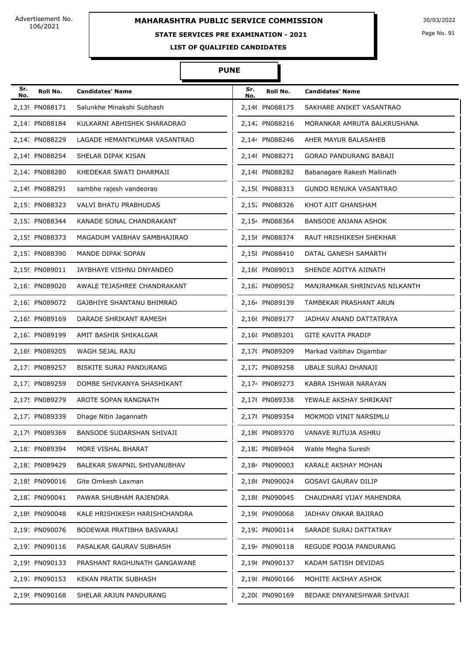## **STATE SERVICES PRE EXAMINATION - 2021**

Page No. 91

**LIST OF QUALIFIED CANDIDATES** 

| Sr.<br>No. | Roll No.       | <b>Candidates' Name</b>       | Sr.<br>No. | Roll No.       | <b>Candidates' Name</b>       |
|------------|----------------|-------------------------------|------------|----------------|-------------------------------|
|            | 2,139 PN088171 | Salunkhe Minakshi Subhash     |            | 2,14( PN088175 | SAKHARE ANIKET VASANTRAO      |
|            | 2,141 PN088184 | KULKARNI ABHISHEK SHARADRAO   |            | 2,142 PN088216 | MORANKAR AMRUTA BALKRUSHANA   |
|            | 2,14. PN088229 | LAGADE HEMANTKUMAR VASANTRAO  |            | 2,144 PN088246 | AHER MAYUR BALASAHEB          |
|            | 2,14! PN088254 | SHELAR DIPAK KISAN            |            | 2,146 PN088271 | <b>GORAD PANDURANG BABAJI</b> |
|            | 2,14. PN088280 | KHEDEKAR SWATI DHARMAJI       |            | 2,148 PN088282 | Babanagare Rakesh Mallinath   |
|            | 2,149 PN088291 | sambhe rajesh vandeorao       |            | 2,15( PN088313 | <b>GUNDO RENUKA VASANTRAO</b> |
|            | 2,15: PN088323 | <b>VALVI BHATU PRABHUDAS</b>  |            | 2,152 PN088326 | KHOT AJIT GHANSHAM            |
|            | 2,15: PN088344 | KANADE SONAL CHANDRAKANT      |            | 2,154 PN088364 | <b>BANSODE ANJANA ASHOK</b>   |
|            | 2,15! PN088373 | MAGADUM VAIBHAV SAMBHAJIRAO   |            | 2,156 PN088374 | RAUT HRISHIKESH SHEKHAR       |
|            | 2,15. PN088390 | MANDE DIPAK SOPAN             |            | 2,15{ PN088410 | DATAL GANESH SAMARTH          |
|            | 2,159 PN089011 | JAYBHAYE VISHNU DNYANDEO      |            | 2,16( PN089013 | SHENDE ADITYA AJINATH         |
|            | 2,16: PN089020 | AWALE TEJASHREE CHANDRAKANT   |            | 2.16; PN089052 | MANJRAMKAR SHRINIVAS NILKANTH |
|            | 2,16: PN089072 | GAJBHIYE SHANTANU BHIMRAO     |            | 2,164 PN089139 | TAMBEKAR PRASHANT ARUN        |
|            | 2,16! PN089169 | DARADE SHRIKANT RAMESH        |            | 2,166 PN089177 | JADHAV ANAND DATTATRAYA       |
|            | 2,16. PN089199 | AMIT BASHIR SHIKALGAR         |            | 2,168 PN089201 | <b>GITE KAVITA PRADIP</b>     |
|            | 2,169 PN089205 | WAGH SEJAL RAJU               |            | 2,17( PN089209 | Markad Vaibhav Digambar       |
|            | 2,171 PN089257 | BISKITE SURAJ PANDURANG       |            | 2,172 PN089258 | UBALE SURAJ DHANAJI           |
|            | 2,17: PN089259 | DOMBE SHIVKANYA SHASHIKANT    |            | 2,174 PN089273 | KABRA ISHWAR NARAYAN          |
|            | 2,17! PN089279 | AROTE SOPAN RANGNATH          |            | 2,176 PN089338 | YEWALE AKSHAY SHRIKANT        |
|            | 2,17. PN089339 | Dhage Nitin Jagannath         |            | 2,178 PN089354 | MOKMOD VINIT NARSIMLU         |
|            | 2,179 PN089369 | BANSODE SUDARSHAN SHIVAJI     |            | 2,18( PN089370 | VANAVE RUTUJA ASHRU           |
|            | 2,181 PN089394 | MORE VISHAL BHARAT            |            | 2,182 PN089404 | Wable Megha Suresh            |
|            | 2,18: PN089429 | BALEKAR SWAPNIL SHIVANUBHAV   |            | 2,184 PN090003 | KARALE AKSHAY MOHAN           |
|            | 2,18! PN090016 | Gite Omkesh Laxman            |            | 2,186 PN090024 | <b>GOSAVI GAURAV DILIP</b>    |
|            | 2,18. PN090041 | PAWAR SHUBHAM RAJENDRA        |            | 2,188 PN090045 | CHAUDHARI VIJAY MAHENDRA      |
|            | 2,189 PN090048 | KALE HRISHIKESH HARISHCHANDRA |            | 2,19( PN090068 | JADHAV ONKAR BAJIRAO          |
|            | 2,191 PN090076 | BODEWAR PRATIBHA BASVARAJ     |            | 2,192 PN090114 | SARADE SURAJ DATTATRAY        |
|            | 2,19. PN090116 | PASALKAR GAURAV SUBHASH       |            | 2,194 PN090118 | REGUDE POOJA PANDURANG        |
|            | 2,19! PN090133 | PRASHANT RAGHUNATH GANGAWANE  |            | 2,196 PN090137 | KADAM SATISH DEVIDAS          |
|            | 2,19. PN090153 | KEKAN PRATIK SUBHASH          |            | 2,198 PN090166 | MOHITE AKSHAY ASHOK           |
|            | 2,199 PN090168 | SHELAR ARJUN PANDURANG        |            | 2,20( PN090169 | BEDAKE DNYANESHWAR SHIVAJI    |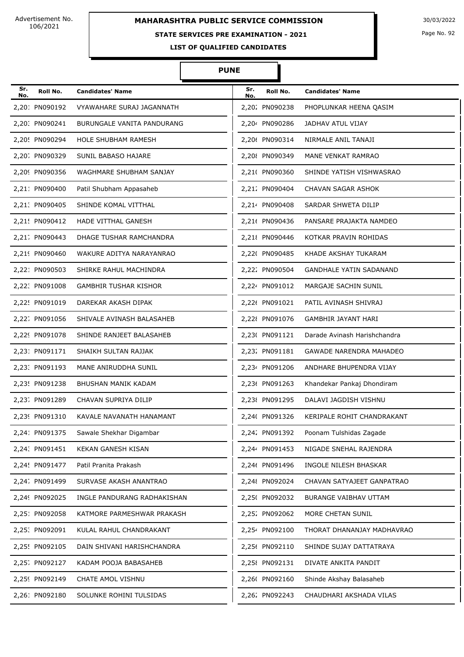# **STATE SERVICES PRE EXAMINATION - 2021**

Page No. 92

**LIST OF QUALIFIED CANDIDATES** 

| Sr.<br>No. | Roll No.       | <b>Candidates' Name</b>      | Sr.<br>No. | Roll No.       | <b>Candidates' Name</b>        |
|------------|----------------|------------------------------|------------|----------------|--------------------------------|
|            | 2,201 PN090192 | VYAWAHARE SURAJ JAGANNATH    |            | 2,202 PN090238 | PHOPLUNKAR HEENA OASIM         |
|            | 2,20: PN090241 | BURUNGALE VANITA PANDURANG   |            | 2,204 PN090286 | JADHAV ATUL VIJAY              |
|            | 2,20! PN090294 | <b>HOLE SHUBHAM RAMESH</b>   |            | 2,20( PN090314 | NIRMALE ANIL TANAJI            |
|            | 2,20; PN090329 | SUNIL BABASO HAJARE          |            | 2,20{ PN090349 | MANE VENKAT RAMRAO             |
|            | 2,209 PN090356 | WAGHMARE SHUBHAM SANJAY      |            | 2,210 PN090360 | SHINDE YATISH VISHWASRAO       |
|            | 2,211 PN090400 | Patil Shubham Appasaheb      |            | 2,21. PN090404 | CHAVAN SAGAR ASHOK             |
|            | 2,21. PN090405 | SHINDE KOMAL VITTHAL         |            | 2,214 PN090408 | SARDAR SHWETA DILIP            |
|            | 2,21! PN090412 | HADE VITTHAL GANESH          |            | 2,216 PN090436 | PANSARE PRAJAKTA NAMDEO        |
|            | 2,21. PN090443 | DHAGE TUSHAR RAMCHANDRA      |            | 2,218 PN090446 | KOTKAR PRAVIN ROHIDAS          |
|            | 2,219 PN090460 | WAKURE ADITYA NARAYANRAO     |            | 2,22( PN090485 | KHADE AKSHAY TUKARAM           |
|            | 2,221 PN090503 | SHIRKE RAHUL MACHINDRA       |            | 2,222 PN090504 | <b>GANDHALE YATIN SADANAND</b> |
|            | 2,22. PN091008 | <b>GAMBHIR TUSHAR KISHOR</b> |            | 2,224 PN091012 | MARGAJE SACHIN SUNIL           |
|            | 2,22! PN091019 | DAREKAR AKASH DIPAK          |            | 2,226 PN091021 | PATIL AVINASH SHIVRAJ          |
|            | 2,22. PN091056 | SHIVALE AVINASH BALASAHEB    |            | 2,228 PN091076 | GAMBHIR JAYANT HARI            |
|            | 2,229 PN091078 | SHINDE RANJEET BALASAHEB     |            | 2,23( PN091121 | Darade Avinash Harishchandra   |
|            | 2,231 PN091171 | SHAIKH SULTAN RAJJAK         |            | 2,232 PN091181 | <b>GAWADE NARENDRA MAHADEO</b> |
|            | 2,23. PN091193 | MANE ANIRUDDHA SUNIL         |            | 2,234 PN091206 | ANDHARE BHUPENDRA VIJAY        |
|            | 2,23! PN091238 | BHUSHAN MANIK KADAM          |            | 2,236 PN091263 | Khandekar Pankaj Dhondiram     |
|            | 2,23. PN091289 | CHAVAN SUPRIYA DILIP         |            | 2,23{ PN091295 | DALAVI JAGDISH VISHNU          |
|            | 2,239 PN091310 | KAVALE NAVANATH HANAMANT     |            | 2,24( PN091326 | KERIPALE ROHIT CHANDRAKANT     |
|            | 2,241 PN091375 | Sawale Shekhar Digambar      |            | 2,242 PN091392 | Poonam Tulshidas Zagade        |
|            | 2,24. PN091451 | KEKAN GANESH KISAN           |            | 2,244 PN091453 | NIGADE SNEHAL RAJENDRA         |
|            | 2,24! PN091477 | Patil Pranita Prakash        |            | 2,246 PN091496 | INGOLE NILESH BHASKAR          |
|            | 2,24; PN091499 | SURVASE AKASH ANANTRAO       |            | 2,248 PN092024 | CHAVAN SATYAJEET GANPATRAO     |
|            | 2,249 PN092025 | INGLE PANDURANG RADHAKISHAN  |            | 2,25(PN092032  | <b>BURANGE VAIBHAV UTTAM</b>   |
|            | 2,251 PN092058 | KATMORE PARMESHWAR PRAKASH   |            | 2,25% PN092062 | MORE CHETAN SUNIL              |
|            | 2,25: PN092091 | KULAL RAHUL CHANDRAKANT      |            | 2,254 PN092100 | THORAT DHANANJAY MADHAVRAO     |
|            | 2,25! PN092105 | DAIN SHIVANI HARISHCHANDRA   |            | 2,256 PN092110 | SHINDE SUJAY DATTATRAYA        |
|            | 2,25; PN092127 | KADAM POOJA BABASAHEB        |            | 2,25{ PN092131 | DIVATE ANKITA PANDIT           |
|            | 2,259 PN092149 | CHATE AMOL VISHNU            |            | 2,26( PN092160 | Shinde Akshay Balasaheb        |
|            | 2,261 PN092180 | SOLUNKE ROHINI TULSIDAS      |            | 2,26% PN092243 | CHAUDHARI AKSHADA VILAS        |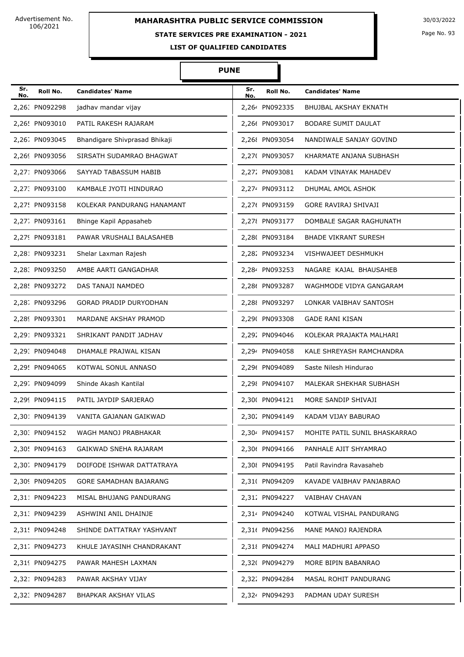# **MAHARASHTRA PUBLIC SERVICE COMMISSION** 30/03/2022

### **STATE SERVICES PRE EXAMINATION - 2021**

Page No. 93

**LIST OF QUALIFIED CANDIDATES** 

#### **PUNE**

Π

| Sr.<br>No. | Roll No.       | <b>Candidates' Name</b>       | Sr.<br>No. | Roll No.       | <b>Candidates' Name</b>       |
|------------|----------------|-------------------------------|------------|----------------|-------------------------------|
|            | 2,26: PN092298 | jadhav mandar vijay           |            | 2.264 PN092335 | BHUJBAL AKSHAY EKNATH         |
|            | 2,26! PN093010 | PATIL RAKESH RAJARAM          |            | 2,266 PN093017 | BODARE SUMIT DAULAT           |
|            | 2,26; PN093045 | Bhandigare Shivprasad Bhikaji |            | 2,26{ PN093054 | NANDIWALE SANJAY GOVIND       |
|            | 2,269 PN093056 | SIRSATH SUDAMRAO BHAGWAT      |            | 2,27( PN093057 | KHARMATE ANJANA SUBHASH       |
|            | 2,271 PN093066 | SAYYAD TABASSUM HABIB         |            | 2,272 PN093081 | KADAM VINAYAK MAHADEV         |
|            | 2,27: PN093100 | KAMBALE JYOTI HINDURAO        |            | 2,274 PN093112 | DHUMAL AMOL ASHOK             |
|            | 2,27! PN093158 | KOLEKAR PANDURANG HANAMANT    |            | 2,276 PN093159 | <b>GORE RAVIRAJ SHIVAJI</b>   |
|            | 2,27. PN093161 | Bhinge Kapil Appasaheb        |            | 2,278 PN093177 | DOMBALE SAGAR RAGHUNATH       |
|            | 2,279 PN093181 | PAWAR VRUSHALI BALASAHEB      |            | 2,28( PN093184 | <b>BHADE VIKRANT SURESH</b>   |
|            | 2,281 PN093231 | Shelar Laxman Rajesh          |            | 2,282 PN093234 | VISHWAJEET DESHMUKH           |
|            | 2,28. PN093250 | AMBE AARTI GANGADHAR          |            | 2,284 PN093253 | NAGARE KAJAL BHAUSAHEB        |
|            | 2,28! PN093272 | DAS TANAJI NAMDEO             |            | 2,286 PN093287 | WAGHMODE VIDYA GANGARAM       |
|            | 2,28. PN093296 | <b>GORAD PRADIP DURYODHAN</b> |            | 2,288 PN093297 | LONKAR VAIBHAV SANTOSH        |
|            | 2,289 PN093301 | MARDANE AKSHAY PRAMOD         |            | 2,29( PN093308 | <b>GADE RANI KISAN</b>        |
|            | 2,291 PN093321 | SHRIKANT PANDIT JADHAV        |            | 2,292 PN094046 | KOLEKAR PRAJAKTA MALHARI      |
|            | 2,29: PN094048 | DHAMALE PRAJWAL KISAN         |            | 2,294 PN094058 | KALE SHREYASH RAMCHANDRA      |
|            | 2,29! PN094065 | KOTWAL SONUL ANNASO           |            | 2,296 PN094089 | Saste Nilesh Hindurao         |
|            | 2,29. PN094099 | Shinde Akash Kantilal         |            | 2,298 PN094107 | MALEKAR SHEKHAR SUBHASH       |
|            | 2,299 PN094115 | PATIL JAYDIP SARJERAO         |            | 2,30( PN094121 | MORE SANDIP SHIVAJI           |
|            | 2,301 PN094139 | VANITA GAJANAN GAIKWAD        |            | 2,30. PN094149 | KADAM VIJAY BABURAO           |
|            | 2,30. PN094152 | WAGH MANOJ PRABHAKAR          |            | 2,304 PN094157 | MOHITE PATIL SUNIL BHASKARRAO |
|            | 2,30! PN094163 | GAIKWAD SNEHA RAJARAM         |            | 2,306 PN094166 | PANHALE AJIT SHYAMRAO         |
|            | 2,30. PN094179 | DOIFODE ISHWAR DATTATRAYA     |            | 2,30{ PN094195 | Patil Ravindra Ravasaheb      |
|            | 2,309 PN094205 | GORE SAMADHAN BAJARANG        |            | 2,31( PN094209 | KAVADE VAIBHAV PANJABRAO      |
|            | 2,311 PN094223 | MISAL BHUJANG PANDURANG       |            | 2,312 PN094227 | <b>VAIBHAV CHAVAN</b>         |
|            | 2,31. PN094239 | ASHWINI ANIL DHAINJE          |            | 2,314 PN094240 | KOTWAL VISHAL PANDURANG       |
|            | 2,31! PN094248 | SHINDE DATTATRAY YASHVANT     |            | 2,316 PN094256 | MANE MANOJ RAJENDRA           |
|            | 2,31. PN094273 | KHULE JAYASINH CHANDRAKANT    |            | 2,318 PN094274 | MALI MADHURI APPASO           |
|            | 2,319 PN094275 | PAWAR MAHESH LAXMAN           |            | 2,32( PN094279 | MORE BIPIN BABANRAO           |
|            | 2,32: PN094283 | PAWAR AKSHAY VIJAY            |            | 2,322 PN094284 | MASAL ROHIT PANDURANG         |
|            | 2,32: PN094287 | BHAPKAR AKSHAY VILAS          |            | 2,324 PN094293 | PADMAN UDAY SURESH            |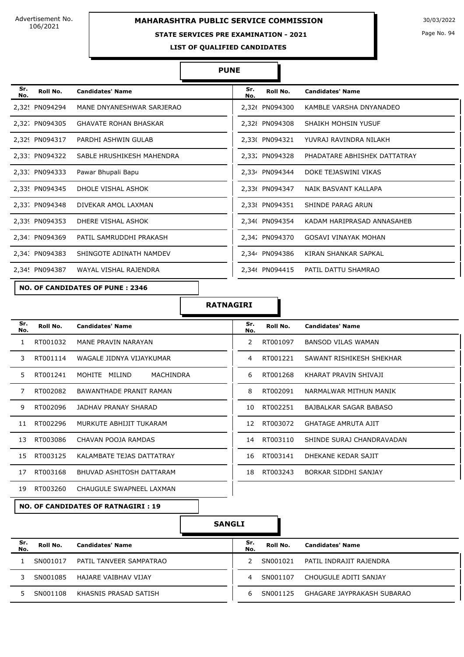# **MAHARASHTRA PUBLIC SERVICE COMMISSION** 30/03/2022

#### **STATE SERVICES PRE EXAMINATION - 2021**

Page No. 94

**LIST OF QUALIFIED CANDIDATES** 

#### **PUNE**

| Sr.<br>No. | Roll No.       | <b>Candidates' Name</b>                | Sr.<br>No. | Roll No.       | <b>Candidates' Name</b>      |
|------------|----------------|----------------------------------------|------------|----------------|------------------------------|
|            | 2,32! PN094294 | MANE DNYANESHWAR SARJERAO              |            | 2,326 PN094300 | KAMBLE VARSHA DNYANADEO      |
|            | 2,32; PN094305 | <b>GHAVATE ROHAN BHASKAR</b>           |            | 2,328 PN094308 | SHAIKH MOHSIN YUSUF          |
|            | 2,329 PN094317 | PARDHI ASHWIN GULAB                    |            | 2,33( PN094321 | YUVRAJ RAVINDRA NILAKH       |
|            | 2,331 PN094322 | SABLE HRUSHIKESH MAHENDRA              |            | 2,332 PN094328 | PHADATARE ABHISHEK DATTATRAY |
|            | 2,33. PN094333 | Pawar Bhupali Bapu                     |            | 2,334 PN094344 | DOKE TEJASWINI VIKAS         |
|            | 2,33! PN094345 | DHOLE VISHAL ASHOK                     |            | 2,336 PN094347 | NAIK BASVANT KALLAPA         |
|            | 2,33. PN094348 | DIVEKAR AMOL LAXMAN                    |            | 2,33 PN094351  | SHINDE PARAG ARUN            |
|            | 2,339 PN094353 | DHERE VISHAL ASHOK                     |            | 2,34( PN094354 | KADAM HARIPRASAD ANNASAHEB   |
|            | 2,341 PN094369 | PATIL SAMRUDDHI PRAKASH                |            | 2,342 PN094370 | <b>GOSAVI VINAYAK MOHAN</b>  |
|            | 2,34. PN094383 | SHINGOTE ADINATH NAMDEV                |            | 2,344 PN094386 | KIRAN SHANKAR SAPKAL         |
|            | 2,34! PN094387 | WAYAL VISHAL RAJENDRA                  |            | 2,346 PN094415 | PATIL DATTU SHAMRAO          |
|            |                | <b>NO. OF CANDIDATES OF PUNE: 2346</b> |            |                |                              |

#### **RATNAGIRI**

| Sr.<br>No. | Roll No. | <b>Candidates' Name</b>    | Sr.<br>No.    | Roll No. | <b>Candidates' Name</b>    |
|------------|----------|----------------------------|---------------|----------|----------------------------|
| 1.         | RT001032 | MANE PRAVIN NARAYAN        | $\mathcal{P}$ | RT001097 | BANSOD VILAS WAMAN         |
| 3.         | RT001114 | WAGALE JIDNYA VIJAYKUMAR   | 4             | RT001221 | SAWANT RISHIKESH SHEKHAR   |
| 5.         | RT001241 | MOHITE MILIND<br>MACHINDRA | 6             | RT001268 | KHARAT PRAVIN SHIVAJI      |
| 7          | RT002082 | BAWANTHADE PRANIT RAMAN    | 8             | RT002091 | NARMALWAR MITHUN MANIK     |
| 9          | RT002096 | JADHAV PRANAY SHARAD       | 10            | RT002251 | BAJBALKAR SAGAR BABASO     |
| 11         | RT002296 | MURKUTE ABHIJIT TUKARAM    | 12            | RT003072 | <b>GHATAGE AMRUTA AJIT</b> |
| 13         | RT003086 | CHAVAN POOJA RAMDAS        | 14            | RT003110 | SHINDE SURAJ CHANDRAVADAN  |
| 15         | RT003125 | KALAMBATE TEJAS DATTATRAY  | 16            | RT003141 | DHEKANE KEDAR SAJIT        |
| 17         | RT003168 | BHUVAD ASHITOSH DATTARAM   | 18            | RT003243 | BORKAR SIDDHI SANJAY       |
| 19         | RT003260 | CHAUGULE SWAPNEEL LAXMAN   |               |          |                            |

**NO. OF CANDIDATES OF RATNAGIRI : 19**

| Sr.<br>No. | Roll No. | <b>Candidates' Name</b> | Sr.<br>No. | Roll No. | <b>Candidates' Name</b>    |
|------------|----------|-------------------------|------------|----------|----------------------------|
|            | SN001017 | PATIL TANVEER SAMPATRAO |            | SN001021 | PATIL INDRAJIT RAJENDRA    |
|            | SN001085 | HAJARE VAIBHAV VIJAY    | 4          | SN001107 | CHOUGULE ADITI SANJAY      |
|            | SN001108 | KHASNIS PRASAD SATISH   | h          | SN001125 | GHAGARE JAYPRAKASH SUBARAO |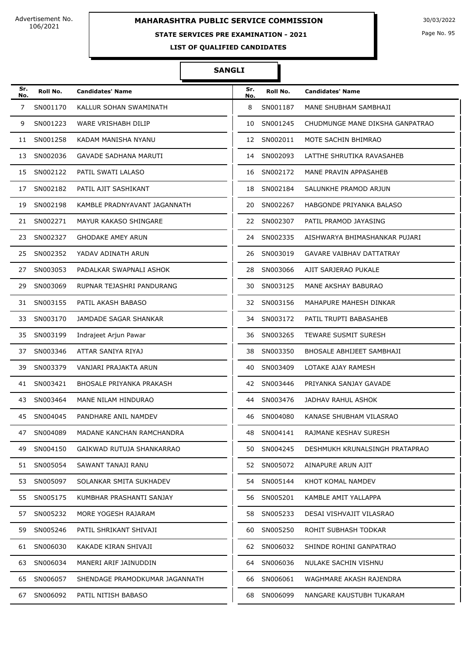# **MAHARASHTRA PUBLIC SERVICE COMMISSION** 30/03/2022

## **STATE SERVICES PRE EXAMINATION - 2021**

Page No. 95

**LIST OF QUALIFIED CANDIDATES** 

| Sr.<br>No. | Roll No.    | <b>Candidates' Name</b>        | Sr.<br>No. | Roll No.    | <b>Candidates' Name</b>         |
|------------|-------------|--------------------------------|------------|-------------|---------------------------------|
| 7          | SN001170    | KALLUR SOHAN SWAMINATH         | 8          | SN001187    | MANE SHUBHAM SAMBHAJI           |
| 9          | SN001223    | WARE VRISHABH DILIP            |            | 10 SN001245 | CHUDMUNGE MANE DIKSHA GANPATRAO |
| 11         | SN001258    | KADAM MANISHA NYANU            |            | 12 SN002011 | MOTE SACHIN BHIMRAO             |
|            | 13 SN002036 | GAVADE SADHANA MARUTI          |            | 14 SN002093 | LATTHE SHRUTIKA RAVASAHEB       |
|            | 15 SN002122 | PATIL SWATI LALASO             |            | 16 SN002172 | MANE PRAVIN APPASAHEB           |
| 17         | SN002182    | PATIL AJIT SASHIKANT           |            | 18 SN002184 | SALUNKHE PRAMOD ARJUN           |
| 19         | SN002198    | KAMBLE PRADNYAVANT JAGANNATH   | 20         | SN002267    | HABGONDE PRIYANKA BALASO        |
|            | 21 SN002271 | MAYUR KAKASO SHINGARE          |            | 22 SN002307 | PATIL PRAMOD JAYASING           |
| 23         | SN002327    | <b>GHODAKE AMEY ARUN</b>       |            | 24 SN002335 | AISHWARYA BHIMASHANKAR PUJARI   |
| 25         | SN002352    | YADAV ADINATH ARUN             | 26         | SN003019    | <b>GAVARE VAIBHAV DATTATRAY</b> |
| 27         | SN003053    | PADALKAR SWAPNALI ASHOK        | 28         | SN003066    | AJIT SARJERAO PUKALE            |
| 29.        | SN003069    | RUPNAR TEJASHRI PANDURANG      | 30 -       | SN003125    | MANE AKSHAY BABURAO             |
| 31         | SN003155    | PATIL AKASH BABASO             |            | 32 SN003156 | MAHAPURE MAHESH DINKAR          |
| 33         | SN003170    | JAMDADE SAGAR SHANKAR          | 34         | SN003172    | PATIL TRUPTI BABASAHEB          |
| 35         | SN003199    | Indrajeet Arjun Pawar          | 36         | SN003265    | <b>TEWARE SUSMIT SURESH</b>     |
| 37         | SN003346    | ATTAR SANIYA RIYAJ             | 38         | SN003350    | BHOSALE ABHIJEET SAMBHAJI       |
| 39.        | SN003379    | VANJARI PRAJAKTA ARUN          | 40         | SN003409    | LOTAKE AJAY RAMESH              |
| 41         | SN003421    | BHOSALE PRIYANKA PRAKASH       | 42         | SN003446    | PRIYANKA SANJAY GAVADE          |
| 43         | SN003464    | MANE NILAM HINDURAO            | 44         | SN003476    | JADHAV RAHUL ASHOK              |
| 45         | SN004045    | PANDHARE ANIL NAMDEV           | 46         | SN004080    | KANASE SHUBHAM VILASRAO         |
|            | 47 SN004089 | MADANE KANCHAN RAMCHANDRA      | 48         | SN004141    | RAJMANE KESHAV SURESH           |
|            | 49 SN004150 | GAIKWAD RUTUJA SHANKARRAO      |            | 50 SN004245 | DESHMUKH KRUNALSINGH PRATAPRAO  |
|            | 51 SN005054 | SAWANT TANAJI RANU             |            | 52 SN005072 | AINAPURE ARUN AJIT              |
| 53         | SN005097    | SOLANKAR SMITA SUKHADEV        | 54         | SN005144    | KHOT KOMAL NAMDEV               |
|            | 55 SN005175 | KUMBHAR PRASHANTI SANJAY       |            | 56 SN005201 | KAMBLE AMIT YALLAPPA            |
| 57         | SN005232    | MORE YOGESH RAJARAM            | 58         | SN005233    | DESAI VISHVAJIT VILASRAO        |
|            | 59 SN005246 | PATIL SHRIKANT SHIVAJI         | 60         | SN005250    | ROHIT SUBHASH TODKAR            |
| 61         | SN006030    | KAKADE KIRAN SHIVAJI           |            | 62 SN006032 | SHINDE ROHINI GANPATRAO         |
|            | 63 SN006034 | MANERI ARIF JAINUDDIN          | 64 -       | SN006036    | NULAKE SACHIN VISHNU            |
|            | 65 SN006057 | SHENDAGE PRAMODKUMAR JAGANNATH | 66 -       | SN006061    | WAGHMARE AKASH RAJENDRA         |
| 67         | SN006092    | PATIL NITISH BABASO            | 68         | SN006099    | NANGARE KAUSTUBH TUKARAM        |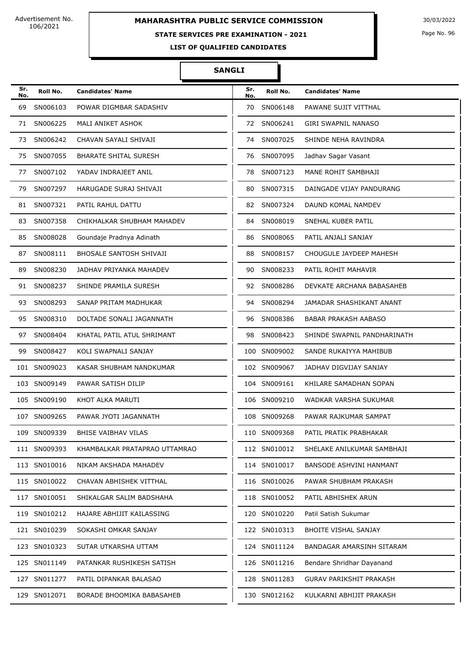# **MAHARASHTRA PUBLIC SERVICE COMMISSION** 30/03/2022

#### **STATE SERVICES PRE EXAMINATION - 2021**

Page No. 96

**LIST OF QUALIFIED CANDIDATES** 

| Sr.<br>No. | Roll No.     | <b>Candidates' Name</b>        | Sr.<br>No. | Roll No.     | <b>Candidates' Name</b>        |
|------------|--------------|--------------------------------|------------|--------------|--------------------------------|
| 69         | SN006103     | POWAR DIGMBAR SADASHIV         | 70         | SN006148     | PAWANE SUJIT VITTHAL           |
| 71         | SN006225     | MALI ANIKET ASHOK              | 72         | SN006241     | GIRI SWAPNIL NANASO            |
| 73         | SN006242     | CHAVAN SAYALI SHIVAJI          | 74         | SN007025     | SHINDE NEHA RAVINDRA           |
| 75         | SN007055     | <b>BHARATE SHITAL SURESH</b>   | 76         | SN007095     | Jadhav Sagar Vasant            |
| 77         | SN007102     | YADAV INDRAJEET ANIL           | 78         | SN007123     | MANE ROHIT SAMBHAJI            |
| 79         | SN007297     | HARUGADE SURAJ SHIVAJI         | 80         | SN007315     | DAINGADE VIJAY PANDURANG       |
| 81         | SN007321     | PATIL RAHUL DATTU              | 82         | SN007324     | DAUND KOMAL NAMDEV             |
| 83         | SN007358     | CHIKHALKAR SHUBHAM MAHADEV     | 84         | SN008019     | SNEHAL KUBER PATIL             |
| 85         | SN008028     | Goundaje Pradnya Adinath       | 86         | SN008065     | PATIL ANJALI SANJAY            |
| 87         | SN008111     | <b>BHOSALE SANTOSH SHIVAJI</b> | 88         | SN008157     | CHOUGULE JAYDEEP MAHESH        |
| 89         | SN008230     | JADHAV PRIYANKA MAHADEV        | 90         | SN008233     | PATIL ROHIT MAHAVIR            |
| 91         | SN008237     | SHINDE PRAMILA SURESH          | 92         | SN008286     | DEVKATE ARCHANA BABASAHEB      |
| 93         | SN008293     | SANAP PRITAM MADHUKAR          | 94         | SN008294     | JAMADAR SHASHIKANT ANANT       |
| 95         | SN008310     | DOLTADE SONALI JAGANNATH       | 96         | SN008386     | <b>BABAR PRAKASH AABASO</b>    |
| 97         | SN008404     | KHATAL PATIL ATUL SHRIMANT     | 98         | SN008423     | SHINDE SWAPNIL PANDHARINATH    |
| 99         | SN008427     | KOLI SWAPNALI SANJAY           |            | 100 SN009002 | SANDE RUKAIYYA MAHIBUB         |
|            | 101 SN009023 | KASAR SHUBHAM NANDKUMAR        |            | 102 SN009067 | JADHAV DIGVIJAY SANJAY         |
|            | 103 SN009149 | PAWAR SATISH DILIP             |            | 104 SN009161 | KHILARE SAMADHAN SOPAN         |
|            | 105 SN009190 | KHOT ALKA MARUTI               |            | 106 SN009210 | WADKAR VARSHA SUKUMAR          |
|            | 107 SN009265 | PAWAR JYOTI JAGANNATH          |            | 108 SN009268 | PAWAR RAJKUMAR SAMPAT          |
|            | 109 SN009339 | BHISE VAIBHAV VILAS            |            | 110 SN009368 | PATIL PRATIK PRABHAKAR         |
|            | 111 SN009393 | KHAMBALKAR PRATAPRAO UTTAMRAO  |            | 112 SN010012 | SHELAKE ANILKUMAR SAMBHAJI     |
|            | 113 SN010016 | NIKAM AKSHADA MAHADEV          |            | 114 SN010017 | <b>BANSODE ASHVINI HANMANT</b> |
|            | 115 SN010022 | CHAVAN ABHISHEK VITTHAL        |            | 116 SN010026 | PAWAR SHUBHAM PRAKASH          |
|            | 117 SN010051 | SHIKALGAR SALIM BADSHAHA       |            | 118 SN010052 | PATIL ABHISHEK ARUN            |
|            | 119 SN010212 | HAJARE ABHIJIT KAILASSING      |            | 120 SN010220 | Patil Satish Sukumar           |
|            | 121 SN010239 | SOKASHI OMKAR SANJAY           |            | 122 SN010313 | <b>BHOITE VISHAL SANJAY</b>    |
|            | 123 SN010323 | SUTAR UTKARSHA UTTAM           |            | 124 SN011124 | BANDAGAR AMARSINH SITARAM      |
|            | 125 SN011149 | PATANKAR RUSHIKESH SATISH      |            | 126 SN011216 | Bendare Shridhar Dayanand      |
|            | 127 SN011277 | PATIL DIPANKAR BALASAO         |            | 128 SN011283 | <b>GURAV PARIKSHIT PRAKASH</b> |
|            | 129 SN012071 | BORADE BHOOMIKA BABASAHEB      |            | 130 SN012162 | KULKARNI ABHIJIT PRAKASH       |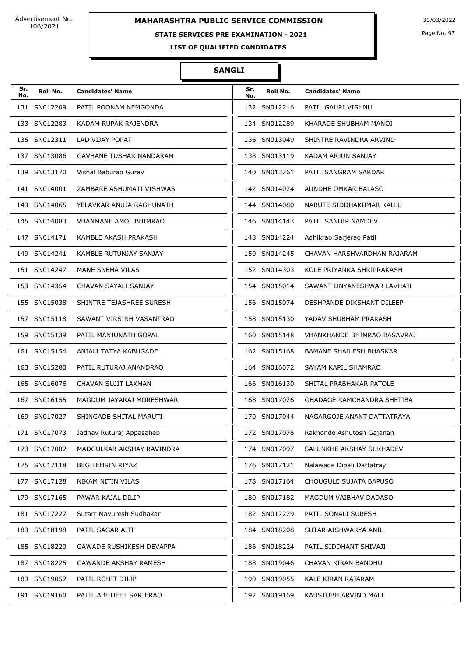# **MAHARASHTRA PUBLIC SERVICE COMMISSION** 30/03/2022

## **STATE SERVICES PRE EXAMINATION - 2021**

Page No. 97

**LIST OF QUALIFIED CANDIDATES** 

| Sr.<br>No. | Roll No.     | <b>Candidates' Name</b>      | Sr.<br>No. | Roll No.     | <b>Candidates' Name</b>        |
|------------|--------------|------------------------------|------------|--------------|--------------------------------|
|            | 131 SN012209 | PATIL POONAM NEMGONDA        |            | 132 SN012216 | PATIL GAURI VISHNU             |
|            | 133 SN012283 | KADAM RUPAK RAJENDRA         |            | 134 SN012289 | KHARADE SHUBHAM MANOJ          |
|            | 135 SN012311 | LAD VIJAY POPAT              |            | 136 SN013049 | SHINTRE RAVINDRA ARVIND        |
|            | 137 SN013086 | GAVHANE TUSHAR NANDARAM      |            | 138 SN013119 | KADAM ARJUN SANJAY             |
|            | 139 SN013170 | Vishal Baburao Gurav         |            | 140 SN013261 | PATIL SANGRAM SARDAR           |
|            | 141 SN014001 | ZAMBARE ASHUMATI VISHWAS     |            | 142 SN014024 | AUNDHE OMKAR BALASO            |
|            | 143 SN014065 | YELAVKAR ANUJA RAGHUNATH     |            | 144 SN014080 | NARUTE SIDDHAKUMAR KALLU       |
|            | 145 SN014083 | <b>VHANMANE AMOL BHIMRAO</b> |            | 146 SN014143 | PATIL SANDIP NAMDEV            |
|            | 147 SN014171 | KAMBLE AKASH PRAKASH         |            | 148 SN014224 | Adhikrao Sarjerao Patil        |
|            | 149 SN014241 | KAMBLE RUTUNJAY SANJAY       |            | 150 SN014245 | CHAVAN HARSHVARDHAN RAJARAM    |
|            | 151 SN014247 | MANE SNEHA VILAS             |            | 152 SN014303 | KOLE PRIYANKA SHRIPRAKASH      |
|            | 153 SN014354 | CHAVAN SAYALI SANJAY         |            | 154 SN015014 | SAWANT DNYANESHWAR LAVHAJI     |
|            | 155 SN015038 | SHINTRE TEJASHREE SURESH     |            | 156 SN015074 | DESHPANDE DIKSHANT DILEEP      |
|            | 157 SN015118 | SAWANT VIRSINH VASANTRAO     |            | 158 SN015130 | YADAV SHUBHAM PRAKASH          |
|            | 159 SN015139 | PATIL MANJUNATH GOPAL        |            | 160 SN015148 | VHANKHANDE BHIMRAO BASAVRAJ    |
|            | 161 SN015154 | ANJALI TATYA KABUGADE        |            | 162 SN015168 | <b>BAMANE SHAILESH BHASKAR</b> |
|            | 163 SN015280 | PATIL RUTURAJ ANANDRAO       |            | 164 SN016072 | SAYAM KAPIL SHAMRAO            |
|            | 165 SN016076 | CHAVAN SUJIT LAXMAN          |            | 166 SN016130 | SHITAL PRABHAKAR PATOLE        |
|            | 167 SN016155 | MAGDUM JAYARAJ MORESHWAR     |            | 168 SN017026 | GHADAGE RAMCHANDRA SHETIBA     |
|            | 169 SN017027 | SHINGADE SHITAL MARUTI       |            | 170 SN017044 | NAGARGOJE ANANT DATTATRAYA     |
|            | 171 SN017073 | Jadhav Ruturaj Appasaheb     |            | 172 SN017076 | Rakhonde Ashutosh Gajanan      |
|            | 173 SN017082 | MADGULKAR AKSHAY RAVINDRA    |            | 174 SN017097 | SALUNKHE AKSHAY SUKHADEV       |
|            | 175 SN017118 | BEG TEHSIN RIYAZ             |            | 176 SN017121 | Nalawade Dipali Dattatray      |
|            | 177 SN017128 | NIKAM NITIN VILAS            |            | 178 SN017164 | CHOUGULE SUJATA BAPUSO         |
|            | 179 SN017165 | PAWAR KAJAL DILIP            |            | 180 SN017182 | MAGDUM VAIBHAV DADASO          |
|            | 181 SN017227 | Sutarr Mayuresh Sudhakar     |            | 182 SN017229 | PATIL SONALI SURESH            |
|            | 183 SN018198 | PATIL SAGAR AJIT             |            | 184 SN018208 | SUTAR AISHWARYA ANIL           |
|            | 185 SN018220 | GAWADE RUSHIKESH DEVAPPA     |            | 186 SN018224 | PATIL SIDDHANT SHIVAJI         |
|            | 187 SN018225 | <b>GAWANDE AKSHAY RAMESH</b> |            | 188 SN019046 | CHAVAN KIRAN BANDHU            |
|            | 189 SN019052 | PATIL ROHIT DILIP            |            | 190 SN019055 | KALE KIRAN RAJARAM             |
|            | 191 SN019160 | PATIL ABHIJEET SARJERAO      |            | 192 SN019169 | KAUSTUBH ARVIND MALI           |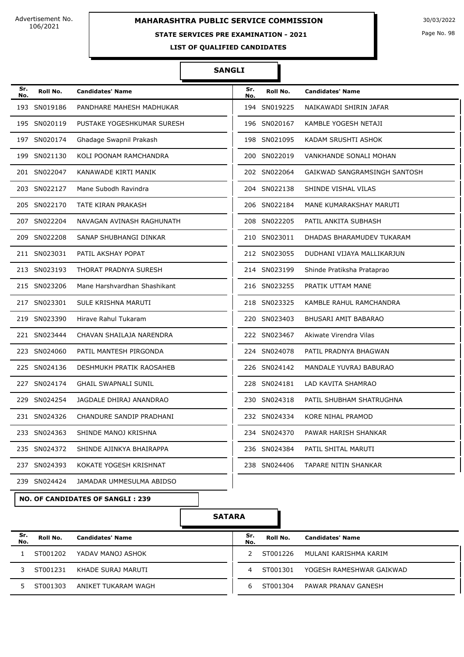#### **STATE SERVICES PRE EXAMINATION - 2021**

Page No. 98

**LIST OF QUALIFIED CANDIDATES** 

#### **SANGLI**

| Sr.<br>No. | Roll No.     | <b>Candidates' Name</b>      | Sr.<br>No. | Roll No.     | <b>Candidates' Name</b>      |
|------------|--------------|------------------------------|------------|--------------|------------------------------|
|            | 193 SN019186 | PANDHARE MAHESH MADHUKAR     |            | 194 SN019225 | NAIKAWADI SHIRIN JAFAR       |
|            | 195 SN020119 | PUSTAKE YOGESHKUMAR SURESH   |            | 196 SN020167 | KAMBLE YOGESH NETAJI         |
|            | 197 SN020174 | Ghadage Swapnil Prakash      |            | 198 SN021095 | KADAM SRUSHTI ASHOK          |
|            | 199 SN021130 | KOLI POONAM RAMCHANDRA       |            | 200 SN022019 | VANKHANDE SONALI MOHAN       |
|            | 201 SN022047 | KANAWADE KIRTI MANIK         |            | 202 SN022064 | GAIKWAD SANGRAMSINGH SANTOSH |
|            | 203 SN022127 | Mane Subodh Ravindra         |            | 204 SN022138 | SHINDE VISHAL VILAS          |
|            | 205 SN022170 | TATE KIRAN PRAKASH           |            | 206 SN022184 | MANE KUMARAKSHAY MARUTI      |
|            | 207 SN022204 | NAVAGAN AVINASH RAGHUNATH    |            | 208 SN022205 | PATIL ANKITA SUBHASH         |
|            | 209 SN022208 | SANAP SHUBHANGI DINKAR       |            | 210 SN023011 | DHADAS BHARAMUDEV TUKARAM    |
|            | 211 SN023031 | PATIL AKSHAY POPAT           |            | 212 SN023055 | DUDHANI VIJAYA MALLIKARJUN   |
|            | 213 SN023193 | <b>THORAT PRADNYA SURESH</b> |            | 214 SN023199 | Shinde Pratiksha Prataprao   |
|            | 215 SN023206 | Mane Harshvardhan Shashikant |            | 216 SN023255 | PRATIK UTTAM MANE            |
|            | 217 SN023301 | SULE KRISHNA MARUTI          |            | 218 SN023325 | KAMBLE RAHUL RAMCHANDRA      |
|            | 219 SN023390 | Hirave Rahul Tukaram         |            | 220 SN023403 | BHUSARI AMIT BABARAO         |
|            | 221 SN023444 | CHAVAN SHAILAJA NARENDRA     |            | 222 SN023467 | Akiwate Virendra Vilas       |
|            | 223 SN024060 | PATIL MANTESH PIRGONDA       |            | 224 SN024078 | PATIL PRADNYA BHAGWAN        |
|            | 225 SN024136 | DESHMUKH PRATIK RAOSAHEB     |            | 226 SN024142 | MANDALE YUVRAJ BABURAO       |
|            | 227 SN024174 | <b>GHAIL SWAPNALI SUNIL</b>  |            | 228 SN024181 | LAD KAVITA SHAMRAO           |
|            | 229 SN024254 | JAGDALE DHIRAJ ANANDRAO      |            | 230 SN024318 | PATIL SHUBHAM SHATRUGHNA     |
|            | 231 SN024326 | CHANDURE SANDIP PRADHANI     |            | 232 SN024334 | KORE NIHAL PRAMOD            |
|            | 233 SN024363 | SHINDE MANOJ KRISHNA         |            | 234 SN024370 | PAWAR HARISH SHANKAR         |
|            | 235 SN024372 | SHINDE AJINKYA BHAIRAPPA     |            | 236 SN024384 | PATIL SHITAL MARUTI          |
|            | 237 SN024393 | KOKATE YOGESH KRISHNAT       |            | 238 SN024406 | TAPARE NITIN SHANKAR         |
|            | 239 SN024424 | JAMADAR UMMESULMA ABIDSO     |            |              |                              |

**NO. OF CANDIDATES OF SANGLI : 239**

| Sr.<br>No. | Roll No. | <b>Candidates' Name</b> | Sr.<br>No. | Roll No. | <b>Candidates' Name</b>  |
|------------|----------|-------------------------|------------|----------|--------------------------|
|            | ST001202 | YADAV MANOJ ASHOK       |            | ST001226 | MULANI KARISHMA KARIM    |
|            | ST001231 | KHADE SURAJ MARUTI      | 4          | ST001301 | YOGESH RAMESHWAR GAIKWAD |
|            | ST001303 | ANIKET TUKARAM WAGH     | h          | ST001304 | PAWAR PRANAV GANESH      |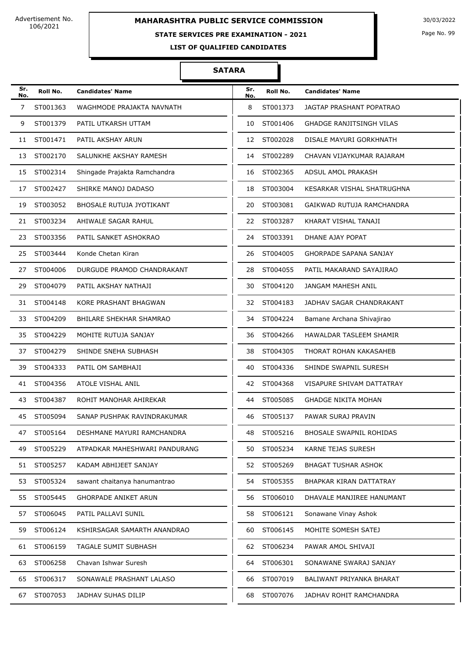# **MAHARASHTRA PUBLIC SERVICE COMMISSION** 30/03/2022

#### **STATE SERVICES PRE EXAMINATION - 2021**

Page No. 99

**LIST OF QUALIFIED CANDIDATES** 

| Sr.<br>No. | Roll No. | <b>Candidates' Name</b>         | Sr.<br>No. | Roll No. | <b>Candidates' Name</b>         |
|------------|----------|---------------------------------|------------|----------|---------------------------------|
| 7          | ST001363 | WAGHMODE PRAJAKTA NAVNATH       | 8          | ST001373 | JAGTAP PRASHANT POPATRAO        |
| 9          | ST001379 | PATIL UTKARSH UTTAM             | 10         | ST001406 | <b>GHADGE RANJITSINGH VILAS</b> |
| 11         | ST001471 | PATIL AKSHAY ARUN               | 12         | ST002028 | DISALE MAYURI GORKHNATH         |
| 13         | ST002170 | SALUNKHE AKSHAY RAMESH          | 14         | ST002289 | CHAVAN VIJAYKUMAR RAJARAM       |
| 15         | ST002314 | Shingade Prajakta Ramchandra    | 16         | ST002365 | ADSUL AMOL PRAKASH              |
| 17         | ST002427 | SHIRKE MANOJ DADASO             | 18         | ST003004 | KESARKAR VISHAL SHATRUGHNA      |
| 19         | ST003052 | <b>BHOSALE RUTUJA JYOTIKANT</b> | 20         | ST003081 | GAIKWAD RUTUJA RAMCHANDRA       |
| 21         | ST003234 | AHIWALE SAGAR RAHUL             | 22         | ST003287 | KHARAT VISHAL TANAJI            |
| 23         | ST003356 | PATIL SANKET ASHOKRAO           | 24         | ST003391 | DHANE AJAY POPAT                |
| 25         | ST003444 | Konde Chetan Kiran              | 26         | ST004005 | GHORPADE SAPANA SANJAY          |
| 27         | ST004006 | DURGUDE PRAMOD CHANDRAKANT      | 28         | ST004055 | PATIL MAKARAND SAYAJIRAO        |
| 29         | ST004079 | PATIL AKSHAY NATHAJI            | 30         | ST004120 | JANGAM MAHESH ANIL              |
| 31         | ST004148 | KORE PRASHANT BHAGWAN           | 32         | ST004183 | JADHAV SAGAR CHANDRAKANT        |
| 33         | ST004209 | BHILARE SHEKHAR SHAMRAO         | 34         | ST004224 | Bamane Archana Shivajirao       |
| 35         | ST004229 | MOHITE RUTUJA SANJAY            | 36         | ST004266 | HAWALDAR TASLEEM SHAMIR         |
| 37         | ST004279 | SHINDE SNEHA SUBHASH            | 38         | ST004305 | THORAT ROHAN KAKASAHEB          |
| 39         | ST004333 | PATIL OM SAMBHAJI               | 40         | ST004336 | SHINDE SWAPNIL SURESH           |
| 41         | ST004356 | ATOLE VISHAL ANIL               | 42         | ST004368 | VISAPURE SHIVAM DATTATRAY       |
| 43         | ST004387 | ROHIT MANOHAR AHIREKAR          | 44         | ST005085 | <b>GHADGE NIKITA MOHAN</b>      |
| 45         | ST005094 | SANAP PUSHPAK RAVINDRAKUMAR     | 46         | ST005137 | PAWAR SURAJ PRAVIN              |
|            | ST005164 | DESHMANE MAYURI RAMCHANDRA      | 48         | ST005216 | BHOSALE SWAPNIL ROHIDAS         |
| 49         | ST005229 | ATPADKAR MAHESHWARI PANDURANG   | 50         | ST005234 | KARNE TEJAS SURESH              |
| 51         | ST005257 | KADAM ABHIJEET SANJAY           | 52         | ST005269 | <b>BHAGAT TUSHAR ASHOK</b>      |
| 53         | ST005324 | sawant chaitanya hanumantrao    | 54         | ST005355 | BHAPKAR KIRAN DATTATRAY         |
| 55         | ST005445 | <b>GHORPADE ANIKET ARUN</b>     | 56         | ST006010 | DHAVALE MANJIREE HANUMANT       |
| 57         | ST006045 | PATIL PALLAVI SUNIL             | 58         | ST006121 | Sonawane Vinay Ashok            |
| 59         | ST006124 | KSHIRSAGAR SAMARTH ANANDRAO     | 60         | ST006145 | MOHITE SOMESH SATEJ             |
| 61         | ST006159 | TAGALE SUMIT SUBHASH            | 62         | ST006234 | PAWAR AMOL SHIVAJI              |
| 63         | ST006258 | Chavan Ishwar Suresh            | 64         | ST006301 | SONAWANE SWARAJ SANJAY          |
| 65         | ST006317 | SONAWALE PRASHANT LALASO        | 66         | ST007019 | BALIWANT PRIYANKA BHARAT        |
| 67         | ST007053 | JADHAV SUHAS DILIP              | 68         | ST007076 | JADHAV ROHIT RAMCHANDRA         |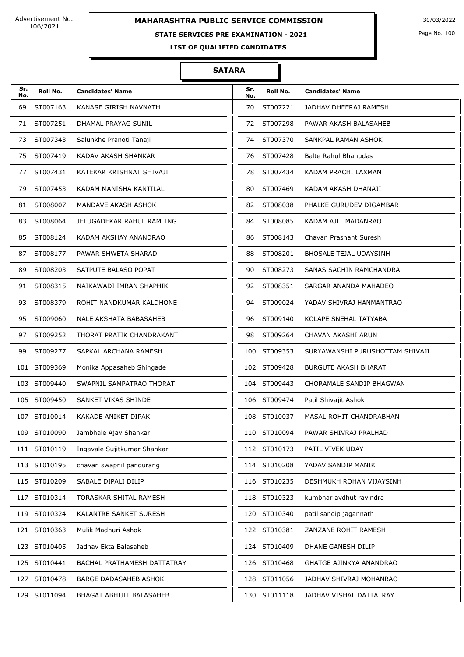# **MAHARASHTRA PUBLIC SERVICE COMMISSION** 30/03/2022

#### **STATE SERVICES PRE EXAMINATION - 2021**

Page No. 100

**LIST OF QUALIFIED CANDIDATES** 

| Sr.<br>No. | Roll No.     | <b>Candidates' Name</b>      | Sr.<br>No. | Roll No.     | <b>Candidates' Name</b>         |
|------------|--------------|------------------------------|------------|--------------|---------------------------------|
| 69         | ST007163     | KANASE GIRISH NAVNATH        | 70         | ST007221     | JADHAV DHEERAJ RAMESH           |
| 71         | ST007251     | DHAMAL PRAYAG SUNIL          | 72         | ST007298     | PAWAR AKASH BALASAHEB           |
| 73         | ST007343     | Salunkhe Pranoti Tanaji      | 74         | ST007370     | SANKPAL RAMAN ASHOK             |
| 75         | ST007419     | KADAV AKASH SHANKAR          | 76         | ST007428     | <b>Balte Rahul Bhanudas</b>     |
| 77         | ST007431     | KATEKAR KRISHNAT SHIVAJI     | 78         | ST007434     | KADAM PRACHI LAXMAN             |
| 79         | ST007453     | KADAM MANISHA KANTILAL       | 80         | ST007469     | KADAM AKASH DHANAJI             |
| 81         | ST008007     | MANDAVE AKASH ASHOK          | 82         | ST008038     | PHALKE GURUDEV DIGAMBAR         |
| 83         | ST008064     | JELUGADEKAR RAHUL RAMLING    | 84         | ST008085     | KADAM AJIT MADANRAO             |
| 85         | ST008124     | KADAM AKSHAY ANANDRAO        | 86         | ST008143     | Chavan Prashant Suresh          |
| 87         | ST008177     | PAWAR SHWETA SHARAD          | 88         | ST008201     | BHOSALE TEJAL UDAYSINH          |
| 89         | ST008203     | SATPUTE BALASO POPAT         | 90         | ST008273     | SANAS SACHIN RAMCHANDRA         |
| 91         | ST008315     | NAIKAWADI IMRAN SHAPHIK      | 92         | ST008351     | SARGAR ANANDA MAHADEO           |
| 93         | ST008379     | ROHIT NANDKUMAR KALDHONE     | 94         | ST009024     | YADAV SHIVRAJ HANMANTRAO        |
| 95         | ST009060     | NALE AKSHATA BABASAHEB       | 96         | ST009140     | KOLAPE SNEHAL TATYABA           |
| 97         | ST009252     | THORAT PRATIK CHANDRAKANT    | 98         | ST009264     | CHAVAN AKASHI ARUN              |
| 99         | ST009277     | SAPKAL ARCHANA RAMESH        | 100        | ST009353     | SURYAWANSHI PURUSHOTTAM SHIVAJI |
|            | 101 ST009369 | Monika Appasaheb Shingade    |            | 102 ST009428 | <b>BURGUTE AKASH BHARAT</b>     |
|            | 103 ST009440 | SWAPNIL SAMPATRAO THORAT     |            | 104 ST009443 | CHORAMALE SANDIP BHAGWAN        |
|            | 105 ST009450 | SANKET VIKAS SHINDE          |            | 106 ST009474 | Patil Shivajit Ashok            |
|            | 107 ST010014 | KAKADE ANIKET DIPAK          | 108        | ST010037     | MASAL ROHIT CHANDRABHAN         |
|            | 109 ST010090 | Jambhale Ajay Shankar        |            | 110 ST010094 | PAWAR SHIVRAJ PRALHAD           |
|            | 111 ST010119 | Ingavale Sujitkumar Shankar  |            | 112 ST010173 | PATIL VIVEK UDAY                |
|            | 113 ST010195 | chavan swapnil pandurang     |            | 114 ST010208 | YADAV SANDIP MANIK              |
|            | 115 ST010209 | SABALE DIPALI DILIP          |            | 116 ST010235 | DESHMUKH ROHAN VIJAYSINH        |
|            | 117 ST010314 | TORASKAR SHITAL RAMESH       |            | 118 ST010323 | kumbhar avdhut ravindra         |
|            | 119 ST010324 | KALANTRE SANKET SURESH       |            | 120 ST010340 | patil sandip jagannath          |
|            | 121 ST010363 | Mulik Madhuri Ashok          |            | 122 ST010381 | ZANZANE ROHIT RAMESH            |
|            | 123 ST010405 | Jadhav Ekta Balasaheb        |            | 124 ST010409 | DHANE GANESH DILIP              |
|            | 125 ST010441 | BACHAL PRATHAMESH DATTATRAY  |            | 126 ST010468 | <b>GHATGE AJINKYA ANANDRAO</b>  |
|            | 127 ST010478 | <b>BARGE DADASAHEB ASHOK</b> |            | 128 ST011056 | JADHAV SHIVRAJ MOHANRAO         |
|            | 129 ST011094 | BHAGAT ABHIJIT BALASAHEB     |            | 130 ST011118 | JADHAV VISHAL DATTATRAY         |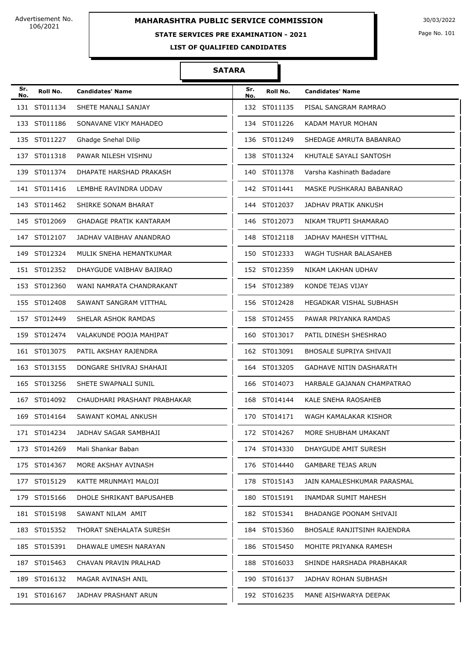# **MAHARASHTRA PUBLIC SERVICE COMMISSION** 30/03/2022

#### **STATE SERVICES PRE EXAMINATION - 2021**

Page No. 101

**LIST OF QUALIFIED CANDIDATES** 

| Sr.<br>No. | Roll No.     | <b>Candidates' Name</b>        | Sr.<br>No. | Roll No.     | <b>Candidates' Name</b>        |
|------------|--------------|--------------------------------|------------|--------------|--------------------------------|
|            | 131 ST011134 | SHETE MANALI SANJAY            |            | 132 ST011135 | PISAL SANGRAM RAMRAO           |
|            | 133 ST011186 | SONAVANE VIKY MAHADEO          |            | 134 ST011226 | KADAM MAYUR MOHAN              |
|            | 135 ST011227 | Ghadge Snehal Dilip            |            | 136 ST011249 | SHEDAGE AMRUTA BABANRAO        |
|            | 137 ST011318 | PAWAR NILESH VISHNU            |            | 138 ST011324 | KHUTALE SAYALI SANTOSH         |
|            | 139 ST011374 | DHAPATE HARSHAD PRAKASH        |            | 140 ST011378 | Varsha Kashinath Badadare      |
|            | 141 ST011416 | LEMBHE RAVINDRA UDDAV          |            | 142 ST011441 | MASKE PUSHKARAJ BABANRAO       |
|            | 143 ST011462 | SHIRKE SONAM BHARAT            |            | 144 ST012037 | JADHAV PRATIK ANKUSH           |
|            | 145 ST012069 | <b>GHADAGE PRATIK KANTARAM</b> |            | 146 ST012073 | NIKAM TRUPTI SHAMARAO          |
|            | 147 ST012107 | JADHAV VAIBHAV ANANDRAO        |            | 148 ST012118 | JADHAV MAHESH VITTHAL          |
|            | 149 ST012324 | MULIK SNEHA HEMANTKUMAR        |            | 150 ST012333 | WAGH TUSHAR BALASAHEB          |
|            | 151 ST012352 | DHAYGUDE VAIBHAV BAJIRAO       |            | 152 ST012359 | NIKAM LAKHAN UDHAV             |
|            | 153 ST012360 | WANI NAMRATA CHANDRAKANT       |            | 154 ST012389 | KONDE TEJAS VIJAY              |
|            | 155 ST012408 | SAWANT SANGRAM VITTHAL         |            | 156 ST012428 | HEGADKAR VISHAL SUBHASH        |
|            | 157 ST012449 | SHELAR ASHOK RAMDAS            |            | 158 ST012455 | PAWAR PRIYANKA RAMDAS          |
|            | 159 ST012474 | VALAKUNDE POOJA MAHIPAT        |            | 160 ST013017 | PATIL DINESH SHESHRAO          |
|            | 161 ST013075 | PATIL AKSHAY RAJENDRA          |            | 162 ST013091 | BHOSALE SUPRIYA SHIVAJI        |
|            | 163 ST013155 | DONGARE SHIVRAJ SHAHAJI        |            | 164 ST013205 | <b>GADHAVE NITIN DASHARATH</b> |
|            | 165 ST013256 | SHETE SWAPNALI SUNIL           |            | 166 ST014073 | HARBALE GAJANAN CHAMPATRAO     |
|            | 167 ST014092 | CHAUDHARI PRASHANT PRABHAKAR   |            | 168 ST014144 | KALE SNEHA RAOSAHEB            |
|            | 169 ST014164 | SAWANT KOMAL ANKUSH            |            | 170 ST014171 | WAGH KAMALAKAR KISHOR          |
|            | 171 ST014234 | JADHAV SAGAR SAMBHAJI          |            | 172 ST014267 | MORE SHUBHAM UMAKANT           |
|            | 173 ST014269 | Mali Shankar Baban             |            | 174 ST014330 | DHAYGUDE AMIT SURESH           |
|            | 175 ST014367 | MORE AKSHAY AVINASH            |            | 176 ST014440 | <b>GAMBARE TEJAS ARUN</b>      |
|            | 177 ST015129 | KATTE MRUNMAYI MALOJI          |            | 178 ST015143 | JAIN KAMALESHKUMAR PARASMAL    |
|            | 179 ST015166 | DHOLE SHRIKANT BAPUSAHEB       |            | 180 ST015191 | INAMDAR SUMIT MAHESH           |
|            | 181 ST015198 | SAWANT NILAM AMIT              |            | 182 ST015341 | BHADANGE POONAM SHIVAJI        |
|            | 183 ST015352 | THORAT SNEHALATA SURESH        |            | 184 ST015360 | BHOSALE RANJITSINH RAJENDRA    |
|            | 185 ST015391 | DHAWALE UMESH NARAYAN          |            | 186 ST015450 | MOHITE PRIYANKA RAMESH         |
|            | 187 ST015463 | CHAVAN PRAVIN PRALHAD          |            | 188 ST016033 | SHINDE HARSHADA PRABHAKAR      |
|            | 189 ST016132 | MAGAR AVINASH ANIL             |            | 190 ST016137 | JADHAV ROHAN SUBHASH           |
|            | 191 ST016167 | JADHAV PRASHANT ARUN           |            | 192 ST016235 | MANE AISHWARYA DEEPAK          |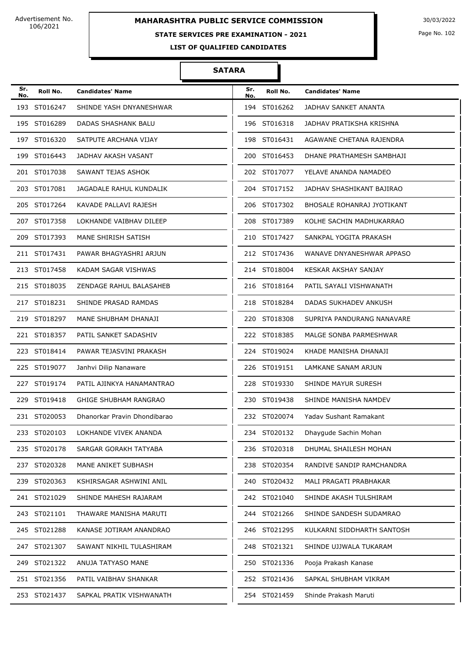#### **STATE SERVICES PRE EXAMINATION - 2021**

Page No. 102

**LIST OF QUALIFIED CANDIDATES** 

| Sr.<br>No. | Roll No.     | <b>Candidates' Name</b>      | Sr.<br>No. | Roll No.     | <b>Candidates' Name</b>     |
|------------|--------------|------------------------------|------------|--------------|-----------------------------|
|            | 193 ST016247 | SHINDE YASH DNYANESHWAR      | 194        | ST016262     | JADHAV SANKET ANANTA        |
|            | 195 ST016289 | DADAS SHASHANK BALU          |            | 196 ST016318 | JADHAV PRATIKSHA KRISHNA    |
|            | 197 ST016320 | SATPUTE ARCHANA VIJAY        |            | 198 ST016431 | AGAWANE CHETANA RAJENDRA    |
|            | 199 ST016443 | JADHAV AKASH VASANT          |            | 200 ST016453 | DHANE PRATHAMESH SAMBHAJI   |
|            | 201 ST017038 | SAWANT TEJAS ASHOK           |            | 202 ST017077 | YELAVE ANANDA NAMADEO       |
|            | 203 ST017081 | JAGADALE RAHUL KUNDALIK      |            | 204 ST017152 | JADHAV SHASHIKANT BAJIRAO   |
|            | 205 ST017264 | KAVADE PALLAVI RAJESH        |            | 206 ST017302 | BHOSALE ROHANRAJ JYOTIKANT  |
|            | 207 ST017358 | LOKHANDE VAIBHAV DILEEP      |            | 208 ST017389 | KOLHE SACHIN MADHUKARRAO    |
|            | 209 ST017393 | MANE SHIRISH SATISH          |            | 210 ST017427 | SANKPAL YOGITA PRAKASH      |
|            | 211 ST017431 | PAWAR BHAGYASHRI ARJUN       |            | 212 ST017436 | WANAVE DNYANESHWAR APPASO   |
|            | 213 ST017458 | KADAM SAGAR VISHWAS          |            | 214 ST018004 | <b>KESKAR AKSHAY SANJAY</b> |
|            | 215 ST018035 | ZENDAGE RAHUL BALASAHEB      |            | 216 ST018164 | PATIL SAYALI VISHWANATH     |
|            | 217 ST018231 | SHINDE PRASAD RAMDAS         |            | 218 ST018284 | DADAS SUKHADEV ANKUSH       |
|            | 219 ST018297 | MANE SHUBHAM DHANAJI         |            | 220 ST018308 | SUPRIYA PANDURANG NANAVARE  |
|            | 221 ST018357 | PATIL SANKET SADASHIV        |            | 222 ST018385 | MALGE SONBA PARMESHWAR      |
|            | 223 ST018414 | PAWAR TEJASVINI PRAKASH      |            | 224 ST019024 | KHADE MANISHA DHANAJI       |
|            | 225 ST019077 | Janhvi Dilip Nanaware        |            | 226 ST019151 | LAMKANE SANAM ARJUN         |
|            | 227 ST019174 | PATIL AJINKYA HANAMANTRAO    |            | 228 ST019330 | SHINDE MAYUR SURESH         |
|            | 229 ST019418 | <b>GHIGE SHUBHAM RANGRAO</b> |            | 230 ST019438 | SHINDE MANISHA NAMDEV       |
|            | 231 ST020053 | Dhanorkar Pravin Dhondibarao |            | 232 ST020074 | Yadav Sushant Ramakant      |
|            | 233 ST020103 | LOKHANDE VIVEK ANANDA        |            | 234 ST020132 | Dhaygude Sachin Mohan       |
|            | 235 ST020178 | SARGAR GORAKH TATYABA        |            | 236 ST020318 | DHUMAL SHAILESH MOHAN       |
|            | 237 ST020328 | MANE ANIKET SUBHASH          |            | 238 ST020354 | RANDIVE SANDIP RAMCHANDRA   |
|            | 239 ST020363 | KSHIRSAGAR ASHWINI ANIL      |            | 240 ST020432 | MALI PRAGATI PRABHAKAR      |
|            | 241 ST021029 | SHINDE MAHESH RAJARAM        |            | 242 ST021040 | SHINDE AKASH TULSHIRAM      |
|            | 243 ST021101 | THAWARE MANISHA MARUTI       |            | 244 ST021266 | SHINDE SANDESH SUDAMRAO     |
|            | 245 ST021288 | KANASE JOTIRAM ANANDRAO      |            | 246 ST021295 | KULKARNI SIDDHARTH SANTOSH  |
|            | 247 ST021307 | SAWANT NIKHIL TULASHIRAM     |            | 248 ST021321 | SHINDE UJJWALA TUKARAM      |
|            | 249 ST021322 | ANUJA TATYASO MANE           |            | 250 ST021336 | Pooja Prakash Kanase        |
|            | 251 ST021356 | PATIL VAIBHAV SHANKAR        |            | 252 ST021436 | SAPKAL SHUBHAM VIKRAM       |
|            | 253 ST021437 | SAPKAL PRATIK VISHWANATH     |            | 254 ST021459 | Shinde Prakash Maruti       |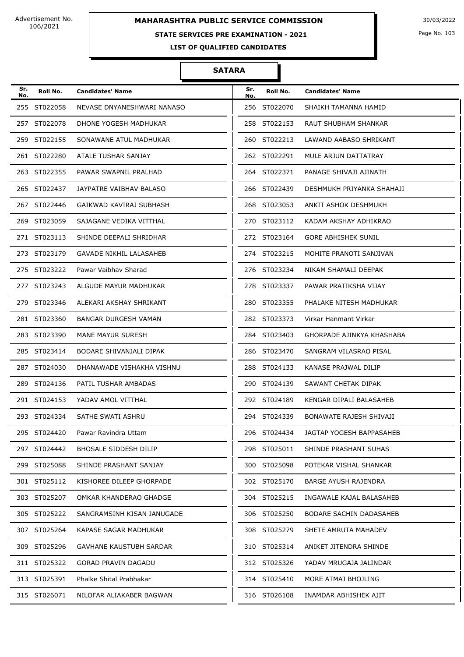#### **STATE SERVICES PRE EXAMINATION - 2021**

Page No. 103

**LIST OF QUALIFIED CANDIDATES** 

| Sr.<br>No. | Roll No.     | <b>Candidates' Name</b>        | Sr.<br>No. | Roll No.     | <b>Candidates' Name</b>    |
|------------|--------------|--------------------------------|------------|--------------|----------------------------|
|            | 255 ST022058 | NEVASE DNYANESHWARI NANASO     |            | 256 ST022070 | SHAIKH TAMANNA HAMID       |
|            | 257 ST022078 | DHONE YOGESH MADHUKAR          |            | 258 ST022153 | RAUT SHUBHAM SHANKAR       |
|            | 259 ST022155 | SONAWANE ATUL MADHUKAR         |            | 260 ST022213 | LAWAND AABASO SHRIKANT     |
|            | 261 ST022280 | ATALE TUSHAR SANJAY            |            | 262 ST022291 | MULE ARJUN DATTATRAY       |
|            | 263 ST022355 | PAWAR SWAPNIL PRALHAD          |            | 264 ST022371 | PANAGE SHIVAJI AJINATH     |
|            | 265 ST022437 | JAYPATRE VAIBHAV BALASO        |            | 266 ST022439 | DESHMUKH PRIYANKA SHAHAJI  |
|            | 267 ST022446 | GAIKWAD KAVIRAJ SUBHASH        |            | 268 ST023053 | ANKIT ASHOK DESHMUKH       |
|            | 269 ST023059 | SAJAGANE VEDIKA VITTHAL        |            | 270 ST023112 | KADAM AKSHAY ADHIKRAO      |
|            | 271 ST023113 | SHINDE DEEPALI SHRIDHAR        |            | 272 ST023164 | <b>GORE ABHISHEK SUNIL</b> |
|            | 273 ST023179 | GAVADE NIKHIL LALASAHEB        |            | 274 ST023215 | MOHITE PRANOTI SANJIVAN    |
|            | 275 ST023222 | Pawar Vaibhay Sharad           |            | 276 ST023234 | NIKAM SHAMALI DEEPAK       |
|            | 277 ST023243 | ALGUDE MAYUR MADHUKAR          |            | 278 ST023337 | PAWAR PRATIKSHA VIJAY      |
|            | 279 ST023346 | ALEKARI AKSHAY SHRIKANT        |            | 280 ST023355 | PHALAKE NITESH MADHUKAR    |
|            | 281 ST023360 | BANGAR DURGESH VAMAN           |            | 282 ST023373 | Virkar Hanmant Virkar      |
|            | 283 ST023390 | MANE MAYUR SURESH              |            | 284 ST023403 | GHORPADE AJINKYA KHASHABA  |
|            | 285 ST023414 | BODARE SHIVANJALI DIPAK        |            | 286 ST023470 | SANGRAM VILASRAO PISAL     |
|            | 287 ST024030 | DHANAWADE VISHAKHA VISHNU      |            | 288 ST024133 | KANASE PRAJWAL DILIP       |
|            | 289 ST024136 | PATIL TUSHAR AMBADAS           |            | 290 ST024139 | SAWANT CHETAK DIPAK        |
|            | 291 ST024153 | YADAV AMOL VITTHAL             |            | 292 ST024189 | KENGAR DIPALI BALASAHEB    |
|            | 293 ST024334 | SATHE SWATI ASHRU              |            | 294 ST024339 | BONAWATE RAJESH SHIVAJI    |
|            | 295 ST024420 | Pawar Ravindra Uttam           |            | 296 ST024434 | JAGTAP YOGESH BAPPASAHEB   |
|            | 297 ST024442 | BHOSALE SIDDESH DILIP          |            | 298 ST025011 | SHINDE PRASHANT SUHAS      |
|            | 299 ST025088 | SHINDE PRASHANT SANJAY         |            | 300 ST025098 | POTEKAR VISHAL SHANKAR     |
|            | 301 ST025112 | KISHOREE DILEEP GHORPADE       |            | 302 ST025170 | BARGE AYUSH RAJENDRA       |
|            | 303 ST025207 | OMKAR KHANDERAO GHADGE         |            | 304 ST025215 | INGAWALE KAJAL BALASAHEB   |
|            | 305 ST025222 | SANGRAMSINH KISAN JANUGADE     |            | 306 ST025250 | BODARE SACHIN DADASAHEB    |
|            | 307 ST025264 | KAPASE SAGAR MADHUKAR          |            | 308 ST025279 | SHETE AMRUTA MAHADEV       |
|            | 309 ST025296 | <b>GAVHANE KAUSTUBH SARDAR</b> |            | 310 ST025314 | ANIKET JITENDRA SHINDE     |
|            | 311 ST025322 | GORAD PRAVIN DAGADU            |            | 312 ST025326 | YADAV MRUGAJA JALINDAR     |
|            | 313 ST025391 | Phalke Shital Prabhakar        |            | 314 ST025410 | MORE ATMAJ BHOJLING        |
|            | 315 ST026071 | NILOFAR ALIAKABER BAGWAN       |            | 316 ST026108 | INAMDAR ABHISHEK AJIT      |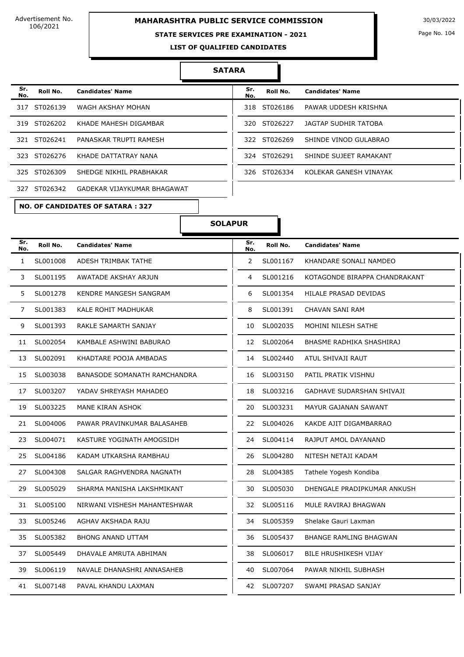# **MAHARASHTRA PUBLIC SERVICE COMMISSION** 30/03/2022

#### **STATE SERVICES PRE EXAMINATION - 2021**

Page No. 104

**LIST OF QUALIFIED CANDIDATES** 

#### **SATARA**

| Sr.<br>No. | Roll No.     | <b>Candidates' Name</b>     | Sr.<br>No. | Roll No.     | <b>Candidates' Name</b> |
|------------|--------------|-----------------------------|------------|--------------|-------------------------|
| 317        | ST026139     | WAGH AKSHAY MOHAN           |            | 318 ST026186 | PAWAR UDDESH KRISHNA    |
| 319        | ST026202     | KHADE MAHESH DIGAMBAR       | 320 L      | ST026227     | JAGTAP SUDHIR TATOBA    |
|            | 321 ST026241 | PANASKAR TRUPTI RAMESH      |            | 322 ST026269 | SHINDE VINOD GULABRAO   |
| 323        | ST026276     | KHADE DATTATRAY NANA        | 324        | ST026291     | SHINDE SUJEET RAMAKANT  |
|            | 325 ST026309 | SHEDGE NIKHIL PRABHAKAR     | 326        | ST026334     | KOLEKAR GANESH VINAYAK  |
| 327        | ST026342     | GADEKAR VIJAYKUMAR BHAGAWAT |            |              |                         |

| Sr.<br>No. | Roll No.     | <b>Candidates' Name</b> |
|------------|--------------|-------------------------|
|            | 318 ST026186 | PAWAR UDDESH KRISHNA    |
| 320.       | ST026227     | JAGTAP SUDHIR TATOBA    |
|            | 322 ST026269 | SHINDE VINOD GULABRAO   |
|            | 324 ST026291 | SHINDE SUJEET RAMAKANT  |
| 326.       | ST026334     | KOI FKAR GANFSH VINAYAK |

**NO. OF CANDIDATES OF SATARA : 327**

#### **SOLAPUR**

| Sr.<br>No.     | Roll No. | <b>Candidates' Name</b>             | Sr.<br>No.     | Roll No. | <b>Candidates' Name</b>       |
|----------------|----------|-------------------------------------|----------------|----------|-------------------------------|
| $\mathbf{1}$   | SL001008 | ADESH TRIMBAK TATHE                 | $\overline{2}$ | SL001167 | KHANDARE SONALI NAMDEO        |
| 3              | SL001195 | AWATADE AKSHAY ARJUN                | 4              | SL001216 | KOTAGONDE BIRAPPA CHANDRAKANT |
| 5              | SL001278 | KENDRE MANGESH SANGRAM              | 6              | SL001354 | HILALE PRASAD DEVIDAS         |
| $\overline{7}$ | SL001383 | KALE ROHIT MADHUKAR                 | 8              | SL001391 | CHAVAN SANI RAM               |
| 9              | SL001393 | RAKLE SAMARTH SANJAY                | 10             | SL002035 | MOHINI NILESH SATHE           |
| 11             | SL002054 | KAMBALE ASHWINI BABURAO             | 12             | SL002064 | BHASME RADHIKA SHASHIRAJ      |
| 13             | SL002091 | KHADTARE POOJA AMBADAS              | 14             | SL002440 | ATUL SHIVAJI RAUT             |
| 15             | SL003038 | <b>BANASODE SOMANATH RAMCHANDRA</b> | 16             | SL003150 | PATIL PRATIK VISHNU           |
| 17             | SL003207 | YADAV SHREYASH MAHADEO              | 18             | SL003216 | GADHAVE SUDARSHAN SHIVAJI     |
| 19             | SL003225 | MANE KIRAN ASHOK                    | 20             | SL003231 | MAYUR GAJANAN SAWANT          |
| 21             | SL004006 | PAWAR PRAVINKUMAR BALASAHEB         | 22             | SL004026 | KAKDE AJIT DIGAMBARRAO        |
| 23             | SL004071 | KASTURE YOGINATH AMOGSIDH           | 24             | SL004114 | RAJPUT AMOL DAYANAND          |
| 25             | SL004186 | KADAM UTKARSHA RAMBHAU              | 26             | SL004280 | NITESH NETAJI KADAM           |
| 27             | SL004308 | SALGAR RAGHVENDRA NAGNATH           | 28             | SL004385 | Tathele Yogesh Kondiba        |
| 29             | SL005029 | SHARMA MANISHA LAKSHMIKANT          | 30             | SL005030 | DHENGALE PRADIPKUMAR ANKUSH   |
| 31             | SL005100 | NIRWANI VISHESH MAHANTESHWAR        | 32             | SL005116 | MULE RAVIRAJ BHAGWAN          |
| 33             | SL005246 | AGHAV AKSHADA RAJU                  | 34             | SL005359 | Shelake Gauri Laxman          |
| 35             | SL005382 | <b>BHONG ANAND UTTAM</b>            | 36             | SL005437 | <b>BHANGE RAMLING BHAGWAN</b> |
| 37             | SL005449 | DHAVALE AMRUTA ABHIMAN              | 38             | SL006017 | <b>BILE HRUSHIKESH VIJAY</b>  |
| 39             | SL006119 | NAVALE DHANASHRI ANNASAHEB          | 40             | SL007064 | PAWAR NIKHIL SUBHASH          |
| 41             | SL007148 | PAVAL KHANDU LAXMAN                 | 42             | SL007207 | SWAMI PRASAD SANJAY           |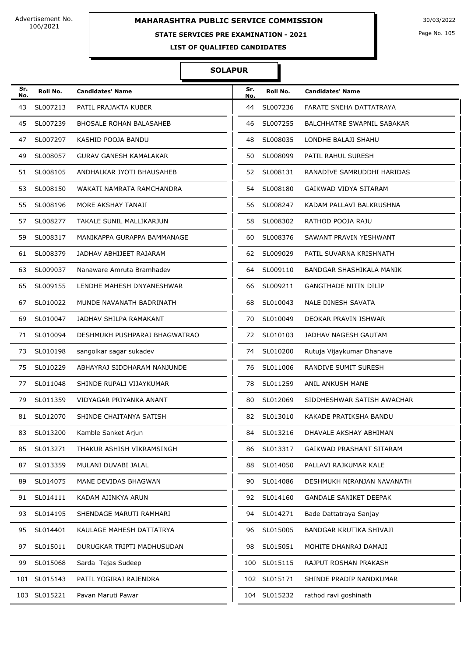#### **STATE SERVICES PRE EXAMINATION - 2021**

Page No. 105

**LIST OF QUALIFIED CANDIDATES** 

#### **SOLAPUR**

| Sr.<br>No. | Roll No.     | <b>Candidates' Name</b>        | Sr.<br>No. | Roll No.     | <b>Candidates' Name</b>           |
|------------|--------------|--------------------------------|------------|--------------|-----------------------------------|
| 43         | SL007213     | PATIL PRAJAKTA KUBER           | 44         | SL007236     | FARATE SNEHA DATTATRAYA           |
| 45         | SL007239     | <b>BHOSALE ROHAN BALASAHEB</b> | 46         | SL007255     | <b>BALCHHATRE SWAPNIL SABAKAR</b> |
| 47         | SL007297     | KASHID POOJA BANDU             | 48         | SL008035     | LONDHE BALAJI SHAHU               |
| 49         | SL008057     | <b>GURAV GANESH KAMALAKAR</b>  | 50         | SL008099     | PATIL RAHUL SURESH                |
| 51         | SL008105     | ANDHALKAR JYOTI BHAUSAHEB      | 52         | SL008131     | RANADIVE SAMRUDDHI HARIDAS        |
| 53         | SL008150     | WAKATI NAMRATA RAMCHANDRA      | 54         | SL008180     | GAIKWAD VIDYA SITARAM             |
| 55         | SL008196     | MORE AKSHAY TANAJI             | 56         | SL008247     | KADAM PALLAVI BALKRUSHNA          |
| 57         | SL008277     | TAKALE SUNIL MALLIKARJUN       | 58         | SL008302     | RATHOD POOJA RAJU                 |
| 59         | SL008317     | MANIKAPPA GURAPPA BAMMANAGE    | 60         | SL008376     | SAWANT PRAVIN YESHWANT            |
| 61         | SL008379     | JADHAV ABHIJEET RAJARAM        | 62         | SL009029     | PATIL SUVARNA KRISHNATH           |
| 63         | SL009037     | Nanaware Amruta Bramhadev      | 64         | SL009110     | BANDGAR SHASHIKALA MANIK          |
| 65         | SL009155     | LENDHE MAHESH DNYANESHWAR      | 66         | SL009211     | <b>GANGTHADE NITIN DILIP</b>      |
| 67         | SL010022     | MUNDE NAVANATH BADRINATH       | 68         | SL010043     | NALE DINESH SAVATA                |
| 69         | SL010047     | JADHAV SHILPA RAMAKANT         | 70         | SL010049     | DEOKAR PRAVIN ISHWAR              |
| 71         | SL010094     | DESHMUKH PUSHPARAJ BHAGWATRAO  | 72         | SL010103     | JADHAV NAGESH GAUTAM              |
| 73         | SL010198     | sangolkar sagar sukadev        | 74         | SL010200     | Rutuja Vijaykumar Dhanave         |
| 75         | SL010229     | ABHAYRAJ SIDDHARAM NANJUNDE    | 76         | SL011006     | RANDIVE SUMIT SURESH              |
| 77         | SL011048     | SHINDE RUPALI VIJAYKUMAR       | 78         | SL011259     | ANIL ANKUSH MANE                  |
| 79         | SL011359     | VIDYAGAR PRIYANKA ANANT        | 80         | SL012069     | SIDDHESHWAR SATISH AWACHAR        |
| 81         | SL012070     | SHINDE CHAITANYA SATISH        | 82         | SL013010     | KAKADE PRATIKSHA BANDU            |
| 83         | SL013200     | Kamble Sanket Arjun            | 84         | SL013216     | DHAVALE AKSHAY ABHIMAN            |
| 85         | SL013271     | THAKUR ASHISH VIKRAMSINGH      | 86         | SL013317     | GAIKWAD PRASHANT SITARAM          |
| 87         | SL013359     | MULANI DUVABI JALAL            | 88         | SL014050     | PALLAVI RAJKUMAR KALE             |
| 89         | SL014075     | MANE DEVIDAS BHAGWAN           | 90         | SL014086     | DESHMUKH NIRANJAN NAVANATH        |
| 91         | SL014111     | KADAM AJINKYA ARUN             | 92         | SL014160     | <b>GANDALE SANIKET DEEPAK</b>     |
| 93         | SL014195     | SHENDAGE MARUTI RAMHARI        | 94         | SL014271     | Bade Dattatraya Sanjay            |
| 95         | SL014401     | KAULAGE MAHESH DATTATRYA       | 96         | SL015005     | BANDGAR KRUTIKA SHIVAJI           |
| 97         | SL015011     | DURUGKAR TRIPTI MADHUSUDAN     | 98         | SL015051     | MOHITE DHANRAJ DAMAJI             |
| 99         | SL015068     | Sarda Tejas Sudeep             | 100        | SL015115     | RAJPUT ROSHAN PRAKASH             |
|            | 101 SL015143 | PATIL YOGIRAJ RAJENDRA         |            | 102 SL015171 | SHINDE PRADIP NANDKUMAR           |
|            | 103 SL015221 | Pavan Maruti Pawar             |            | 104 SL015232 | rathod ravi goshinath             |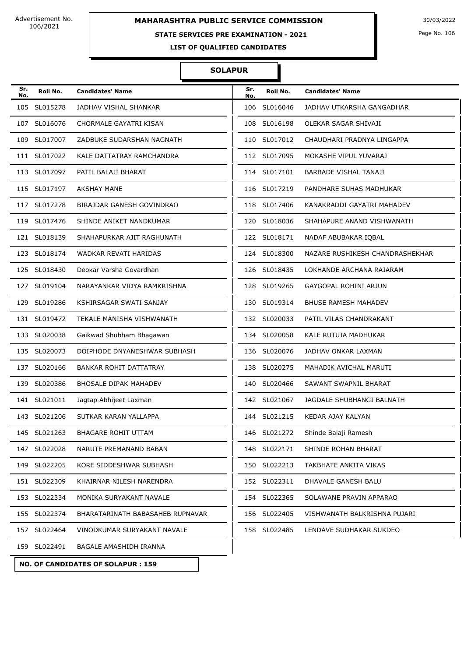# **MAHARASHTRA PUBLIC SERVICE COMMISSION** 30/03/2022

#### **STATE SERVICES PRE EXAMINATION - 2021**

Page No. 106

**LIST OF QUALIFIED CANDIDATES** 

#### **SOLAPUR**

| Sr.<br>No. | Roll No.     | <b>Candidates' Name</b>          | Sr.<br>No. | Roll No.     | <b>Candidates' Name</b>         |
|------------|--------------|----------------------------------|------------|--------------|---------------------------------|
| 105        | SL015278     | JADHAV VISHAL SHANKAR            | 106        | SL016046     | JADHAV UTKARSHA GANGADHAR       |
|            | 107 SL016076 | CHORMALE GAYATRI KISAN           | 108        | SL016198     | OLEKAR SAGAR SHIVAJI            |
|            | 109 SL017007 | ZADBUKE SUDARSHAN NAGNATH        | 110        | SL017012     | CHAUDHARI PRADNYA LINGAPPA      |
|            | 111 SL017022 | KALE DATTATRAY RAMCHANDRA        |            | 112 SL017095 | MOKASHE VIPUL YUVARAJ           |
|            | 113 SL017097 | PATIL BALAJI BHARAT              |            | 114 SL017101 | <b>BARBADE VISHAL TANAJI</b>    |
|            | 115 SL017197 | <b>AKSHAY MANE</b>               |            | 116 SL017219 | PANDHARE SUHAS MADHUKAR         |
| 117        | SL017278     | BIRAJDAR GANESH GOVINDRAO        | 118        | SL017406     | KANAKRADDI GAYATRI MAHADEV      |
|            | 119 SL017476 | SHINDE ANIKET NANDKUMAR          |            | 120 SL018036 | SHAHAPURE ANAND VISHWANATH      |
|            | 121 SL018139 | SHAHAPURKAR AJIT RAGHUNATH       |            | 122 SL018171 | NADAF ABUBAKAR IQBAL            |
|            | 123 SL018174 | WADKAR REVATI HARIDAS            |            | 124 SL018300 | NAZARE RUSHIKESH CHANDRASHEKHAR |
|            | 125 SL018430 | Deokar Varsha Govardhan          |            | 126 SL018435 | LOKHANDE ARCHANA RAJARAM        |
|            | 127 SL019104 | NARAYANKAR VIDYA RAMKRISHNA      | 128        | SL019265     | GAYGOPAL ROHINI ARJUN           |
|            | 129 SL019286 | KSHIRSAGAR SWATI SANJAY          |            | 130 SL019314 | <b>BHUSE RAMESH MAHADEV</b>     |
|            | 131 SL019472 | TEKALE MANISHA VISHWANATH        |            | 132 SL020033 | PATIL VILAS CHANDRAKANT         |
|            | 133 SL020038 | Gaikwad Shubham Bhagawan         | 134        | SL020058     | KALE RUTUJA MADHUKAR            |
|            | 135 SL020073 | DOIPHODE DNYANESHWAR SUBHASH     |            | 136 SL020076 | JADHAV ONKAR LAXMAN             |
|            | 137 SL020166 | BANKAR ROHIT DATTATRAY           | 138        | SL020275     | MAHADIK AVICHAL MARUTI          |
|            | 139 SL020386 | <b>BHOSALE DIPAK MAHADEV</b>     | 140        | SL020466     | SAWANT SWAPNIL BHARAT           |
|            | 141 SL021011 | Jagtap Abhijeet Laxman           |            | 142 SL021067 | JAGDALE SHUBHANGI BALNATH       |
|            | 143 SL021206 | SUTKAR KARAN YALLAPPA            |            | 144 SL021215 | KEDAR AJAY KALYAN               |
|            | 145 SL021263 | <b>BHAGARE ROHIT UTTAM</b>       |            | 146 SL021272 | Shinde Balaji Ramesh            |
|            | 147 SL022028 | NARUTE PREMANAND BABAN           |            | 148 SL022171 | SHINDE ROHAN BHARAT             |
|            | 149 SL022205 | KORE SIDDESHWAR SUBHASH          |            | 150 SL022213 | TAKBHATE ANKITA VIKAS           |
|            | 151 SL022309 | KHAIRNAR NILESH NARENDRA         |            | 152 SL022311 | DHAVALE GANESH BALU             |
|            | 153 SL022334 | MONIKA SURYAKANT NAVALE          |            | 154 SL022365 | SOLAWANE PRAVIN APPARAO         |
|            | 155 SL022374 | BHARATARINATH BABASAHEB RUPNAVAR |            | 156 SL022405 | VISHWANATH BALKRISHNA PUJARI    |
|            | 157 SL022464 | VINODKUMAR SURYAKANT NAVALE      |            | 158 SL022485 | LENDAVE SUDHAKAR SUKDEO         |
|            | 159 SL022491 | BAGALE AMASHIDH IRANNA           |            |              |                                 |

**NO. OF CANDIDATES OF SOLAPUR : 159**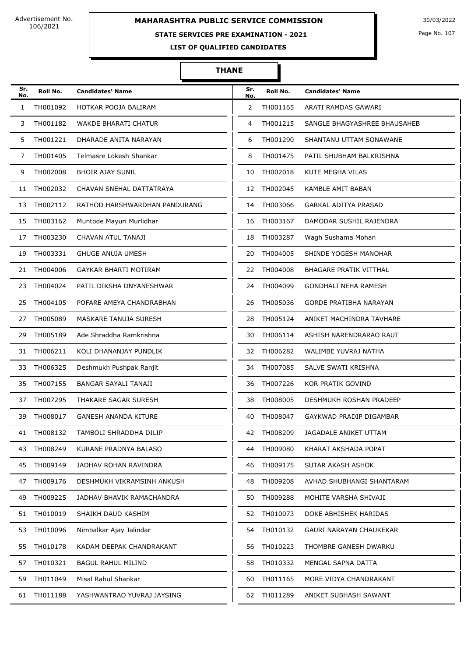# **MAHARASHTRA PUBLIC SERVICE COMMISSION** 30/03/2022

#### **STATE SERVICES PRE EXAMINATION - 2021**

Page No. 107

**LIST OF QUALIFIED CANDIDATES** 

#### **THANE**

| Sr.<br>No. | Roll No.    | <b>Candidates' Name</b>       | Sr.<br>No. | Roll No.    | <b>Candidates' Name</b>       |
|------------|-------------|-------------------------------|------------|-------------|-------------------------------|
| 1          | TH001092    | HOTKAR POOJA BALIRAM          | 2          | TH001165    | ARATI RAMDAS GAWARI           |
| 3          | TH001182    | WAKDE BHARATI CHATUR          | 4          | TH001215    | SANGLE BHAGYASHREE BHAUSAHEB  |
| 5          | TH001221    | DHARADE ANITA NARAYAN         | 6          | TH001290    | SHANTANU UTTAM SONAWANE       |
| 7          | TH001405    | Telmasre Lokesh Shankar       | 8          | TH001475    | PATIL SHUBHAM BALKRISHNA      |
| 9          | TH002008    | <b>BHOIR AJAY SUNIL</b>       | 10         | TH002018    | KUTE MEGHA VILAS              |
| 11         | TH002032    | CHAVAN SNEHAL DATTATRAYA      |            | 12 TH002045 | KAMBLE AMIT BABAN             |
| 13         | TH002112    | RATHOD HARSHWARDHAN PANDURANG | 14         | TH003066    | GARKAL ADITYA PRASAD          |
| 15         | TH003162    | Muntode Mayuri Murlidhar      | 16         | TH003167    | DAMODAR SUSHIL RAJENDRA       |
| 17         | TH003230    | CHAVAN ATUL TANAJI            | 18         | TH003287    | Wagh Sushama Mohan            |
| 19         | TH003331    | <b>GHUGE ANUJA UMESH</b>      | 20         | TH004005    | SHINDE YOGESH MANOHAR         |
| 21         | TH004006    | GAYKAR BHARTI MOTIRAM         | 22         | TH004008    | <b>BHAGARE PRATIK VITTHAL</b> |
| 23         | TH004024    | PATIL DIKSHA DNYANESHWAR      | 24         | TH004099    | GONDHALI NEHA RAMESH          |
| 25         | TH004105    | POFARE AMEYA CHANDRABHAN      | 26         | TH005036    | GORDE PRATIBHA NARAYAN        |
| 27         | TH005089    | MASKARE TANUJA SURESH         | 28         | TH005124    | ANIKET MACHINDRA TAVHARE      |
| 29         | TH005189    | Ade Shraddha Ramkrishna       | 30         | TH006114    | ASHISH NARENDRARAO RAUT       |
| 31         | TH006211    | KOLI DHANANJAY PUNDLIK        | 32         | TH006282    | WALIMBE YUVRAJ NATHA          |
| 33         | TH006325    | Deshmukh Pushpak Ranjit       | 34         | TH007085    | SALVE SWATI KRISHNA           |
| 35         | TH007155    | BANGAR SAYALI TANAJI          | 36         | TH007226    | KOR PRATIK GOVIND             |
| 37         | TH007295    | THAKARE SAGAR SURESH          | 38         | TH008005    | DESHMUKH ROSHAN PRADEEP       |
| 39         | TH008017    | <b>GANESH ANANDA KITURE</b>   | 40         | TH008047    | GAYKWAD PRADIP DIGAMBAR       |
| 41         | TH008132    | TAMBOLI SHRADDHA DILIP        | 42         | TH008209    | JAGADALE ANIKET UTTAM         |
| 43         | TH008249    | KURANE PRADNYA BALASO         | 44         | TH009080    | KHARAT AKSHADA POPAT          |
|            | 45 TH009149 | JADHAV ROHAN RAVINDRA         | 46         | TH009175    | SUTAR AKASH ASHOK             |
| 47         | TH009176    | DESHMUKH VIKRAMSINH ANKUSH    | 48         | TH009208    | AVHAD SHUBHANGI SHANTARAM     |
| 49         | TH009225    | JADHAV BHAVIK RAMACHANDRA     | 50         | TH009288    | MOHITE VARSHA SHIVAJI         |
| 51         | TH010019    | SHAIKH DAUD KASHIM            | 52         | TH010073    | DOKE ABHISHEK HARIDAS         |
| 53         | TH010096    | Nimbalkar Ajay Jalindar       | 54         | TH010132    | GAURI NARAYAN CHAUKEKAR       |
| 55         | TH010178    | KADAM DEEPAK CHANDRAKANT      | 56         | TH010223    | THOMBRE GANESH DWARKU         |
|            | 57 TH010321 | <b>BAGUL RAHUL MILIND</b>     | 58         | TH010332    | MENGAL SAPNA DATTA            |
| 59         | TH011049    | Misal Rahul Shankar           | 60         | TH011165    | MORE VIDYA CHANDRAKANT        |
| 61         | TH011188    | YASHWANTRAO YUVRAJ JAYSING    | 62         | TH011289    | ANIKET SUBHASH SAWANT         |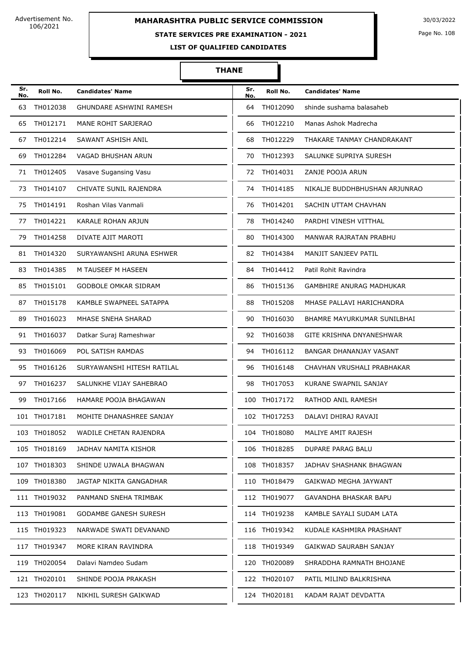# **MAHARASHTRA PUBLIC SERVICE COMMISSION** 30/03/2022

#### **STATE SERVICES PRE EXAMINATION - 2021**

Page No. 108

**LIST OF QUALIFIED CANDIDATES** 

#### **THANE**

| Sr.<br>No. | Roll No.     | <b>Candidates' Name</b>      | Sr.<br>No. | Roll No.     | <b>Candidates' Name</b>         |
|------------|--------------|------------------------------|------------|--------------|---------------------------------|
| 63         | TH012038     | GHUNDARE ASHWINI RAMESH      | 64         | TH012090     | shinde sushama balasaheb        |
| 65         | TH012171     | MANE ROHIT SARJERAO          | 66         | TH012210     | Manas Ashok Madrecha            |
| 67         | TH012214     | SAWANT ASHISH ANIL           | 68         | TH012229     | THAKARE TANMAY CHANDRAKANT      |
| 69         | TH012284     | VAGAD BHUSHAN ARUN           | 70         | TH012393     | SALUNKE SUPRIYA SURESH          |
| 71         | TH012405     | Vasave Sugansing Vasu        | 72         | TH014031     | ZANJE POOJA ARUN                |
| 73         | TH014107     | CHIVATE SUNIL RAJENDRA       |            | 74 TH014185  | NIKALJE BUDDHBHUSHAN ARJUNRAO   |
| 75         | TH014191     | Roshan Vilas Vanmali         | 76         | TH014201     | SACHIN UTTAM CHAVHAN            |
| 77         | TH014221     | KARALE ROHAN ARJUN           | 78         | TH014240     | PARDHI VINESH VITTHAL           |
| 79         | TH014258     | DIVATE AJIT MAROTI           | 80         | TH014300     | MANWAR RAJRATAN PRABHU          |
| 81         | TH014320     | SURYAWANSHI ARUNA ESHWER     | 82         | TH014384     | MANJIT SANJEEV PATIL            |
| 83         | TH014385     | M TAUSEEF M HASEEN           | 84         | TH014412     | Patil Rohit Ravindra            |
| 85         | TH015101     | <b>GODBOLE OMKAR SIDRAM</b>  | 86         | TH015136     | <b>GAMBHIRE ANURAG MADHUKAR</b> |
| 87         | TH015178     | KAMBLE SWAPNEEL SATAPPA      | 88         | TH015208     | MHASE PALLAVI HARICHANDRA       |
| 89         | TH016023     | MHASE SNEHA SHARAD           | 90         | TH016030     | BHAMRE MAYURKUMAR SUNILBHAI     |
| 91         | TH016037     | Datkar Suraj Rameshwar       | 92         | TH016038     | GITE KRISHNA DNYANESHWAR        |
| 93         | TH016069     | POL SATISH RAMDAS            | 94         | TH016112     | BANGAR DHANANJAY VASANT         |
| 95         | TH016126     | SURYAWANSHI HITESH RATILAL   | 96         | TH016148     | CHAVHAN VRUSHALI PRABHAKAR      |
| 97         | TH016237     | SALUNKHE VIJAY SAHEBRAO      | 98         | TH017053     | KURANE SWAPNIL SANJAY           |
| 99         | TH017166     | HAMARE POOJA BHAGAWAN        | 100        | TH017172     | RATHOD ANIL RAMESH              |
|            | 101 TH017181 | MOHITE DHANASHREE SANJAY     |            | 102 TH017253 | DALAVI DHIRAJ RAVAJI            |
|            | 103 TH018052 | WADILE CHETAN RAJENDRA       |            | 104 TH018080 | MALIYE AMIT RAJESH              |
|            | 105 TH018169 | JADHAV NAMITA KISHOR         |            | 106 TH018285 | DUPARE PARAG BALU               |
|            | 107 TH018303 | SHINDE UJWALA BHAGWAN        |            | 108 TH018357 | JADHAV SHASHANK BHAGWAN         |
|            | 109 TH018380 | JAGTAP NIKITA GANGADHAR      |            | 110 TH018479 | GAIKWAD MEGHA JAYWANT           |
|            | 111 TH019032 | PANMAND SNEHA TRIMBAK        |            | 112 TH019077 | GAVANDHA BHASKAR BAPU           |
|            | 113 TH019081 | <b>GODAMBE GANESH SURESH</b> |            | 114 TH019238 | KAMBLE SAYALI SUDAM LATA        |
|            | 115 TH019323 | NARWADE SWATI DEVANAND       |            | 116 TH019342 | KUDALE KASHMIRA PRASHANT        |
|            | 117 TH019347 | MORE KIRAN RAVINDRA          |            | 118 TH019349 | GAIKWAD SAURABH SANJAY          |
|            | 119 TH020054 | Dalavi Namdeo Sudam          |            | 120 TH020089 | SHRADDHA RAMNATH BHOJANE        |
|            | 121 TH020101 | SHINDE POOJA PRAKASH         |            | 122 TH020107 | PATIL MILIND BALKRISHNA         |
|            | 123 TH020117 | NIKHIL SURESH GAIKWAD        |            | 124 TH020181 | KADAM RAJAT DEVDATTA            |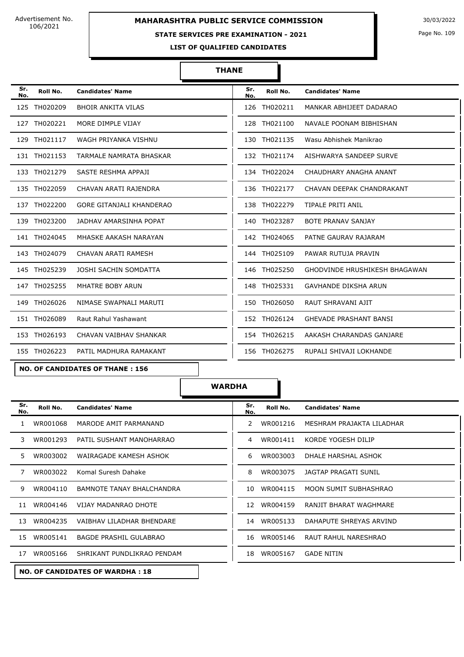Advertisement No. 106/2021

# **MAHARASHTRA PUBLIC SERVICE COMMISSION** 30/03/2022

### **STATE SERVICES PRE EXAMINATION - 2021**

Page No. 109

**LIST OF QUALIFIED CANDIDATES** 

#### **THANE**

| Sr.<br>No. | Roll No.     | <b>Candidates' Name</b>         | Sr.<br>No. | Roll No.     | <b>Candidates' Name</b>              |
|------------|--------------|---------------------------------|------------|--------------|--------------------------------------|
|            | 125 TH020209 | <b>BHOIR ANKITA VILAS</b>       |            | 126 TH020211 | MANKAR ABHIJEET DADARAO              |
|            | 127 TH020221 | MORE DIMPLE VIJAY               |            | 128 TH021100 | NAVALE POONAM BIBHISHAN              |
|            | 129 TH021117 | WAGH PRIYANKA VISHNU            |            | 130 TH021135 | Wasu Abhishek Manikrao               |
|            | 131 TH021153 | TARMALE NAMRATA BHASKAR         |            | 132 TH021174 | AISHWARYA SANDEEP SURVE              |
|            | 133 TH021279 | SASTE RESHMA APPAJI             |            | 134 TH022024 | CHAUDHARY ANAGHA ANANT               |
|            | 135 TH022059 | CHAVAN ARATI RAJENDRA           |            | 136 TH022177 | CHAVAN DEEPAK CHANDRAKANT            |
|            | 137 TH022200 | <b>GORE GITANJALI KHANDERAO</b> |            | 138 TH022279 | <b>TIPALE PRITI ANIL</b>             |
|            | 139 TH023200 | JADHAV AMARSINHA POPAT          |            | 140 TH023287 | <b>BOTE PRANAV SANJAY</b>            |
|            | 141 TH024045 | MHASKE AAKASH NARAYAN           |            | 142 TH024065 | PATNE GAURAV RAJARAM                 |
|            | 143 TH024079 | CHAVAN ARATI RAMESH             |            | 144 TH025109 | PAWAR RUTUJA PRAVIN                  |
|            | 145 TH025239 | JOSHI SACHIN SOMDATTA           |            | 146 TH025250 | <b>GHODVINDE HRUSHIKESH BHAGAWAN</b> |
|            | 147 TH025255 | MHATRE BOBY ARUN                |            | 148 TH025331 | <b>GAVHANDE DIKSHA ARUN</b>          |
|            | 149 TH026026 | NIMASE SWAPNALI MARUTI          |            | 150 TH026050 | RAUT SHRAVANI AJIT                   |
|            | 151 TH026089 | Raut Rahul Yashawant            |            | 152 TH026124 | <b>GHEVADE PRASHANT BANSI</b>        |
|            | 153 TH026193 | CHAVAN VAIBHAV SHANKAR          |            | 154 TH026215 | AAKASH CHARANDAS GANJARE             |
|            | 155 TH026223 | PATIL MADHURA RAMAKANT          |            | 156 TH026275 | RUPALI SHIVAJI LOKHANDE              |

**NO. OF CANDIDATES OF THANE : 156**

**WARDHA**

| Sr.<br>No. | Roll No. | <b>Candidates' Name</b>                | Sr.<br>No. | Roll No. | <b>Candidates' Name</b>   |  |
|------------|----------|----------------------------------------|------------|----------|---------------------------|--|
| 1.         | WR001068 | MARODE AMIT PARMANAND                  | 2          | WR001216 | MESHRAM PRAJAKTA LILADHAR |  |
| 3          | WR001293 | PATIL SUSHANT MANOHARRAO               | 4          | WR001411 | KORDE YOGESH DILIP        |  |
| 5.         | WR003002 | WAIRAGADE KAMESH ASHOK                 | 6          | WR003003 | DHALE HARSHAL ASHOK       |  |
| 7          | WR003022 | Komal Suresh Dahake                    | 8          | WR003075 | JAGTAP PRAGATI SUNIL      |  |
| 9          | WR004110 | BAMNOTE TANAY BHALCHANDRA              | 10         | WR004115 | MOON SUMIT SUBHASHRAO     |  |
| 11         | WR004146 | VIJAY MADANRAO DHOTE                   | 12         | WR004159 | RANJIT BHARAT WAGHMARE    |  |
| 13         | WR004235 | VAIBHAV LILADHAR BHENDARE              | 14         | WR005133 | DAHAPUTE SHREYAS ARVIND   |  |
| 15         | WR005141 | <b>BAGDE PRASHIL GULABRAO</b>          | 16         | WR005146 | RAUT RAHUL NARESHRAO      |  |
| 17         | WR005166 | SHRIKANT PUNDLIKRAO PENDAM             | 18         | WR005167 | <b>GADE NITIN</b>         |  |
|            |          | <b>NO. OF CANDIDATES OF WARDHA: 18</b> |            |          |                           |  |

| Sr.<br>No. | Roll No. | <b>Candidates' Name</b>   |
|------------|----------|---------------------------|
| 2          | WR001216 | MESHRAM PRAJAKTA LILADHAR |
| 4          | WR001411 | KORDE YOGESH DILIP        |
| 6          | WR003003 | DHALE HARSHAL ASHOK       |
| 8          | WR003075 | JAGTAP PRAGATI SUNIL      |
| 10         | WR004115 | MOON SUMIT SUBHASHRAO     |
| 12         | WR004159 | RANJIT BHARAT WAGHMARE    |
| 14         | WR005133 | DAHAPUTE SHREYAS ARVIND   |
| 16         | WR005146 | RAUT RAHUL NARESHRAO      |
| 18         | WR005167 | <b>GADE NITIN</b>         |
|            |          |                           |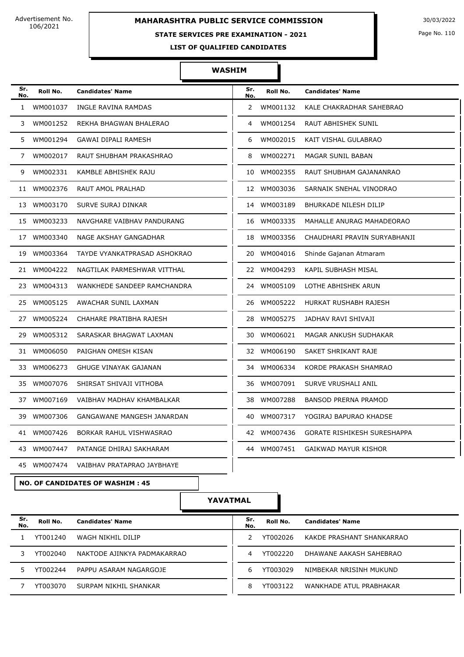Advertisement No. 106/2021

# **MAHARASHTRA PUBLIC SERVICE COMMISSION** 30/03/2022

### **STATE SERVICES PRE EXAMINATION - 2021**

Page No. 110

**LIST OF QUALIFIED CANDIDATES** 

### **WASHIM**

| Sr.<br>No.   | Roll No.                               | <b>Candidates' Name</b>      | Sr.<br>No.            | Roll No.                             | <b>Candidates' Name</b>                 |  |
|--------------|----------------------------------------|------------------------------|-----------------------|--------------------------------------|-----------------------------------------|--|
| $\mathbf{1}$ | WM001037                               | INGLE RAVINA RAMDAS          | $\mathbf{2}^{\prime}$ | WM001132<br>KALE CHAKRADHAR SAHEBRAO |                                         |  |
| 3            | WM001252                               | REKHA BHAGWAN BHALERAO       | 4                     | WM001254                             | RAUT ABHISHEK SUNIL                     |  |
| 5.           | WM001294                               | <b>GAWAI DIPALI RAMESH</b>   | 6                     | WM002015                             | KAIT VISHAL GULABRAO                    |  |
| 7            | WM002017                               | RAUT SHUBHAM PRAKASHRAO      | 8                     | WM002271                             | MAGAR SUNIL BABAN                       |  |
| 9            | WM002331                               | KAMBLE ABHISHEK RAJU         | 10                    | WM002355                             | RAUT SHUBHAM GAJANANRAO                 |  |
| 11           | WM002376                               | RAUT AMOL PRALHAD            |                       | 12 WM003036                          | SARNAIK SNEHAL VINODRAO                 |  |
|              | 13 WM003170                            | SURVE SURAJ DINKAR           |                       | 14 WM003189                          | <b>BHURKADE NILESH DILIP</b>            |  |
|              | 15 WM003233                            | NAVGHARE VAIBHAV PANDURANG   |                       | 16 WM003335                          | MAHALLE ANURAG MAHADEORAO               |  |
|              | 17 WM003340                            | NAGE AKSHAY GANGADHAR        |                       | 18 WM003356                          | CHAUDHARI PRAVIN SURYABHANJI            |  |
|              | 19 WM003364                            | TAYDE VYANKATPRASAD ASHOKRAO |                       | 20 WM004016                          | Shinde Gajanan Atmaram                  |  |
|              | 21 WM004222                            | NAGTILAK PARMESHWAR VITTHAL  |                       | 22 WM004293                          | KAPIL SUBHASH MISAL                     |  |
|              | 23 WM004313                            | WANKHEDE SANDEEP RAMCHANDRA  |                       | 24 WM005109                          | LOTHE ABHISHEK ARUN                     |  |
|              | 25 WM005125                            | AWACHAR SUNIL LAXMAN         |                       | 26 WM005222                          | HURKAT RUSHABH RAJESH                   |  |
|              | 27 WM005224                            | CHAHARE PRATIBHA RAJESH      | 28                    | WM005275                             | JADHAV RAVI SHIVAJI                     |  |
| 29.          | WM005312                               | SARASKAR BHAGWAT LAXMAN      | 30                    | WM006021                             | MAGAR ANKUSH SUDHAKAR                   |  |
|              | 31 WM006050                            | PAIGHAN OMESH KISAN          |                       | 32 WM006190                          | SAKET SHRIKANT RAJE                     |  |
|              | 33 WM006273                            | <b>GHUGE VINAYAK GAJANAN</b> |                       | 34 WM006334                          | KORDE PRAKASH SHAMRAO                   |  |
|              | 35 WM007076                            | SHIRSAT SHIVAJI VITHOBA      | 36                    | WM007091                             | SURVE VRUSHALI ANIL                     |  |
|              | 37 WM007169                            | VAIBHAV MADHAV KHAMBALKAR    | 38                    | WM007288                             | <b>BANSOD PRERNA PRAMOD</b>             |  |
|              | 39 WM007306                            | GANGAWANE MANGESH JANARDAN   |                       | 40 WM007317                          | YOGIRAJ BAPURAO KHADSE                  |  |
|              | 41 WM007426                            | BORKAR RAHUL VISHWASRAO      |                       |                                      | 42 WM007436 GORATE RISHIKESH SURESHAPPA |  |
|              | 43 WM007447                            | PATANGE DHIRAJ SAKHARAM      |                       | 44 WM007451                          | GAIKWAD MAYUR KISHOR                    |  |
|              | 45 WM007474                            | VAIBHAV PRATAPRAO JAYBHAYE   |                       |                                      |                                         |  |
|              | <b>NO. OF CANDIDATES OF WASHIM: 45</b> |                              |                       |                                      |                                         |  |
|              | YAVATMAL                               |                              |                       |                                      |                                         |  |
| Sr.<br>No.   | Roll No.                               | <b>Candidates' Name</b>      | Sr.<br>No.            | Roll No.                             | <b>Candidates' Name</b>                 |  |
| 1            | YT001240                               | WAGH NIKHIL DILIP            | 2                     | YT002026                             | KAKDE PRASHANT SHANKARRAO               |  |

3 YT002040 NAKTODE AJINKYA PADMAKARRAO 4 YT002220 DHAWANE AAKASH SAHEBRAO

5 YT002244 PAPPU ASARAM NAGARGOJE 6 YT003029 NIMBEKAR NRISINH MUKUND

7 YT003070 SURPAM NIKHIL SHANKAR **8 YT003122 WANKHADE ATUL PRABHAKAR**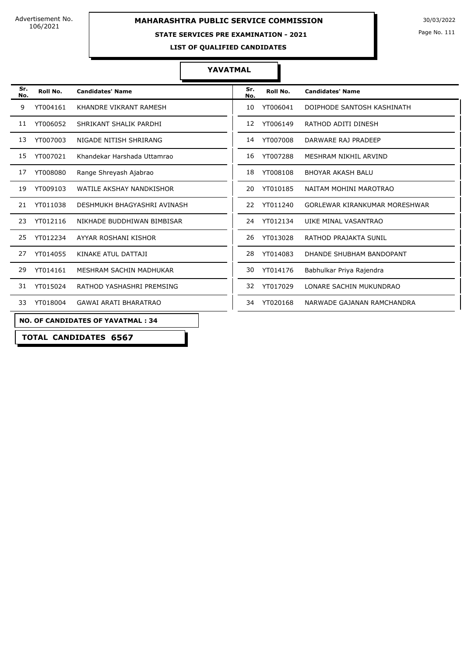Advertisement No. 106/2021

## **MAHARASHTRA PUBLIC SERVICE COMMISSION** 30/03/2022

#### **STATE SERVICES PRE EXAMINATION - 2021**

Page No. 111

**LIST OF QUALIFIED CANDIDATES** 

#### **YAVATMAL**

| Sr.<br>No. | Roll No.                                 | <b>Candidates' Name</b>        |  |  |  |  |
|------------|------------------------------------------|--------------------------------|--|--|--|--|
| 9          | YT004161                                 | KHANDRE VIKRANT RAMESH         |  |  |  |  |
| 11         | YT006052                                 | SHRIKANT SHALIK PARDHI         |  |  |  |  |
| 13         | YT007003                                 | NIGADE NITISH SHRIRANG         |  |  |  |  |
| 15         | YT007021                                 | Khandekar Harshada Uttamrao    |  |  |  |  |
| 17         | YT008080                                 | Range Shreyash Ajabrao         |  |  |  |  |
| 19         | YT009103                                 | WATILE AKSHAY NANDKISHOR       |  |  |  |  |
| 21         | YT011038                                 | DESHMUKH BHAGYASHRI AVINASH    |  |  |  |  |
| 23         | YT012116                                 | NIKHADE BUDDHIWAN BIMBISAR     |  |  |  |  |
| 25         | YT012234                                 | AYYAR ROSHANI KISHOR           |  |  |  |  |
| 27         | YT014055                                 | KINAKE ATUL DATTAJI            |  |  |  |  |
| 29         | YT014161                                 | <b>MESHRAM SACHIN MADHUKAR</b> |  |  |  |  |
| 31         | YT015024                                 | RATHOD YASHASHRI PREMSING      |  |  |  |  |
| 33         | YT018004                                 | <b>GAWAI ARATI BHARATRAO</b>   |  |  |  |  |
|            | <b>NO. OF CANDIDATES OF YAVATMAL: 34</b> |                                |  |  |  |  |

**Roll No. Candidates' Name Roll No. Candidates' Name Sr. Sr. No.** 10 YT006041 DOIPHODE SANTOSH KASHINATH 12 YT006149 RATHOD ADITI DINESH 14 YT007008 DARWARE RAJ PRADEEP 16 YT007288 MESHRAM NIKHIL ARVIND 18 YT008108 BHOYAR AKASH BALU 20 YT010185 NAITAM MOHINI MAROTRAO 22 YT011240 GORLEWAR KIRANKUMAR MORESHWAR 24 YT012134 UIKE MINAL VASANTRAO 26 YT013028 RATHOD PRAJAKTA SUNIL 28 YT014083 DHANDE SHUBHAM BANDOPANT 30 YT014176 Babhulkar Priya Rajendra 32 YT017029 LONARE SACHIN MUKUNDRAO 34 YT020168 NARWADE GAJANAN RAMCHANDRA

#### **NO. OF CANDIDATES OF YAVATMAL : 34**

**TOTAL CANDIDATES 6567**